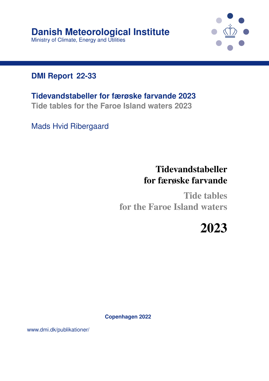

#### **DMI Report 22-33**

**Tidevandstabeller for færøske farvande 2023 Tide tables for the Faroe Island waters 2023**

Mads Hvid Ribergaard

# Tidevandstabeller for færøske farvande

Tide tables for the Faroe Island waters

2023

**Copenhagen 2022**

www.dmi.dk/publikationer/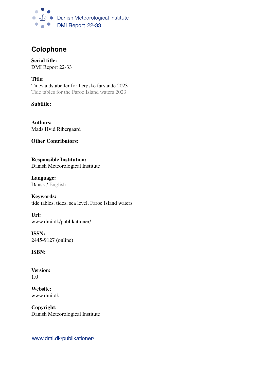

#### **Colophone**

Serial title: DMI Report 22-33

Title: Tidevandstabeller for færøske farvande 2023 Tide tables for the Faroe Island waters 2023

Subtitle:

Authors: Mads Hvid Ribergaard

Other Contributors:

Responsible Institution: Danish Meteorological Institute

Language: Dansk / English

Keywords: tide tables, tides, sea level, Faroe Island waters

Url: www.dmi.dk/publikationer/

ISSN: 2445-9127 (online)

ISBN:

Version: 1.0

Website: www.dmi.dk

Copyright: Danish Meteorological Institute

www.dmi.dk/publikationer/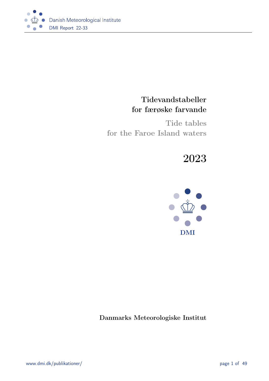

#### Tidevandstabeller for færøske farvande

Tide tables for the Faroe Island waters

# 2023



Danmarks Meteorologiske Institut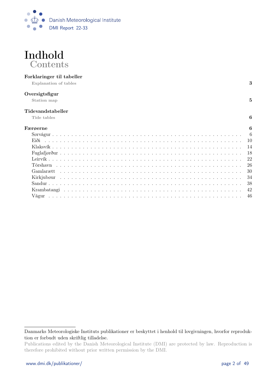



#### Forklaringer til tabeller

Explanation of tables 3

#### Oversigtsfigur

Station map  $5$ 

#### Tidevandstabeller

Tide tables  $\qquad \qquad \textbf{6}$ 

| Færøerne<br>6 |
|---------------|
|               |
|               |
|               |
|               |
|               |
|               |
|               |
|               |
|               |
|               |
|               |

Danmarks Meteorologiske Instituts publikationer er beskyttet i henhold til lovgivningen, hvorfor reproduktion er forbudt uden skriftlig tilladelse.

Publications edited by the Danish Meteorological Institute (DMI) are protected by law. Reproduction is therefore prohibited without prior written permission by the DMI.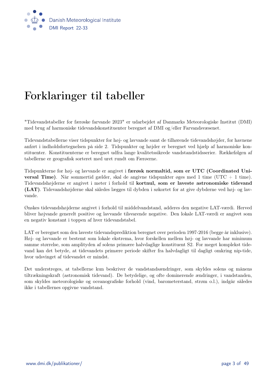

# Forklaringer til tabeller

"Tidevandstabeller for færøske farvande 2023" er udarbejdet af Danmarks Meteorologiske Institut (DMI) med brug af harmoniske tidevandskonstituenter beregnet af DMI og/eller Farvandsvæsenet.

Tidevandstabellerne viser tidspunkter for høj- og lavvande samt de tilhørende tidevandshøjder, for havnene anført i indholdsfortegnelsen på side 2. Tidspunkter og højder er beregnet ved hjælp af harmoniske konstituenter. Konstituenterne er beregnet udfra lange kvalitetssikrede vandstandstidsserier. Rækkefølgen af tabellerne er geografisk sorteret med uret rundt om Færøerne.

Tidspunkterne for høj- og lavvande er angivet i færøsk normaltid, som er UTC (Coordinated Uni**versal Time**). Når sommertid gælder, skal de angivne tidspunkter øges med 1 time (UTC + 1 time). Tidevandshøjderne er angivet i meter i forhold til kortnul, som er laveste astronomiske tidevand (LAT). Tidevandshøjderne skal således lægges til dybden i søkortet for at give dybderne ved høj- og lavvande.

Ønskes tidevandshøjderne angivet i forhold til middelvandstand, adderes den negative LAT-værdi. Herved bliver højvande generelt positive og lavvande tilsvarende negative. Den lokale LAT-værdi er angivet som en negativ konstant i toppen af hver tidevandstabel.

LAT er beregnet som den laveste tidevandsprediktion beregnet over perioden 1997-2016 (begge år inklusive). Høj- og lavvande er bestemt som lokale ekstrema, hvor forskellen mellem høj- og lavvande har minimum samme størrelse, som amplityden af solens primære halvdaglige konstituent S2. For meget komplekst tidevand kan det betyde, at tidevandets primære periode skifter fra halvdagligt til dagligt omkring nip-tide, hvor udsvinget af tidevandet er mindst.

Det understreges, at tabellerne kun beskriver de vandstandsændringer, som skyldes solens og månens tiltrækningskraft (astronomisk tidevand). De betydelige, og ofte dominerende ændringer, i vandstanden, som skyldes meteorologiske og oceanografiske forhold (vind, barometerstand, strøm o.l.), indgår således ikke i tabellernes opgivne vandstand.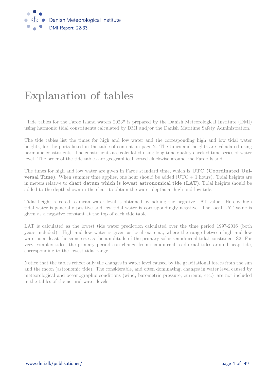

# Explanation of tables

"Tide tables for the Faroe Island waters 2023" is prepared by the Danish Meteorological Institute (DMI) using harmonic tidal constituents calculated by DMI and/or the Danish Maritime Safety Administration.

The tide tables list the times for high and low water and the corresponding high and low tidal water heights, for the ports listed in the table of content on page 2. The times and heights are calculated using harmonic constituents. The constituents are calculated using long time quality checked time series of water level. The order of the tide tables are geographical sorted clockwise around the Faroe Island.

The times for high and low water are given in Faroe standard time, which is UTC (Coordinated Uni**versal Time**). When summer time applies, one hour should be added ( $UTC + 1$  hours). Tidal heights are in meters relative to chart datum which is lowest astronomical tide (LAT). Tidal heights should be added to the depth shown in the chart to obtain the water depths at high and low tide.

Tidal height refeered to mean water level is obtained by adding the negative LAT value. Hereby high tidal water is generally positive and low tidal water is correspondingly negative. The local LAT value is given as a negative constant at the top of each tide table.

LAT is calculated as the lowest tide water prediction calculated over the time period 1997-2016 (both years included). High and low water is given as local extrema, where the range between high and low water is at least the same size as the amplitude of the primary solar semidiurnal tidal constituent S2. For very complex tides, the primary period can change from semidiurnal to diurnal tides around neap tide, corresponding to the lowest tidal range.

Notice that the tables reflect only the changes in water level caused by the gravitational forces from the sun and the moon (astronomic tide). The considerable, and often dominating, changes in water level caused by meteorological and oceanographic conditions (wind, barometric pressure, currents, etc.) are not included in the tables of the actural water levels.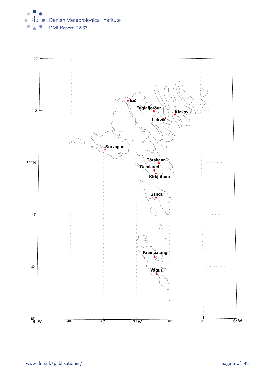

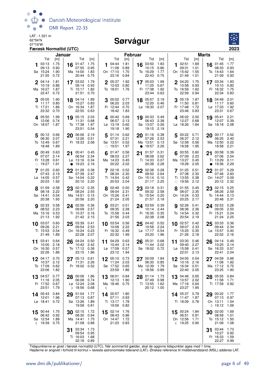

#### Sørvágur



|    |                            | Januar       |    |                                    |              |    |                            | Februar      |    |                             |              |              |                           |              | <b>Marts</b> |                        |              |
|----|----------------------------|--------------|----|------------------------------------|--------------|----|----------------------------|--------------|----|-----------------------------|--------------|--------------|---------------------------|--------------|--------------|------------------------|--------------|
|    | Tid                        | [m]          |    | Tid                                | [m]          |    | Tid                        | [m]          |    | Tid                         | [m]          |              | Tid                       | [m]          |              | Tid [m]                |              |
|    | 103:13<br>09:13            | 1.75<br>0.90 |    | 16 $01:47$ 1.75<br>07:55           | 0.95         |    | 104:441.81<br>11:08        | 0.89         |    | 16 03:50<br>10:15           | 1.83<br>0.86 |              | 102:51<br>09:31           | 1.69<br>1.01 |              | 16 01:45 1.77<br>08:33 | 0.93         |
|    | Sø 15:24                   | 1.90         |    | Ma 14:00                           | 1.83         |    | On 17:10                   | 1.70         |    | To 16:29                    | 1.77         |              | On 15:42                  | 1.55         |              | To 14:43               | 1.64         |
|    | 21:55                      | 0.72         |    | 20:44                              | 0.75         |    | 23:16                      | 0.84         |    | 22:43                       | 0.75         |              | 21:49                     | 1.01         |              | 21:09                  | 0.93         |
|    | 2 04:14                    | 1.81         |    | 17 03:02                           | 1.79         |    | 2 05:37                    | 1.92         |    | 17 05:03                    | 1.99         |              | 2 04:20                   | 1.75         |              | $17^{03:34}$           | 1.83         |
|    | 10:19<br>Ma 16:27          | 0.86<br>1.87 |    | 09:14<br>Ti 15:17                  | 0.93<br>1.82 |    | 12:03<br>To 18:01          | 0.80<br>1.76 |    | 11:25<br>Fr 17:38           | 0.67<br>1.92 |              | 10:58<br>To 16:59         | 0.93<br>1.62 |              | 10:10 0.80<br>Fr 16:32 | 1.75         |
|    | 22:47                      | 0.72         |    | 21:51                              | 0.70         |    |                            |              |    | 23:44                       | 0.63         |              | 22:59                     | 0.94         |              | 22:34                  | 0.83         |
|    | 3 05:05                    | 1.90         |    | 18 04:14                           | 1.89         |    | 3 00:02 0.77               |              |    | 18 05:57                    | 2.19         |              | 3 05:19                   | 1.87         |              | 18 04:49 2.01          |              |
|    | 11:17                      | 0.80         |    | 10:27                              | 0.83         |    | 06:20 2.03                 |              |    | 12:20                       | 0.46         |              | 11:50                     | 0.81         |              | 11:17                  | 0.60         |
|    | Ti 17:21                   | 1.86         |    | On 16:34                           | 1.87         |    | Fr 12:44 0.70              |              |    | Lø 18:30 2.07               |              |              | Fr 17:48                  | 1.72         |              | Lø 17:33               | 1.92         |
|    | 23:32                      | 0.70         |    | 22:55                              | 0.63         |    | 18:42                      | 1.83         |    |                             |              |              | 23:46                     | 0.83         |              | 23:31                  | 0.67         |
|    | 4 05:50 1.99<br>12:06 0.74 |              |    | 19 05:15<br>11:31                  | 2.03<br>0.68 |    | 4 00:40 0.69<br>06:57 2.13 |              |    | 19 00:33 0.49<br>06:43 2.38 |              |              | 4 06:02 2.00<br>12:27     | 0.68         |              | 19 05:41<br>12:07 0.39 | 2.21         |
|    | On 18:07 1.87              |              |    | To 17:38                           | 1.97         |    | Lø 13:19                   | 0.60         |    | Sø 13:07                    | 0.26         |              | Lø 18:26                  | 1.84         |              | Sø 18:18 2.08          |              |
|    |                            |              |    | 23:51                              | 0.54         |    | 19:18                      | 1.90         |    | 19:15                       | 2.19         |              |                           |              |              |                        |              |
|    | 5 00:12 0.66               |              |    | 20 06:06                           | 2.19         |    | 5 01:14 0.62               |              |    | 20 $01:16$ 0.38             |              |              | 5 00:22 0.71              |              |              | 20 00:17 0.52          |              |
|    | 06:30<br>To 12:49          | 2.07<br>0.67 |    | 12:26<br>Fr 18:33 2.08             | 0.51         |    | 07:31<br>Sø 13:51          | 2.21<br>0.52 |    | 07:26<br>Ma 13:51           | 2.53<br>0.13 |              | 06:37<br>Sø 12:58         | 2.12<br>0.56 |              | 06:25<br>Ma 12:50      | 2.40<br>0.22 |
|    | 18:48                      | 1.89         |    |                                    |              |    | $\circ$ 19:51              | 1.97         |    | $\bullet$ 19:57             | 2.26         |              | 18:58                     | 1.95         |              | 18:58                  | 2.21         |
|    | 00:49                      | 0.63         | 21 | 00:41   0.45                       |              | 6  | 01:47                      | 0.56         | 21 | 01:57                       | 0.31         |              | 00:55                     | 0.60         | 21           | 00:58                  | 0.39         |
|    | 07:07                      | 2.14         |    | 06:54 2.34                         |              |    | 08:03 2.27                 |              |    | 08:08                       | 2.62         |              | 07:09                     | 2.23         |              | 07:06                  | - 2.54       |
|    | Fr 13:28<br>$\circ$ 19:27  | 0.61<br>1.91 |    | $L\sigma$ 13:16<br>$\bullet$ 19:23 | 0.34<br>2.16 |    | Ma 14:23<br>20:22 2.02     | 0.45         |    | Ti 14:33<br>20:38           | 0.07<br>2.28 |              | Ma 13:27<br>19:28         | 0.45<br>2.05 |              | Ti 13:29<br>• 19:36    | 0.11<br>2.29 |
|    |                            |              |    |                                    |              |    |                            |              |    |                             |              |              |                           |              |              |                        |              |
|    | 701:25<br>07:43            | 0.60<br>2.19 |    | 22 01:28<br>07:39                  | 0.38<br>2.47 |    | 7 02:18 0.52<br>08:34 2.30 |              |    | 22 02:38<br>08:50           | 0.28<br>2.64 |              | 701:25<br>07:38           | 0.51<br>2.30 |              | 22 01:37 0.29<br>07:46 | 2.60         |
|    | $L\varnothing$ 14:05       | 0.57         |    | Sø 14:04                           | 0.22         |    | Ti 14:54                   | 0.42         |    | On 15:14                    | 0.10         |              | Ti 13:55                  | 0.38         |              | On 14:07               | 0.09         |
|    | 20:03                      | 1.92         |    | 20:10                              | 2.20         |    | 20:53                      | 2.04         |    | 21:17                       | 2.25         |              | $\circ$ 19:56             | 2.12         |              | 20:12                  | 2.32         |
|    | 8 01:59                    | 0.58         |    | 23 $02:12$ 0.35                    |              |    | 8 02:49 0.50               |              |    | $23^{03:18}$                | 0.31         |              | 01:55                     | 0.45         |              | 23 02:15 0.25          |              |
|    | 08:18 2.22<br>Sø 14:41     | 0.54         |    | 08:24 2.55<br>Ma 14:51             | 0.15         |    | 09:04 2.31<br>On 15:26     | 0.41         |    | 09:32<br>To 15:54           | 2.58<br>0.20 |              | 08:07<br>On 14:24         | 2.35<br>0.33 |              | 08:26 2.59<br>To 14:44 | 0.13         |
|    | 20:38                      | 1.93         |    | 20:56                              | 2.20         |    | 21:24                      | 2.05         |    | 21:57                       | 2.18         |              | 20:25                     | 2.17         |              | 20:48                  | 2.31         |
|    | 902:33                     | 0.58         |    | 24 02:56                           | 0.36         |    | $Q$ 03:21                  | 0.51         |    | 24 03:59                    | 0.39         |              | 902:26                    | 0.41         |              | 24 02:53               | 0.28         |
|    | 08:52<br>Ma 15:16          | 2.23<br>0.53 |    | 09:09<br>Ti 15:37                  | 2.57<br>0.16 |    | 09:35<br>To 15:58          | 2.28<br>0.44 |    | 10:14<br>Fr 16:35           | 2.44<br>0.35 |              | 08:36<br>To 14:54         | 2.36<br>0.32 |              | 09:05<br>Fr 15:21      | 2.50<br>0.24 |
|    | 21:13                      | 1.92         |    | 21:42                              | 2.15         |    | 21:56                      | 2.03         |    | 22:38                       | 2.08         |              | 20:54                     | 2.19         |              | 21:24                  | 2.25         |
|    | 10 03:07                   | 0.60         | 25 | 03:39                              | 0.41         |    | 10 03:54 0.56              |              | 25 | 04:42                       | 0.52         |              | $10$ 02:57                | 0.42         | 25           | 03:33                  | 0.36         |
|    | 09:26                      | 2.21         |    | 09:54                              | 2.53         |    | 10:08 2.22                 |              |    | 10:58                       | 2.24         |              | 09:07                     | 2.33         |              | 09:44                  | 2.34         |
|    | Ti 15:53<br>21:49          | 0.54<br>1.89 |    | On 16:24<br>22:28                  | 0.23<br>2.07 |    | Fr 16:32 0.49<br>22:32     | 1.99         |    | Lø 17:17<br>23:20           | 0.54<br>1.96 |              | Fr 15:25<br>21:26         | 0.35<br>2.18 |              | Lø 15:57<br>22:02      | 0.40<br>2.16 |
|    |                            |              |    |                                    |              |    |                            |              |    |                             |              |              |                           |              |              |                        |              |
|    | 11 03:41<br>10:00          | 0.64<br>2.18 |    | 26 04:24<br>10:42                  | 0.50<br>2.42 |    | 11 04:29 0.63<br>10:44     | 2.14         |    | 26 05:31<br>11:44           | 0.68<br>2.02 |              | 11 03:30<br>09:40         | 0.46<br>2.27 |              | 26 04:14 0.49<br>10:25 | 2.14         |
|    | On 16:30                   | 0.57         |    | To 17:12                           | 0.36         |    | Lø 17:09 0.57              |              |    | Sø 18:02 0.72               |              |              | $L\varnothing$ 15:58 0.41 |              |              | Sø 16:33 0.57          |              |
|    | 22:26                      | 1.86         |    | 23:15                              | 1.96         |    | 23:12 1.94                 |              |    |                             |              |              | 22:01                     | 2.13         |              | 22:41                  | 2.04         |
| 12 | 04:17 0.70<br>10:37        | 2.12         | 27 | 05:13<br>11:31                     | 0.61<br>2.26 |    | 05:10 0.73<br>11:24        | 2.03         | 27 | 00:09<br>06:30              | 1.84<br>0.85 |              | 04:05<br>10:16            | 0.54<br>2.16 | 27           | 04:59<br>11:08         | 0.66<br>1.92 |
|    | To 17:09 0.62              |              |    | Fr 18:02 0.52                      |              |    | Sø 17:52 0.65              |              |    | Ma 12:39                    | 1.79         |              | Sø 16:34                  | 0.51         |              | Ma 17:12               | 0.75         |
|    | 23:06                      | 1.82         |    |                                    |              |    | 23:59                      | 1.86         |    | D 18:56                     | 0.89         |              | 22:40                     | 2.05         |              | 23:25                  | 1.90         |
|    | 13 04:57                   | 0.77         |    | 28 00:06                           | 1.86         | 13 | 06:01                      | 0.84         | 28 | 01:14                       | 1.73         |              | 13 04:46                  | 0.65         |              | 28 05:55               | 0.84         |
|    | 11:16<br>Fr 17:52          | 2.05<br>0.67 |    | 06:08<br>Lø 12:24                  | 0.74<br>2.08 |    | 12:13<br>Ma 18:46 0.75     | 1.90         |    | 07:49<br>Ti 13:55           | 0.98<br>1.62 |              | 10:57<br>Ma 17:16         | 2.02<br>0.64 |              | 11:58<br>Ti 17:59      | 1.71<br>0.92 |
|    | 23:51                      | 1.79         |    | D 18:56                            | 0.68         | ₫  |                            |              |    | 20:12                       | 1.00         |              | 23:27                     | 1.95         |              |                        |              |
|    | 14 05:43                   | 0.84         | 29 | 01:04                              | 1.77         | 14 | 00:57 1.80                 |              |    |                             |              |              | 14 05:37                  | 0.79         | 29           | 00:22                  | 1.77         |
|    | 12:01                      | 1.96         |    | 07:13                              | 0.87         |    | 07:11                      | 0.93         |    |                             |              |              | 11:47                     | 1.87         |              | 07:13                  | 0.97         |
|    | $L\varnothing$ 18:41       | 0.72         |    | Sø 13:26<br>19:58                  | 1.89<br>0.81 |    | Ti 13:17<br>19:56          | 1.78<br>0.82 |    |                             |              |              | Ti 18:09                  | 0.78         |              | On 13:11<br>$D$ 19:12  | 1.54<br>1.06 |
|    |                            |              |    |                                    |              |    |                            |              |    |                             |              |              |                           |              |              |                        |              |
| 15 | 00:44<br>06:42             | 1.75<br>0.92 | 30 | 02:15<br>08:30                     | 1.72<br>0.94 | 15 | 02:14<br>08:43             | 1.76<br>0.96 |    |                             |              |              | 15 00:24<br>06:51         | 1.84<br>0.91 | 30           | 02:00<br>08:58         | 1.69<br>1.01 |
|    | Sø 12:54                   | 1.88         |    | Ma 14:41                           | 1.75         |    | On 14:47                   | 1.72         |    |                             |              |              | On 12:56                  | 1.71         |              | To 15:12               | 1.50         |
|    | <b>€ 19:39 0.75</b>        |              |    | 21:08                              | 0.88         |    | 21:23 0.83                 |              |    |                             |              | $\mathbb{C}$ | 19:25                     | 0.90         |              | 21:09                  | 1.08         |
|    |                            |              | 31 | 03:34                              | 1.73         |    |                            |              |    |                             |              |              |                           |              | 31           | 03:44                  | 1.73         |
|    |                            |              |    | 09:54<br>Ti 16:03                  | 0.95<br>1.68 |    |                            |              |    |                             |              |              |                           |              |              | 10:27<br>Fr 16:33      | 0.92<br>1.59 |
|    |                            |              |    | 22:18                              | 0.89         |    |                            |              |    |                             |              |              |                           |              |              | 22:27                  | 0.99         |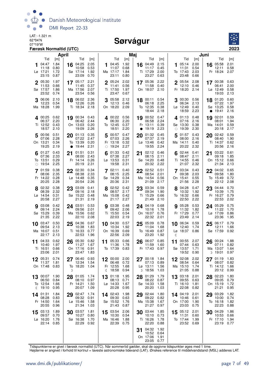

#### Sørvágur



|         |                                                   | April                               |           |                                                    |                                     |         |                                                  | Maj                                 |    |                                                   |                                     |              |                                                         |                                     | Juni |                                                  |                              |
|---------|---------------------------------------------------|-------------------------------------|-----------|----------------------------------------------------|-------------------------------------|---------|--------------------------------------------------|-------------------------------------|----|---------------------------------------------------|-------------------------------------|--------------|---------------------------------------------------------|-------------------------------------|------|--------------------------------------------------|------------------------------|
|         | Tid<br>04:47<br>11:18<br>Lø 17:21<br>23:15        | [m]<br>1.84<br>0.80<br>1.72<br>0.87 | 16        | Tid<br>04:25<br>10:58<br>Sø 17:14<br>23:09         | [m]<br>2.05<br>0.53<br>1.92<br>0.70 | 1       | Tid<br>04:45<br>11:07<br>Ma 17:17<br>23:11       | [m]<br>1.92<br>0.68<br>1.84<br>0.80 |    | Tid<br>16 04:49<br>11:17<br>Ti 17:29<br>23:27     | [m]<br>2.15<br>0.45<br>2.00<br>0.63 | 1            | Tid<br>05:14<br>11:31<br>To 17:43<br>23:48              | [m]<br>2.00<br>0.54<br>2.03<br>0.66 | 16   | Tid<br>05:58<br>12:11<br>Fr 18:24                | [m]<br>2.01<br>0.58<br>2.07  |
|         | 2 05:30<br>11:53<br>Sø 17:57<br>23:52             | 1.97<br>0.66<br>1.86<br>0.74        |           | $17^{05:17}$<br>11:45<br>Ma 17:56<br>23:54         | 2.21<br>0.37<br>2.07<br>0.56        |         | $2^{05:24}$<br>11:41<br>Ti 17:50<br>23:47        | 2.02<br>0.56<br>1.97<br>0.67        |    | 17 05:36<br>11:58<br>On 18:07 2.10                | 2.22<br>0.40                        |              | 2 05:54 2.08<br>12:10<br>Fr 18:20 2.14                  | 0.46                                |      | 17 00:38 0.63<br>06:41<br>Lø 12:49<br>19:03      | 2.00<br>0.58<br>2.13         |
|         | 3 06:06<br>12:23<br>Ma 18:28                      | 2.10<br>0.54<br>1.99                |           | 18 06:02<br>12:26<br>Ti 18:34                      | 2.36<br>0.26<br>2.18                |         | 3 05:58<br>12:13<br>On 18:20                     | 2.12<br>0.46<br>2.09                |    | 18 00:11<br>06:18<br>To 12:35<br>18:44            | 0.54<br>2.25<br>0.38<br>2.18        |              | 3 00:30 0.56<br>06:34<br>Lø 12:49 0.40<br>18:59 2.23    | 2.13                                |      | 18 01:20<br>07:22<br>Sø 13:25<br>• 19:41         | 0.60<br>1.97<br>0.58<br>2.16 |
|         | $\Delta$ 00:25 0.62<br>06:37<br>Ti 12:52<br>18:57 | 2.20<br>0.43<br>2.10                |           | 19 00:34 0.43<br>06:42 2.44<br>On 13:03<br>19:09   | 0.20<br>2.26                        |         | 4 00:22 0.56<br>06:30<br>To 12:45<br>18:51       | 2.20<br>0.37<br>2.20                |    | 19 00:52<br>06:58<br>Fr 13:11<br>• 19:19          | 0.47<br>2.24<br>0.39<br>2.23        |              | 4 01:13 0.48<br>07:16 2.16<br>Sø 13:30<br>$\circ$ 19:39 | 0.38<br>2.30                        |      | 19 02:01<br>08:01<br>Ma 14:01<br>20:18           | 0.59<br>1.94<br>0.59<br>2.17 |
|         | 5 00:56<br>07:06<br>On 13:21<br>19:25             | 0.51<br>2.28<br>0.34<br>2.19        | $\bullet$ | 20 01:13<br>07:22<br>To 13:39<br>19:44             | 0.35<br>2.47<br>0.20<br>2.31        |         | 00:57 0.47<br>07:03<br>Fr 13:18<br>$\circ$ 19:24 | 2.26<br>0.32<br>2.27                |    | $20^{01:32}$<br>07:37<br>Lø 13:46<br>19:55        | 0.45<br>2.19<br>0.42<br>2.24        |              | 01:57 0.43<br>08:00<br>Ma 14:11<br>20:22                | 2.16<br>0.40<br>2.32                |      | 20 02:42<br>08:40<br>Ti 14:37<br>20:56           | 0.59<br>1.90<br>0.62<br>2.16 |
|         | $6^{01:27}$<br>07:36<br>To 13:51<br>$\circ$ 19:54 | 0.43<br>2.33<br>0.29<br>2.25        |           | $21^{01:51}$<br>08:00<br>Fr 14:14<br>20:19         | 0.31<br>2.43<br>0.26<br>2.31        |         | 01:33<br>07:38<br>Lø 13:53<br>19:58              | 0.42<br>2.27<br>0.31<br>2.31        |    | $21^{02:12}$<br>08:15<br>Sø 14:20<br>20:32        | 0.46<br>2.11<br>0.48<br>2.22        |              | 6 $02:44$ 0.41<br>08:47<br>Ti 14:55<br>21:07            | 2.11<br>0.46<br>2.32                |      | 21 03:22<br>09:18<br>On 15:12<br>21:34           | 0.61<br>1.85<br>0.66<br>2.13 |
|         | 7 01:59<br>08:06<br>Fr 14:22<br>20:25             | 0.38<br>2.35<br>0.28<br>2.28        |           | 22 02:30<br>08:38<br>$L\sigma$ 14:48<br>20:54      | 0.34<br>2.33<br>0.35<br>2.26        |         | $7^{02:11}$<br>08:15<br>Sø 14:29<br>20:36        | 0.40<br>2.25<br>0.34<br>2.31        |    | 22 02:52<br>08:54<br>Ma 14:54<br>21:09            | 0.51<br>2.01<br>0.56<br>2.17        |              | 7 03:34<br>09:38<br>On 15:41<br>21:56                   | 0.43<br>2.03<br>0.55<br>2.28        | 22   | 04:02<br>09:58<br>To 15:49<br>22:12              | 0.65<br>1.80<br>0.72<br>2.08 |
|         | 8 02:32<br>08:39<br>$L\varnothing$ 14:54<br>20:58 | 0.38<br>2.32<br>0.31<br>2.27        |           | 23 03:09<br>09:16<br>Sø 15:22<br>21:31             | 0.41<br>2.18<br>0.48<br>2.19        |         | 8 02:52 0.42<br>08:57<br>Ma 15:08<br>21:17       | 2.17<br>0.42<br>2.27                |    | 23 03:34<br>09:34<br>Ti 15:29<br>21:49            | 0.59<br>1.90<br>0.66<br>2.10        |              | 8 04:28<br>10:32<br>To 16:32<br>22:50                   | 0.47<br>1.92<br>0.66<br>2.22        |      | 23 04:44<br>10:39<br>Fr 16:27<br>22:53           | 0.70<br>1.75<br>0.79<br>2.02 |
|         | 9 03:08<br>09:14<br>Sø 15:29<br>21:35             | 0.42<br>2.24<br>0.39<br>2.22        |           | 24 03:51<br>09:56<br>Ma 15:56<br>22:10             | 0.53<br>2.01<br>0.62<br>2.08        |         | <b>9</b> 03:38<br>09:42<br>Ti 15:50<br>22:03     | 0.48<br>2.06<br>0.54<br>2.19        |    | 24 04:19<br>10:16<br>On 16:07<br>22:32            | 0.68<br>1.78<br>0.76<br>2.01        | 9            | 05:28<br>11:32<br>Fr 17:29<br>23:49                     | 0.53<br>1.82<br>0.77<br>2.14        |      | 24 05:29<br>11:22<br>Lø 17:09<br>23:36           | 0.75<br>1.70<br>0.86<br>1.95 |
|         | $10^{-03:47}$<br>09:54<br>Ma 16:07<br>22:17       | 0.50<br>2.13<br>0.51<br>2.13        |           | 25 04:36<br>10:38<br>Ti 16:33<br>22:53             | 0.67<br>1.83<br>0.77<br>1.96        |         | $10^{04:30}$<br>10:34<br>On 16:39<br>22:56       | 0.57<br>1.92<br>0.69<br>2.09        |    | 25 05:09<br>11:04<br>To 16:49<br>23:20            | 0.78<br>1.68<br>0.87<br>1.92        | $\mathbb{C}$ | 10 06:34<br>12:40<br>Lø 18:37                           | 0.59<br>1.74<br>0.86                | 25   | 06:17<br>12:11<br>Sø 17:59                       | 0.79<br>1.66<br>0.92         |
| 11      | 04:33<br>10:40<br>Ti 16:51<br>23:06               | 0.62<br>1.97<br>0.66<br>- 2.01      | 26        | 05:30<br>11:27<br>On 17:16<br>23:47                | 0.82<br>1.67<br>0.91<br>1.83        | 11      | 05:33<br>11:36<br>To 17:39                       | 0.66<br>1.78<br>0.83                | 26 | 06:07<br>11:59<br>Fr 17:43                        | 0.85<br>1.60<br>0.97                | 11           | 00:55 2.07<br>07:44<br>Sø 13:57<br>19:52                | 0.63<br>1.71<br>0.90                | 26   | 00:24<br>07:11<br>Ma 13:07<br>D 19:01            | 1.88<br>0.82<br>1.64<br>0.97 |
| 12      | 05:31 0.74<br>11:37<br>On 17:48                   | 1.81<br>0.83                        | 27<br>D   | 06:40<br>12:34<br>To 18:20                         | 0.93<br>1.54<br>1.04                | 12<br>I | 00:00 2.00<br>06:48<br>Fr 12:55<br>18:58         | 0.72<br>1.68<br>0.94                | 27 | 00:18<br>07:13<br>$L\varnothing$ 13:11<br>D 18:56 | 1.84<br>0.89<br>1.56<br>1.03        |              | $12^{02:08}$<br>08:54<br>Ma 15:10<br>21:05              | 2.02<br>0.64<br>1.74<br>0.88        |      | 27 01:19 1.83<br>08:07<br>Ti 14:12 1.66<br>20:12 | 0.82<br>0.99                 |
| 13<br>ℂ | 00:07<br>06:50<br>To 12:54<br>19:10               | 1.90<br>0.84<br>1.66<br>0.95        | 28        | 01:05<br>08:10<br>Fr 14:21<br>20:07                | 1.74<br>0.97<br>1.50<br>1.09        | 13      | 01:18<br>08:13<br>Lø 14:33<br>20:28              | 1.95<br>0.71<br>1.67<br>0.95        | 28 | 01:29<br>08:22<br>Sø 14:33<br>20:20               | 1.79<br>0.87<br>1.58<br>1.03        |              | 13 03:18<br>09:55<br>Ti 16:10<br>22:08                  | 2.01<br>0.63<br>1.81<br>0.82        | 28   | 02:23<br>09:05<br>On 15:19<br>21:21              | 1.80<br>0.79<br>1.72<br>0.95 |
|         | 14 01:31<br>08:28<br>Fr 14:50<br>20:55            | 1.84<br>0.83<br>1.64<br>0.96        |           | 29 02:47<br>09:32<br>$L\varnothing$ 15:46<br>21:34 | 1.74<br>0.91<br>1.58<br>1.03        |         | 14 02:43<br>09:30<br>Sø 15:52<br>21:43           | 1.98<br>0.63<br>1.76<br>0.87        |    | 29 02:44<br>09:22<br>Ma 15:38<br>21:27            | 1.80<br>0.82<br>1.67<br>0.97        |              | 14 04:19<br>10:46<br>On 17:00<br>23:03                  | 2.01<br>0.61<br>1.90<br>0.75        | 29   | 03:29<br>10:00<br>To 16:18<br>22:23              | 1.82<br>0.74<br>1.82<br>0.88 |
| 15      | 03:13<br>09:57<br>Lø 16:20<br>22:14               | 1.89<br>0.70<br>1.76<br>0.85        | 30        | 03:57<br>10:27<br>Sø 16:38<br>22:29                | 1.81<br>0.80<br>1.70<br>0.92        | 15      | 03:54 2.06<br>10:30<br>Ma 16:46<br>22:39         | 0.54<br>1.88<br>0.75                | 30 | 03:44<br>10:10<br>Ti 16:26<br>22:20               | 1.85<br>0.73<br>1.78<br>0.88        | 15           | 05:12 2.01<br>11:31<br>To 17:44<br>23:52 0.69           | 0.60<br>1.99                        | 30   | 04:29<br>10:53<br>Fr 17:10<br>23:19              | 1.86<br>0.66<br>1.94<br>0.77 |
|         |                                                   |                                     |           |                                                    |                                     |         |                                                  |                                     | 31 | 04:32<br>10:52<br>On 17:06<br>23:05 0.77          | 1.92<br>0.64<br>1.91                |              |                                                         |                                     |      |                                                  |                              |

Tidspunkterne er givet i færøsk normaltid (UTC). Når sommertid gælder, skal de opgivne tidspunkter øges med 1 time.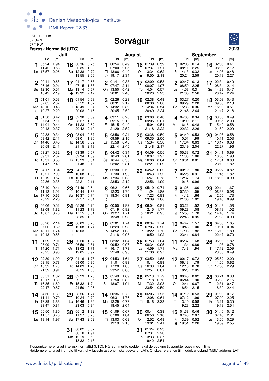

#### Sørvágur



| Juli                                                                                                                                 |                                                                                                                      | <b>August</b>                                                                          |                                                                            | <b>September</b>                                                               |
|--------------------------------------------------------------------------------------------------------------------------------------|----------------------------------------------------------------------------------------------------------------------|----------------------------------------------------------------------------------------|----------------------------------------------------------------------------|--------------------------------------------------------------------------------|
| Tid<br>Tid<br>[m]                                                                                                                    | Tid<br>[m]<br>[m]                                                                                                    | Tid<br>[m]                                                                             | Tid<br>[m]                                                                 | Tid<br>[m]                                                                     |
| 1.94<br>05:24<br>00:36<br>16<br>0.58<br>06:35<br>11:42<br>2.06<br>Sø 12:38<br>Lø 17:57<br>18:55                                      | 0.75<br>00:54<br>0.49<br>1<br>2.05<br>1.82<br>07:00<br>0.72<br>Ti 13:06<br>0.49<br>2.06<br>2.34<br>$\circ$ 19:17     | 0.59<br>01:39<br>16<br>07:37<br>1.91<br>0.62<br>On 13:34<br>19:50<br>2.19<br>$\bullet$ | 02:06<br>0.14<br>1<br>08:11<br>2.25<br>0.32<br>Fr 14:13<br>20:24<br>2.59   | 16 02:06<br>0.41<br>2.12<br>08:06<br>Lø 14:08<br>0.48<br>20:18<br>2.27         |
| $2^{00:11}$<br>0.65<br>$17^{01:17}$<br>06:16<br>2.01<br>07:15<br>Sø 12:30<br>0.51<br>Ma 13:14<br>18:42<br>2.19<br>19:32<br>$\bullet$ | 0.33<br>0.68<br>2 01:41<br>1.85<br>07:47<br>2.14<br>0.67<br>On 13:50<br>0.42<br>2.12<br>20:01<br>2.46                | 0.53<br>17 02:09<br>1.97<br>08:07<br>0.57<br>To 14:04<br>20:20<br>2.23                 | $2^{02:47}$<br>0.13<br>08:50<br>2.25<br>Lø 14:53<br>0.31<br>21:05<br>2.56  | 17 02:34<br>0.40<br>2.14<br>08:34<br>Sø 14:38<br>0.47<br>20:47<br>2.24         |
| 0.53<br>01:01<br>01:54<br>18<br>07:05<br>2.07<br>07:52<br>Ma 13:16<br>0.46<br>Ti 13:49<br>19:27<br>2.29<br>20:08<br>$\bigcirc$       | 02:26<br>0.23<br>0.63<br>3<br>1.87<br>08:31<br>2.17<br>0.64<br>To 14:32<br>0.39<br>2.16<br>20:45<br>2.52             | 02:38<br>0.49<br>18<br>08:36<br>2.00<br>0.54<br>Fr 14:34<br>20:49<br>2.24              | 03:27<br>0.20<br>3<br>09:29<br>2.20<br>Sø 15:33<br>0.36<br>21:48<br>2.44   | 03:03<br>0.43<br>18<br>09:03<br>2.13<br>Ma 15:08<br>0.51<br>2.18<br>21:17      |
| 19 02:30<br>401:50<br>0.42<br>08:27<br>07:54<br>2.11<br>On 14:23<br>Ti 14:01<br>0.44<br>20:13<br>2.37<br>20:42                       | 0.59<br>0.20<br>403:11<br>1.89<br>09:15<br>2.16<br>0.62<br>Fr 15:15<br>0.40<br>2.19<br>21:29<br>2.52                 | 03:08<br>0.48<br>19<br>2.01<br>09:05<br>Lø 15:04<br>0.54<br>2.22<br>21:18              | 4 04:08<br>0.34<br>10:09<br>2.11<br>Ma 16:16<br>0.48<br>22:32<br>2.26      | 19 03:33<br>0.49<br>2.09<br>09:35<br>Ti 15:40<br>0.58<br>21:50<br>2.09         |
| 0.34<br>02:38<br>03:04<br>20<br>5<br>2.11<br>09:01<br>08:42<br>On 14:46<br>0.45<br>To 14:56<br>20:59<br>2.41<br>21:15                | 0.57<br>03:56<br>0.24<br>5<br>1.90<br>09:59<br>2.10<br>0.62<br>$L\varnothing$ 15:58<br>0.45<br>2.18<br>22:14<br>2.45 | 03:38<br>0.50<br>20<br>09:35<br>2.00<br>Sø 15:34<br>0.58<br>21:48<br>2.17              | 04:49<br>0.53<br>5<br>10:51<br>1.99<br>Ti 17:04<br>0.63<br>23:19<br>2.04   | 0.58<br>04:05<br>20<br>2.03<br>10:11<br>On 16:17<br>0.68<br>22:27<br>1.96      |
| 0.32<br>03:39<br>$6^{03:27}$<br>21<br>09:31<br>2.07<br>09:34<br>To 15:31<br>0.50<br>Fr 15:29<br>21:47<br>2.40<br>21:48               | 0.57<br>0.34<br>04:42<br>1.89<br>10:43<br>2.01<br>0.64<br>Sø 16:44<br>0.55<br>2.16<br>23:02<br>2.31                  | 04:09<br>0.55<br>21<br>1.97<br>10:07<br>Ma 16:06<br>0.64<br>22:21<br>2.09              | 05:33<br>0.72<br>6<br>11:38<br>1.86<br>On 18:01<br>0.81<br>ℭ               | 04:41<br>0.69<br>21<br>1.93<br>10:53<br>To 17:01<br>0.80<br>23:13<br>1.82      |
| 0.34<br>704:17<br>04:13<br>22<br>2.00<br>10:21<br>10:08<br>Fr 16:19<br>0.57<br>Lø 16:02<br>22:36<br>2.35<br>22:21                    | 7 05:30<br>0.60<br>0.50<br>11:30<br>1.86<br>1.90<br>0.68<br>Ma 17:34<br>0.68<br>2.11<br>23:53<br>2.12                | 0.62<br>22<br>04:42<br>10:43<br>1.92<br>Ti 16:41<br>0.73<br>22:56<br>1.99              | 00:12<br>1.80<br>06:25<br>0.91<br>To 12:37<br>1.74<br>19:18<br>0.96        | 05:27<br>0.82<br>22<br>11:45<br>1.82<br>Fr 18:06 0.93<br>D                     |
| 23 04:49<br>8 05:10<br>0.41<br>1.91<br>11:13<br>10:44<br>$L\varnothing$ 17:10<br>0.66<br>Sø 16:37<br>2.26<br>22:57<br>23:29          | 0.64<br>8 06:21<br>0.66<br>1.83<br>12:23<br>1.79<br>0.74<br>Ti 18:34<br>0.81<br>2.04<br>ℭ                            | 0.71<br>23 05:19<br>11:24<br>1.85<br>On 17:23<br>0.83<br>23:39<br>1.86                 | 8 01:26<br>1.60<br>07:39<br>1.05<br>Fr 14:12<br>1.66<br>21:06<br>1.02      | $23^{00:14}$ 1.67<br>06:33<br>0.96<br>Lø 12:55<br>1.73<br>0.99<br>19:46        |
| 06:06<br>0.51<br>24 05:26<br>12:09<br>1.82<br>11:23<br>Sø 18:07<br>0.76<br>Ma 17:15<br>23:35                                         | 0.70<br>1.92<br>00:50<br>1.79<br>07:19<br>0.82<br>0.81<br>On 13:27<br>1.71<br>19:48<br>1.96<br>0.93                  | 24 06:04<br>0.81<br>12:15<br>1.77<br>To 18:21<br>0.95<br>D                             | 03:21<br>1.52<br>9<br>09:28<br>1.08<br>Lø 15:58<br>1.70<br>22:46<br>0.95   | 1.58<br>24 01:48<br>08:18<br>1.02<br>Sø 14:43<br>1.74<br>21:33<br>0.90         |
| 06:09<br>10 00:26<br>2.14<br>25<br>0.62<br>12:08<br>07:06<br>Ma 13:11<br>1.74<br>Ti 18:03<br>19:13<br>0.85<br>ℂ<br>D                 | 0.76<br>1.74<br>10 02:01<br>1.74<br>08:29<br>0.93<br>0.89<br>To 14:52<br>1.68<br>21:18<br>0.98                       | $25\frac{00:34}{27}$<br>1.74<br>07:06<br>0.90<br>Fr 13:22<br>1.70<br>19:50<br>1.02     | 10 04:47<br>1.57<br>10:46<br>1.00<br>Sø 17:03<br>1.82<br>23:41<br>0.84     | 1.65<br>04:00<br>25<br>10:01<br>0.94<br>Ma 16:16<br>1.88<br>22:47<br>0.70      |
| 01:29<br>2.01<br>00:20<br>26<br>11<br>0.71<br>06:59<br>08:09<br>Ti 14:20<br>1.71<br>On 13:02<br>20:25<br>0.90<br>19:05               | 1.87<br>03:32<br>1.64<br>11<br>09:52<br>0.81<br>0.97<br>1.71<br>Fr 16:17<br>1.73<br>22:48<br>0.95<br>0.97            | 01:53<br>1.64<br>26<br>08:34<br>0.95<br>$L\varnothing$ 14:59<br>1.71<br>21:36<br>0.97  | 05:37<br>1.68<br>11<br>11:34<br>0.89<br>Ma 17:48<br>1.94                   | 05:06<br>1.82<br>26<br>0.78<br>11:03<br>Ti 17:12<br>2.09<br>23:38<br>0.49      |
| 1.90<br>02:39<br>01:16<br>1.78<br>12<br>27<br>09:15<br>0.78<br>08:00<br>On 15:32<br>1.73<br>To 14:09<br>20:25<br>21:39<br>0.91       | 12<br>04:53<br>1.64<br>0.85<br>11:01<br>0.93<br>1.70<br>Lø 17:20<br>1.83<br>23:52<br>1.00<br>0.86                    | 03:50<br>1.65<br>27<br>10:11<br>0.89<br>Sø 16:33<br>1.84<br>22:57<br>0.81              | 12 00:17 0.72<br>06:13<br>1.79<br>Ti 12:10<br>0.78<br>18:23<br>2.05        | 05:52 2.00<br>11:50<br>0.62<br>On 17:58<br>2.29                                |
| 02:29<br>03:51<br>1.82<br>13<br>28<br>0.80<br>09:11<br>10:17<br>To 16:35<br>Fr 15:32<br>1.80<br>22:47<br>0.87<br>21:50               | 1.69<br>1.73<br>13 05:49<br>0.85<br>11:50<br>0.86<br>1.74<br>Sø 18:07<br>1.94<br>0.96                                | 05:13<br>1.79<br>28<br>0.76<br>11:18<br>Ma 17:32<br>2.03<br>23:54<br>0.59              | 13 00:45<br>0.62<br>06:44<br>1.90<br>On 12:41<br>0.67<br>18:54<br>2.15     | 00:21<br>0.30<br>28<br>2.15<br>06:32<br>To 12:31<br>0.47<br>2.44<br>18:39      |
| 03:56<br>14 04:56<br>1.80<br>29<br>10:24<br>11:11<br>0.79<br>Fr 17:29<br>1.88<br>Lø 16:46<br>23:47<br>0.81<br>23:03                  | 1.74<br>14 00:36<br>0.76<br>0.79<br>06:31<br>1.76<br>1.86<br>Ma 12:29<br>0.77<br>0.84<br>18:45<br>2.04               | 29 06:06<br>1.95<br>12:08<br>0.61<br>Ti 18:18 2.23                                     | 14 01:12 0.53<br>07:12<br>1.99<br>To 13:10<br>0.58<br>19:23<br>2.22        | 0.17<br>29 01:02<br>07:09<br>2.25<br>Fr 13:11<br>0.35<br>$\circ$ 19:19<br>2.54 |
| 05:50<br>1.80<br>05:12<br>15<br>30<br>11:27<br>11:57<br>0.76<br>Lø 18:14 1.97<br>Sø 17:43 2.02                                       | 0.67<br>1.82<br>15 01:09<br>0.70<br>07:06<br>1.84<br>Ti 13:03<br>0.69<br>19:19<br>2.13                               | 0.39<br>00:41<br>30<br>06:50<br>2.10<br>On 12:52<br>0.48<br>19:01<br>2.41              | 15 $01:38$<br>0.46<br>07:40<br>2.07<br>Fr 13:39<br>0.52<br>• 19:51<br>2.26 | 30<br>01:40<br>0.12<br>2.31<br>07:46<br>Lø 13:50<br>0.29<br>19:59<br>2.55      |
| 00:02 0.67<br>31<br>06:10<br>Ma 12:19<br>0.59<br>18:32 2.18                                                                          | 1.94                                                                                                                 | 0.23<br>31<br>01:24<br>07:31<br>2.20<br>To 13:33<br>0.37<br>$\circ$ 19:42 2.54         |                                                                            |                                                                                |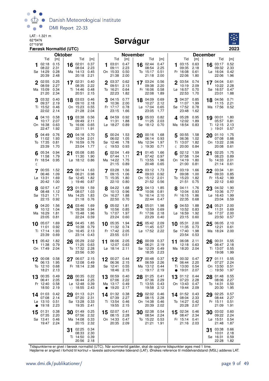

#### Sørvágur



|              |                                               | Færøsk Normaltid (UTC)              |    |                                                                 |                                     |           |                                                            |                                     |    |                                                     |                                     |              |                                                            |                                     |                                                                | 2023                                |
|--------------|-----------------------------------------------|-------------------------------------|----|-----------------------------------------------------------------|-------------------------------------|-----------|------------------------------------------------------------|-------------------------------------|----|-----------------------------------------------------|-------------------------------------|--------------|------------------------------------------------------------|-------------------------------------|----------------------------------------------------------------|-------------------------------------|
|              |                                               | <b>Oktober</b>                      |    |                                                                 |                                     |           |                                                            | <b>November</b>                     |    |                                                     |                                     |              |                                                            |                                     | <b>December</b>                                                |                                     |
|              | Tid<br>02:18<br>08:22<br>Sø 14:29<br>20:39    | [m]<br>0.15<br>2.31<br>0.28<br>2.48 | 16 | Tid<br>02:01<br>08:04<br>Ma 14:13<br>20:18                      | [m]<br>0.37<br>2.23<br>0.45<br>2.21 | 1         | Tid<br>03:01<br>09:11<br>On 15:33<br>21:38                 | [m]<br>0.47<br>2.23<br>0.50<br>2.00 |    | Tid<br>16 02:44<br>08:54<br>To 15:17<br>21:18       | [m]<br>0.47<br>2.25<br>0.51<br>2.00 |              | Tid<br>03:15<br>09:35<br>Fr 16:08<br>22:06                 | [m]<br>0.63<br>2.18<br>0.61<br>1.80 | Tid<br>03:17<br>16<br>09:32<br>Lø 16:04<br>22:06               | [m]<br>0.52<br>2.33<br>0.42<br>1.96 |
| $\mathbf{2}$ | 02:55<br>08:59<br>Ma 15:09<br>21:20           | 0.25<br>2.27<br>0.34<br>2.34        |    | $17^{02:31}$<br>08:35<br>Ti 14:46<br>20:51                      | 0.40<br>2.22<br>0.48<br>2.15        |           | 2 03:37<br>09:51<br>To 16:21<br>22:23                      | 0.62<br>2.13<br>0.64<br>1.82        |    | 17 03:24<br>09:38<br>Fr 16:06<br>22:08              | 0.56<br>2.20<br>0.58<br>1.89        |              | $2^{03:54}$<br>10:19<br>Lø 16:57<br>22:53                  | 0.74<br>2.09<br>0.70<br>1.70        | 17 04:04<br>10:22<br>Sø 16:57<br>23:01                         | 0.61<br>2.28<br>0.47<br>1.88        |
|              | 03:32<br>09:37<br>Ti 15:52 0.46<br>22:02      | 0.40<br>2.19<br>2.14                |    | 18 03:03<br>09:10<br>On 15:23<br>21:28                          | 0.46<br>2.18<br>0.55<br>2.04        |           | $3^{04:15}$<br>10:36<br>Fr 17:17<br>23:15                  | 0.77<br>2.00<br>0.78<br>1.66        | 18 | 04:09<br>10:27<br>Lø 17:04<br>23:05                 | 0.69<br>2.12<br>0.65<br>1.77        |              | 04:37<br>11:07<br>Sø 17:52<br>23:48                        | 0.85<br>1.99<br>0.78<br>1.62        | 18 04:56<br>11:15<br>Ma 17:56 0.52                             | 0.71<br>-2.21                       |
|              | 4.04:10<br>10:17<br>On 16:38<br>22:47         | 0.58<br>2.07<br>0.63<br>1.92        |    | 19 03:38<br>09:49<br>To 16:06<br>22:11                          | 0.56<br>2.11<br>0.65<br>1.91        |           | 4 04:59<br>11:31<br>Lø 18:27 0.89                          | 0.92<br>1.88                        |    | 19 05:03<br>11:25<br>Sø 18:12 0.70                  | 0.82<br>- 2.03                      |              | 4 05:28 0.95<br>12:02<br>Ma 18:54 0.83                     | 1.89                                | 19 $00:01$<br>05:57<br>Ti 12:15<br>D 19:01                     | 1.80<br>0.81<br>2.13<br>0.57        |
|              | 5 04:49<br>11:02<br>To 17:35<br>23:39         | 0.76<br>1.93<br>0.81<br>1.70        |    | 20 04:18<br>10:34<br>Fr 16:59<br>23:04                          | 0.70<br>2.01<br>0.76<br>1.77        | 5<br>ℂ    | 00:24 1.53<br>06:02<br>Sø 12:46<br>19:53 0.93              | 1.05<br>1.78                        |    | 20 00:16<br>06:14<br>Ma 12:34<br>D 19:30            | 1.68<br>0.93<br>1.97<br>0.71        | $\mathbb{C}$ | 5 00:55 1.58<br>06:36<br>Ti 13:07<br>20:00                 | 1.02<br>1.82<br>0.84                | 01:10<br>20<br>07:08<br>On 13:22<br>20:08                      | 1.75<br>0.88<br>2.06<br>0.61        |
| ℂ            | 05:34<br>11:58<br>Fr 18:54                    | 0.94<br>1.79<br>0.95                | 21 | 05:08<br>11:30<br>Lø 18:12 0.86                                 | 0.85<br>1.90                        |           | 02:04<br>07:44<br>Ma 14:22<br>21:15                        | 1.49<br>1.11<br>1.75<br>0.89        | 21 | 01:45<br>07:42<br>Ti 13:55<br>20:48                 | 1.66<br>0.97<br>1.96<br>0.65        |              | 02:12<br>07:58<br>On 14:19<br>21:00                        | 1.59<br>1.04<br>1.80<br>0.81        | 02:25<br>21<br>08:23<br>To 14:33<br>21:14                      | 1.75<br>0.89<br>2.01<br>0.61        |
|              | 700:55<br>06:46<br>Lø 13:31<br>20:42          | 1.52<br>1.09<br>1.69<br>1.00        |    | 22 00:14<br>06:21<br>Sø 12:45<br>) 19:46                        | 1.63<br>0.98<br>1.82<br>0.87        |           | 7 03:28<br>09:15<br>Ti 15:35<br>22:10                      | 1.56<br>1.06<br>1.80<br>0.80        |    | 22 03:12<br>09:03<br>On 15:12 2.01<br>21:52         | 1.73<br>0.92<br>0.56                |              | 7 03:19<br>09:08<br>To 15:23<br>21:51                      | 1.66<br>1.00<br>1.82<br>0.75        | 22 03:34<br>09:33<br>Fr 15:42<br>22:12                         | 1.81<br>0.85<br>1.99<br>0.60        |
|              | 802:57<br>08:48<br>Sø 15:21<br>22:15          | 1.47<br>1.12<br>1.71<br>0.92        | 23 | 01:59<br>08:07<br>Ma 14:25<br>21:18                             | 1.59<br>1.03<br>1.83<br>0.76        |           | 04:22<br>10:13<br>On 16:27<br>22:50                        | 1.68<br>0.96<br>1.88<br>0.70        | 23 | 04:13<br>10:06<br>To 16:14<br>22:44                 | 1.85<br>0.81<br>2.10<br>0.47        |              | 8 04:11<br>10:04<br>Fr 16:15<br>22:35                      | 1.76<br>0.93<br>1.86<br>0.68        | 04:32<br>23<br>10:36<br>Lø 16:43<br>23:04                      | 1.90<br>0.77<br>1.99<br>0.59        |
|              | <b>9</b> 04:20<br>10:12<br>Ma 16:29<br>23:05  | 1.56<br>1.04<br>1.81<br>0.81        |    | 24 03:46<br>09:38<br>Ti 15:48<br>22:24                          | 1.69<br>0.94<br>1.96<br>0.59        |           | 905:02<br>10:56<br>To 17:07<br>23:24                       | 1.81<br>0.85<br>1.97<br>0.60        |    | 24 05:01<br>10:59<br>Fr 17:06<br>23:29              | 1.98<br>0.69<br>2.18<br>0.40        |              | $9^{04:53}$<br>10:52<br>$L\varnothing$ 16:59<br>23:15      | 1.88<br>0.83<br>1.92<br>0.60        | 24 05:21<br>11:31<br>Sø 17:37<br>23:50                         | 2.00<br>0.69<br>2.00<br>0.57        |
| 10           | 05:07<br>11:01<br>Ti 17:14<br>23:39           | 1.69<br>0.92<br>1.93<br>0.69        | 25 | 04:45<br>10:38<br>On 16:45<br>23:14 0.43                        | 1.85<br>0.79<br>2.13                |           | 10 05:35<br>11:32<br>Fr 17:42<br>23:55                     | 1.94<br>0.74<br>2.05<br>0.51        | 25 | 05:42<br>11:45<br>Lø 17:52 2.22                     | 2.09<br>0.57                        | 10           | 05:31<br>11:35<br>Sø 17:40<br>23:54 0.53                   | 2.00<br>0.73<br>1.98                | 06:05<br>25<br>12:21<br>Ma 18:24                               | 2.10<br>0.61<br>2.00                |
|              | 11 05:42<br>11:38<br>On 17:49 2.04            | 1.82<br>0.79                        |    | $26^{05:29}$<br>11:25<br>To 17:32 2.28<br>23:56 0.30            | 2.02<br>0.63                        |           | 11 06:06<br>12:07 0.63<br>Lø 18:14 2.11                    | 2.05                                | 26 | 00:09<br>06:21<br>Sø 12:29 0.49<br>18:35 2.23       | 0.37<br>2.19                        | 11           | 06:08<br>12:18 0.63<br>Ma 18:20 2.04                       | 2.11                                | $26\ \frac{00:31}{22}$<br>06:47<br>Ti 13:07 0.55<br>19:08 1.99 | 0.55<br>2.18                        |
|              | 12 00:08<br>06:13<br>To 12:10 0.68<br>18:21   | 0.58<br>1.95<br>2.13                |    | 27 06:07<br>12:08 0.49<br>Fr 18:14 2.38                         | 2.15                                |           | 12 00:27 0.44<br>06:36 2.15<br>Sø 12:41 0.55<br>18:46 2.15 |                                     |    | 27 00:48<br>06:59<br>Ma 13:12 0.44<br>$\circ$ 19:17 | 0.37<br>2.26<br>2.19                |              | 12 $00:32$ 0.47<br>06:44<br>Ti 13:00<br>• 19:01            | 2.20<br>0.54<br>2.07                | 27 01:11<br>07:27<br>On 13:50<br>$\circ$ 19:50                 | 0.55<br>2.24<br>0.51<br>1.97        |
|              | 13 00:35<br>06:41<br>Fr 12:40<br>18:50        | 0.49<br>2.05<br>0.58<br>2.19        |    | 28 00:35 0.22<br>06:44<br>$L\varnothing$ 12:48<br>$\circ$ 18:55 | 2.25<br>0.39<br>2.43                | $\bullet$ | 13 00:59 0.40<br>07:06<br>Ma 13:17 0.49<br>19:20           | 2.22<br>2.17                        |    | 28 01:25<br>07:36<br>Ti 13:55 0.43<br>19:58         | 0.41<br>2.29<br>2.12                |              | 13 01:12<br>07:23<br>On 13:43<br>19:44                     | 0.44<br>2.28<br>0.47<br>2.09        | 28 01:48<br>08:06<br>To 14:31<br>20:30                         | 0.55<br>2.27<br>0.50<br>1.95        |
|              | 14 01:03<br>07:08 2.14<br>Lø 13:10<br>• 19:18 | 0.42<br>0.51<br>2.23                | 29 | 01:13<br>07:20<br>Sø 13:28<br>19:35                             | 0.21<br>2.31<br>0.33<br>2.41        |           | 14 01:32 0.38<br>07:39 2.27<br>Ti 13:54 0.46<br>19:55      | 2.15                                |    | 29 02:02<br>08:15 2.28<br>On 14:38<br>20:39         | 0.46<br>0.46<br>2.02                |              | 14 01:52<br>08:04 2.33<br>To 14:27<br>20:28                | 0.43<br>0.42<br>2.07                | 29 02:25<br>08:44<br>Fr 15:11<br>21:09                         | 0.57<br>2.27<br>0.51<br>1.91        |
| 15           | 01:31<br>07:35<br>Sø 13:41<br>19:47 2.24      | 0.38<br>2.20<br>0.46                |    | 30 01:49<br>07:56<br>Ma 14:08<br>20:15                          | 0.25<br>2.32<br>0.33<br>2.32        |           | 15 02:07 0.41<br>08:15<br>On 14:33 0.47<br>20:35 2.09      | 2.28                                |    | 30 02:38<br>08:54<br>To 15:22 0.53<br>21:21         | 0.54<br>2.24<br>1.91                |              | 15 02:34 0.46<br>08:47 2.34<br>Fr 15:14 0.41<br>21:16 2.03 |                                     | 30 03:02<br>09:22<br>Lø 15:51<br>21:48                         | 0.60<br>2.24<br>0.54<br>1.87        |
|              |                                               |                                     | 31 | 02:25<br>08:33<br>Ti 14:50<br>20:56 2.18                        | 0.34<br>2.30<br>0.39                |           |                                                            |                                     |    |                                                     |                                     |              |                                                            |                                     | 03:38<br>31<br>10:01<br>Sø 16:31<br>22:28                      | 0.66<br>2.18<br>0.59<br>1.82        |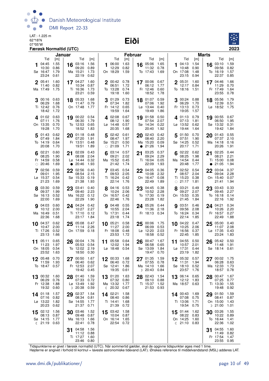LAT: -1.225 m 62°18'N

#### 07°05'W **Eiði**



|    |                                                 | Færøsk Normaltid (UTC)              |        |                                                             |                                     |   |                                                       |                              |                |                                                 |                              |    |                                                        |                                     |              |                                         | 2023                                |
|----|-------------------------------------------------|-------------------------------------|--------|-------------------------------------------------------------|-------------------------------------|---|-------------------------------------------------------|------------------------------|----------------|-------------------------------------------------|------------------------------|----|--------------------------------------------------------|-------------------------------------|--------------|-----------------------------------------|-------------------------------------|
|    | Tid                                             |                                     | Januar | Tid                                                         |                                     |   | Tid                                                   |                              | <b>Februar</b> | Tid                                             |                              |    | Tid                                                    |                                     | <b>Marts</b> | Tid                                     |                                     |
|    | 04:45<br>10:30<br>Sø 16:47<br>23:24             | [m]<br>1.55<br>0.86<br>1.79<br>0.61 | 16     | 03:16<br>09:20<br>Ma 15:21<br>22:19                         | [m]<br>1.56<br>0.89<br>1.73<br>0.62 | 1 | 06:00<br>12:29<br>On 18:29                            | [m]<br>1.63<br>0.82<br>1.59  | 16             | 05:06<br>11:32<br>To 17:43                      | [m]<br>1.65<br>0.78<br>1.69  |    | 04:13<br>10:48<br>On 17:08<br>23:15                    | [m]<br>1.54<br>0.90<br>1.48<br>0.94 | 16           | 03:10<br>09:56<br>To 16:19<br>22:37     | [m]<br>1.59<br>0.82<br>1.57<br>0.85 |
|    | 2 05:41<br>11:40<br>Ma 17:49                    | 1.60<br>0.82<br>1.75                |        | 17 04:27<br>10:34<br>Ti 16:36<br>23:21                      | 1.60<br>0.87<br>1.73<br>0.59        |   | 2 00:42 0.78<br>06:51<br>To 13:28<br>19:18            | 1.72<br>0.74<br>1.60         |                | 17 00:06<br>06:12<br>Fr 12:46<br>18:52          | 0.67<br>1.77<br>0.60<br>1.78 |    | 2 05:31<br>12:17<br>To 18:16                           | 1.60<br>0.84<br>1.51                |              | 17 04:46<br>11:29<br>Fr 17:49<br>23:55  | 1.66<br>0.70<br>1.64<br>0.78        |
| 3  | 00:16<br>06:29<br>Ti 12:42<br>18:42             | 0.63<br>1.68<br>0.76<br>1.72        |        | 18 05:33<br>11:47<br>On 17:48                               | 1.68<br>0.79<br>1.77                | 3 | 01:29<br>07:34<br>Fr 14:12<br>19:59                   | 0.73<br>1.82<br>0.65<br>1.64 | 18             | 01:07<br>07:06<br>$L\varnothing$ 13:44<br>19:49 | 0.59<br>1.92<br>0.40<br>1.86 |    | 00:24 0.88<br>06:29<br>Fr 13:13<br>19:05               | 1.70<br>0.73<br>1.57                |              | 18 05:56<br>12:39<br>Lø 18:52           | 1.79<br>0.51<br>- 1.75              |
|    | 401:020.63<br>07:11<br>On 13:35<br>19:28        | 1.76<br>0.70<br>1.70                |        | 19 00:22 0.54<br>06:30<br>To 12:53<br>18:52                 | 1.79<br>0.65<br>1.83                |   | 402:08<br>08:12<br>$L\varnothing$ 14:48<br>20:35      | 0.67<br>1.90<br>0.57<br>1.68 | 19             | 01:58<br>07:54<br>Sø 14:34<br>20:40             | 0.50<br>2.07<br>0.22<br>1.92 |    | 401:13<br>07:13<br>Lø 13:52<br>19:44                   | 0.79<br>- 1.81<br>0.62<br>1.64      |              | 19 00:55<br>06:50<br>Sø 13:32<br>19:42  | 0.67<br>1.95<br>0.31<br>1.84        |
|    | 5 01:43<br>07:49<br>To 14:19<br>20:08           | 0.62<br>1.84<br>0.64<br>1.70        |        | 20 01:18<br>07:20<br>Fr 13:51<br>19:51                      | 0.48<br>1.91<br>0.48<br>1.89        | 5 | 02:42<br>08:47<br>Sø 15:21<br>$\circ$ 21:09           | 0.61<br>1.97<br>0.50<br>1.71 |                | 20 02:43<br>08:40<br>Ma 15:20<br>• 21:26        | 0.42<br>2.20<br>0.09<br>1.94 | 5  | 01:50<br>07:51<br>Sø 14:25<br>20:17                    | 0.70<br>1.90<br>0.52<br>1.71        | 20           | 01:43<br>07:37<br>Ma 14:18<br>20:26     | 0.55<br>2.10<br>0.16<br>1.91        |
|    | 02:21<br>08:25<br>Fr 14:59<br>$\circ$ 20:46     | 0.60<br>1.90<br>0.58<br>1.69        | 21     | 02:09<br>08:08<br>Lø 14:44<br>$\bullet$ 20:46               | 0.43<br>2.04<br>0.32<br>1.93        | 6 | 03:14<br>09:21<br>Ma 15:52<br>21:42                   | 0.57<br>2.02<br>0.45<br>1.74 | 21             | 03:25<br>09:24<br>Ti 16:04<br>22:09             | 0.37<br>2.29<br>0.05<br>1.93 |    | 02:22<br>08:25<br>Ma 14:54<br>20:48                    | 0.62<br>1.98<br>0.44<br>1.77        | $\bullet$    | 21 02:25<br>08:21<br>Ti 15:00<br>21:05  | 0.44<br>2.21<br>0.08<br>1.94        |
|    | 7 02:56<br>09:01<br>Lø 15:37<br>21:23           | 0.59<br>1.95<br>0.54<br>1.69        |        | 22 02:56<br>08:54<br>Sø 15:33<br>21:38                      | 0.40<br>2.15<br>0.19<br>1.93        |   | 7 03:45<br>09:53<br>Ti 16:24<br>22:14                 | 0.54<br>2.05<br>0.42<br>1.76 |                | 22 04:05<br>10:08<br>On 16:47<br>22:49          | 0.36<br>2.32<br>0.08<br>1.89 |    | $7^{02:52}$<br>08:57<br>Ti 15:23<br>$\circ$ 21:17      | 0.54<br>2.04<br>0.38<br>1.81        |              | 22 03:04<br>09:04<br>On 15:40<br>21:41  | 0.37<br>2.28<br>0.07<br>1.94        |
|    | 03:30<br>09:37<br>Sø 16:13<br>22:00             | 0.59<br>1.99<br>0.52<br>1.69        | 23     | 03:41<br>09:40<br>Ma 16:22<br>22:29                         | 0.40<br>2.23<br>0.12<br>1.90        |   | 04:16<br>10:24<br>On 16:57<br>22:46                   | 0.53<br>2.06<br>0.42<br>1.76 | 23             | 04:45<br>10:52<br>To 17:30<br>23:28             | 0.38<br>2.28<br>0.19<br>1.82 |    | 03:21<br>09:27<br>On 15:53<br>21:45                    | 0.49<br>2.07<br>0.35<br>1.84        | 23           | 03:43<br>09:45<br>To 16:18<br>22:16     | 0.33<br>2.27<br>0.14<br>1.92        |
|    | <b>9</b> 04:03<br>10:12<br>Ma 16:49<br>22:36    | 0.60<br>2.00<br>0.51<br>1.68        |        | 24 04:24<br>10:27<br>Ti 17:10<br>23:17                      | 0.42<br>2.27<br>0.12<br>1.84        |   | <b>9</b> 04:48<br>10:55<br>To 17:31<br>23:18          | 0.55<br>2.04<br>0.44<br>1.74 |                | 24 05:26<br>11:36<br>Fr 18:13 0.34              | 0.44<br>2.18                 |    | 903:51<br>09:56<br>To 16:24<br>22:14                   | 0.46<br>2.08<br>0.34<br>1.85        |              | 24 04:21<br>10:26<br>Fr 16:57<br>22:49  | 0.34<br>2.20<br>0.27<br>1.88        |
|    | 10 04:37<br>10:47<br>Ti 17:26<br>23:13          | 0.62<br>2.00<br>0.52<br>1.66        | 25     | 05:08<br>11:14<br>On 17:59 0.18                             | 0.47<br>2.26                        |   | 10 05:21<br>11:27<br>Fr 18:08<br>23:53                | 0.58<br>2.00<br>0.48<br>1.72 | 25             | 00:06<br>06:09<br>Lø 12:20<br>18:58             | 1.75<br>0.53<br>2.03<br>0.52 | 10 | 04:22<br>10:25<br>Fr 16:56<br>22:45                    | 0.47<br>2.06<br>0.37<br>1.85        | 25           | 05:00<br>11:07<br>Lø 17:35<br>23:24     | 0.40<br>2.08<br>0.43<br>1.83        |
| 11 | 05:11<br>11:23<br>On 18:05 0.54<br>23:52 1.63   | 0.65<br>1.97                        |        | $26\frac{00:04}{1}$<br>05:53<br>To 12:02 2.19<br>18:50 0.30 | 1.76<br>0.54                        |   | 11 $05:58$<br>12:02<br>Lø 18:48 0.54                  | 0.64<br>1.94                 | 26             | 00:47<br>06:58<br>Sø 13:09 1.84<br>19:47 0.70   | 1.67<br>0.65                 |    | 11 04:55<br>10:57 2.01<br>Lø 17:31 0.44<br>23:19 1.82  | 0.50                                |              | 26 05:42<br>11:48<br>Sø 18:14 0.61      | 0.50<br>1.91                        |
|    | 05:48<br>11:59<br>To 18:47                      | 0.70<br>1.93<br>0.57                |        | 27 00:50<br>06:40<br>Fr 12:53<br>19:42                      | 1.67<br>0.62<br>2.07<br>0.45        |   | 12 00:33 1.68<br>06:40<br>Sø 12:41<br>19:35           | 0.72<br>1.86<br>0.61         |                | 27 01:35<br>07:55<br>Ma 14:10<br>$D$ 20:43      | 1.59<br>0.78<br>1.66<br>0.84 |    | 12 05:32<br>11:31<br>Sø 18:10<br>23:57                 | 0.57<br>1.94<br>0.52<br>1.76        |              | 27 00:02<br>06:28<br>Ma 12:33<br>18:57  | 1.75<br>0.63<br>1.73<br>0.78        |
|    | 13 00:32<br>06:29<br>Fr 12:38<br>19:32          | 1.60<br>0.76<br>1.88<br>0.60        |        | 28 01:40<br>07:33<br>Lø 13:49<br>D 20:38                    | 1.59<br>0.72<br>1.92<br>0.59        |   | 13 01:20<br>07:32<br>Ma 13:32<br>$\binom{20:32}{ }$   | 1.63<br>0.80<br>1.77<br>0.67 | 28             | 02:43<br>09:10<br>Ti 15:37<br>21:53             | 1.54<br>0.88<br>1.52<br>0.93 |    | 13 06:14<br>12:12<br>Ma 18:57 0.63                     | 0.65<br>1.83                        |              | 28 00:47<br>07:25<br>Ti 13:30<br>19:48  | 1.67<br>0.77<br>1.55<br>0.92        |
|    | 14 01:18<br>07:16<br>Lø 13:22<br>20:23          | 1.57<br>0.82<br>1.82<br>0.62        | 29     | 02:37<br>08:34<br>Sø 14:55<br>21:37                         | 1.54<br>0.81<br>1.77<br>0.71        |   | 14 02:21<br>08:40<br>Ti 14:41<br>21:39                | 1.58<br>0.86<br>1.68<br>0.72 |                |                                                 |                              |    | 14 00:43<br>07:08<br>Ti 13:06<br>19:54                 | 1.69<br>0.75<br>1.71<br>0.75        | 29           | 01:50<br>08:41<br>On 15:00<br>$D$ 21:00 | 1.59<br>0.87<br>1.43<br>1.01        |
|    | 15 02:12<br>08:13<br>Sø 14:15<br>$(21:19)$ 0.63 | 1.56<br>0.87<br>1.77                |        | 30 03:46<br>09:48<br>Ma 16:13<br>22:41                      | 1.52<br>0.87<br>1.66<br>0.78        |   | 15 03:42<br>10:04 0.87<br>On 16:14 1.65<br>22:54 0.72 | 1.58                         |                |                                                 |                              |    | 15 01:44<br>08:22<br>On 14:25<br>$\binom{21:10}{0.83}$ | 1.62<br>0.83<br>1.60                | 30           | 03:26<br>10:22<br>To 16:44<br>22:36     | 1.55<br>0.89<br>1.41<br>1.02        |
|    |                                                 |                                     | 31     | 04:58<br>11:12 0.88<br>Ti 17:27<br>23:46 0.80               | 1.56<br>1.60                        |   |                                                       |                              |                |                                                 |                              |    |                                                        |                                     | 31           | 04:55<br>11:49<br>Fr 17:54<br>23:55     | 1.60<br>0.82<br>1.47<br>0.95        |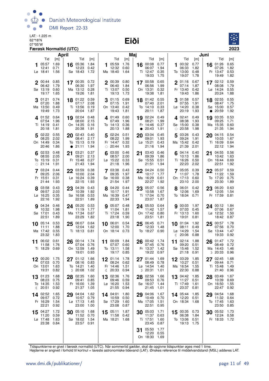LAT: -1.225 m 62°18'N

07°05'W **Eiði**



|             |                                                   | <b>April</b>                              |    |                                                    |                              |    |                                                          | Maj                                       |    |                                                 |                                     |            |                                                 |                                                   | Juni      |                                                    |                                     |
|-------------|---------------------------------------------------|-------------------------------------------|----|----------------------------------------------------|------------------------------|----|----------------------------------------------------------|-------------------------------------------|----|-------------------------------------------------|-------------------------------------|------------|-------------------------------------------------|---------------------------------------------------|-----------|----------------------------------------------------|-------------------------------------|
|             | Tid<br><b>1</b> 05:57<br>12:41<br>Lø 18:41        | $\lceil m \rceil$<br>1.69<br>0.71<br>1.56 |    | Tid<br>16 05:36<br>12:23<br>Sø 18:43               | [m]<br>1.84<br>0.42<br>1.72  |    | Tid<br>105:59<br>12:32<br>Ma 18:40                       | $\lceil m \rceil$<br>1.76<br>0.60<br>1.64 |    | Tid<br>16 00:08<br>06:07<br>Ti 12:47<br>19:03   | [m]<br>0.77<br>1.94<br>0.35<br>1.75 |            | Tid<br>00:32<br>06:33<br>To 13:00<br>19:07      | $\lceil m \rceil$<br>0.77<br>1.82<br>0.48<br>1.78 |           | Tid<br>16 01:26<br>07:26<br>Fr 13:47<br>19:49      | [m]<br>0.65<br>1.82<br>0.53<br>1.82 |
| $\mathbf 2$ | 00:44<br>06:42<br>Sø 13:19<br>19:17               | 0.85<br>1.79<br>0.60<br>1.65              |    | 17 00:35 0.72<br>06:30<br>Ma 13:12 0.28<br>19:26   | 1.97<br>1.81                 |    | 2 00:39 0.80<br>06:40<br>Ti 13:07<br>19:13               | 1.84<br>0.50<br>1.73                      |    | 17 00:58<br>06:56<br>On 13:31<br>19:38          | 0.65<br>1.99<br>0.32<br>1.81        |            | 2 01:16<br>07:14<br>Fr 13:40<br>19:43           | 0.67<br>1.87<br>0.42<br>1.86                      |           | 17 02:12<br>08:08<br>$Lg$ 14:24<br>20:24           | 0.59<br>1.79<br>0.55<br>1.88        |
| 3           | 01:21<br>07:20<br>Ma 13:50<br>19:49               | 0.74<br>1.88<br>0.49<br>1.73              |    | $18^{01:22}$<br>07:17<br>Ti 13:56<br>20:04         | 0.59<br>2.08<br>0.19<br>1.87 | 3  | 01:15<br>07:15<br>On 13:40<br>19:43                      | 0.69<br>1.91<br>0.42<br>1.81              |    | 18 01:42<br>07:40<br>To 14:10<br>20:11          | 0.55<br>2.01<br>0.33<br>1.87        | 3          | 01:58<br>07:55<br>$L\varnothing$ 14:20<br>20:19 | 0.57<br>1.91<br>0.38<br>1.93                      | $\bullet$ | 18 02:55<br>08:47<br>Sø 15:00<br>20:59             | 0.55<br>1.75<br>0.57<br>1.92        |
|             | 401:52<br>07:54<br>Ti 14:19<br>20:18              | 0.64<br>1.96<br>0.41<br>1.81              |    | 19 02:04<br>08:00<br>On 14:35<br>20:38             | 0.48<br>2.15<br>0.16<br>1.91 |    | 401:49<br>07:49<br>To 14:13<br>20:13                     | 0.60<br>1.96<br>0.36<br>1.88              |    | 19 02:24<br>08:21<br>Fr 14:46<br>• 20:43        | 0.49<br>1.99<br>0.37<br>1.91        | $\bigcirc$ | 402:41<br>08:38<br>Sø 15:00<br>20:58            | 0.49<br>1.93<br>0.38<br>1.98                      | 19        | 03:35<br>09:25<br>Ma 15:35<br>21:35                | 0.53<br>1.71<br>0.60<br>1.94        |
|             | 502:22<br>08:25<br>On 14:49<br>20:46              | 0.55<br>2.02<br>0.34<br>1.86              |    | 20 02:43<br>08:41<br>To 15:13<br>• 21:11           | 0.40<br>2.17<br>0.19<br>1.94 |    | 502:24<br>08:22<br>Fr 14:47<br>$\circ$ 20:44             | 0.51<br>1.99<br>0.32<br>1.93              | 20 | 03:04<br>09:01<br>$L\varnothing$ 15:21<br>21:16 | 0.45<br>1.93<br>0.43<br>1.94        | 5          | 03:26<br>09:24<br>Ma 15:42<br>21:39             | 0.43<br>1.91<br>0.42<br>2.01                      |           | 20 04:15<br>10:03<br>Ti 16:09<br>22:12             | 0.54<br>1.67<br>0.64<br>1.94        |
|             | $6^{02:53}$<br>08:55<br>To 15:19<br>$\circ$ 21:14 | 0.48<br>2.05<br>0.31<br>1.91              | 21 | 03:21<br>09:21<br>Fr 15:48<br>21:43                | 0.37<br>2.13<br>0.27<br>1.94 | 6  | 03:00<br>08:57<br>Lø 15:22<br>21:18                      | 0.46<br>2.00<br>0.33<br>1.96              | 21 | 03:43<br>09:39<br>Sø 15:55<br>21:51             | 0.46<br>1.86<br>0.51<br>1.94        | 6          | 04:14<br>10:13<br>Ti 16:26<br>22:23             | 0.40<br>1.86<br>0.50<br>2.02                      | 21        | 04:55<br>10:42<br>On 16:44<br>22:51                | 0.56<br>1.63<br>0.69<br>1.92        |
|             | 7 03:24<br>09:25<br>Fr 15:51<br>21:44             | 0.44<br>2.06<br>0.31<br>1.93              |    | 22 03:59<br>10:00<br>Lø 16:24<br>22:15             | 0.38<br>2.04<br>0.39<br>1.93 |    | 7 03:38<br>09:35<br>Sø 16:00<br>21:54                    | 0.43<br>1.97<br>0.38<br>1.97              |    | $22^{04:24}$<br>10:17<br>Ma 16:29<br>22:27      | 0.50<br>1.77<br>0.61<br>1.92        |            | 7 05:05<br>11:07<br>On 17:13<br>23:10           | 0.39<br>1.78<br>0.60<br>2.00                      |           | 22 05:37<br>11:22<br>To 17:20<br>23:30             | 0.59<br>1.59<br>0.75<br>1.89        |
|             | 8 03:58<br>09:57<br>$L\varnothing$ 16:25<br>22:16 | 0.43<br>2.03<br>0.35<br>1.92              |    | 23 04:39<br>10:39<br>Sø 16:58<br>22:51             | 0.43<br>1.92<br>0.53<br>1.89 |    | 8 04:20<br>10:17<br>Ma 16:39<br>22:33                    | 0.44<br>1.91<br>0.47<br>1.94              |    | 23 05:07<br>10:58<br>Ti 17:04<br>23:07          | 0.56<br>1.67<br>0.70<br>1.87        |            | 8 06:01<br>12:06<br>To 18:04                    | 0.42<br>1.69<br>0.71                              |           | 23 06:20<br>12:05<br>Fr 17:59                      | 0.63<br>1.54<br>0.81                |
|             | <b>9</b> 04:34<br>10:32<br>Sø 17:01<br>22:51      | 0.46<br>1.98<br>0.43<br>1.89              |    | 24 05:20<br>11:19<br>Ma 17:34<br>23:29             | 0.53<br>1.77<br>0.67<br>1.82 |    | 905:07<br>11:04<br>Ti 17:24<br>23:18                     | 0.48<br>1.81<br>0.59<br>1.90              |    | 24 05:53<br>11:42<br>On 17:42<br>23:51          | 0.64<br>1.57<br>0.80<br>1.81        |            | 9 00:03<br>07:03<br>Fr 13:13<br>19:01           | 1.97<br>0.45<br>1.60<br>0.81                      |           | 24 00:12<br>07:06<br>Lø 12:52<br>18:42             | - 1.84<br>0.67<br>1.50<br>0.87      |
|             | $10^{-05:14}$<br>11:11<br>Ma 17:42<br>23:32       | 0.53<br>1.88<br>0.55<br>1.83              |    | 25 06:07<br>12:04<br>Ti 18:13                      | 0.64<br>1.62<br>0.81         |    | 10 06:01<br>12:00<br>On 18:14 0.73                       | 0.54<br>1.70                              |    | 25 06:45<br>12:33<br>To 18:27 0.90              | 0.71<br>1.48                        | €          | 10 01:04<br>08:11<br>Lø 14:29<br>20:06          | 1.92<br>0.49<br>1.54<br>0.88                      |           | $25\frac{00:57}{27}$<br>07:56<br>Sø 13:44<br>19:33 | 1.78<br>0.70<br>1.47<br>0.92        |
| 11          | 06:02<br>11:58<br>Ti 18:29                        | 0.61<br>1.76<br>0.69                      | 26 | 00:14<br>07:04<br>On 12:59<br>19:01                | 1.74<br>0.76<br>1.49<br>0.93 |    | 11 00:09 1.84<br>07:07<br>To 13:11<br>19:17 0.85         | 0.60<br>1.58                              | 26 | 00:42<br>07:45<br>Fr 13:37<br>19:22             | 1.74<br>0.76<br>1.42<br>0.97        | 11         | 02:14<br>09:20<br>Sø 15:46<br>21:18             | 1.88<br>0.51<br>1.52<br>0.91                      | 26        | 01:47<br>08:49<br>Ma 14:43<br>D 20:33              | 1.72<br>0.72<br>1.46<br>0.96        |
|             | $12^{00:20}$<br>07:03<br>On 13:01<br>19:31        | 1.75<br>0.70<br>1.63<br>0.82              |    | 27 01:12<br>08:16<br>To 14:21<br>$D$ 20:08         | 1.66<br>0.83<br>1.40<br>1.02 |    | 12 01:14 1.78<br>08:24<br>Fr 14:46<br>$\binom{20:33}{ }$ | 0.62<br>1.51<br>0.94                      |    | 27 01:44<br>08:49<br>Lø 14:54<br>$D$ 20:31      | 1.69<br>0.78<br>1.40<br>1.01        | 12         | 03:29<br>10:27<br>Ma 16:54<br>22:30             | 1.85<br>0.51<br>1.55<br>0.88                      |           | $27^{02:45}$<br>09:44<br>Ti 15:48<br>21:40         | 1.68<br>0.71<br>1.49<br>0.96        |
| 13<br>ℂ     | 01:23<br>08:23<br>To 14:35<br>20:51               | 1.68<br>0.75<br>1.53<br>0.92              |    | 28 02:35<br>09:41<br>Fr 16:00<br>21:37             | 1.60<br>0.85<br>1.39<br>1.05 | 13 | 02:36<br>09:46<br>$L\varnothing$ 16:20<br>21:55          | 1.76<br>0.59<br>1.53<br>0.94              | 28 | 02:56<br>09:53<br>Sø 16:07<br>21:45             | 1.66<br>0.76<br>1.44<br>1.01        |            | 13 04:42<br>11:27<br>Ti 17:49<br>23:37          | 1.85<br>0.51<br>1.61<br>0.81                      |           | 28 03:49<br>10:39<br>On 16:50<br>22:47             | 1.67<br>0.69<br>1.55<br>0.92        |
|             | 14 02:52<br>09:57<br>Fr 16:29<br>22:21            | 1.65<br>0.72<br>1.54<br>0.92              |    | 29 04:04<br>10:57<br>$L\varnothing$ 17:13<br>23:00 | 1.62<br>0.79<br>1.45<br>1.00 |    | 14 04:01<br>10:59<br>Sø 17:29<br>23:08                   | 1.80<br>0.50<br>1.60<br>0.87              |    | 29 04:06<br>10:49<br>Ma 17:05<br>22:51          | 1.67<br>0.70<br>1.51<br>0.95        |            | 14 05:44<br>12:20<br>On 18:34                   | 1.85<br>0.51<br>1.68                              |           | 29 04:54<br>11:32<br>To 17:45<br>23:50             | 1.68<br>0.64<br>1.63<br>0.85        |
| 15          | 04:27<br>11:20<br>Lø 17:48<br>23:38 0.84          | 1.72<br>0.59<br>1.63                      | 30 | 05:10<br>11:52<br>Sø 18:02<br>23:57                | 1.68<br>0.70<br>1.54<br>0.91 | 15 | 05:11<br>11:58<br>Ma 18:21                               | 1.87<br>0.42<br>1.68                      | 30 | 05:03<br>11:37<br>Ti 17:51<br>23:45             | 1.71<br>0.63<br>1.60<br>0.87        |            | $15^{00.35}$<br>06:38<br>To 13:06<br>19:13      | 0.73<br>1.84<br>0.51<br>1.75                      |           | 30 05:52<br>12:24<br>Fr 18:33                      | 1.73<br>0.58<br>1.72                |
|             |                                                   |                                           |    |                                                    |                              |    |                                                          |                                           | 31 | 05:50<br>12:20<br>On 18:30 1.69                 | 1.77<br>0.55                        |            |                                                 |                                                   |           |                                                    |                                     |

Tidspunkterne er givet i færøsk normaltid (UTC). Når sommertid gælder, skal de opgivne tidspunkter øges med 1 time.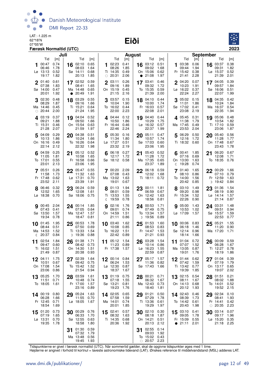LAT: -1.225 m 62°18'N

07°05'W **Eiði**



|             |                                             | Juli                                |                                   |                                                                |     |                                     |                         | August                                   |    |                                                                |                                     |             |                                            | <b>September</b>                    |    |                                               |                                     |
|-------------|---------------------------------------------|-------------------------------------|-----------------------------------|----------------------------------------------------------------|-----|-------------------------------------|-------------------------|------------------------------------------|----|----------------------------------------------------------------|-------------------------------------|-------------|--------------------------------------------|-------------------------------------|----|-----------------------------------------------|-------------------------------------|
|             | Tid<br>00:47<br>06:46<br>Lø 13:13<br>19:17  | [m]<br>0.74<br>1.78<br>0.52<br>1.82 | 16<br>Sø 14:11                    | Tid<br>02:10<br>0.65<br>08:03<br>1.64<br>0.68<br>20:13<br>1.85 | [m] | 102:23<br>Ti 14:35<br>$\circ$ 20:31 | Tid<br>08:26            | [m]<br>0.41<br>1.85<br>0.49<br>2.06      |    | <b>Tid</b><br>16 03:12<br>09:02<br>On 15:06<br>$\bullet$ 21:08 | [m]<br>0.51<br>1.68<br>0.62<br>1.97 | 1           | Tid<br>03:38<br>09:44<br>Fr 15:42<br>21:41 | [m]<br>0.06<br>1.94<br>0.38<br>2.28 |    | Tid<br>16 03:37<br>09:31<br>Lø 15:37<br>21:39 | [m]<br>0.38<br>1.82<br>0.52<br>2.01 |
| $\mathbf 2$ | 01:40<br>07:38<br>Sø 14:00<br>20:01         | 0.61<br>1.83<br>0.47<br>1.92        | 17 02:52<br>Ma 14:48<br>$\bullet$ | 0.59<br>08:41<br>1.65<br>0.65<br>20:49<br>1.91                 |     | $\overline{2}$<br>03:11<br>On 15:19 | 09:16<br>21:15          | 0.26<br>1.89<br>0.45<br>2.16             |    | 17 03:41<br>09:32<br>To 15:35<br>21:39                         | 0.46<br>1.72<br>0.59<br>2.00        | $\mathbf 2$ | 04:20<br>10:23<br>$Lg$ 16:22<br>22:24      | 0.07<br>1.91<br>0.37<br>2.27        |    | 17 04:05<br>09:57<br>Sø 16:06<br>22:07        | 0.39<br>1.84<br>0.51<br>1.99        |
|             | 02:30<br>08:29<br>Ma 14:46<br>$\circ$ 20:44 | 0.48<br>1.87<br>0.45<br>2.00        | 18<br>Ti 15:21                    | 03:29<br>0.55<br>09:16<br>1.66<br>0.64<br>21:24<br>1.95        |     | 03:57<br>3<br>To 16:02              | 10:04<br>22:00          | 0.15<br>1.90<br>0.44<br>2.23             |    | 18 04:10<br>10:00<br>Fr 16:03<br>22:08                         | 0.44<br>1.74<br>0.57<br>2.01        | 3           | 05:02<br>11:01<br>Sø 17:02<br>23:08        | 0.15<br>1.86<br>0.41<br>2.19        |    | 18 04:35<br>10:24<br>Ma 16:37<br>22:35        | 0.42<br>1.84<br>0.54<br>1.94        |
|             | 403:19<br>09:21<br>Ti 15:31<br>21:28        | 0.37<br>1.88<br>0.46<br>2.07        | 19 04:04<br>On 15:54              | 0.52<br>09:50<br>1.66<br>0.63<br>21:59<br>1.97                 |     | 4.04:44<br>Fr 16:44                 | 10:50<br>22:46          | 0.12<br>1.86<br>0.46<br>2.24             |    | 19 04:40<br>10:29<br>Lø 16:32<br>22:37                         | 0.44<br>1.75<br>0.57<br>1.99        |             | 4 05:45<br>11:38<br>Ma 17:45<br>23:53      | 0.31<br>1.79<br>0.49<br>2.04        |    | 19 05:06<br>10:54<br>Ti 17:10<br>23:06        | 0.48<br>1.82<br>0.59<br>1.87        |
|             | 5 04:09<br>10:13<br>On 16:16<br>22:14       | 0.29<br>1.86<br>0.49<br>2.12        | 20<br>To 16:26                    | 04:38<br>0.51<br>10:24<br>1.66<br>0.64<br>22:32<br>1.98        |     | 505:30<br>Lø 17:27                  | 11:34<br>23:32          | 0.16<br>1.80<br>0.51<br>2.19             | 20 | 05:11<br>10:57<br>Sø 17:03<br>23:06                            | 0.47<br>1.74<br>0.60<br>1.95        | 5           | 06:29<br>12:16<br>Ti 18:32                 | 0.50<br>1.72<br>0.60                |    | 20 05:40<br>11:28<br>On 17:48<br>23:43        | 0.56<br>1.77<br>0.67<br>1.78        |
|             | 04:59<br>11:05<br>To 17:01<br>23:01         | 0.25<br>1.81<br>0.55<br>2.13        | 21<br>Fr 16:58                    | 0.52<br>05:12<br>10:58<br>1.65<br>0.66<br>23:06<br>1.95        |     | Sø 18:12 0.58                       | 06:18<br>12:17          | 0.27<br>1.72                             | 21 | 05:43<br>11:28<br>Ma 17:35<br>23:37                            | 0.52<br>1.72<br>0.65<br>1.89        | ℂ           | 00:41<br>07:16<br>On 13:00<br>19:28        | 1.85<br>0.69<br>1.63<br>0.74        | 21 | 06:20<br>12:08<br>To 18:35                    | 0.67<br>1.71<br>0.76                |
|             | 7 05:51<br>11:58<br>Fr 17:48<br>23:52       | 0.26<br>1.73<br>0.62<br>2.11        | 22 05:47<br>Lø 17:31              | 0.55<br>11:32<br>1.63<br>0.70<br>23:39<br>1.91                 |     | 7 00:20 2.09<br>Ma 13:02            | 07:08<br>19:01          | 0.43<br>1.63<br>0.67                     |    | 22 06:18<br>12:02<br>Ti 18:11                                  | 0.59<br>1.68<br>0.72                | 7           | 01:40<br>08:10<br>To 14:00<br>20:42        | 1.65<br>0.86<br>1.56<br>0.85        |    | $22^{00:29}$<br>07:10<br>Fr 12:59<br>D 19:42  | 1.66<br>0.79<br>1.63<br>0.84        |
|             | 8 06:46<br>12:52<br>Lø 18:38                | 0.32<br>1.65<br>0.70                | 23<br>Sø 18:06                    | 06:24<br>0.59<br>12:08<br>1.61<br>0.75                         |     | Ti 13:53<br>《 19:59                 | 01:13<br>08:01          | 1.94<br>0.59<br>1.55<br>0.78             | 23 | 00:11<br>06:59<br>On 12:42<br>18:56                            | 1.81<br>0.67<br>1.63<br>0.81        |             | 8 03:10<br>09:20<br>Fr 15:34<br>22:26      | 1.49<br>0.98<br>1.52<br>0.90        | 23 | 01:36<br>08:19<br>$Lg$ 14:14<br>21:14         | 1.54<br>0.90<br>1.57<br>0.87        |
|             | 900:45<br>07:43<br>Sø 13:50<br>19:34        | 2.04<br>0.41<br>1.57<br>0.78        | 24 00:14<br>Ma 12:47              | 1.85<br>07:05<br>0.64<br>1.57<br>18:47<br>0.81                 |     | 9<br>On 14:59                       | 02:16<br>09:01<br>21:11 | 1.76<br>0.74<br>1.51<br>0.86             |    | 24 00:53<br>07:49<br>To 13:34<br>D 19:56                       | 1.71<br>0.75<br>1.57<br>0.89        | 9           | 05:00<br>10:53<br>Lø 17:09                 | 1.43<br>1.02<br>1.57                |    | 24 03:31<br>09:51<br>Sø 15:57<br>22:53        | 1.48<br>0.94<br>1.59<br>0.77        |
| 10<br>€     | 01:45<br>08:44<br>Ma 14:53<br>20:37         | 1.95<br>0.51<br>1.52<br>0.84        | 25<br>Ti 13:33<br>D 19:36         | 00:53<br>1.78<br>07:50<br>0.69<br>1.54<br>0.88                 |     | 10 03:40<br>To 16:22                | 10:08<br>22:42          | 1.62<br>0.85<br>1.51<br>0.89             | 25 | 01:53<br>08:53<br>Fr 14:47<br>21:21                            | 1.60<br>0.83<br>1.53<br>0.93        |             | 10 00:06<br>06:18<br>Sø 12:14<br>18:14     | 0.83<br>1.46<br>0.96<br>1.66        | 25 | 05:21<br>11:20<br>Ma 17:20                    | 1.55<br>0.90<br>1.71                |
| 11          | 02:54<br>09:47<br>Ti 16:02<br>21:49         | 1.84<br>0.60<br>1.51<br>0.87        | 26<br>On 14:30                    | 01:38<br>1.71<br>08:42<br>0.73<br>1.51<br>20:38<br>0.93        |     | 11 05:12<br>Fr 17:38                | 11:23                   | 1.54<br>0.89<br>1.57                     | 26 | 03:28<br>10:14<br>$L\varnothing$ 16:23<br>22:59                | 1.54<br>0.86<br>1.55<br>0.87        | 11          | 01:04<br>07:07<br>Ma 13:05<br>19:01        | 0.72<br>1.52<br>0.87<br>1.76        | 26 | 00:09<br>06:28<br>Ti 12:27<br>18:19           | 0.59<br>1.67<br>0.78<br>1.86        |
|             | 04:11<br>10:51<br>On 17:08<br>23:06         | 1.75<br>0.67<br>1.54<br>0.86        | 02:39<br>27<br>To 15:42           | 1.64<br>0.75<br>09:42<br>1.52<br>21:54<br>0.94                 |     | Lø 12:30                            | 06:24                   | 00:14 0.84<br>1.53<br>0.87<br>18:37 1.67 | 27 | 05:17<br>11:36<br>Sø 17:43                                     | 1.57<br>0.82<br>1.66                |             | 01:44<br>07:42<br>Ti 13:42<br>19:39        | 0.62<br>1.59<br>0.77<br>1.85        |    | 01:04<br>07:19<br>On 13:17<br>19:07           | 0.39<br>1.79<br>0.65<br>2.02        |
| 13          | 05:25<br>11:51<br>To 18:05                  | 1.70<br>0.71<br>1.61                | 28 03:59<br>Fr 17:00              | 1.61<br>10:48<br>0.74<br>1.57<br>23:16<br>0.89                 |     | 13 01:19<br>Sø 13:21                | 07:18<br>19:23          | 0.75<br>1.55<br>0.81<br>1.76             |    | 28 00:21<br>06:32<br>Ma 12:43<br>18:40                         | 0.71<br>1.67<br>0.73<br>1.81        |             | 13 02:15<br>08:11<br>On 14:13<br>20:12     | 0.54<br>1.67<br>0.68<br>1.93        |    | 28 01:51<br>08:02<br>To 14:01<br>19:52        | 0.21<br>1.88<br>0.52<br>2.15        |
|             | 14 00:19<br>06:28<br>Fr 12:45<br>18:54      | 0.80<br>1.66<br>0.71<br>1.69        | 29<br>Lø 18:05                    | 05:24<br>1.63<br>11:55<br>0.70<br>1.67                         |     | 14 02:05<br>Ma 14:01                | 07:58<br>20:01          | 0.65<br>1.59<br>0.74<br>1.85             | 29 | 01:21<br>07:29<br>Ti 13:36<br>19:29                            | 0.50<br>1.78<br>0.61<br>1.97        |             | 14 02:43<br>08:39<br>To 14:42<br>20:43     | 0.46<br>1.73<br>0.61<br>1.98        | 29 | 02:34<br>08:41<br>Fr 14:41<br>$\circ$ 20:35   | 0.10<br>1.93<br>0.42<br>2.23        |
|             | 15 01:20<br>07:19<br>Lø 13:31<br>19:35      | 0.73<br>1.65<br>0.70<br>1.78        | 30 00:29<br>Sø 12:55              | 0.76<br>06:33<br>1.70<br>0.63<br>18:58<br>1.80                 |     | 15 02:41<br>Ti 14:35                | 08:32<br>20:36          | 0.57<br>1.63<br>0.68<br>1.92             |    | 30 02:10<br>08:18<br>On 14:21<br>20:13                         | 0.30<br>1.87<br>0.51<br>2.12        |             | 15 03:10<br>09:05<br>Fr 15:09<br>• 21:11   | 0.41<br>1.78<br>0.55<br>2.01        | 30 | 03:14<br>09:17<br>Lø 15:20<br>21:18 2.25      | 0.07<br>1.96<br>0.35                |
|             |                                             |                                     | 31<br>Ma 13:48                    | 01:30<br>0.59<br>07:32<br>1.79<br>0.56<br>19:45<br>1.93        |     |                                     |                         |                                          | 31 | 02:55<br>09:03<br>To 15:02<br>$\circ$ 20:57 2.23               | 0.14<br>1.92<br>0.43                |             |                                            |                                     |    |                                               |                                     |

Tidspunkterne er givet i færøsk normaltid (UTC). Når sommertid gælder, skal de opgivne tidspunkter øges med 1 time.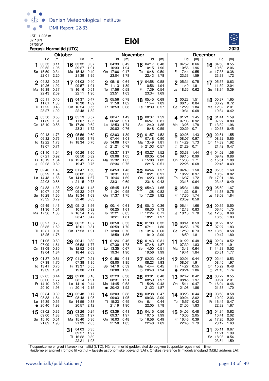LAT: -1.225 m 62°18'N

#### 07°05'W **Eiði**



|              |                                                  | Færøsk Normaltid (UTC)              |                |                                                              |                                     |           |                                                       |                                     |                 |                                                      |                                     |                                                    |                                     |                                                              | 2023                                |
|--------------|--------------------------------------------------|-------------------------------------|----------------|--------------------------------------------------------------|-------------------------------------|-----------|-------------------------------------------------------|-------------------------------------|-----------------|------------------------------------------------------|-------------------------------------|----------------------------------------------------|-------------------------------------|--------------------------------------------------------------|-------------------------------------|
|              |                                                  |                                     | <b>Oktober</b> |                                                              |                                     |           |                                                       |                                     | <b>November</b> |                                                      |                                     |                                                    |                                     | <b>December</b>                                              |                                     |
| 1            | Tid<br>03:53<br>09:52<br>Sø 15:59<br>22:01       | [m]<br>0.11<br>1.95<br>0.34<br>2.20 |                | Tid<br>16 03:32<br>09:27<br>Ma 15:42<br>21:39                | [m]<br>0.37<br>1.91<br>0.49<br>1.95 | 1         | Tid<br>04:39<br>10:33<br>On 17:06<br>23:04            | [m]<br>0.49<br>1.94<br>0.47<br>1.78 |                 | Tid<br>16 $04:17$<br>10:15<br>To 16:48<br>22:43      | [m]<br>0.48<br>1.96<br>0.50<br>1.78 | Tid<br>04:52<br>10:56<br>Fr 17:44<br>23:33         | [m]<br>0.66<br>1.96<br>0.55<br>1.59 | Tid<br>16 04:50<br>10:50<br>Lø 17:38<br>23:38                | [m]<br>0.55<br>2.06<br>0.38<br>1.72 |
| $\mathbf{2}$ | 04:32<br>10:26<br>Ma 16:39<br>22:43              | 0.23<br>1.92<br>0.37<br>2.09        |                | 17 04:03<br>09:57<br>Ti 16:16<br>22:11                       | 0.40<br>1.91<br>0.51<br>1.90        |           | 2 05:16<br>11:13<br>To 17:56<br>23:51                 | 0.64<br>1.89<br>0.58<br>1.63        |                 | 17 04:58<br>10:56<br>Fr 17:39<br>23:34               | 0.58<br>1.94<br>0.54<br>1.69        | $2^{05:31}$<br>11:40<br>Lø 18:35 0.62              | 0.75<br>1.91                        | 17 05:37<br>11:39<br>Sø 18:34                                | 0.63<br>2.04<br>0.39                |
|              | 05:11<br>11:01<br>Ti 17:22<br>23:27              | 0.40<br>1.88<br>0.46<br>1.92        |                | 18 04:37<br>10:30<br>On 16:54<br>22:48                       | 0.47<br>1.89<br>0.55<br>1.82        |           | 3 05:56<br>11:58<br>Fr 18:53 0.68                     | 0.78<br>1.82                        |                 | 18 05:45<br>11:44<br>Lø 18:39 0.57                   | 0.69<br>1.89                        | 00:23<br>06:15<br>Sø 12:29<br>19:31                | 1.51<br>0.84<br>1.84<br>0.68        | 18 00:37<br>06:29<br>Ma 12:32<br>19:34                       | - 1.65<br>0.72<br>2.01<br>0.42      |
|              | 405:50<br>11:39<br>On 18:10                      | 0.58<br>1.81<br>0.58                |                | 19 05:13<br>11:07<br>To 17:39<br>23:31                       | 0.57<br>1.85<br>0.62<br>1.72        |           | 4 00:47 1.49<br>06:42<br>Lø 12:53<br>20:02 0.76       | 0.91<br>1.74                        |                 | 19 00:37<br>06:41<br>Sø 12:40<br>19:48               | 1.59<br>0.81<br>1.85<br>0.59        | 4 01:21<br>07:06<br>Ma 13:25<br>20:29              | 1.45<br>0.92<br>1.78<br>0.71        | 19 01:41<br>07:27<br>Ti 13:32<br>D 20:38                     | 1.59<br>0.80<br>1.96<br>0.45        |
|              | 500:13<br>06:32 0.76<br>To 12:22<br>19:07        | - 1.73<br>1.73<br>0.71              |                | 20 05:56<br>11:50<br>Fr 18:34 0.70                           | 0.69<br>1.79                        |           | 502:03<br>07:44<br>Sø 14:06<br>(21:21)                | 1.39<br>1.01<br>1.67<br>0.79        |                 | 20 01:57<br>07:48<br>Ma 13:49<br>D 21:03             | 1.52<br>0.90<br>1.81<br>0.57        | 5 02:28<br>08:07<br>Ti 14:29<br>$\binom{21:29}{ }$ | 1.43<br>0.97<br>1.73<br>0.71        | 02:51<br>20<br>08:32<br>On 14:39<br>21:42                    | 1.55<br>0.85<br>1.92<br>0.47        |
|              | 01:10<br>07:21<br>Fr 13:19<br>$\binom{20:23}{ }$ | 1.54<br>0.92<br>1.64<br>0.82        | 21             | 00:26<br>06:50<br>$L\varnothing$ 12:45<br>19:47              | 1.60<br>0.82<br>1.72<br>0.75        | 6         | 03:37<br>09:06<br>Ma 15:32<br>22:34                   | 1.37<br>1.05<br>1.65<br>0.75        | 21              | 03:27<br>09:05<br>Ti 15:08<br>22:15                  | 1.52<br>0.94<br>1.82<br>0.51        | 03:38<br>09:15<br>On 15:36<br>22:25                | 1.44<br>0.99<br>1.71<br>0.68        | 04:02<br>21<br>09:42<br>To 15:51<br>22:45                    | 1.56<br>0.86<br>1.88<br>0.49        |
|              | 7 02:40<br>08:29<br>Lø 14:48<br>22:03            | 1.40<br>1.04<br>1.58<br>0.86        |                | $22^{01:47}$<br>08:02<br>Sø 14:00<br>$D$ 21:15               | 1.50<br>0.93<br>1.67<br>0.73        |           | $7^{04:53}$<br>10:31<br>Ti 16:44<br>23:31             | 1.43<br>1.03<br>1.69<br>0.69        |                 | 22 04:44<br>10:21<br>On 16:23<br>23:18               | 1.57<br>0.91<br>1.86<br>0.43        | 7 04:40<br>10:22<br>To 16:37<br>23:15              | 1.50<br>0.97<br>1.72<br>0.64        | $22^{05:05}$<br>10:52<br>Fr 17:01<br>23:43                   | 1.60<br>0.82<br>1.86<br>0.49        |
|              | 8 04:33<br>10:07<br>Sø 16:28<br>23:32            | 1.38<br>1.07<br>1.60<br>0.79        | 23             | 03:42<br>09:32<br>Ma 15:34<br>22:40                          | 1.48<br>0.97<br>1.69<br>0.63        |           | 05:45 1.51<br>11:34<br>On 17:37                       | 0.95<br>1.75                        |                 | 23 05:43<br>11:28<br>To 17:26 1.92                   | 1.65<br>0.82                        | 8 05:31<br>11:22<br>Fr 17:30<br>23:59 0.58         | 1.58<br>0.91<br>1.74                | 23 05:59<br>11:58<br>Lø 18:03                                | 1.67<br>0.75<br>- 1.84              |
|              | 9 05:49<br>11:36<br>Ma 17:36                     | 1.43<br>1.01<br>1.68                |                | 24 05:12<br>10:56<br>Ti 16:54<br>23:47                       | 1.56<br>0.92<br>1.79<br>0.47        |           | <b>g</b> 00:14 0.61<br>06:25<br>To 12:21<br>18:21     | 1.61<br>0.85<br>1.81                |                 | $24$ 00:13<br>06:30<br>Fr 12:24<br>18:21             | 0.36<br>1.73<br>0.71<br>1.97        | 906:14<br>12:13 0.83<br>Lø 18:16 1.78              | 1.66                                | 24 00:35 0.50<br>06:45<br>Sø 12:58<br>18:58                  | 1.75<br>0.66<br>1.83                |
|              | 10 $00:27$<br>06:35<br>Ti 12:31<br>18:25         | 0.70<br>1.52<br>0.91<br>1.76        | 25             | 06:12<br>12:01<br>On 17:53                                   | 1.67<br>0.81<br>1.91                |           | 10 00:50<br>06:59<br>Fr 13:00<br>18:59                | 0.53<br>1.70<br>0.76<br>1.86        | 25              | 01:00<br>07:11<br>$L\varnothing$ 13:14<br>19:10      | 0.32<br>1.80<br>0.60<br>2.00        | 10 00:41<br>06:53<br>Sø 12:59<br>18:59             | 0.53<br>1.75<br>0.73<br>1.81        | 01:22<br>25<br>07:27<br>Ma 13:50<br>19:47                    | 0.51<br>1.83<br>0.58<br>1.80        |
|              | 11 01:05<br>07:09<br>On 13:09 0.80<br>19:04 1.84 | 0.60<br>1.61                        |                | $26\frac{00:41}{22}$<br>06:58<br>To 12:52 0.68<br>18:44 2.03 | 0.32<br>1.77                        |           | 11 01:24 0.46<br>07:30<br>Lø 13:35 0.67<br>19:34 1.90 | 1.78                                |                 | $26^{01:43}$<br>07:48<br>Sø 14:00 0.51<br>19:56 1.99 | 0.31<br>1.87                        | 11 $01:22$<br>07:30<br>Ma 13:43 0.64<br>19:41 1.84 | 0.48<br>1.83                        | $26$ 02:04 0.52<br>08:07 1.91<br>Ti 14:38 0.52<br>20:31 1.77 |                                     |
|              | 01:37<br>07:39<br>To 13:41<br>19:39              | 0.51<br>1.70<br>0.70<br>1.91        |                | 27 01:27<br>07:38<br>Fr 13:37 0.55<br>19:30                  | 0.21<br>1.85<br>2.11                |           | 12 01:56<br>08:00<br>Sø 14:10 0.59<br>20:08           | 0.41<br>1.85<br>1.92                |                 | 27 02:23<br>08:23<br>Ma 14:44<br>$\circ$ 20:40       | 0.34<br>1.93<br>0.45<br>1.94        | 12 02:01<br>08:07<br>Ti 14:27<br>$\bullet$ 20:24   | 0.44<br>1.91<br>0.55<br>1.86        | 27 02:44<br>08:45<br>On 15:22 0.48<br>$\circ$ 21:13          | 0.53<br>1.97<br>1.74                |
|              | 13 02:05<br>08:06<br>Fr 14:10<br>20:10           | 0.44<br>1.77<br>0.62<br>1.96        |                | 28 02:08<br>08:14<br>Lø 14:19<br>$\circ$ 20:14               | 0.16<br>1.91<br>0.44<br>2.15        | $\bullet$ | 13 02:29<br>08:31<br>Ma 14:45<br>20:42                | 0.38<br>1.91<br>0.53<br>1.92        |                 | 28 03:01<br>08:59<br>Ti 15:28<br>21:23               | 0.40<br>1.97<br>0.43<br>1.87        | 13 02:42<br>08:45<br>On 15:11<br>21:08             | 0.42<br>1.97<br>0.47<br>1.86        | 28 03:22<br>09:24<br>To 16:04<br>21:53                       | 0.55<br>2.01<br>0.46<br>1.70        |
| $\bullet$    | 14 02:34<br>08:33<br>Lø 14:39<br>20:40           | 0.39<br>1.84<br>0.55<br>1.98        | 29             | 02:48<br>08:48<br>Sø 14:59<br>20:57                          | 0.17<br>1.95<br>0.38<br>2.12        |           | 14 03:03<br>09:03<br>Ti 15:23<br>21:19                | 0.38<br>1.95<br>0.49<br>1.90        |                 | 29 03:38<br>09:36<br>On 16:11<br>22:05               | 0.47<br>2.00<br>0.44<br>1.78        | 14 03:23 0.44<br>09:24 2.02<br>To 15:57<br>21:55   | 0.42<br>1.83                        | 03:58<br>29<br>10:02<br>Fr 16:45<br>22:32                    | 0.58<br>2.03<br>0.47<br>1.67        |
| 15           | 03:02<br>09:00<br>Sø 15:10<br>21:09              | 0.36<br>1.88<br>0.51<br>1.98        |                | 30 03:26<br>09:22<br>Ma 15:40<br>21:39                       | 0.24<br>1.97<br>0.36<br>2.05        |           | 15 03:39<br>09:37<br>On 16:03<br>21:58                | 0.41<br>1.97<br>0.48<br>1.85        |                 | 30 04:15<br>10:15<br>To 16:56<br>22:48 1.69          | 0.56<br>1.99<br>0.49                | $15^{04:05}$<br>10:06<br>Fr 16:46<br>22:45         | 0.48<br>2.05<br>0.39<br>1.79        | 30 04:34<br>10:41<br>Lø 17:26<br>23:12                       | 0.62<br>2.02<br>0.50<br>1.63        |
|              |                                                  |                                     | 31             | 04:03<br>09:57<br>Ti 16:22 0.39<br>22:21                     | 0.35<br>1.97<br>1.93                |           |                                                       |                                     |                 |                                                      |                                     |                                                    |                                     | 05:11<br>31<br>11:21<br>Sø 18:08<br>23:54 1.59               | 0.67<br>1.99<br>0.54                |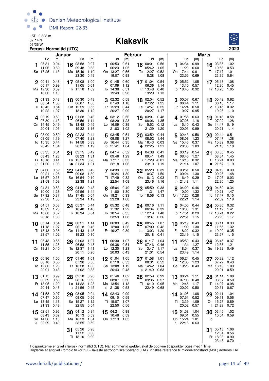

#### 06°36'W **Klaksvík**



|             |                                                    | Januar                       |           |                                             |                              |    |                                                  | <b>Februar</b>               |         |                                                 |                               |    |                                                          |                              | <b>Marts</b>    |                                               |                              |
|-------------|----------------------------------------------------|------------------------------|-----------|---------------------------------------------|------------------------------|----|--------------------------------------------------|------------------------------|---------|-------------------------------------------------|-------------------------------|----|----------------------------------------------------------|------------------------------|-----------------|-----------------------------------------------|------------------------------|
|             | Tid                                                | [m]                          |           | Tid                                         | [m]                          |    | Tid                                              | [m]                          |         | Tid                                             | [m]                           |    | Tid                                                      | [m]                          |                 | Tid                                           | [m]                          |
|             | 05:31<br>11:06<br>Sø 17:25                         | 0.94<br>0.62<br>1.13         | 16        | 03:58<br>09:48<br>Ma 15:49<br>23:30         | 0.97<br>0.63<br>1.10<br>0.49 | 1  | 00:53<br>06:23<br>On 13:27<br>19:07              | 0.61<br>1.05<br>0.56<br>0.98 | 16      | 00:01<br>05:42<br>To 12:27<br>18:28             | 0.56<br>1.05<br>0.52<br>1.08  | 1  | 04:34<br>11:20<br>On 17:44<br>23:55                      | 0.99<br>0.60<br>0.91<br>0.69 | 16              | 03:35<br>10:58<br>To 17:17<br>23:35           | 1.02<br>0.53<br>1.01<br>0.64 |
| $\mathbf 2$ | 00:41<br>06:17<br>Ma 12:30<br>18:30                | 0.46<br>0.99<br>0.59<br>1.10 |           | 17 05:08<br>11:05<br>Ti 17:18               | 1.00<br>0.61<br>1.09         |    | 2 01:45<br>07:09<br>To 14:38<br>19:49            | 0.60<br>1.12<br>0.51<br>0.98 |         | 17 01:04<br>06:36<br>Fr 13:48<br>19:29          | 0.54<br>1.14<br>0.40<br>1.13  |    | 2 05:52<br>13:10<br>To 18:45                             | 1.05<br>0.57<br>0.92         |                 | 17 05:18<br>12:30<br>Fr 18:26                 | 1.08<br>0.45<br>1.05         |
| 3           | 01:33<br>06:54<br>Ti 13:45<br>19:22                | 0.48<br>1.06<br>0.54<br>1.07 |           | 18 00:30<br>06:07<br>On 12:29<br>18:30      | 0.48<br>1.06<br>0.55<br>1.12 | 3  | 02:32<br>07:49<br>Fr 15:29<br>20:27              | 0.58<br>1.18<br>0.44<br>0.99 |         | 18 02:04<br>07:22<br>Lø 14:57<br>20:27          | 0.52<br>1.25<br>0.25<br>1.17  |    | 300:57<br>06:44<br>Fr 14:24<br>19:27                     | 0.67<br>1.11<br>0.50<br>0.95 |                 | 18 00:42 0.62<br>06:15<br>$La$ 13:45<br>19:25 | 1.17<br>0.32<br>1.10         |
|             | 402:19<br>07:30<br>On 14:45<br>20:04               | 0.50<br>1.13<br>0.49<br>1.05 |           | 19 01:28<br>06:56<br>To 13:48<br>19:32      | 0.46<br>1.14<br>0.45<br>1.16 |    | 403:12<br>08:29<br>$L\varnothing$ 16:09<br>21:03 | 0.56<br>1.23<br>0.39<br>1.02 | 19      | 03:01<br>08:06<br>Sø 15:53<br>21:29             | 0.48<br>1.35<br>0.12<br>1.20  |    | 401:55<br>07:28<br>Lø 15:10<br>20:03                     | 0.63<br>1.18<br>0.43<br>0.99 | 19              | 01:46<br>07:02<br>Sø 14:47<br>20:21           | 0.58<br>1.28<br>0.19<br>1.14 |
|             | 5 03:00<br>08:05<br>To 15:35<br>20:42              | 0.50<br>1.19<br>0.44<br>1.04 | 20        | 02:23<br>07:40<br>Fr 14:58<br>20:31         | 0.44<br>1.23<br>0.33<br>1.19 | 5  | 03:45<br>09:08<br>Sø 16:44<br>$\circ$ 21:41      | 0.54<br>1.27<br>0.35<br>1.04 | 20      | 03:52<br>08:52<br>Ma 16:43<br>$\bullet$ 22:25   | 0.44<br>1.44<br>0.03<br>1.21  | 5  | 02:43<br>08:08<br>Sø 15:46<br>20:38                      | 0.58<br>1.23<br>0.37<br>1.03 | 20              | 02:44<br>07:47<br>Ma 15:39<br>21:13           | 0.51<br>1.38<br>0.08<br>1.18 |
|             | 03:35<br>08:43<br>Fr 16:18<br>$\circ$ 21:20        | 0.51<br>1.23<br>0.41<br>1.03 | $\bullet$ | 21 03:15<br>08:23<br>Lø 15:59<br>21:34      | 0.42<br>1.31<br>0.20<br>1.21 |    | 04:14<br>09:46<br>Ma 17:17<br>22:18              | 0.52<br>1.29<br>0.33<br>1.06 | $21 \,$ | 04:38<br>09:41<br>Ti 17:29<br>23:10             | 0.41<br>1.49<br>-0.01<br>1.19 | 6  | 03:19<br>08:46<br>Ma 16:18<br>21:14                      | 0.54<br>1.27<br>0.32<br>1.07 | 21<br>$\bullet$ | 03:35<br>08:34<br>Ti 16:24<br>21:57           | 0.45<br>1.45<br>0.03<br>1.19 |
|             | 04:06<br>09:21<br>Lø 16:57<br>21:59                | 0.52<br>1.26<br>0.38<br>1.03 | 22        | 04:05<br>09:08<br>Sø 16:54<br>22:38         | 0.42<br>1.39<br>0.10<br>1.21 |    | 7 04:39<br>10:24<br>Ti 17:49<br>22:54            | 0.50<br>1.30<br>0.32<br>1.08 |         | 22 05:20<br>10:37<br>On 18:13<br>23:46          | 0.39<br>1.50<br>0.03<br>1.16  |    | 7 03:51<br>09:24<br>Ti 16:49<br>$\circ$ 21:48            | 0.50<br>1.30<br>0.29<br>1.11 | 22              | 04:19<br>09:25<br>On 17:07<br>22:30           | 0.39<br>1.48<br>0.03<br>1.20 |
| 8           | 04:31<br>10:00<br>Sø 17:32<br>22:38                | 0.53<br>1.28<br>0.37<br>1.03 | 23        | 04:52<br>09:56<br>Ma 17:45<br>23:34         | 0.43<br>1.44<br>0.04<br>1.19 |    | 8 05:04<br>11:00<br>On 18:21<br>23:28            | 0.49<br>1.30<br>0.33<br>1.08 |         | 23 05:59<br>11:31<br>To 18:56                   | 0.38<br>1.47<br>0.13          | 8  | 04:20<br>10:00<br>On 17:20<br>22:21                      | 0.46<br>1.32<br>0.28<br>1.14 | 23              | 04:59<br>10:21<br>To 17:47<br>22:59           | 0.34<br>1.47<br>0.10<br>1.19 |
|             | <b>9</b> 04:51<br>10:39<br>Ma 18:08<br>23:18       | 0.53<br>1.28<br>0.37<br>1.03 |           | 24 05:37<br>10:48<br>Ti 18:34 0.04          | 0.44<br>1.46                 |    | <b>9</b> 05:32<br>11:32<br>To 18:54<br>23:59     | 0.48<br>1.29<br>0.35<br>1.08 |         | 24 00:16<br>06:34<br>Fr 12:19<br>19:37          | 1.11<br>0.39<br>1.40<br>0.26  |    | <b>9</b> 04:50<br>10:33<br>To 17:51<br>22:51             | 0.44<br>1.31<br>0.29<br>1.15 |                 | 24 05:36<br>11:12<br>Fr 18:24<br>23:26        | 0.32<br>1.41<br>0.22<br>1.17 |
|             | 10 05:14<br>11:18<br>Ti 18:43<br>23:57             | 0.54<br>1.27<br>0.38<br>1.02 | 25        | 00:21<br>06:18<br>On 11:43<br>19:23         | 1.14<br>0.46<br>1.45<br>0.10 |    | 10 06:03<br>12:00<br>Fr 19:27                    | 0.49<br>1.26<br>0.39         | 25      | 00:45<br>07:09<br>$L\varnothing$ 13:03<br>20:18 | 1.07<br>0.42<br>1.29<br>0.41  |    | 10 05:19<br>11:02<br>Fr 18:22<br>23:19                   | 0.43<br>1.30<br>0.32<br>1.15 | 25              | 06:11<br>11:55<br>Lø 19:00<br>23:57           | 0.33<br>1.32<br>0.35<br>1.15 |
| 11          | 05:43<br>11:55<br>On 19:21                         | 0.55<br>1.25<br>0.40         | 26        | 01:03<br>06:58<br>To 12:37<br>20:11         | 1.07<br>0.48<br>1.41<br>0.20 | 11 | 00:30<br>06:38<br>$L\varnothing$ 12:30<br>20:03  | 1.07<br>0.51<br>1.23<br>0.43 | 26      | 01:17<br>07:46<br>Sø 13:47<br>21:01             | 1.04<br>0.46<br>1.17<br>0.54  | 11 | 05:50<br>11:31<br>Lø 18:54<br>23:49                      | 0.43<br>1.27<br>0.37<br>1.14 | 26              | 06:45<br>12:35<br>Sø 19:32 0.49               | 0.37<br>1.21                 |
| 12          | 00:36<br>06:18<br>To 12:30<br>20:01                | 1.00<br>0.56<br>1.23<br>0.43 |           | 27 01:40<br>07:36<br>Fr 13:28<br>21:02 0.33 | 1.01<br>0.50<br>1.33         |    | 01:04 1.05<br>07:18<br>Sø 13:08<br>20:43         | 0.53<br>1.19<br>0.48         | 27      | 01:58<br>08:31<br>Ma 14:42<br>D 21:49           | 1.01<br>0.52<br>1.04<br>0.63  |    | 12 06:24<br>12:05<br>Sø 19:26                            | 0.45<br>1.23<br>0.43         | 27              | 00:32<br>07:22<br>Ma 13:16<br>20:01           | 1.12<br>0.43<br>1.09<br>0.59 |
| 13          | 01:15<br>06:59<br>Fr 13:05<br>20:44                | 0.99<br>0.58<br>1.20<br>0.46 |           | 28 02:18<br>08:16<br>Lø 14:22<br>D 21:56    | 0.96<br>0.53<br>1.23<br>0.45 | 13 | 01:46<br>08:07<br>Ma 13:54<br><b>€</b> 21:38     | 1.02<br>0.56<br>1.13<br>0.53 | 28      | 02:59<br>09:35<br>Ti 16:10<br>22:49             | 0.99<br>0.57<br>0.95<br>0.68  |    | 13 00:24<br>07:03<br>Ma 12:46<br>20:02                   | 1.11<br>0.48<br>1.17<br>0.50 |                 | 28 01:14<br>08:07<br>Ti 14:07<br>20:31        | 1.08<br>0.50<br>0.98<br>0.67 |
|             | 14 01:58<br>07:47<br>$L\varnothing$ 13:45<br>21:33 | 0.97<br>0.60<br>1.16<br>0.48 | 29        | 03:05<br>09:05<br>Sø 15:27<br>22:55         | 0.94<br>0.56<br>1.12<br>0.54 |    | 14 02:43<br>09:10<br>Ti 15:07<br>22:50           | 0.99<br>0.59<br>1.07<br>0.56 |         |                                                 |                               |    | 14 01:05<br>07:51<br>Ti 13:39<br>20:52                   | 1.08<br>0.52<br>1.09<br>0.57 | 29              | 02:11<br>09:11<br>On 15:27<br>D 21:23         | 1.04<br>0.56<br>0.89<br>0.72 |
| 15          | 02:51<br>08:43<br>Sø 14:36<br><b>€ 22:29 0.49</b>  | 0.96<br>0.62<br>1.13         |           | 30 04:12<br>10:13<br>Ma 16:53<br>23:55      | 0.94<br>0.59<br>1.04<br>0.59 | 15 | 04:21<br>10:48<br>On 17:13 1.05                  | 0.99<br>0.59                 |         |                                                 |                               |    | 15 01:58<br>09:01<br>On 15:24<br>$\binom{22:16}{ }$ 0.63 | 1.04<br>0.55<br>1.01         | 30<br>To        | 03:45<br>10:54                                | 1.02<br>0.59                 |
|             |                                                    |                              |           | 31 05:26<br>11:52<br>Ti 18:10               | 0.98<br>0.60<br>0.99         |    |                                                  |                              |         |                                                 |                               |    |                                                          |                              |                 | 05:13<br>12:34<br>Fr 18:08<br>23:48 0.70      | 1.06<br>0.56<br>0.90         |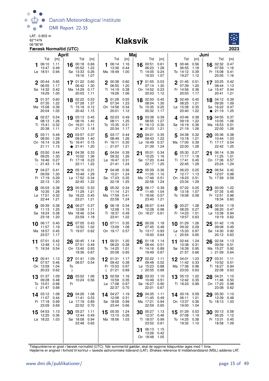

#### 06°36'W **Klaksvík**



|             |                                              | April                        |               |                                             |                                     |    |                                               | Maj                          |           |                                                    |                                     |              |                                                  |                                     | Juni      |                                            |                                     |
|-------------|----------------------------------------------|------------------------------|---------------|---------------------------------------------|-------------------------------------|----|-----------------------------------------------|------------------------------|-----------|----------------------------------------------------|-------------------------------------|--------------|--------------------------------------------------|-------------------------------------|-----------|--------------------------------------------|-------------------------------------|
|             | Tid<br>06:10<br>13:47<br>Lø 18:51            | [m]<br>1.11<br>0.49<br>0.94  | 16            | Tid<br>00:18<br>05:52<br>Sø 13:33<br>19:16  | [m]<br>0.66<br>1.22<br>0.26<br>1.07 | 1  | Tid<br>06:14 1.16<br>13:36<br>Ma 18:49        | [m]<br>0.44<br>1.00          |           | Tid<br>16 00:51<br>06:23<br>Ti 14:05<br>19:33      | [m]<br>0.61<br>1.28<br>0.24<br>1.07 | 1            | Tid<br>00:46<br>06:55<br>To 14:12<br>19:27       | [m]<br>0.56<br>1.18<br>0.39<br>1.12 | 16        | Tid<br>02:32<br>07:59<br>Fr 15:08<br>20:05 | [m]<br>0.47<br>1.16<br>0.41<br>1.16 |
| $\mathbf 2$ | 00:44<br>06:55<br>Sø 14:32<br>19:29          | 0.65<br>1.17<br>0.42<br>1.00 |               | 17 01:22 0.60<br>06:42<br>Ma 14:29<br>20:03 | 1.30<br>0.17<br>1.11                |    | 2 00:38 0.60<br>06:55<br>Ti 14:19<br>19:26    | 1.20<br>0.38<br>1.06         |           | 17 01:55<br>07:14<br>On 14:52<br>20:03             | 0.53<br>1.30<br>0.23<br>1.12        |              | $2^{01:45}$<br>07:39<br>Fr 14:56<br>20:03        | 0.51<br>1.20<br>0.36<br>1.17        |           | 17 03:25<br>08:44<br>$Lg$ 15:47<br>20:41   | 0.42<br>1.13<br>0.44<br>1.21        |
|             | 01:37<br>07:35<br>Ma 15:08<br>20:04          | 0.60<br>1.22<br>0.36<br>1.05 |               | 18 02:22<br>07:28<br>Ti 15:18<br>20:42      | 0.53<br>1.37<br>0.12<br>1.15        |    | 301:28<br>07:34<br>On 14:58<br>20:01          | 0.55<br>1.23<br>0.34<br>1.12 | 18        | 02:50<br>08:04<br>To 15:35<br>20:32                | 0.45<br>1.30<br>0.25<br>1.17        | 3            | 02:49<br>08:25<br>Lø 15:38<br>20:40              | 0.45<br>1.21<br>0.35<br>1.22        | $\bullet$ | 18 04:12<br>09:26<br>Sø 16:22<br>21:19     | 0.39<br>1.09<br>0.47<br>1.25        |
|             | 402:27<br>08:13<br>Ti 15:41<br>20:38         | 0.54<br>1.26<br>0.32<br>1.11 |               | 19 03:13<br>08:16<br>On 16:01<br>21:13      | 0.45<br>1.40<br>0.11<br>1.18        |    | 402:23<br>08:11<br>To 15:35<br>20:34          | 0.49<br>1.25<br>0.31<br>1.17 | $\bullet$ | 19 03:38<br>08:55<br>Fr 16:13<br>21:03             | 0.39<br>1.27<br>0.30<br>1.21        | $\bigcirc$   | 403:46<br>09:19<br>Sø 16:19<br>21:19             | 0.38<br>1.22<br>0.36<br>1.26        |           | 19 04:55<br>10:05<br>Ma 16:53<br>22:00     | 0.37<br>1.06<br>0.51<br>1.26        |
|             | 503:11<br>08:50<br>On 16:14<br>21:11         | 0.49<br>1.29<br>0.28<br>1.15 | 20            | 03:57<br>09:09<br>To 16:41<br>• 21:41       | 0.37<br>1.40<br>0.15<br>1.20        |    | 5 03:17<br>08:49<br>Fr 16:11<br>$\circ$ 21:07 | 0.44<br>1.26<br>0.30<br>1.21 | 20        | 04:21<br>09:43<br>$L\varnothing$ 16:49<br>21:39    | 0.35<br>1.22<br>0.37<br>1.24        | 5            | 04:38 0.32<br>10:18<br>Ma 17:00<br>22:00         | 1.21<br>0.39<br>1.28                | 20        | 05:36<br>10:44<br>Ti 17:17<br>22:42        | 0.38<br>1.03<br>0.54<br>1.25        |
| $\bigcirc$  | 03:50<br>09:25<br>To 16:46<br>21:43          | 0.44<br>1.30<br>0.27<br>1.18 |               | 21 04:38<br>10:02<br>Fr 17:18<br>22:11      | 0.33<br>1.36<br>0.23<br>1.22        | 6  | 04:04<br>09:32<br>$Lg$ 16:47<br>21:41         | 0.39<br>1.26<br>0.31<br>1.24 | 21        | 05:01<br>10:25<br>Sø 17:20<br>22:17                | 0.34<br>1.16<br>0.44<br>1.25        | 6            | 05:30<br>11:17<br>Ti 17:41<br>22:45              | 0.27<br>1.18<br>0.45<br>1.29        | 21        | 06:14<br>11:25<br>On 17:36<br>23:24        | 0.39<br>1.01<br>0.57<br>1.24        |
|             | 04:27<br>09:59<br>Fr 17:19<br>22:13          | 0.41<br>1.30<br>0.29<br>1.20 |               | $22^{05:16}$<br>10:49<br>Lø 17:52<br>22:45  | 0.31<br>1.29<br>0.34<br>1.22        |    | $7^{04:48}$<br>10:21<br>Sø 17:23<br>22:18     | 0.36<br>1.24<br>0.35<br>1.25 |           | 22 05:39<br>11:05<br>Ma 17:46<br>22:58             | 0.36<br>1.10<br>0.51<br>1.24        |              | 7 06:23<br>12:17<br>On 18:23<br>23:34            | 0.25<br>1.13<br>0.51<br>1.29        |           | 22 06:54<br>12:07<br>To 17:59              | 0.42<br>0.98<br>0.59                |
|             | 8 05:03<br>10:35<br>Lø 17:51<br>22:44        | 0.38<br>1.28<br>0.32<br>1.21 | 23            | 05:52<br>11:29<br>Sø 18:22<br>23:21         | 0.33<br>1.21<br>0.45<br>1.21        |    | 8 05:32<br>11:14<br>Ma 17:59<br>22:58         | 0.34<br>1.21<br>0.41<br>1.24 |           | 23 06:17<br>11:45<br>Ti 18:06<br>23:40             | 0.39<br>1.04<br>0.57<br>1.21        |              | 8 07:22 0.25<br>13:18<br>To 19:08 0.58           | 1.07                                | 23        | 00:09<br>07:35<br>Fr 12:51<br>18:34        | 1.22<br>0.45<br>0.96<br>0.60        |
|             | <b>9</b> 05:39<br>11:13<br>Sø 18:24<br>23:18 | 0.38<br>1.25<br>0.38<br>1.20 |               | 24 06:27<br>12:08<br>Ma 18:46<br>23:59      | 0.37<br>1.11<br>0.54<br>1.18        |    | 9 06:18<br>12:08<br>Ti 18:37<br>23:41         | 0.34<br>1.15<br>0.49<br>1.22 |           | 24 06:57<br>12:28<br>On 18:27                      | 0.44<br>0.98<br>0.61                |              | 900:27<br>08:25<br>Fr 14:23<br>19:57             | 1.28<br>0.27<br>1.01<br>0.63        |           | 24 00:54<br>08:20<br>Lø 13:38<br>19:19     | 1.19<br>0.47<br>0.94<br>0.62        |
|             | 10 06:17<br>11:57<br>Ma 18:57<br>23:57       | 0.40<br>1.19<br>0.45<br>1.17 | 25            | 07:05<br>12:50<br>Ti 19:07                  | 0.43<br>1.02<br>0.62                |    | $10^{07:11}$<br>13:09<br>On 19:17             | 0.35<br>1.08<br>0.57         |           | $25^{00:26}_{07:17}$<br>07:45<br>To 13:17<br>19:00 | 1.18<br>0.48<br>0.93<br>0.64        | $\mathbb{C}$ | 10 01:29<br>09:32<br>Lø 15:33<br>20:54           | 1.26<br>0.29<br>0.97<br>0.65        | 25        | 01:42<br>09:08<br>Sø 14:30<br>20:12        | 1.16<br>0.49<br>0.92<br>0.63        |
| 11          | 07:01<br>12:48<br>Ti 19:34                   | 0.42<br>1.12<br>0.54         | 26            | 00:45<br>07:51<br>On 13:40<br>19:36         | 1.14<br>0.49<br>0.93<br>0.67        | 11 | 00:31<br>08:20<br>To 14:25<br>20:08           | 1.20<br>0.38<br>1.01<br>0.65 | 26        | 01:18<br>08:44<br>Fr 14:16<br>19:49                | 1.14<br>0.51<br>0.89<br>0.67        | 11           | 02:44<br>10:38<br>Sø 16:39<br>21:57 0.66         | 1.24<br>0.31<br>0.95                | 26        | 02:34<br>09:59<br>Ma 15:27<br>ນ 21:09      | 1.13<br>0.51<br>0.92<br>0.64        |
| 12          | 00:41<br>07:57<br>On 13:59<br>20:23          | 1.13<br>0.46<br>1.04<br>0.62 | 27<br>To<br>D | 01:41<br>08:57 0.54                         | 1.09                                |    | 01:31<br>09:42<br>Fr 15:53<br>\$21:21         | 1.17<br>0.38<br>0.97<br>0.69 |           | 02:22<br>09:48<br>Lø 15:23<br>D 20:55              | 1.11<br>0.52<br>0.88<br>0.68        |              | 12 04:01<br>11:42<br>Ma 17:36 0.96<br>23:03 0.63 | 1.23<br>0.33                        | 27        | 03:31<br>10:52<br>Ti 16:27<br>22:08        | 1.11<br>0.51<br>0.94<br>0.63        |
| 13<br>ℂ     | 01:37<br>09:28<br>To 15:51<br>21:47          | 1.09<br>0.48<br>0.98<br>0.68 | Fr            | 28 03:02<br>10:24 0.56                      | 1.06                                | 13 | 02:59<br>10:59<br>Lø 17:08<br>22:37           | 1.16<br>0.35<br>0.97<br>0.70 | 28        | 03:33<br>10:49<br>Sø 16:27<br>22:01                | 1.10<br>0.51<br>0.90<br>0.67        |              | 13 05:10<br>12:42 0.35<br>Ti 18:23 0.99          | 1.22                                |           | 28 04:31<br>11:46<br>On 17:23<br>23:08     | 1.10<br>0.50<br>0.98<br>0.62        |
|             | 14 03:12<br>11:07<br>Fr 17:18<br>23:09       | 1.08<br>0.44<br>0.99<br>0.69 |               | 29 04:26<br>11:41<br>Lø 17:19<br>22:52      | 1.08<br>0.53<br>0.89<br>0.70        |    | 14 04:27<br>12:08<br>Sø 18:08<br>23:44        | 1.19<br>0.31<br>0.99<br>0.66 | 29        | 04:35<br>11:45<br>Ma 17:21<br>22:59                | 1.11<br>0.49<br>0.94<br>0.65        |              | 14 00:16 0.59<br>06:11<br>On 13:37 0.36<br>19:00 | 1.21<br>1.04                        | 29        | 05:30<br>12:39<br>To 18:13                 | 1.10<br>0.48<br>1.03                |
| 15          | 04:53<br>12:25<br>Lø 18:22 1.03              | 1.13<br>0.36                 |               | 30 05:27<br>12:44<br>Sø 18:08<br>23:48      | 1.11<br>0.49<br>0.94<br>0.65        |    | 15 05:30<br>13:10<br>Ma 18:56 1.03            | 1.24<br>0.26                 |           | 30 05:27<br>12:37<br>Ti 18:07<br>23:52             | 1.13<br>0.46<br>0.99<br>0.61        |              | $15^{01:29}$<br>07:08<br>To 14:25 0.38<br>19:32  | 0.53<br>1.19<br>1.10                |           | 30 00:13<br>06:25<br>Fr 13:31<br>18:58     | 0.58<br>1.12<br>0.45<br>1.09        |
|             |                                              |                              |               |                                             |                                     |    |                                               |                              | 31        | 06:13<br>13:26<br>On 18:48                         | 1.15<br>0.42<br>1.05                |              |                                                  |                                     |           |                                            |                                     |

Tidspunkterne er givet i færøsk normaltid (UTC). Når sommertid gælder, skal de opgivne tidspunkter øges med 1 time.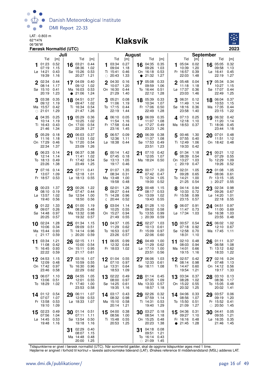

#### 06°36'W **Klaksvík**



|    |                                             | Juli                                |    |                                                      |                                     |              |                                                       | <b>August</b>                       |    |                                                 |                                     |                 |                                               | <b>September</b>                    |         |                                                 |                                     |
|----|---------------------------------------------|-------------------------------------|----|------------------------------------------------------|-------------------------------------|--------------|-------------------------------------------------------|-------------------------------------|----|-------------------------------------------------|-------------------------------------|-----------------|-----------------------------------------------|-------------------------------------|---------|-------------------------------------------------|-------------------------------------|
|    | Tid<br>01:23<br>07:19<br>Lø 14:21<br>19:39  | [m]<br>0.52<br>1.15<br>0.43<br>1.16 | 16 | Tid<br>03:21<br>08:36<br>Sø 15:26<br>20:27           | [m]<br>0.44<br>1.02<br>0.53<br>1.21 |              | Tid<br>03:34<br>09:04<br>Ti 15:41<br>$\circ$ 20:43    | [m]<br>0.27<br>1.18<br>0.46<br>1.33 |    | Tid<br>16 04:35<br>09:26<br>On 16:18<br>• 21:32 | [m]<br>0.35<br>1.03<br>0.53<br>1.27 | 1               | Tid<br>05:04<br>10:39<br>Fr 16:57<br>22:03    | [m]<br>0.02<br>1.20<br>0.39<br>1.48 |         | Tid<br>16 05:05<br>09:58<br>$Lg$ 16:41<br>22:19 | [m]<br>0.32<br>1.13<br>0.45<br>1.27 |
|    | 2 02:34<br>08:14<br>Sø 15:10<br>20:19       | 0.44<br>1.17<br>0.41<br>1.23        |    | 17 04:09<br>09:12<br>Ma 16:03<br>$\bullet$ 21:06     | 0.40<br>1.02<br>0.53<br>1.24        | $\mathbf{2}$ | 04:30<br>10:07<br>On 16:30<br>21:29                   | 0.16<br>1.20<br>0.44<br>1.40        | 17 | 05:08<br>09:59<br>To 16:44<br>22:12             | 0.33<br>1.06<br>0.51<br>1.28        |                 | $2^{05:48}$<br>11:18<br>Lø 17:37<br>23:03     | 0.04<br>1.18<br>0.36<br>1.46        |         | 17 05:34<br>10:27<br>Sø 17:07<br>22:49          | 0.34<br>1.15<br>0.44<br>1.25        |
|    | 03:38<br>09:12<br>Ma 15:57<br>$\circ$ 21:01 | 0.35<br>1.19<br>0.42<br>1.29        |    | 18 04:51<br>09:47<br>Ti 16:34<br>21:47               | 0.37<br>1.02<br>0.54<br>1.26        |              | 05:21<br>11:06<br>To 17:15<br>22:19                   | 0.08<br>1.19<br>0.44<br>1.44        |    | 18 05:39<br>10:34<br>Fr 17:06<br>22:49          | 0.33<br>1.07<br>0.50<br>1.28        | 3               | 06:31<br>11:49<br>Sø 18:16<br>23:58           | 0.12<br>1.14<br>0.36<br>1.40        | 18      | 06:04<br>10:53<br>Ma 17:35<br>23:15             | 0.37<br>1.15<br>0.44<br>1.22        |
|    | 4.04:35<br>10:14<br>Ti 16:43<br>21:46       | 0.25<br>1.19<br>0.43<br>1.34        |    | 19 05:29<br>10:25<br>On 17:00<br>22:28               | 0.36<br>1.02<br>0.54<br>1.27        |              | 406:10<br>11:54<br>Fr 17:58<br>23:16                  | 0.05<br>1.16<br>0.44<br>1.45        |    | 19 06:09<br>11:07<br>Lø 17:27<br>23:23          | 0.35<br>1.08<br>0.49<br>1.26        |                 | 407:13<br>12:18<br>Ma 18:53                   | 0.25<br>1.10<br>0.37                |         | 19 06:32<br>11:20<br>Ti 18:06<br>23:44          | 0.42<br>1.14<br>0.45<br>1.18        |
|    | $5^{05:29}$<br>11:16<br>On 17:29<br>22:34   | 0.18<br>1.18<br>0.46<br>1.37        |    | 20 06:03<br>11:03<br>To 17:20<br>23:09               | 0.37<br>1.02<br>0.54<br>1.26        | 5            | 06:57<br>12:36<br>Lø 18:38                            | 0.09<br>1.11<br>0.44                |    | 20 06:39<br>11:37<br>Sø 17:53<br>23:51          | 0.38<br>1.08<br>0.49<br>1.23        |                 | 5 00:46<br>07:55<br>Ti 12:49<br>19:33         | 1.30<br>0.40<br>1.06<br>0.42        | 20      | 07:01<br>11:51<br>On 18:42                      | 0.48<br>1.12<br>0.48                |
|    | $6^{06:23}$<br>12:14<br>To 18:13<br>23:26   | 0.14<br>1.14<br>0.49<br>1.38        |    | 21 06:37<br>11:41<br>Fr 17:42<br>23:49               | 0.38<br>1.02<br>0.54<br>1.25        | 6            | 00:14 1.42<br>07:45<br>Sø 13:13<br>19:17              | 0.18<br>1.05<br>0.46                | 21 | 07:10<br>12:05<br>Ma 18:24                      | 0.42<br>1.07<br>0.50                | ℂ               | $6^{01:34}$<br>08:39<br>On 13:27<br>20:19     | 1.18<br>0.54<br>1.03<br>0.47        | 21      | 00:21<br>07:29<br>To 12:29<br>19:26             | 1.12<br>0.55<br>1.09<br>0.52        |
|    | 7 07:16<br>13:07<br>Fr 18:57                | 0.14<br>1.09<br>0.53                |    | $22^{07:11}$<br>12:18<br>$L\varnothing$ 18:13        | 0.41<br>1.01<br>0.55                |              | 7 01:07<br>08:34<br>Ma 13:48<br>19:58                 | 1.35<br>0.31<br>1.00<br>0.48        | 22 | 00:17<br>07:42<br>Ti 12:34<br>19:00             | 1.20<br>0.47<br>1.05<br>0.52        | 7               | 02:31<br>09:28<br>To 14:21<br>21:25           | 1.05<br>0.65<br>1.00<br>0.54        | 22      | 01:08<br>08:06<br>Fr 13:15<br>D 20:27           | 1.05<br>0.61<br>1.05<br>0.55        |
|    | 8 00:23<br>08:10<br>Lø 13:57<br>19:40       | 1.37<br>0.19<br>1.02<br>0.56        |    | $23^{00:26}$<br>07:47<br>Sø 12:54<br>18:50           | 1.22<br>0.44<br>1.00<br>0.56        |              | 8 02:01<br>09:27<br>Ti 14:28<br>(20:44)               | 1.26<br>0.44<br>0.96<br>0.52        |    | 23 00:48<br>08:17<br>On 13:09<br>19:43          | 1.15<br>0.53<br>1.02<br>0.55        |                 | 8 04:14<br>10:33<br>Fr 15:58<br>23:15         | 0.94<br>0.72<br>0.99<br>0.57        | 23      | 02:34<br>09:26<br>$L\sigma$ 14:20<br>22:18      | 0.98<br>0.67<br>1.01<br>0.55        |
| 9  | 01:22<br>09:07<br>Sø 14:48<br>20:25         | 1.33<br>0.26<br>0.97<br>0.57        | 24 | 01:00<br>08:25<br>Ma 13:32<br>19:32                  | 1.19<br>0.48<br>0.98<br>0.57        | 9            | 03:04<br>10:25<br>On 15:27<br>21:49                   | 1.14<br>0.55<br>0.94<br>0.55        |    | 24 01:28<br>09:02<br>To 13:55<br>D 20:39        | 1.10<br>0.58<br>0.99<br>0.59        | 9               | 06:07<br>11:47<br>Lø 17:34                    | 0.91<br>0.73<br>1.03                | 24      | 04:51<br>11:00<br>Sø 16:38<br>23:55             | 0.97<br>0.69<br>1.03<br>0.48        |
| €  | 10 $02:24$<br>10:06<br>Ma 15:44<br>21:17    | 1.28<br>0.34<br>0.93<br>0.59        |    | $25\frac{01:34}{20}$<br>09:09<br>Ti 14:14<br>D 20:20 | 1.15<br>0.51<br>0.96<br>0.59        |              | $10^{04:37}$<br>11:29<br>To 16:53<br>23:26            | 1.05<br>0.62<br>0.97<br>0.57        | 25 | 02:27<br>10:13<br>Fr 15:09<br>22:06             | 1.03<br>0.61<br>0.97<br>0.60        |                 | 10 00:57 0.54<br>07:18<br>Sø 12:58<br>18:31   | 0.92<br>0.70<br>1.10                | 25      | 06:02<br>12:10<br>Ma 17:45                      | 1.02<br>0.67<br>1.11                |
| 11 | 03:34<br>11:08<br>Ti 16:45<br>22:22         | 1.21<br>0.42<br>0.93<br>0.59        | 26 | 02:15<br>10:00<br>On 15:11<br>21:17                  | 1.11<br>0.54<br>0.95<br>0.61        | 11           | 06:05<br>12:32<br>Fr 18:03                            | 0.99<br>0.64<br>1.02                | 26 | 04:49<br>11:29<br>$L\varnothing$ 17:10<br>23:51 | 1.00<br>0.62<br>1.00<br>0.56        | 11              | 02:10<br>08:03<br>Ma 14:01<br>19:15           | 0.48<br>0.94<br>0.66<br>1.16        | 26      | 01:11<br>06:58<br>Ti 13:12<br>18:33             | 0.37<br>1.08<br>0.62<br>1.22        |
| 12 | 04:53<br>12:09<br>On 17:42<br>23:46         | 1.15<br>0.48<br>0.97<br>0.58        | 27 | 03:16<br>10:59<br>To 16:30<br>22:29                  | 1.07<br>0.55<br>0.96<br>0.62        | 12           | 01:04 0.55<br>07:10<br>Lø 13:31<br>18:53              | 0.97<br>0.64<br>1.09                | 27 | 06:06<br>12:33<br>Sø 18:11                      | 1.03<br>0.61<br>1.08                |                 | 12 02:57 0.42<br>08:14<br>Ti 14:47<br>19:54   | 0.98<br>0.60<br>1.21                | 27      | 02:16<br>07:48<br>On 14:12<br>19:17             | 0.24<br>1.13<br>0.56<br>1.33        |
| 13 | 06:07<br>13:06<br>To 18:29                  | 1.10<br>0.51<br>1.02                |    | 28 04:55<br>12:01<br>Fr 17:40<br>23:53               | 1.05<br>0.55<br>1.00<br>0.58        | 13           | 02:22<br>08:00 0.97<br>Sø 14:25 0.61<br>19:35         | 0.49<br>1.16                        |    | 28 01:14<br>07:05<br>Ma 13:33<br>18:57          | 0.45<br>1.09<br>0.57<br>1.18        | 13              | 03:34<br>08:28<br>On 15:22<br>20:32           | 0.37<br>1.02<br>0.55<br>1.25        | 28      | 03:10<br>08:36<br>To 15:05<br>20:02             | 0.13<br>1.17<br>0.48<br>1.41        |
|    | 14 01:12 0.54<br>07:07<br>Fr 13:58<br>19:10 | 1.07<br>0.53<br>1.09                |    | 29 06:11<br>12:59<br>Lø 18:33                        | 1.07<br>0.53<br>1.07                |              | 14 03:17 0.43<br>08:32 0.98<br>Ma 15:10 0.58<br>20:14 | 1.21                                |    | 29 02:26<br>07:59<br>Ti 14:31<br>19:40          | 0.32<br>1.14<br>0.53<br>1.29        |                 | 14 04:06<br>08:56<br>To 15:50<br>21:09        | 0.33<br>1.07<br>0.51<br>1.27        | $\circ$ | 29 03:57<br>09:19<br>Fr 15:52<br>20:50          | 0.06<br>1.20<br>0.41<br>1.45        |
| 15 | 02:23<br>07:56<br>Lø 14:45<br>19:48         | 0.49<br>1.04<br>0.53<br>1.16        |    | 30 $01:14$ 0.51<br>07:11<br>Sø 13:54<br>19:18        | 1.11<br>0.50<br>1.16                | 15           | 04:00<br>08:56<br>Ti 15:48<br>20:53                   | 0.38<br>1.00<br>0.55<br>1.25        | 30 | 03:27<br>08:54<br>On 15:25<br>20:23             | 0.18<br>1.18<br>0.48<br>1.38        | 15<br>$\bullet$ | 04:36 0.31<br>09:27<br>Fr 16:16 0.48<br>21:45 | 1.10<br>1.28                        | 30      | 04:41<br>09:55<br>Lø 16:35<br>21:46             | 0.05<br>1.21<br>0.35<br>1.45        |
|    |                                             |                                     | 31 | 02:29<br>08:07<br>Ma 14:48<br>20:00                  | 0.40<br>1.15<br>0.48<br>1.25        |              |                                                       |                                     | 31 | 04:18<br>09:51<br>To 16:14<br>$\circ$ 21:09     | 0.08<br>1.21<br>0.43<br>1.45        |                 |                                               |                                     |         |                                                 |                                     |

Tidspunkterne er givet i færøsk normaltid (UTC). Når sommertid gælder, skal de opgivne tidspunkter øges med 1 time.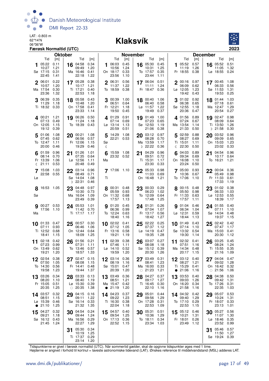

#### 06°36'W **Klaksvík**



| <b>Oktober</b>                                                                                                                                                                 |                                                                                     | <b>November</b>                                                                      | <b>December</b>                                                                       |                                                                                    |  |  |
|--------------------------------------------------------------------------------------------------------------------------------------------------------------------------------|-------------------------------------------------------------------------------------|--------------------------------------------------------------------------------------|---------------------------------------------------------------------------------------|------------------------------------------------------------------------------------|--|--|
| Tid<br>Tid<br>[m]<br>[m]<br>05:22<br>0.11<br>16 04:58<br>0.34<br>1<br>10:27<br>1.21<br>09:49<br>1.20<br>Sø 17:15<br>0.31<br>Ma 16:46<br>0.41<br>22:45<br>22:18<br>1.22<br>1.41 | Tid<br>[m]<br>1 06:03 0.45<br>10:56<br>1.24<br>On 18:17<br>0.33<br>23:56<br>1.10    | Tid<br>[m]<br>16 05:30<br>0.45<br>1.25<br>10:31<br>0.35<br>To 17:57<br>23:44<br>1.11 | Tid<br>[m]<br>05:52<br>0.57<br>1.<br>1.26<br>11:19<br>Fr 18:55<br>0.38                | Tid<br>[m]<br>16 05:52<br>0.51<br>1.32<br>11:05<br>Lø 18:55<br>0.24                |  |  |
| 0.22<br>17 05:28<br>0.38<br>06:01<br>10:57<br>1.20<br>10:17<br>1.21<br>Ma 17:54<br>0.30<br>Ti 17:21<br>0.40<br>23:36<br>22:53<br>1.32<br>1.18                                  | 0.56<br>2 06:31<br>11:37<br>1.22<br>To 18:59<br>0.38                                | 0.51<br>17 06:04<br>11:11<br>1.24<br>Fr 18:47<br>0.36                                | 0.97<br>$2^{00:16}$<br>06:09<br>0.62<br>$L\varnothing$ 12:05<br>1.23<br>19:42<br>0.43 | 17 00:45<br>1.08<br>06:33<br>0.56<br>Sø 11:53<br>1.31<br>19:53<br>0.25             |  |  |
| 3 06:39<br>0.35<br>18 05:58<br>0.43<br>10:48<br>11:29<br>1.18<br>1.20<br>Ti 18:32 0.33<br>On 17:58<br>0.41<br>1.14<br>23:33                                                    | 3 00:39<br>1.00<br>06:51<br>0.64<br>Fr 12:21<br>1.18<br>19:50<br>0.45               | 1.06<br>18 00:40<br>06:40<br>0.58<br>1.22<br>$Lg$ 11:57<br>0.37<br>19:49             | $3^{01:02}$<br>0.92<br>06:38<br>0.65<br>Sø 12:55<br>1.18<br>20:36<br>0.47             | 18 01:44<br>1.03<br>07:18<br>0.61<br>Ma 12:47<br>1.29<br>20:54<br>0.27             |  |  |
| 1.21<br>19 06:26<br>$4^{00:21}$<br>0.50<br>11:24<br>07:13<br>1.18<br>0.49<br>On 12:05<br>1.15<br>To 18:39<br>0.43<br>19:12<br>0.39                                             | 0.91<br>401:29<br>07:14<br>0.69<br>$L\varnothing$ 13:14<br>1.13<br>20:59<br>0.51    | 1.00<br>19 01:49<br>07:23<br>0.65<br>Sø 12:50<br>1.19<br>21:06<br>0.38               | 401:56<br>0.89<br>07:24<br>0.67<br>Ma 13:54<br>1.14<br>21:33<br>0.50                  | 19 02:47<br>0.98<br>08:09<br>0.64<br>Ti 13:50<br>1.26<br>D 21:58<br>0.30           |  |  |
| 5 01:06<br>1.08<br>1.08<br>20 00:21<br>07:45<br>0.62<br>06:56<br>0.57<br>To 12:47<br>1.11<br>Fr 12:06<br>1.15<br>20:00<br>19:29<br>0.46<br>0.46                                | 14:29<br>1.08<br>5<br>22:21<br>0.53<br>Sø<br>ℂ                                      | 20 03:12<br>0.97<br>08:28<br>0.70<br>Ma 13:59<br>1.17<br>D 22:22<br>0.36             | 02:59<br>0.88<br>5<br>08:27<br>0.69<br>Ti 15:01<br>1.11<br>$\binom{22:30}{ }$<br>0.50 | 20 03:52<br>0.96<br>09:09<br>0.65<br>On 15:03<br>1.23<br>23:02<br>0.33             |  |  |
| 0.96<br>01:26<br>1.01<br>01:59<br>21<br>0.70<br>07:35<br>0.64<br>08:14<br>Lø 12:56<br>Fr 13:39<br>1.06<br>1.11<br>(21:11)<br>0.53<br>20:48<br>0.49                             | 15:59 1.08<br>6<br>23:32 0.52<br>Ma                                                 | 04:29<br>0.96<br>21<br>09:51<br>0.72<br>Ti 15:31<br>1.17<br>23:30<br>0.33            | 0.89<br>04:03<br>09:34<br>0.69<br>On 16:08<br>1.10<br>23:24<br>0.50                   | 04:54<br>0.96<br>21<br>10:17<br>0.64<br>To 16:21<br>1.21                           |  |  |
| 22 03:14<br>15:08<br>1.03<br>0.96<br>08:49<br>22:58 0.55<br>0.71<br>Sø 14:04<br>1.08<br>Lø<br>D 22:31<br>0.46                                                                  | 7 17:06 1.10<br>Τi                                                                  | 22 05:33<br>0.98<br>11:03<br>0.69<br>On 16:48<br>1.21                                | 705:00<br>0.93<br>10:36<br>0.67<br>To 17:06<br>1.10                                   | 0.36<br>$22^{00:04}$<br>05:49<br>0.98<br>0.61<br>Fr 11:33<br>17:33<br>1.19         |  |  |
| 8 16:53 1.05<br>23<br>04:48<br>0.97<br>10:30<br>0.73<br>Sø<br>Ma 16:04<br>1.09<br>23:49<br>0.39                                                                                | 00:31 0.48<br>05:59<br>0.93<br>On 11:32<br>0.68<br>17:57<br>1.13                    | 00:33<br>0.29<br>23<br>06:23<br>1.02<br>To 12:09<br>0.64<br>17:48<br>1.25            | $8^{00:15}$<br>0.48<br>05:50<br>0.98<br>Fr 11:33<br>0.63<br>17:57<br>1.11             | 0.38<br>01:02<br>23<br>06:33<br>1.03<br>Lø 12:53<br>0.55<br>18:39<br>1.17          |  |  |
| <b>9</b> 00:27 0.53<br>24 05:53<br>1.01<br>17:56 1.10<br>11:42<br>0.70<br>Ti 17:17<br>Ma<br>- 1.17                                                                             | $Q$ 01:20<br>0.45<br>0.99<br>06:36<br>To 12:24<br>0.63<br>18:40<br>1.16             | 0.26<br>24 01:31<br>1.07<br>07:04<br>0.56<br>Fr 13:17<br>18:42<br>1.27               | 901:04<br>0.46<br>06:34<br>1.04<br>Lø 12:31<br>0.59<br>18:44<br>1.13                  | 0.40<br>24 01:55<br>07:11<br>1.10<br>Sø 14:04<br>0.48<br>19:37<br>1.15             |  |  |
| 10 01:33 0.47<br>$25\degree^{00:57}$<br>0.30<br>0.93<br>06:46<br>07:11<br>1.06<br>Ti 12:52<br>0.68<br>On 12:44<br>0.64<br>18:41<br>1.15<br>18:09<br>1.25                       | 10 02:02 0.41<br>07:12<br>1.05<br>Fr 13:16<br>0.58<br>19:21<br>1.19                 | 02:22<br>0.25<br>25<br>07:37<br>1.12<br>$Lo$ 14:19<br>0.47<br>19:35<br>1.28          | 01:49<br>0.43<br>10<br>07:14<br>1.10<br>Sø 13:32<br>0.54<br>19:30<br>1.14             | 02:42<br>0.42<br>25<br>07:47<br>1.17<br>Ma 15:03<br>0.41<br>20:30<br>1.12          |  |  |
| 0.42<br>11 02:18<br>$26$ 01:56<br>0.21<br>07:23<br>0.99<br>07:31<br>1.11<br>0.62<br>To 13:46<br>0.57<br>On 13:49<br>19:21<br>1.20<br>18:57<br>1.33                             | 11 02:39<br>0.38<br>07:46<br>1.11<br>0.52<br>$L\varnothing$ 14:10<br>19:59<br>1.20  | 03:07<br>0.27<br>26<br>08:08<br>1.18<br>Sø 15:12<br>0.39<br>20:30<br>1.26            | 02:32<br>0.41<br>11<br>07:51<br>1.16<br>Ma 14:34<br>0.48<br>20:17 1.15                | $26\frac{03:25}{22}$<br>0.45<br>1.24<br>08:24<br>Ti 15:55<br>0.35<br>21:16<br>1.09 |  |  |
| 02:54<br>0.38<br>02:47<br>0.15<br>12<br>27<br>07:50<br>1.05<br>08:08<br>1.15<br>To 14:30<br>0.56<br>0.48<br>Fr 14:41<br>19:58<br>1.23<br>19:44<br>1.37                         | 03:14<br>0.36<br>08:19<br>1.16<br>Sø 15:01<br>0.47<br>20:39<br>1.20                 | 03:49<br>0.31<br>27<br>1.23<br>08:41<br>Ma 16:00<br>0.33<br>$\circ$ 21:23<br>1.21    | $12^{03:12}$<br>0.40<br>08:27<br>1.21<br>Ti 15:29<br>0.41<br>• 21:06<br>1.16          | 0.47<br>04:04<br>27<br>09:02<br>1.28<br>On 16:42<br>0.32<br>$\circ$ 21:56<br>1.06  |  |  |
| 13 03:26<br>0.34<br>28 03:33<br>0.13<br>08:20<br>1.10<br>08:40<br>1.19<br>Fr 15:05<br>0.51<br>$L\varnothing$ 15:30<br>0.39<br>20:35<br>1.25<br>20:35<br>1.38<br>$\circ$        | 0.36<br>13 03:49<br>08:51<br>1.21<br>Ma 15:47<br>0.42<br>21:19<br>1.20<br>$\bullet$ | 04:27<br>0.37<br>28<br>1.27<br>09:17<br>0.30<br>Ti 16:45<br>22:10<br>1.16            | 13 03:53<br>0.40<br>09:03<br>1.26<br>On 16:20<br>0.34<br>21:58<br>1.16                | 28 04:38<br>0.50<br>1.31<br>09:42<br>To 17:26<br>0.31<br>22:35<br>1.03             |  |  |
| 0.32<br>14 03:57<br>04:15<br>29<br>0.16<br>08:51<br>1.15<br>09:11<br>1.22<br>0.33<br>Lø 15:39<br>0.46<br>Sø 16:14<br>1.25<br>21:32<br>21:10<br>1.35<br>$\bullet$               | 04:23<br>0.37<br>14<br>09:22<br>1.23<br>Ti 16:30<br>0.38<br>22:04<br>1.18           | 05:01<br>0.44<br>29<br>1.29<br>09:56<br>On 17:28<br>0.31<br>22:53<br>1.09            | 04:32<br>0.42<br>14<br>09:40<br>1.29<br>0.29<br>To 17:10<br>22:53<br>1.15             | 05:07<br>0.53<br>29<br>1.31<br>10:24<br>0.33<br>Fr 18:07<br>23:13<br>1.01          |  |  |
| 04:27<br>0.32<br>30 04:54<br>0.24<br>15<br>09:21<br>1.18<br>09:44<br>1.24<br>Ma 16:56<br>0.29<br>Sø 16:12<br>0.43<br>22:27<br>21:45<br>1.24<br>1.29                            | 04:57<br>0.40<br>15<br>09:54<br>1.25<br>On 17:13<br>0.36<br>22:52<br>1.15           | 05:31<br>0.51<br>30<br>10:36<br>1.29<br>To 18:11<br>0.34<br>23:34<br>1.03            | 05:12<br>15<br>0.46<br>10:21<br>1.31<br>Fr 18:01<br>0.26<br>23:49<br>1.12             | 30 05:27<br>0.56<br>11:07<br>1.30<br>0.35<br>Lø 18:46<br>23:52<br>0.99             |  |  |
| 05:30<br>0.34<br>31<br>10:19<br>1.25<br>Ti 17:37<br>0.29<br>23:14<br>1.20                                                                                                      |                                                                                     |                                                                                      |                                                                                       | 05:46<br>0.57<br>31<br>11:50<br>1.27<br>Sø 19:24<br>0.39                           |  |  |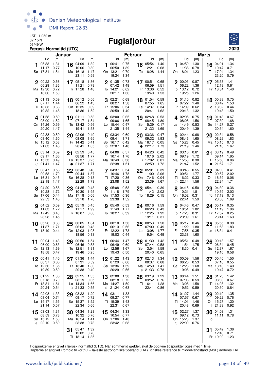

# 06°49'W **Fuglafjørður**



| Januar                                                                          |                                                                                | <b>Februar</b>                                                                        |                                                                                    | <b>Marts</b>                                                                        |                                                                             |  |  |
|---------------------------------------------------------------------------------|--------------------------------------------------------------------------------|---------------------------------------------------------------------------------------|------------------------------------------------------------------------------------|-------------------------------------------------------------------------------------|-----------------------------------------------------------------------------|--|--|
| Tid<br>[m]                                                                      | Tid<br>[m]                                                                     | Tid<br>[m]                                                                            | Tid<br>[m]                                                                         | Tid<br>[m]                                                                          | Tid<br>[m]                                                                  |  |  |
| 05:33<br>1.31<br>11:17<br>0.77<br>Sø 17:31<br>1.54                              | 04:09<br>1.32<br>16<br>10:06<br>0.80<br>Ma 16:18<br>1.47<br>23:11<br>0.59      | 0.75<br>00:41<br>1<br>06:50<br>1.39<br>0.70<br>On 13:21<br>19:24<br>1.34              | 05:54<br>1.40<br>16<br>12:21<br>0.68<br>To 18:28<br>1.44                           | 04:59<br>1.30<br>1<br>11:38<br>0.78<br>1.23<br>On 18:01                             | 04:01<br>1.34<br>16<br>10:47<br>0.71<br>1.34<br>To 17:04<br>23:20<br>0.79   |  |  |
| 0.56<br>2 00:22<br>06:29<br>1.36<br>Ma 12:30<br>0.72<br>18:36<br>1.50           | 1.36<br>17 05:18<br>11:21<br>0.78<br>Ti 17:28<br>1.48                          | 0.73<br>2 01:35<br>07:42<br>1.49<br>To 14:21<br>0.62<br>20:17<br>1.36                 | 17 00:51<br>0.65<br>1.51<br>06:59<br>Fr 13:36<br>0.52<br>19:40<br>1.53             | 2 00:03 0.87<br>06:22<br>1.36<br>To 13:12<br>0.72<br>19:25<br>1.26                  | 17 05:33<br>1.41<br>12:18<br>0.61<br>Fr 18:34<br>1.40                       |  |  |
| 0.59<br>301:13<br>1.44<br>07:17<br>Ti 13:33<br>0.66<br>19:32<br>1.48            | 18 00:12 0.56<br>06:22<br>1.43<br>On 12:35 0.69<br>18:36<br>1.52               | 302:21<br>0.69<br>08:27<br>1.58<br>Fr 15:06<br>0.54<br>20:59<br>1.40                  | 0.59<br>18 01:54<br>07:55<br>1.65<br>Lø 14:37<br>0.34<br>20:41<br>1.62             | 01:15<br>0.82<br>07:22<br>1.46<br>Fr 14:09<br>0.62<br>20:13<br>1.32                 | 18 00:38 0.75<br>06:42<br>1.53<br>Lø 13:32<br>0.44<br>19:43<br>1.50         |  |  |
| 0.59<br>$4^{01:58}$<br>08:00<br>1.52<br>On 14:26<br>0.59<br>20:20<br>1.47       | 0.53<br>19 01:11<br>07:17<br>1.54<br>To 13:42<br>0.56<br>19:41<br>1.58         | 0.65<br>403:00<br>09:06<br>1.65<br>Lø 15:44<br>0.47<br>21:35<br>1.44                  | 19 02:48<br>0.53<br>1.80<br>08:45<br>Sø 15:29<br>0.17<br>21:32<br>1.69             | 402:05<br>0.75<br>08:08<br>1.56<br>Lø 14:49<br>0.53<br>20:49<br>1.39                | 0.67<br>19 01:43<br>07:39<br>1.68<br>Sø 14:27<br>0.27<br>20:34<br>1.60      |  |  |
| 5 02:38<br>0.59<br>1.60<br>08:40<br>To 15:12<br>0.53<br>21:03<br>1.46           | 20 02:06<br>0.49<br>08:08<br>1.65<br>Fr 14:42<br>0.41<br>20:41<br>1.65         | 03:34<br>0.60<br>5<br>09:41<br>1.71<br>Sø 16:17<br>0.42<br>$\circ$ 22:07<br>1.48      | 03:36<br>0.47<br>20<br>09:32<br>1.93<br>Ma 16:17<br>0.05<br>• 22:17<br>1.73        | 02:44<br>0.68<br>5<br>08:46<br>1.65<br>Sø 15:23<br>0.45<br>21:19<br>1.46            | 0.58<br>$20^{02:34}$<br>08:29<br>1.83<br>Ma 15:15<br>0.13<br>21:18<br>1.67  |  |  |
| 6 $03:14$<br>0.59<br>09:17<br>1.66<br>Fr 15:53<br>0.49<br>$\circ$ 21:41<br>1.47 | 02:59<br>0.45<br>21<br>08:56<br>1.77<br>Lø 15:37<br>0.25<br>21:37<br>1.71<br>● | 0.57<br>04:06<br>10:14<br>1.76<br>Ma 16:49<br>0.38<br>22:38<br>1.51                   | 0.42<br>21 04:20<br>10:16<br>2.02<br>Ti 17:02<br>0.01<br>22:59<br>1.72             | 03:16<br>0.61<br>6<br>09:19<br>1.72<br>Ma 15:53<br>0.38<br>21:47<br>1.52            | 21 03:19<br>0.49<br>1.95<br>09:14<br>Ti 15:58<br>0.06<br>21:57<br>1.71      |  |  |
| 0.58<br>03:47<br>09:53<br>1.70<br>Lø 16:31<br>0.45<br>22:18<br>1.47             | 03:48<br>22<br>0.43<br>09:44<br>1.87<br>Sø 16:28<br>0.13<br>22:29<br>1.73      | 7 04:37<br>0.54<br>10:46<br>1.78<br>Ti 17:20<br>0.36<br>23:08<br>1.52                 | 22 05:01<br>0.39<br>11:00<br>2.06<br>On 17:46<br>0.04<br>23:39<br>1.67             | 0.55<br>7 03:46<br>09:51<br>1.77<br>Ti 16:22<br>0.33<br>$\circ$ 22:14<br>1.56       | 22<br>04:00<br>0.41<br>09:57<br>2.02<br>On 16:39<br>0.06<br>22:34<br>1.71   |  |  |
| 8 04:20<br>0.58<br>10:28<br>1.72<br>Sø 17:06<br>0.44<br>22:53<br>1.46           | 23 04:35 0.43<br>10:30<br>1.95<br>Ma 17:18<br>0.06<br>23:18<br>1.70            | 0.53<br>8 05:08<br>11:18<br>1.79<br>On 17:53<br>0.36<br>23:38<br>1.52                 | 23 05:41<br>0.39<br>2.02<br>11:43<br>To 18:29<br>0.15                              | 8 04:15<br>0.50<br>10:21<br>1.81<br>On 16:52<br>0.31<br>22:41<br>1.59               | 23 04:39<br>0.36<br>10:39<br>2.02<br>To 17:19<br>0.13<br>23:08<br>1.69      |  |  |
| 04:52<br>0.59<br>1.72<br>11:03<br>Ma 17:42<br>0.43<br>23:28<br>1.45             | 24 05:19 0.45<br>1.99<br>11:17<br>Ti 18:07 0.06                                | <b>9</b> 05:40<br>0.53<br>11:49<br>1.77<br>To 18:27 0.39                              | 24 00:16<br>1.59<br>06:20<br>0.43<br>1.92<br>Fr 12:25<br>19:11<br>0.31             | 04:46<br>0.47<br>9<br>10:51<br>1.82<br>To 17:23<br>0.31<br>23:09<br>1.61            | $24$ 05:17<br>0.35<br>1.96<br>11:19<br>Fr 17:57<br>0.25<br>23:41<br>1.63    |  |  |
| 10 05:26<br>0.60<br>11:37<br>1.71<br>Ti 18:19<br>0.44                           | 25 00:05<br>1.64<br>06:03<br>0.48<br>On 12:03<br>1.98<br>18:56<br>0.13         | 10 00:10 1.50<br>06:13<br>0.56<br>Fr 12:22<br>1.73<br>19:03<br>0.44                   | 25 00:53<br>1.50<br>07:00<br>0.49<br>$L\varnothing$ 13:08<br>1.77<br>19:54<br>0.49 | $10^{-05:17}$<br>0.46<br>11:22<br>1.80<br>Fr 17:56<br>0.35<br>23:38<br>1.60         | 0.38<br>25 05:55<br>11:58<br>1.83<br>Lø 18:34<br>0.41                       |  |  |
| 00:04<br>1.43<br>11<br>0.63<br>06:00<br>On 12:13<br>1.69<br>18:58<br>0.47       | 00:50<br>1.54<br>26<br>06:46<br>0.53<br>To 12:51<br>1.91<br>19:46 0.25         | 00:44<br>1.47<br>11<br>06:49<br>0.60<br>$L\varnothing$ 12:56<br>1.67<br>19:43<br>0.50 | 01:30<br>1.42<br>26<br>0.58<br>07:44<br>Sø 13:54<br>1.59<br>20:40<br>0.65          | 05:51<br>0.48<br>11<br>11:54<br>1.75<br>Lø 18:30<br>0.41                            | 00:13<br>- 1.57<br>26<br>06:34<br>0.45<br>Sø 12:37<br>1.67<br>19:10 0.58    |  |  |
| 00:41<br>1.40<br>12<br>06:37<br>0.66<br>To 12:50<br>1.65<br>19:39<br>0.50       | 27 01:36 1.44<br>07:31<br>0.59<br>Fr 13:40<br>1.80<br>20:38<br>0.40            | 12<br>01:22 1.43<br>07:29<br>0.66<br>Sø 13:36<br>1.59<br>20:29<br>0.56                | 1.34<br>02:13<br>27<br>08:37<br>0.68<br>Ma 14:50<br>1.41<br>D 21:33<br>0.78        | 12 00:09<br>1.56<br>06:26<br>0.53<br>Sø 12:28<br>1.68<br>19:08<br>0.49              | 00:45 1.50<br>27<br>0.55<br>07:16<br>Ma 13:18<br>1.49<br>19:47 0.72         |  |  |
| 1.36<br>01:22<br>13<br>07:18<br>0.70<br>Fr 13:31<br>1.61<br>20:24<br>0.54       | 02:25<br>1.35<br>28<br>08:19 0.65<br>Lø 14:34<br>1.66<br>D 21:33<br>0.55       | 13 02:08<br>1.38<br>08:18<br>0.72<br>Ma 14:27<br>1.50<br>$\binom{21:24}{ }$<br>0.63   | 03:19<br>1.29<br>28<br>09:52<br>0.76<br>Ti 16:11<br>1.28<br>22:41<br>0.86          | 00:44<br>1.51<br>13<br>07:06<br>0.59<br>Ma 13:08<br>1.58<br>19:52<br>0.59           | 01:23<br>1.42<br>28<br>08:08<br>0.67<br>Ti 14:08<br>1.32<br>20:30<br>0.84   |  |  |
| 14 02:08<br>1.33<br>08:04<br>0.74<br>Lø 14:17<br>1.55<br>21:14<br>0.57          | 03:22<br>1.29<br>29<br>09:17<br>0.72<br>Sø 15:37<br>1.52<br>22:34<br>0.66      | 14 03:11<br>1.33<br>09:27<br>0.77<br>Ti 15:39<br>1.43<br>22:31<br>0.67                |                                                                                    | 14 01:27<br>1.44<br>07:57<br>0.67<br>Ti 14:01<br>1.46<br>20:48<br>0.69              | 02:19<br>1.35<br>29<br>09:22<br>0.76<br>On 15:27<br>1.20<br>0.92<br>D 21:33 |  |  |
| 03:03<br>1.31<br>15<br>08:59<br>0.78<br>Sø 15:12<br>1.50<br>$Q = 22:10$<br>0.59 | 04:34<br>1.28<br>30<br>10:32 0.76<br>Ma 16:54<br>1.41<br>23:38<br>0.73         | 1.33<br>15 04:34<br>10:54<br>0.77<br>On 17:06<br>1.40<br>23:42 0.68                   |                                                                                    | 15 02:27<br>1.37<br>09:12<br>0.73<br>On 15:23<br>1.37<br>$\binom{22:00}{ }$<br>0.76 | 04:03<br>1.31<br>30<br>11:11<br>0.78<br>To                                  |  |  |
|                                                                                 | 05:47<br>1.32<br>31<br>12:02 0.76<br>Ti 18:14<br>1.35                          |                                                                                       |                                                                                    |                                                                                     | 05:42 1.36<br>12:46<br>0.71<br>Fr 19:09 1.23                                |  |  |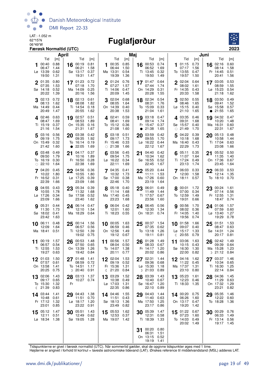

## 06°49'W **Fuglafjørður**



| April                                                                                   |                                                                                        | Maj                                                                                 |                                                                                           | Juni                                                                                    |                                                                                    |  |  |  |
|-----------------------------------------------------------------------------------------|----------------------------------------------------------------------------------------|-------------------------------------------------------------------------------------|-------------------------------------------------------------------------------------------|-----------------------------------------------------------------------------------------|------------------------------------------------------------------------------------|--|--|--|
| Tid<br>[m]<br>0.88<br>00:40                                                             | Tid<br>[m]<br>00:19<br>0.81<br>16                                                      | Tid<br>[m]<br>0.85<br>00:35                                                         | Tid<br>[m]<br>0.74<br>16 00:53                                                            | Tid<br>[m]<br>0.73<br>01:15<br>1                                                        | Tid<br>[m]<br>02:16<br>0.60<br>16                                                  |  |  |  |
| 06:47<br>1.44<br>Lø 13:39<br>0.62<br>19:50<br>1.31                                      | 06:21<br>1.58<br>Sø 13:17<br>0.37<br>19:31<br>1.47                                     | 06:44<br>1.50<br>Ma 13:31<br>0.54<br>19:39<br>1.36                                  | 06:52<br>1.69<br>0.32<br>Ti 13:45<br>19:50<br>1.49                                        | 1.56<br>07:17<br>To 13:55<br>0.47<br>19:57<br>1.50                                      | 08:14<br>1.58<br>0.51<br>Fr 14:45<br>20:41<br>1.56                                 |  |  |  |
| 0.80<br>2 01:35<br>07:35<br>1.53<br>Sø 14:18<br>0.52<br>20:22<br>1.39                   | 17 $01:23$<br>0.72<br>07:18<br>1.70<br>Ma 14:09<br>0.25<br>20:16<br>1.56               | 2 01:24<br>0.76<br>07:27<br>1.57<br>Ti 14:06<br>0.47<br>20:09<br>1.45               | 0.64<br>17 $01:47$<br>1.74<br>07:44<br>On 14:29<br>0.31<br>20:28<br>1.55                  | 2 02:04<br>0.64<br>08:02<br>1.61<br>Fr 14:35<br>0.43<br>20:33<br>1.58                   | 0.53<br>17 03:05<br>1.55<br>08:59<br>Lø 15:23<br>0.54<br>21:18<br>1.62             |  |  |  |
| 02:13<br>0.72<br>08:13<br>1.62<br>Ma 14:49<br>0.44<br>20:49<br>1.47                     | 18 02:13<br>0.61<br>08:08<br>1.82<br>Ti 14:54<br>0.18<br>20:55<br>1.62                 | 0.68<br>02:04<br>3<br>08:05<br>1.64<br>On 14:39<br>0.40<br>20:38<br>1.53            | 18 02:34<br>0.54<br>08:31<br>1.76<br>To 15:09<br>0.33<br>21:04<br>1.61                    | 02:50<br>0.55<br>3<br>08:46<br>1.65<br>Lø 15:15<br>0.40<br>21:10<br>1.65                | 18 03:50<br>0.49<br>09:41<br>1.52<br>Sø 15:58<br>0.57<br>21:55<br>1.65             |  |  |  |
| 402:46<br>0.63<br>1.69<br>08:47<br>0.37<br>Ti 15:19<br>1.54<br>21:16                    | 19 02:57<br>0.51<br>08:53<br>1.89<br>On 15:35<br>0.16<br>21:31<br>1.67                 | 0.59<br>402:41<br>08:41<br>1.69<br>To 15:12<br>0.36<br>21:08<br>1.60                | 0.47<br>19 03:18<br>09:14<br>1.74<br>0.37<br>Fr 15:47<br>21:38<br>1.65<br>$\bullet$       | 403:35<br>0.46<br>09:31<br>1.68<br>Sø 15:57<br>0.40<br>$\circ$ 21:49<br>1.70            | 19 04:32<br>0.47<br>10:20<br>1.48<br>Ma 16:31<br>0.60<br>22:31<br>1.67             |  |  |  |
| 0.56<br>5 03:16<br>1.75<br>09:19<br>0.32<br>On 15:49<br>21:42<br>1.60                   | 03:38<br>0.42<br>20<br>09:35<br>1.92<br>To 16:14<br>0.19<br>22:05<br>1.69<br>$\bullet$ | 03:18<br>0.51<br>5<br>09:17<br>1.73<br>Fr 15:46<br>0.33<br>$\circ$ 21:38<br>1.66    | 0.42<br>03:59<br>20<br>09:55<br>1.70<br>Lø 16:22<br>0.44<br>22:12<br>1.67                 | 04:22<br>0.39<br>5<br>10:18<br>1.68<br>Ma 16:40<br>0.43<br>22:29<br>1.73                | 05:13<br>0.48<br>20<br>10:58<br>1.44<br>Ti 17:04<br>0.63<br>23:08<br>1.66          |  |  |  |
| 0.49<br>$6^{03:48}$<br>1.79<br>09:50<br>To 16:19<br>0.30<br>22:10<br>1.64<br>$\bigcirc$ | 0.37<br>04:17<br>21<br>1.89<br>10:16<br>Fr 16:50<br>0.28<br>22:38<br>1.69              | 03:56<br>0.45<br>09:54<br>1.75<br>$Lg$ 16:22<br>0.34<br>22:11<br>1.69               | 0.42<br>04:40<br>21<br>10:34<br>1.62<br>Sø 16:55<br>0.52<br>22:45<br>1.67                 | $6^{05:11}$<br>0.35<br>11:07<br>1.64<br>Ti 17:24<br>0.49<br>23:13<br>1.74               | 05:52<br>0.50<br>21<br>11:35<br>1.40<br>On 17:36<br>0.67<br>23:45<br>1.64          |  |  |  |
| 04:20<br>0.45<br>1.80<br>10:22<br>Fr 16:52<br>0.31<br>22:39<br>1.66                     | 04:56<br>0.36<br>22<br>10:55<br>1.80<br>Lø 17:25<br>0.39<br>23:09<br>1.66              | 04:35<br>0.41<br>10:32<br>1.73<br>Sø 17:00<br>0.38<br>22:46<br>1.70                 | 05:20<br>22<br>0.44<br>1.53<br>11:11<br>Ma 17:26<br>0.60<br>23:19<br>1.64                 | 06:03<br>0.33<br>7<br>12:00<br>1.58<br>On 18:11<br>0.57                                 | 06:33<br>0.53<br>22<br>12:14<br>1.35<br>To 18:10<br>0.70                           |  |  |  |
| 8 04:55<br>0.43<br>10:55<br>1.78<br>Lø 17:26<br>0.34<br>23:09<br>1.66                   | 23 05:34<br>0.39<br>11:32<br>1.68<br>Sø 17:58<br>0.52<br>23:40<br>1.62                 | 05:18<br>0.40<br>11:14<br>1.68<br>Ma 17:40<br>0.45<br>23:23<br>1.68                 | 23 06:01<br>0.49<br>1.44<br>11:49<br>Ti 17:57<br>0.67<br>23:56<br>1.60                    | 8 00:01<br>1.72<br>0.34<br>07:00<br>To 12:59<br>1.49<br>19:01<br>0.66                   | $23^{00:24}$<br>- 1.61<br>07:14<br>0.56<br>Fr 12:55<br>1.31<br>18:47<br>0.74       |  |  |  |
| 05:31<br>0.44<br>9<br>11:30<br>1.73<br>Sø 18:02<br>0.41<br>23:42<br>1.63                | 06:14<br>0.47<br>24<br>12:10<br>1.54<br>Ma 18:29<br>0.64                               | 06:04<br>0.42<br>9<br>12:01<br>1.60<br>Ti 18:23<br>0.55                             | 0.56<br>24 06:45<br>12:30<br>1.34<br>On 18:31<br>0.74                                     | 00:56<br>1.70<br>9<br>08:02<br>0.36<br>Fr 14:05<br>1.40<br>19:56<br>0.74                | 1.57<br>24 01:06<br>07:59<br>0.60<br>1.27<br>$L\varnothing$ 13:40<br>19:29<br>0.78 |  |  |  |
| 10 06:11<br>0.48<br>12:09<br>1.64<br>Ma 18:41<br>0.51                                   | 25<br>00:14<br>1.56<br>06:57<br>0.56<br>Ti 12:50<br>1.39<br>19:02<br>0.75              | 10 00:05<br>1.63<br>06:59<br>0.46<br>On 12:56<br>1.49<br>19:12<br>0.67              | 1.54<br>00:37<br>25<br>07:35<br>0.62<br>To 13:18<br>1.26<br>19:11<br>0.81                 | 10 01:58<br>1.66<br>09:07<br>0.40<br>$L\varnothing$ 15:17<br>1.33<br>20:55<br>0.79<br>ℂ | 01:51<br>1.53<br>25<br>0.63<br>08:47<br>Sø 14:31<br>1.24<br>20:17<br>0.81          |  |  |  |
| 00:19<br>1.57<br>11<br>06:57<br>0.54<br>Ti 12:55<br>1.53<br>19:27<br>0.63               | 00:53<br>1.48<br>26<br>07:50<br>0.65<br>On 13:39<br>1.26<br>19:42<br>0.84              | 00:56<br>1.57<br>11<br>0.50<br>08:04<br>To 14:07<br>1.38<br>20:11<br>0.77           | 01:28<br>1.49<br>26<br>08:33<br>0.67<br>Fr 14:17<br>1.20<br>20:02<br>0.86                 | 03:06<br>1.63<br>11<br>10:15<br>0.43<br>Sø 16:30<br>1.30<br>22:00<br>0.82               | 02:42<br>1.49<br>26<br>09:39<br>0.64<br>Ma 15:28<br>1.23<br>$D$ 21:12<br>0.84      |  |  |  |
| 1.50<br>01:03<br>12<br>07:57<br>0.61<br>On 13:58<br>1.41<br>20:25<br>0.75               | 27 01:48<br>1.41<br>08:59<br>0.72<br>To 14:51<br>1.17<br>$D$ 20:40<br>0.91             | 02:04 1.53<br>12<br>09:19<br>0.52<br>Fr 15:36<br>1.31<br>$\binom{21:20}{ }$<br>0.84 | 02:31<br>27<br>1.44<br>09:36<br>0.68<br>$L\varnothing$ 15:30<br>1.18<br>$D$ 21:03<br>0.89 | 12 04:16<br>1.62<br>11:22<br>0.45<br>Ma 17:37<br>1.31<br>23:10 0.80                     | 27 03:37 1.46<br>10:34<br>0.65<br>1.25<br>Ti 16:30<br>22:14<br>0.84                |  |  |  |
| 02:06<br>1.43<br>13<br>09:17<br>0.65<br>To 15:30<br>1.32<br>21:39<br>0.83<br>ℂ          | 03:13<br>1.37<br>28<br>10:27 0.74<br>Fr                                                | 03:29<br>1.52<br>13<br>10:38<br>0.49<br>Lø 17:03<br>1.31<br>22:35<br>0.86           | 03:39<br>1.43<br>28<br>10:40<br>0.67<br>Sø 16:47<br>1.20<br>22:10<br>0.89                 | 13 05:23<br>1.61<br>12:23<br>0.46<br>Ti 18:33<br>1.35                                   | 28 04:36<br>1.45<br>11:29<br>0.63<br>On 17:32<br>1.29<br>23:21<br>0.82             |  |  |  |
| 14 03:44<br>1.41<br>0.61<br>10:48<br>Fr 17:12<br>1.32<br>23:01<br>0.85                  | 29 04:43 1.38<br>11:51<br>0.70<br>1.20<br>Lø 18:17<br>23:22<br>0.91                    | 14 04:46<br>1.55<br>11:51<br>0.43<br>Sø 18:13<br>1.36<br>23:49<br>0.82              | 29 04:43<br>1.44<br>11:40<br>0.63<br>Ma 17:50<br>1.25<br>23:17<br>0.86                    | 14 00:20 0.75<br>06:26<br>1.60<br>On 13:17 0.47<br>19:20<br>1.42                        | 29 05:35<br>1.46<br>12:22<br>0.60<br>To 18:28<br>1.36                              |  |  |  |
| 15 05:12<br>1.47<br>12:11<br>0.51<br>Lø 18:34 1.38                                      | 30 05:51<br>1.43<br>12:49<br>0.62<br>Sø 19:05 1.28                                     | 15 05:53<br>1.62<br>12:53<br>0.37<br>Ma 19:07 1.42                                  | 30 05:39<br>1.47<br>12:31<br>0.58<br>Ti 18:39<br>1.33                                     | 15 01:22 0.67<br>07:23<br>1.60<br>To 14:03 0.49<br>20:02<br>- 1.49                      | 0.76<br>$30^{00:29}$<br>06:33<br>1.49<br>Fr 13:14 0.56<br>19:17 1.45               |  |  |  |
|                                                                                         |                                                                                        |                                                                                     | 00:20<br>0.80<br>31<br>06:31<br>1.51<br>On 13:15<br>0.52<br>19:19<br>1.41                 |                                                                                         |                                                                                    |  |  |  |

Tidspunkterne er givet i færøsk normaltid (UTC). Når sommertid gælder, skal de opgivne tidspunkter øges med 1 time.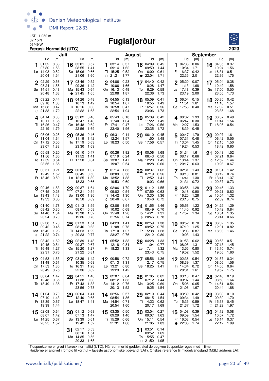

## 06°49'W **Fuglafjørður**



| Juli                                                                                                |                                                                                   |                                                                                           | <b>August</b>                                                                          | <b>September</b>                                                                       |                                                                                                  |  |  |
|-----------------------------------------------------------------------------------------------------|-----------------------------------------------------------------------------------|-------------------------------------------------------------------------------------------|----------------------------------------------------------------------------------------|----------------------------------------------------------------------------------------|--------------------------------------------------------------------------------------------------|--|--|
| Tid<br>[m]<br>0.68<br>01:32<br>16<br>07:30<br>1.53<br>$L\varnothing$ 14:03<br>0.52<br>1.54<br>20:04 | Tid<br>[m]<br>0.57<br>03:01<br>08:55<br>1.41<br>Sø 15:06<br>0.66<br>21:06<br>1.60 | Tid<br>[m]<br>0.37<br>03:14<br>09:14<br>1.62<br>Ti 15:25<br>0.52<br>$\circ$ 21:21<br>1.77 | Tid<br>[m]<br>0.45<br>16 04:09<br>09:59<br>1.44<br>0.61<br>On 16:00<br>• 22:04<br>1.71 | Tid<br>[m]<br>04:36<br>0.06<br>1<br>10:34<br>1.71<br>Fr 16:37<br>0.42<br>22:35<br>2.01 | Tid<br>[m]<br>0.37<br>16 04:35<br>10:24<br>1.56<br>$L\varnothing$ 16:31<br>0.51<br>22:36<br>1.75 |  |  |
| 0.56<br>2 02:29<br>08:24<br>1.58<br>Sø 14:51<br>0.48<br>20:48<br>1.63<br>$\bullet$                  | 17 03:46 0.52<br>09:36<br>1.42<br>Ma 15:43<br>0.64<br>21:45<br>1.65               | 0.23<br>2 04:06<br>1.66<br>10:06<br>0.49<br>On 16:13<br>22:08<br>1.87                     | 0.42<br>04:40<br>17<br>10:28<br>1.47<br>To 16:29<br>0.58<br>22:36<br>1.73              | $2^{05:20}$<br>0.07<br>1.68<br>11:13<br>Lø 17:18<br>0.39<br>23:19<br>2.00              | 17 05:04<br>0.38<br>1.58<br>10:49<br>Sø 17:00<br>0.50<br>23:05<br>1.73                           |  |  |
| 0.44<br>03:22<br>1.63<br>09:18<br>Ma 15:38<br>0.47<br>$\circ$ 21:33<br>1.72                         | 18 04:26<br>0.48<br>10:13<br>1.42<br>Ti 16:16<br>0.63<br>22:22<br>1.68            | 04:55<br>0.13<br>3<br>10:54<br>1.67<br>To 16:58<br>0.47<br>22:54<br>1.94                  | 0.41<br>18 05:09<br>10:55<br>1.49<br>Fr 16:57<br>0.56<br>23:06<br>1.73                 | 06:04<br>0.15<br>3<br>11:51<br>1.61<br>Sø 17:58<br>0.40                                | 05:35<br>0.42<br>18<br>11:16<br>1.57<br>Ma 17:32<br>0.51<br>23:35<br>1.68                        |  |  |
| 0.33<br>4.04:14<br>10:11<br>1.65<br>Ti 16:26<br>0.47<br>1.79<br>22:19                               | 19 05:02<br>0.46<br>10:47<br>1.43<br>On 16:48<br>0.62<br>22:56<br>1.69            | 405:43<br>0.10<br>11:40<br>1.64<br>Fr 17:41<br>0.47<br>23:40<br>1.96                      | 19 05:39<br>0.42<br>1.49<br>11:22<br>Lø 17:26<br>0.56<br>23:35<br>1.72                 | 4 00:02<br>1.93<br>06:47<br>0.30<br>Ma 12:27<br>1.53<br>18:39<br>0.45                  | 19 06:07<br>0.48<br>1.54<br>11:44<br>Ti 18:05<br>0.54                                            |  |  |
| 0.25<br>5 05:06<br>11:04<br>1.64<br>0.50<br>On 17:12<br>23:07<br>1.83                               | 20 05:36<br>0.46<br>11:19<br>1.42<br>To 17:19<br>0.63<br>23:30<br>1.69            | 5<br>06:31<br>0.14<br>12:24<br>1.57<br>Lø 18:23<br>0.50                                   | 06:10<br>0.45<br>20<br>11:50<br>1.48<br>Sø 17:56<br>0.57                               | 00:47<br>1.79<br>5<br>07:31<br>0.48<br>Ti 13:04<br>1.45<br>19:24<br>0.53               | 00:07 1.61<br>20<br>06:42<br>0.55<br>On 12:15<br>1.50<br>18:42<br>0.60                           |  |  |
| $6^{05:58}$<br>0.20<br>11:56<br>1.60<br>To 17:59<br>0.54<br>23:55<br>1.85                           | 21 06:10 0.47<br>11:52<br>1.41<br>Fr 17:50<br>0.64                                | 1.92<br>00:26<br>6<br>07:19<br>0.24<br>Sø 13:07<br>1.47<br>19:07<br>0.54                  | 00:06<br>1.68<br>21<br>06:43<br>0.50<br>Ma 12:20<br>1.45<br>18:28<br>0.60              | 6 01:34<br>1.61<br>08:17<br>0.66<br>On 13:44<br>1.37<br>20:17<br>0.63<br>ℂ             | 1.52<br>00:43<br>21<br>07:21<br>0.64<br>To 12:52<br>1.44<br>19:28<br>0.67                        |  |  |
| 7 06:51<br>0.21<br>1.52<br>12:49<br>Fr 18:46<br>0.59                                                | $22^{00:03}$<br>1.67<br>06:45<br>0.50<br>Lø 12:25<br>1.39<br>18:23<br>0.66        | 701:14<br>1.83<br>08:09<br>0.38<br>Ma 13:52<br>1.38<br>19:53<br>0.60                      | 00:37<br>1.62<br>22<br>0.56<br>07:19<br>Ti 12:52<br>1.41<br>19:03<br>0.66              | 02:31<br>1.43<br>7<br>09:10<br>0.81<br>1.30<br>To 14:41<br>21:31<br>0.72               | 01:31<br>22<br>1.42<br>08:12<br>0.74<br>1.37<br>Fr 13:41<br>20:37<br>0.73<br>D                   |  |  |
| 1.83<br>8 00:46<br>0.26<br>07:45<br>$L\varnothing$ 13:43<br>1.43<br>19:33<br>0.65                   | 23 00:37<br>1.64<br>07:21<br>0.54<br>Sø 13:00<br>1.36<br>18:58<br>0.69            | 1.70<br>8 02:06<br>09:02<br>0.54<br>Ti 14:42<br>1.30<br>20:46<br>0.67<br>$\mathbb{C}$     | 1.55<br>23 01:12<br>07:59<br>0.63<br>On 13:30<br>1.36<br>19:46<br>0.72                 | 1.28<br>8 03:56<br>10:18<br>0.90<br>Fr 16:25<br>1.28<br>23:15<br>0.75                  | 02:46<br>1.33<br>23<br>09:21<br>0.82<br>$L\varnothing$ 15:04<br>1.32<br>22:09<br>0.74            |  |  |
| 1.78<br>01:40<br>9<br>0.35<br>08:42<br>Sø 14:40<br>1.34<br>20:24<br>0.70                            | 24 01:13<br>1.59<br>08:01<br>0.58<br>Ma 13:38<br>1.32<br>19:36<br>0.73            | 03:06<br>1.54<br>g<br>10:02<br>0.68<br>On 15:48<br>1.26<br>21:56<br>0.74                  | 24 01:55<br>1.46<br>08:49<br>0.70<br>To 14:21<br>1.31<br>$D$ 20:46<br>0.78             | 1.22<br>05:56<br>9<br>11:45<br>0.92<br>Lø 17:57<br>1.34                                | 1.29<br>04:29<br>24<br>0.84<br>10:42<br>Sø 16:51<br>1.35<br>23:41<br>0.66                        |  |  |
| 10 02:38<br>1.70<br>25<br>0.45<br>09:42<br>Ma 15:42<br>1.28<br>0.74<br>21:22<br>ℂ                   | 01:53<br>1.54<br>08:46<br>0.63<br>Ti 14:23<br>1.29<br>$D$ 20:23<br>0.77           | 10 $04:23$<br>1.41<br>11:08<br>0.78<br>To 17:10<br>1.27<br>23:27<br>0.76                  | $25\frac{02:59}{22}$<br>1.38<br>09:52<br>0.75<br>Fr 15:38<br>1.28<br>22:12<br>0.80     | 10 00:52 0.70<br>07:19<br>1.25<br>Sø 13:03<br>0.87<br>19:03<br>1.43                    | 1.35<br>06:02<br>25<br>12:01<br>0.82<br>Ma 18:06<br>1.46                                         |  |  |
| 03:42<br>1.62<br>26<br>11<br>0.54<br>10:45<br>1.27<br>Ti 16:49<br>22:31<br>0.76                     | 02:39<br>1.48<br>09:37<br>0.67<br>On 15:20<br>1.27<br>21:22<br>0.81               | 1.33<br>05:52<br>11<br>12:18<br>0.81<br>Fr 18:23<br>1.33                                  | 04:28<br>1.33<br>26<br>11:04<br>0.77<br>1.32<br>$L\varnothing$ 17:11<br>23:43<br>0.75  | 01:53<br>0.62<br>11<br>08:05<br>1.31<br>Ma 13:55<br>0.80<br>19:52<br>1.52              | 00:58<br>0.51<br>26<br>07:13<br>1.45<br>Ti 13:10<br>0.74<br>19:06<br>1.60                        |  |  |
| 1.53<br>04:53<br>12<br>27<br>11:49<br>0.61<br>On 17:53<br>1.30<br>23:49<br>0.75                     | 03:39<br>1.42<br>0.69<br>10:35<br>To 16:31<br>1.28<br>22:36<br>0.82               | 0.72<br>00:58<br>12<br>07:13<br>1.31<br>Lø 13:21<br>0.80<br>19:23<br>1.42                 | 1.36<br>05:56<br>27<br>0.75<br>12:17<br>Sø 18:25<br>1.41                               | 12 02:36<br>0.54<br>1.37<br>08:39<br>Ti 14:34<br>0.72<br>20:31<br>1.61                 | 0.34<br>27<br>01:57<br>08:06<br>1.56<br>0.64<br>On 14:05<br>1.75<br>19:57                        |  |  |
| 06:04<br>1.47<br>13<br>28<br>12:48<br>0.65<br>To 18:49<br>1.36                                      | 04:51<br>1.40<br>11:38<br>0.68<br>Fr 17:43<br>1.33<br>23:56<br>0.78               | 0.64<br>$13$ 02:07<br>08:12 1.33<br>Sø 14:12 0.76<br>1.52<br>20:13                        | 01:05<br>0.62<br>28<br>07:12<br>1.44<br>Ma 13:25<br>0.69<br>19:25<br>1.54              | 13 03:10<br>0.47<br>09:07<br>1.44<br>On 15:06<br>0.65<br>21:06<br>1.67                 | 02:46<br>0.19<br>28<br>08:50<br>1.64<br>To 14:51<br>0.54<br>20:44<br>1.88                        |  |  |
| 14 01:04 0.70<br>07:10<br>1.43<br>Fr 13:39<br>0.67<br>19:39<br>1.44                                 | 29 06:04<br>1.41<br>12:40 0.65<br>Lø 18:47<br>1.41                                | 14 02:56<br>0.57<br>08:54<br>1.36<br>Ma 14:54<br>0.71<br>20:54<br>1.60                    | 29 02:10<br>0.44<br>08:15<br>1.54<br>Ti 14:22<br>0.62<br>20:17<br>1.69                 | 14 03:39<br>0.42<br>09:34<br>1.49<br>To 15:35<br>0.59<br>21:37<br>1.72                 | 29 03:30<br>0.10<br>09:30<br>1.70<br>Fr 15:33<br>0.45<br>1.97<br>$\circ$ 21:29                   |  |  |
| 02:08<br>0.64<br>30<br>15<br>08:07<br>1.42<br>Lø 14:25<br>0.67<br>20:25<br>1.52                     | 01:12 0.68<br>07:13<br>1.47<br>Sø 13:39 0.61<br>19:42<br>1.52                     | 0.50<br>15 03:35<br>09:29<br>1.40<br>Ti 15:29<br>0.66<br>21:31<br>1.66                    | 03:04<br>0.27<br>30<br>09:07<br>1.63<br>On 15:11<br>0.54<br>21:05<br>1.83              | 04:08<br>0.39<br>15<br>09:59<br>1.54<br>Fr 16:03<br>0.54<br>22:06<br>1.74<br>$\bullet$ | 04:12<br>0.08<br>30<br>10:07<br>1.72<br>Lø 16:14<br>0.37<br>22:12 1.99                           |  |  |
| 31                                                                                                  | 02:17 0.53<br>08:16<br>1.54<br>Ma 14:35 0.56<br>20:33 1.65                        |                                                                                           | 0.14<br>03:51<br>31<br>09:52<br>1.69<br>To 15:55<br>0.47<br>$\circ$ 21:50<br>1.95      |                                                                                        |                                                                                                  |  |  |

Tidspunkterne er givet i færøsk normaltid (UTC). Når sommertid gælder, skal de opgivne tidspunkter øges med 1 time.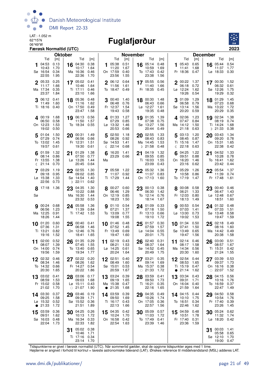

#### 06°49'W **Fuglafjørður**



|              |                                               | Færøsk Normaltid (UTC)              |                |                                                    |                                     |           |                                                  |                                     |          |                                                 |                                     |    |                                                            |                              |                                                              | 2023                           |
|--------------|-----------------------------------------------|-------------------------------------|----------------|----------------------------------------------------|-------------------------------------|-----------|--------------------------------------------------|-------------------------------------|----------|-------------------------------------------------|-------------------------------------|----|------------------------------------------------------------|------------------------------|--------------------------------------------------------------|--------------------------------|
|              |                                               |                                     | <b>Oktober</b> |                                                    |                                     |           |                                                  |                                     | November |                                                 |                                     |    |                                                            |                              | <b>December</b>                                              |                                |
| 1            | Tid<br>04:53<br>10:43<br>Sø 16:54<br>22:55    | [m]<br>0.13<br>1.70<br>0.34<br>1.95 |                | Tid<br>16 04:30<br>10:17<br>Ma 16:36<br>22:36      | [m]<br>0.38<br>1.64<br>0.46<br>1.70 | 1         | Tid<br>05:38<br>11:20<br>On 17:59<br>23:56       | [m]<br>0.51<br>1.67<br>0.40<br>1.55 |          | Tid<br>16 05:14<br>10:59<br>To 17:43<br>23:38   | [m]<br>0.48<br>1.69<br>0.42<br>1.56 |    | Tid<br>05:43<br>11:41<br>Fr 18:36 0.47                     | [m]<br>0.65<br>1.68          | Tid<br>$16$ 05:44<br>11:37<br>Lø 18:33                       | [m]<br>0.54<br>1.77<br>0.30    |
| $\mathbf{2}$ | 05:33<br>11:17<br>Ma 17:34<br>23:37           | 0.25<br>1.66<br>0.35<br>1.84        |                | 17 05:02<br>10:46<br>Ti 17:11<br>23:10             | 0.41<br>1.64<br>0.46<br>1.66        |           | $2^{06:12}$<br>11:56<br>To 18:47                 | 0.64<br>1.61<br>0.49                |          | 17 05:55<br>11:40<br>Fr 18:35                   | 0.56<br>1.66<br>0.45                |    | $2^{00:22}$<br>06:18<br>Lø 12:24<br>19:26                  | 1.37<br>0.72<br>1.62<br>0.54 | 17 00:30<br>06:32<br>Sø 12:26<br>19:29                       | - 1.52<br>0.61<br>1.75<br>0.32 |
|              | 06:12<br>11:49<br>Ti 18:16 0.40               | 0.41<br>1.60                        |                | 18 05:36<br>11:16<br>On 17:50<br>23:47             | 0.48<br>1.62<br>0.49<br>1.58        |           | 300:40<br>06:48<br>Fr 12:37<br>19:43             | 1.40<br>0.76<br>1.54<br>0.58        | 18       | 00:30<br>06:43<br>Lø 12:27<br>19:35             | 1.48<br>0.66<br>1.61<br>0.48        |    | 01:09<br>06:58<br>Sø 13:14<br>20:20                        | 1.29<br>0.79<br>1.56<br>0.59 | 18 01:29<br>07:23<br>Ma 13:22<br>20:29                       | 1.45<br>0.68<br>1.72<br>0.35   |
|              | 4 00:19<br>06:50<br>On 12:23<br>19:02         | 1.68<br>0.58<br>1.53<br>0.50        |                | 19 06:13<br>11:50<br>To 18:34 0.55                 | 0.56<br>1.57                        |           | 4 01:33<br>07:29<br>Lø 13:32<br>20:53            | 1.27<br>0.85<br>1.46<br>0.66        |          | 19 01:35<br>07:38<br>Sø 13:27<br>20:44          | 1.39<br>0.75<br>1.56<br>0.49        |    | <b>4</b> 02:06<br>07:47 0.84<br>Ma 14:12<br>21:18          | 1.23<br>1.50<br>0.63         | 19 02:34<br>08:19<br>Ti 14:24<br>D 21:33                     | 1.38<br>0.74<br>1.68<br>0.38   |
|              | 5 01:04<br>07:29<br>To 13:02<br>19:57         | 1.50<br>0.74<br>1.45<br>0.61        |                | 20 00:31<br>06:56<br>Fr 12:31<br>19:30             | 1.49<br>0.66<br>1.51<br>0.61        | 5         | 02:50<br>08:26<br>Sø 14:53<br>$\binom{22:14}{ }$ | 1.18<br>0.92<br>1.41<br>0.68        |          | 20 02:55<br>08:43<br>Ma 14:45<br>$D$ 21:58      | 1.33<br>0.83<br>1.53<br>0.48        |    | 503:13<br>08:45<br>Ti 15:16<br>《 22:18                     | 1.20<br>0.87<br>1.47<br>0.63 | 03:43<br>20<br>09:20<br>On 15:31<br>22:38                    | 1.34<br>0.78<br>1.65<br>0.42   |
|              | 01:59<br>08:14<br>Fr 13:55<br>(21:14)         | 1.32<br>0.86<br>1.38<br>0.70        | 21             | 01:29<br>07:50<br>$L\varnothing$ 13:26<br>20:45    | 1.38<br>0.77<br>1.44<br>0.64        | 6<br>Ma   | 16:20<br>23:29 0.66                              | 1.41                                | 21       | 04:19<br>09:55<br>Ti 16:03<br>23:09             | 1.32<br>0.85<br>1.55<br>0.43        |    | 04:25<br>09:51<br>On 16:20<br>23:16                        | 1.22<br>0.88<br>1.46<br>0.62 | 04:52<br>21<br>10:28<br>To 16:41<br>23:42                    | 1.33<br>0.78<br>1.62<br>0.44   |
|              | 03:29<br>09:18<br>Lø 15:38<br>22:56           | 1.19<br>0.95<br>1.33<br>0.73        |                | 22 02:55<br>09:02<br>Sø 14:54<br>$D$ 22:11         | 1.30<br>0.85<br>1.40<br>0.62        |           | 7 05:58 1.22<br>11:07 0.92<br>Ti 17:29           | 1.44                                |          | 22 05:32<br>11:07<br>On 17:13 1.60              | 1.36<br>0.83                        |    | 7 05:29<br>10:58<br>To 17:19 1.47                          | 1.26<br>0.86                 | 22 05:54<br>11:39<br>Fr 17:48                                | 1.37<br>0.74<br>1.61           |
| Sø           | $8^{17:18}$                                   | - 1.36                              | 23             | 04:35<br>10:22<br>Ma 16:30<br>23:32                | 1.30<br>0.88<br>1.44<br>0.53        |           | 00:27 0.60<br>06:46<br>On 12:19<br>18:23         | 1.29<br>0.85<br>1.50                | 23       | 00:13<br>06:30<br>To 12:14<br>18:14             | 0.38<br>1.42<br>0.76<br>1.67        |    | 8 00:08 0.58<br>06:21<br>Fr 12:03<br>18:13                 | 1.33<br>0.80<br>1.49         | 00:40<br>23<br>06:47<br>Lø 12:48<br>18:51                    | 0.46<br>1.43<br>0.67<br>1.60   |
|              | $9^{00:24}$<br>06:56<br>Ma 12:25<br>18:26     | 0.68<br>1.23<br>0.91<br>1.44        |                | 24 05:58<br>11:39<br>Ti 17:42                      | 1.36<br>0.84<br>- 1.53              |           | 901:10<br>07:21<br>To 13:09<br>19:08             | 0.54<br>1.37<br>0.77<br>1.55        |          | 24 01:09<br>07:18<br>Fr 13:13<br>19:10          | 0.33<br>1.50<br>0.66<br>1.72        |    | 90:53<br>07:03<br>Lø 13:00<br>19:02                        | 0.54<br>1.41<br>0.73<br>1.53 | 24 01:32<br>07:33<br>Sø 13:48<br>19:47                       | 0.48<br>1.51<br>0.58<br>1.59   |
| 10           | 01:20<br>07:36<br>Ti 13:21<br>19:16           | 0.60<br>1.31<br>0.82<br>1.52        | 25             | 00:40<br>06:58<br>On 12:46<br>18:41                | 0.41<br>1.46<br>0.76<br>1.65        | 10        | 01:46<br>07:52<br>Fr 13:49<br>19:47              | 0.48<br>1.45<br>0.69<br>1.60        | 25       | 01:57<br>07:59<br>$L\varnothing$ 14:04<br>20:01 | 0.30<br>1.57<br>0.55<br>1.75        | 10 | 01:34<br>07:41<br>Sø 13:49<br>19:47                        | 0.50<br>1.50<br>0.65<br>1.56 | 02:18<br>25<br>08:16<br>Ma 14:42<br>20:38                    | 0.49<br>1.60<br>0.49<br>1.58   |
| 11           | 02:00<br>08:07<br>On 14:00 0.74<br>19:56 1.59 | 0.52<br>1.39                        |                | $26$ 01:35<br>07:45<br>To 13:40 0.65<br>19:34 1.77 | 0.29<br>1.55                        |           | 11 02:19<br>08:21<br>Lø 14:25 0.61<br>20:24 1.64 | 0.43<br>1.53                        | 26       | 02:40<br>08:37<br>Sø 14:52 0.45<br>20:49 1.75   | 0.31<br>1.64                        |    | 11 02:14 0.46<br>08:17 1.58<br>Ma 14:34 0.56<br>20:30 1.60 |                              | $26\frac{03:00}{25}$<br>08:57<br>Ti 15:31 0.42<br>21:24 1.55 | 0.51<br>1.67                   |
|              | 02:32<br>08:34<br>To 14:32 0.66<br>20:30      | 0.46<br>1.46<br>1.65                |                | 27 02:22<br>08:26<br>Fr 14:27<br>20:22             | 0.20<br>1.62<br>0.54<br>1.86        |           | 12 02:51<br>08:49<br>Sø 15:01<br>20:59           | 0.40<br>1.60<br>0.53<br>1.67        |          | 27 03:21<br>09:14<br>Ma 15:37<br>$\circ$ 21:33  | 0.35<br>1.69<br>0.38<br>1.72        |    | 12 02:54<br>08:53<br>Ti 15:19 0.47<br>$\bullet$ 21:14 1.62 | 0.44<br>1.65                 | 27 03:39<br>09:37<br>On 16:16<br>$\circ$ 22:07               | 0.53<br>1.73<br>0.38<br>1.52   |
|              | 13 03:02<br>08:59<br>Fr 15:02 0.58<br>21:02   | 0.41<br>1.53<br>1.70                |                | 28 03:06<br>09:03<br>Lø 15:11<br>$\circ$ 21:07     | 0.17<br>1.68<br>0.43<br>1.90        | $\bullet$ | 13 03:24<br>09:19<br>Ma 15:38<br>21:35           | 0.39<br>1.65<br>0.47<br>1.68        |          | 28 03:59<br>09:50<br>Ti 16:21<br>22:16          | 0.41<br>1.73<br>0.35<br>1.65        |    | 13 03:34<br>09:31<br>On 16:04<br>21:59                     | 0.43<br>1.71<br>0.40<br>1.64 | 28 04:15<br>10:16<br>To 16:59<br>22:47                       | 0.56<br>1.76<br>0.37<br>1.49   |
|              | 14 03:30<br>09:25<br>Lø 15:32<br>• 21:33      | 0.37<br>1.58<br>0.52<br>1.72        | 29             | 03:46<br>09:39<br>Sø 15:52<br>21:51                | 0.19<br>1.71<br>0.36<br>1.89        |           | 14 03:59<br>09:50<br>Ti 16:17 0.43<br>22:13      | 0.39<br>1.69<br>1.66                |          | 29 04:35<br>10:26<br>On 17:05<br>22:57          | 0.49<br>1.74<br>0.36<br>1.56        |    | 14 04:15<br>10:10<br>To 16:51<br>22:46                     | 0.44<br>1.75<br>0.34<br>1.62 | 29 04:50<br>10:54<br>Fr 17:40<br>23:26                       | 0.58<br>1.76<br>0.39<br>1.45   |
| 15           | 03:59<br>09:51<br>Sø 16:03<br>22:04           | 0.36<br>1.62<br>0.48<br>1.73        |                | 30 04:25<br>10:13<br>Ma 16:34<br>22:33             | 0.26<br>1.72<br>0.33<br>1.82        |           | 15 04:35 0.42<br>10:24<br>On 16:58<br>22:54      | 1.70<br>0.42<br>1.63                |          | 30 05:09<br>11:03<br>To 17:49<br>23:39          | 0.57<br>1.72<br>0.41<br>1.46        |    | $15^{04:59}$<br>10:51<br>Fr 17:40<br>23:36                 | 0.48<br>1.78<br>0.31<br>1.59 | 30 05:24 0.62<br>11:32<br>Lø 18:20                           | 1.74<br>0.42                   |
|              |                                               |                                     | 31             | 05:02<br>10:46<br>Ti 17:16 0.34<br>23:14 1.70      | 0.38<br>1.71                        |           |                                                  |                                     |          |                                                 |                                     |    |                                                            |                              | 00:03<br>31<br>05:58<br>Sø 12:10<br>19:00                    | 1.41<br>0.65<br>1.70<br>0.47   |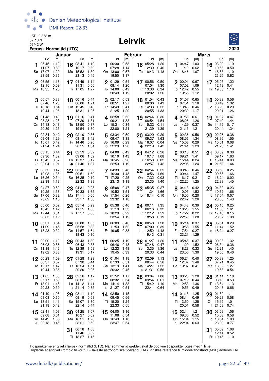

#### Leirvík



|                                                    |                                             | Januar    |                                                       |                              | <b>Februar</b> |                                                 |                              |    |                                               | <b>Marts</b>                 |    |                                                        |                              |                 |                                            |                              |
|----------------------------------------------------|---------------------------------------------|-----------|-------------------------------------------------------|------------------------------|----------------|-------------------------------------------------|------------------------------|----|-----------------------------------------------|------------------------------|----|--------------------------------------------------------|------------------------------|-----------------|--------------------------------------------|------------------------------|
|                                                    | Tid<br>[m]                                  |           | Tid                                                   | [m]                          |                | Tid                                             | [m]                          |    | Tid                                           | [m]                          |    | Tid                                                    | [m]                          |                 | Tid                                        | [m]                          |
| 05:45<br>11:07<br>Sø 17:07<br>23:59                | 1.12<br>0.62<br>1.29<br>0.36                |           | 16 03:41<br>10:17<br>Ma 15:52<br>23:13                | 1.10<br>0.60<br>1.30<br>0.45 |                | 100:30<br>07:28<br>On 13:00<br>19:50            | 0.53<br>1.14<br>0.57<br>1.17 |    | 16 05:28<br>12:30<br>To 18:43                 | 1.20<br>0.46<br>1.18         | 1. | 04:47<br>11:19<br>On 18:46                             | 1.03<br>0.62<br>1.07         |                 | 16 03:29<br>10:56<br>To 16:53<br>23:25     | 1.19<br>0.50<br>1.10<br>0.62 |
| 2 06:55<br>12:15<br>Ma 18:35                       | 1.16<br>0.59<br>1.26                        |           | 17 04:49<br>11:31<br>Ti 17:05                         | 1.14<br>0.56<br>1.27         |                | 2 01:29<br>08:14<br>To 14:00<br>20:43           | 0.54<br>1.20<br>0.49<br>1.19 |    | 17 00:56<br>07:04<br>Fr 13:38<br>20:02        | 0.50<br>1.30<br>0.34<br>1.26 |    | $2^{00:01}$<br>07:02<br>To 12:42<br>19:55              | 0.67<br>1.09<br>0.55<br>1.12 |                 | 17 05:07<br>12:18<br>Fr 19:03              | 1.22<br>0.41<br>1.16         |
| 00:57<br>3<br>07:46<br>Ti 13:18<br>19:44           | 0.38<br>1.20<br>0.54<br>1.26                |           | 18 00:16 0.44<br>06:06<br>On 12:45<br>18:31           | 1.21<br>0.48<br>1.26         |                | $3^{02:17}$<br>08:51<br>Fr 14:49<br>21:25       | 0.53<br>1.27<br>0.41<br>1.20 |    | 18 01:54<br>08:06<br>Lø 14:33<br>20:55        | 0.43<br>1.43<br>0.22<br>1.33 |    | 01:07<br>07:51<br>Fr 13:43<br>20:39                    | 0.65<br>1.18<br>0.46<br>1.17 |                 | 18 00:39<br>06:49<br>Lø 13:23<br>20:01     | 0.56<br>1.32<br>0.29<br>1.26 |
| $4^{01:48}$<br>08:28<br>On 14:13<br>20:39          | 0.40<br>1.25<br>0.48<br>1.25                |           | 19 01:16<br>07:20<br>To 13:50<br>19:54                | 0.41<br>1.31<br>0.37<br>1.30 |                | 402:58<br>09:21<br>$Lg$ 15:31<br>22:00          | 0.52<br>1.33<br>0.34<br>1.21 |    | 19 02:44<br>08:54<br>Sø 15:22<br>21:39        | 0.36<br>1.54<br>0.11<br>1.39 |    | 401:56<br>08:26<br>Lø 14:29<br>21:13                   | 0.61<br>1.26<br>0.37<br>1.21 |                 | 19 01:37<br>07:49<br>Sø 14:15<br>20:44     | 0.47<br>1.44<br>0.17<br>1.34 |
| $5^{02:34}$<br>09:04<br>To 15:01<br>21:24          | 0.42<br>1.29<br>0.42<br>1.24                |           | 20 02:10<br>08:18<br>Fr 14:46<br>20:55                | 0.36<br>1.42<br>0.26<br>1.34 |                | 5 $03:34$<br>09:47<br>Sø 16:09<br>$\circ$ 22:29 | 0.50<br>1.38<br>0.29<br>1.20 | 20 | 03:29<br>09:37<br>Ma 16:07<br>$\bullet$ 22:19 | 0.29<br>1.63<br>0.04<br>1.42 | 5  | 02:36<br>08:56<br>Sø 15:08<br>21:41                    | 0.56<br>1.34<br>0.29<br>1.23 |                 | 20 02:26<br>08:36<br>Ma 15:01<br>21:23     | 0.38<br>1.55<br>0.08<br>1.41 |
| $6$ 03:15<br>09:36<br>Fr 15:45<br>$\circ$ 22:04    | 0.44<br>1.32<br>0.37<br>1.21                | $\bullet$ | 21 02:59<br>09:06<br>Lø 15:37<br>21:46                | 0.32<br>1.52<br>0.17<br>1.37 |                | 04:08<br>10:10<br>Ma 16:45<br>22:53             | 0.49<br>1.43<br>0.26<br>1.19 |    | $21^{04:12}$<br>10:17<br>Ti 16:50<br>22:57    | 0.26<br>1.68<br>0.02<br>1.42 | 6  | 03:10<br>09:21<br>Ma 15:44<br>22:05                    | 0.51<br>1.41<br>0.24<br>1.24 | 21<br>$\bullet$ | 03:09<br>09:17<br>Ti 15:44<br>21:58        | 0.30<br>1.63<br>0.03<br>1.44 |
| 7 03:52<br>10:03<br>Lø 16:26<br>22:39              | 0.47<br>1.35<br>0.34<br>1.18                |           | 22 03:46<br>09:51<br>Sø 16:25<br>22:32                | 0.29<br>1.60<br>0.10<br>1.38 |                | 7 04:39<br>10:30<br>Ti 17:20<br>23:13           | 0.48<br>1.48<br>0.25<br>1.18 |    | 22 04:54<br>10:56<br>On 17:32<br>23:35        | 0.25<br>1.69<br>0.03<br>1.40 |    | 7 03:43<br>09:44<br>Ti 16:17<br>$\circ$ 22:25          | 0.46<br>1.47<br>0.21<br>1.25 |                 | 22 03:50<br>09:55<br>On 16:24<br>22:33     | 0.25<br>1.66<br>0.02<br>1.45 |
| 8 04:27<br>10:25<br>Sø 17:06<br>23:09              | 0.50<br>1.38<br>0.32<br>1.15                |           | 23 04:31<br>10:33<br>Ma 17:11<br>23:17                | 0.28<br>1.65<br>0.06<br>1.38 |                | 8 05:08<br>10:52<br>On 17:54<br>23:32           | 0.47<br>1.51<br>0.26<br>1.18 |    | 23 05:35<br>11:34<br>To 18:14 0.10            | 0.27<br>1.66                 | 8  | 04:13<br>10:05<br>On 16:50<br>22:42                    | 0.42<br>1.52<br>0.20<br>1.26 |                 | 23 04:30<br>10:32<br>To 17:04<br>23:05     | 0.23<br>1.66<br>0.07<br>1.43 |
| 9 05:00<br>10:45<br>Ma 17:44<br>23:35              | 0.52<br>1.42<br>0.31<br>1.12                |           | 24 05:14<br>11:15<br>Ti 17:57 0.06                    | 0.29<br>1.66                 |                | <b>9</b> 05:38<br>11:19<br>To 18:29<br>23:54    | 0.46<br>1.53<br>0.29<br>1.19 |    | 24 00:11<br>06:16<br>Fr 12:12<br>18:58        | 1.35<br>0.32<br>1.59<br>0.19 |    | $9^{04:43}$<br>10:28<br>To 17:22<br>22:59              | 0.39<br>1.55<br>0.22<br>1.28 |                 | 24 05:10<br>11:08<br>Fr 17:43<br>23:37     | 0.25<br>1.61<br>0.15<br>1.38 |
| 10 05:31<br>11:09<br>Ti 18:23                      | 0.54<br>1.45<br>0.32                        |           | $25\frac{00:00}{00:50}$<br>05:58<br>On 11:57<br>18:43 | 1.35<br>0.33<br>1.64<br>0.10 |                | 10 06:09<br>11:53<br>Fr 19:05                   | 0.46<br>1.52<br>0.33         | 25 | 00:48<br>07:00<br>$Lø$ 12:52<br>19:43         | 1.28<br>0.39<br>1.48<br>0.31 |    | 10 05:14<br>10:56<br>Fr 17:54<br>23:21                 | 0.37<br>1.55<br>0.27<br>1.29 |                 | 25 05:51<br>11:44<br>Lø 18:24              | 0.29<br>1.52<br>0.27         |
| 11<br>06:03<br>On 11:39                            | 00:00 1.10<br>0.56<br>1.46<br>19:02 0.33    | 26        | 00:43<br>06:43<br>To 12:39<br>19:31 0.17              | 1.30<br>0.38<br>1.59         | 11             | 00:25 1.19<br>06:46<br>Lø 12:33<br>19:45        | 0.48<br>1.48<br>0.39         | 26 | 01:27<br>07:48<br>Sø 13:35<br>20:33 0.44      | 1.20<br>0.47<br>1.36         | 11 | 05:46<br>11:29<br>Lø 18:28<br>23:50                    | 0.37<br>1.52<br>0.33<br>1.30 | 26              | 00:08<br>06:34<br>Sø 12:21<br>19:06        | 1.32<br>0.36<br>1.40<br>0.40 |
| 00:29<br>12<br>06:37<br>To 12:17<br>19:44          | 1.09<br>0.57<br>1.47<br>0.36                |           | 27 01:28<br>07:30<br>Fr 13:24<br>20:20                | 1.23<br>0.44<br>1.51<br>0.26 | 12             | 01:04 1.18<br>07:33<br>Sø 13:19<br>20:32 0.45   | 0.51<br>1.41                 |    | 27 02:09<br>08:44<br>Ma 14:27<br>$D$ 21:31    | 1.13<br>0.56<br>1.22<br>0.56 | 12 | 06:24<br>12:07<br>Sø 19:07                             | 0.40<br>1.46<br>0.41         | 27              | 00:39<br>07:21<br>Ma 13:02<br>19:53        | 1.25<br>0.45<br>1.27<br>0.54 |
| 01:05<br>13<br>07:17<br>Fr 13:01<br>20:28          | 1.08<br>0.59<br>1.45<br>0.39                |           | 28 02:16<br>08:22 0.52<br>Lø 14:12<br>$D$ 21:14       | 1.17<br>1.41<br>0.35         |                | 13 01:52<br>08:32 0.54<br>Ma 14:14<br>《 21:27   | 1.17<br>1.33<br>0.51         | 28 | 03:04<br>09:54<br>Ti 15:42<br>22:41           | 1.06<br>0.61<br>1.10<br>0.64 |    | 13 00:28<br>07:12<br>Ma 12:53<br>19:53                 | 1.28<br>0.44<br>1.36<br>0.49 |                 | 28 01:14<br>08:18<br>Ti 13:54<br>20:48     | 1.18<br>0.53<br>1.13<br>0.66 |
| 14 01:49<br>08:08<br>$L\varnothing$ 13:51<br>21:18 | 1.08<br>0.60<br>1.41<br>0.42                | 29        | 03:11<br>09:19<br>Sø 15:07<br>22:14                   | 1.10<br>0.58<br>1.30<br>0.44 |                | 14 02:50<br>09:45<br>Ti 15:20<br>22:33          | 1.15<br>0.56<br>1.24<br>0.55 |    |                                               |                              |    | 14 01:15<br>08:14<br>Ti 13:50<br>20:51                 | 1.25<br>0.49<br>1.25<br>0.58 |                 | 29 01:59<br>09:28<br>On 15:19<br>$D$ 21:58 | 1.11<br>0.58<br>1.01<br>0.74 |
| 02:41<br>15<br>09:08<br>Sø 14:49                   | 1.08<br>0.61<br>1.35<br><b>€ 22:13 0.45</b> |           | 30 04:25<br>10:27<br>Ma 16:21<br>23:21                | 1.07<br>0.62<br>1.20<br>0.50 |                | 15 04:00<br>11:08<br>On 16:43<br>23:47 0.54     | 1.16<br>0.54<br>1.18         |    |                                               |                              |    | 15 02:14<br>09:30<br>On 15:04<br>$\binom{22:04}{0.63}$ | 1.21<br>0.52<br>1.15         |                 | 30 03:09<br>10:53<br>To 18:54<br>23:20     | 1.06<br>0.58<br>1.03<br>0.77 |
|                                                    |                                             | 31        | 06:18<br>11:46<br>Ti 18:27                            | 1.08<br>0.62<br>1.15         |                |                                                 |                              |    |                                               |                              |    |                                                        |                              | 31              | 05:59<br>12:14<br>Fr 19:45                 | 1.08<br>0.52<br>1.10         |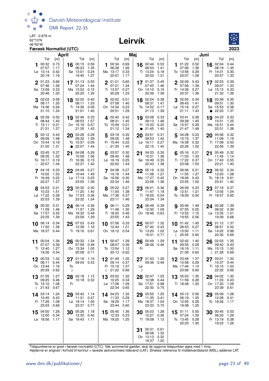

#### Leirvík



| April                                                                                         |                                                                                      | Maj                                                                               |                                                                                      | Juni                                                                                     |                                                                                         |  |  |
|-----------------------------------------------------------------------------------------------|--------------------------------------------------------------------------------------|-----------------------------------------------------------------------------------|--------------------------------------------------------------------------------------|------------------------------------------------------------------------------------------|-----------------------------------------------------------------------------------------|--|--|
| Tid<br>[m]<br>0.73<br>00:32<br>07:07<br>1.17<br>$L\varnothing$ 13:14<br>0.42<br>1.16<br>20:19 | Tid<br>[m]<br>0.59<br>16 00:15<br>06:23<br>1.35<br>Sø 13:01<br>0.24<br>1.27<br>19:45 | Tid<br>[m]<br>0.69<br>00:34<br>06:38<br>1.26<br>Ma 13:17<br>0.33<br>20:07<br>1.17 | Tid<br>[m]<br>0.53<br>16 00:44<br>06:53<br>1.41<br>Ti 13:24<br>0.18<br>20:02<br>1.31 | Tid<br>[m]<br>0.52<br>01:22<br>07:06<br>1.36<br>To 13:56<br>0.29<br>20:07<br>1.28        | Tid<br>[m]<br>02:04<br>0.44<br>16<br>08:19<br>1.35<br>Fr 14:31<br>0.30<br>20:57<br>1.33 |  |  |
| 2 01:23<br>0.66<br>07:46<br>1.26<br>Sø 13:58<br>0.33<br>1.20<br>20:46                         | 0.50<br>$17^{01:13}$<br>07:24<br>1.44<br>Ma 13:52<br>0.15<br>20:25<br>1.35           | $2^{01:21}$<br>0.60<br>07:21<br>1.34<br>Ti 13:57<br>0.27<br>20:29<br>1.23         | $17^{01:37}$<br>0.45<br>07:45<br>1.46<br>On 14:10<br>0.16<br>20:39<br>1.36           | 2 02:09<br>0.43<br>07:56<br>1.39<br>Fr 14:36<br>0.27<br>20:37<br>1.36                    | 17 02:53<br>0.39<br>1.33<br>09:07<br>$L\varnothing$ 15:13<br>0.33<br>21:32<br>1.36      |  |  |
| 02:03<br>0.58<br>3<br>1.35<br>08:17<br>Ma 14:36<br>0.26<br>21:10<br>1.24                      | 18 02:02<br>0.40<br>08:11<br>1.53<br>Ti 14:36<br>0.09<br>21:01<br>1.40               | 02:02<br>0.51<br>3<br>07:58<br>1.40<br>On 14:34<br>0.23<br>20:51<br>1.29          | 18 02:24<br>0.38<br>08:31<br>1.47<br>To 14:52<br>0.17<br>1.39<br>21:13               | 02:55<br>0.34<br>08:43<br>1.41<br>Lø 15:16<br>0.27<br>21:11<br>1.43                      | 0.35<br>18 03:39<br>09:51<br>1.30<br>Sø 15:53<br>0.38<br>22:03<br>1.37<br>$\bullet$     |  |  |
| 0.50<br>402:39<br>1.42<br>08:44<br>0.21<br>Ti 15:11<br>1.27<br>21:31                          | 19 02:46<br>0.33<br>08:53<br>1.57<br>On 15:18<br>0.07<br>21:35<br>1.43               | 402:40<br>0.42<br>08:31<br>1.45<br>0.21<br>To 15:09<br>21:12<br>1.34              | 0.33<br>19 03:08<br>09:13<br>1.46<br>Fr 15:33<br>0.20<br>• 21:45<br>1.40             | 403:41<br>0.28<br>09:28<br>1.40<br>Sø 15:57<br>0.29<br>$\circ$ 21:47<br>1.48             | 19 04:23<br>0.33<br>1.25<br>10:31<br>Ma 16:31<br>0.44<br>1.38<br>22:31                  |  |  |
| 503:12<br>0.43<br>09:09<br>1.48<br>On 15:44<br>0.19<br>21:50<br>1.31                          | 20 03:28<br>0.28<br>09:32<br>1.59<br>To 15:57<br>0.09<br>• 22:07<br>1.44             | 03:18<br>0.35<br>5<br>09:05<br>1.48<br>Fr 15:44<br>0.22<br>$\circ$ 21:35<br>1.40  | 20 03:51<br>0.31<br>09:53<br>1.42<br>$L\varnothing$ 16:11<br>0.27<br>22:15<br>1.40   | 04:28<br>0.23<br>5<br>10:15<br>1.37<br>Ma 16:38<br>0.32<br>22:26<br>1.52                 | 0.32<br>05:06<br>20<br>11:09<br>1.19<br>Ti 17:08<br>0.50<br>22:56<br>1.39               |  |  |
| 0.37<br>$6^{03:45}$<br>1.52<br>09:35<br>To 16:17<br>0.19<br>$\circ$ 22:07<br>1.34             | 04:08<br>0.26<br>21<br>1.56<br>10:09<br>Fr 16:36<br>0.15<br>22:37<br>1.42            | 03:57<br>0.30<br>6<br>09:40<br>1.48<br>0.25<br>$L\sigma$ 16:19<br>22:02<br>1.44   | 04:33<br>0.30<br>21<br>1.36<br>10:31<br>Sø 16:49<br>0.35<br>22:43<br>1.38            | $6^{05:16}$<br>0.21<br>1.33<br>11:03<br>Ti 17:22<br>0.37<br>23:08<br>1.53                | 0.32<br>05:49<br>21<br>1.14<br>11:45<br>On 17:43<br>0.55<br>23:21<br>1.40               |  |  |
| 0.33<br>$7^{04:18}$<br>10:02<br>1.53<br>0.22<br>Fr 16:49<br>22:27<br>1.37                     | 04:49<br>0.27<br>22<br>10:44<br>1.49<br>$Lg$ 17:14<br>0.25<br>23:05<br>1.39          | 04:38<br>0.27<br>10:18<br>1.44<br>Sø 16:56<br>0.30<br>22:34<br>1.46               | 22 05:16<br>0.32<br>1.27<br>11:08<br>Ma 17:27<br>0.45<br>23:08<br>1.36               | 06:06<br>0.21<br>11:55<br>1.27<br>On 18:09<br>0.43<br>23:55<br>1.52                      | 0.34<br>22<br>06:32<br>12:20<br>1.08<br>To 18:19<br>0.61<br>23:51<br>1.40               |  |  |
| 8 04:53<br>0.31<br>1.51<br>10:33<br>Lø 17:22<br>0.28<br>22:53<br>1.39                         | 23 05:30<br>0.30<br>11:20<br>1.40<br>Sø 17:53<br>0.36<br>23:32<br>1.34               | 8 05:22<br>0.27<br>11:00<br>1.38<br>Ma 17:36<br>0.37<br>23:11<br>1.46             | 23 06:01<br>0.36<br>11:47<br>1.18<br>0.54<br>Ti 18:05<br>23:34<br>1.34               | 8 06:59<br>0.23<br>12:51<br>1.21<br>To 18:59<br>0.50                                     | 23 07:16<br>0.37<br>12:55<br>1.04<br>Fr 18:57<br>0.65                                   |  |  |
| 05:30<br>0.31<br>11:09<br>1.46<br>Sø 17:57<br>0.35<br>23:25<br>1.39                           | 24 06:14<br>0.36<br>11:57<br>1.29<br>Ma 18:32<br>0.49<br>23:59<br>1.29               | 0.29<br>06:11<br>9<br>11:48<br>1.30<br>Ti 18:20<br>0.46<br>23:55<br>1.43          | 24 06:49<br>0.39<br>12:30<br>1.09<br>On 18:46<br>0.63                                | 00:46<br>1.49<br>9<br>07:55<br>0.25<br>Fr 13:52<br>1.15<br>19:55<br>0.56                 | 24 00:28<br>1.39<br>08:02<br>0.39<br>Lø 13:35<br>1.01<br>19:39<br>0.68                  |  |  |
| 0.34<br>10 06:14<br>1.38<br>11:50<br>Ma 18:37<br>0.44                                         | 25 07:03<br>0.43<br>12:39<br>1.16<br>Ti 19:16<br>0.61                                | 0.33<br>10 07:06<br>1.21<br>12:44<br>On 19:12 0.54                                | 1.32<br>$25\frac{00:07}{27}$<br>07:40<br>0.43<br>To 13:20<br>1.02<br>19:31<br>0.71   | 10 01:42<br>1.45<br>08:53<br>0.27<br>$La$ 15:00<br>1.11<br>20:55<br>0.60<br>$\mathbb{C}$ | 1.37<br>25<br>01:12<br>08:51<br>0.42<br>Sø 14:22<br>0.99<br>20:30<br>0.69               |  |  |
| 1.36<br>00:04<br>11<br>0.39<br>07:07<br>Ti 12:40<br>1.27<br>19:26<br>0.54                     | 00:32<br>1.24<br>26<br>07:59<br>0.49<br>On 13:34<br>1.05<br>20:08<br>0.71            | 00:47 1.39<br>11<br>08:07<br>0.36<br>To 13:54<br>1.12<br>20:13<br>0.62            | 1.29<br>00:49<br>26<br>08:36 0.46<br>Fr                                              | 02:42<br>1.40<br>11<br>09:55<br>0.29<br>Sø 16:19<br>1.11<br>21:59<br>0.62                | 02:03<br>1.35<br>26<br>09:42<br>0.43<br>Ma 15:15<br>1.00<br>D 21:28<br>0.69             |  |  |
| 1.32<br>12 00:53<br>08:11<br>0.44<br>On 13:44<br>1.16<br>20:29<br>0.62                        | 27 01:16 1.19<br>09:04 0.53<br>To<br>D                                               | 2 01:49 1.35<br>09:14 0.37<br>Fr 15:19 1.07<br>21:22 0.66<br>$\mathbb{C}$         | 27 01:43 1.26<br>09:36 0.46<br>Lø<br>D                                               | 03:49<br>1.37<br>12<br>10:58<br>0.29<br>Ma 17:44<br>1.14<br>23:06<br>0.60                | 03:01 1.32<br>27<br>10:37<br>0.44<br>1.03<br>Ti 16:15<br>22:32<br>0.66                  |  |  |
| 01:55<br>1.27<br>13<br>09:25<br>0.46<br>To 15:10<br>1.08<br>0.67<br>21:43<br>ℂ                | 02:18 1.15<br>28<br>10:18 0.52<br>Fr                                                 | 03:02<br>1.32<br>13<br>10:25 0.34<br>Lø 17:08 1.09<br>22:34 0.65                  | 28 02:47 1.25<br>10:38<br>0.44<br>Sø 17:51<br>0.98<br>22:30<br>0.75                  | 13 05:03<br>1.35<br>11:59<br>0.28<br>Ti 18:48<br>1.20                                    | 28 04:02<br>1.30<br>11:33<br>0.43<br>1.09<br>On 17:20<br>23:39<br>0.61                  |  |  |
| 14 03:14<br>1.24<br>10:45<br>0.43<br>Fr 17:26<br>1.08<br>23:03<br>0.66                        | 29 03:42 1.14<br>11:31<br>0.47<br>Lø 19:14<br>1.05<br>23:37<br>0.77                  | 14 04:23<br>1.32<br>11:33<br>0.29<br>Sø 18:29 1.17<br>23:44<br>0.60               | 29 03:55<br>1.25<br>11:35<br>0.41<br>Ma 18:37<br>1.04<br>23:33<br>0.70               | 14 00:12 0.56<br>06:19<br>1.35<br>On 12:55 0.28<br>19:38<br>1.25                         | 29 05:09<br>1.28<br>12:28<br>0.41<br>To 18:26<br>1.17                                   |  |  |
| 15 04:50<br>1.26<br>12:00<br>0.34<br>Lø 18:56<br>1.17                                         | 30 05:26<br>1.18<br>12:30<br>0.40<br>Sø 19:43<br>$-1.11$                             | 1.36<br>15 05:45<br>12:33<br>0.23<br>Ma 19:20 1.25                                | 30 05:03<br>1.28<br>12:27<br>0.36<br>Ti 19:08<br>1.12                                | $15^{01:11}$<br>0.50<br>07:24<br>1.35<br>To 13:45<br>0.28<br>20:20<br>1.30               | 30 00:45 0.53<br>06:20<br>1.29<br>Fr 13:19 0.38<br>19:23 1.26                           |  |  |
|                                                                                               |                                                                                      |                                                                                   | 31 00:31 0.61<br>06:08<br>1.32<br>On 13:13<br>0.32<br>19:37<br>1.20                  |                                                                                          |                                                                                         |  |  |

Tidspunkterne er givet i færøsk normaltid (UTC). Når sommertid gælder, skal de opgivne tidspunkter øges med 1 time.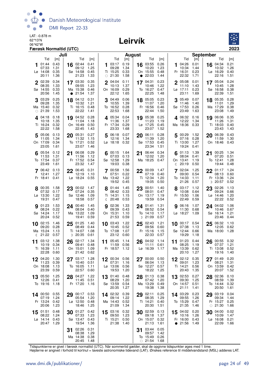

## Leirvík



|                                                                                               | Juli                                                                                           |                                                                                           | August                                                                                         | <b>September</b>                                                                  |                                                                                      |  |  |
|-----------------------------------------------------------------------------------------------|------------------------------------------------------------------------------------------------|-------------------------------------------------------------------------------------------|------------------------------------------------------------------------------------------------|-----------------------------------------------------------------------------------|--------------------------------------------------------------------------------------|--|--|
| Tid<br>[m]<br>0.43<br>01:44<br>07:33<br>1.31<br>0.35<br>$L\varnothing$ 14:08<br>1.36<br>20:11 | Tid<br>[m]<br>16 02:44<br>0.41<br>09:12<br>1.25<br>Sø 14:58<br>0.45<br>21:23<br>1.33           | Tid<br>[m]<br>0.19<br>03:17<br>09:28<br>1.34<br>Ti 15:25<br>0.33<br>$\circ$ 21:30<br>1.58 | Tid<br>[m]<br>0.26<br>16 03:55<br>10:20<br>1.23<br>On 15:55<br>0.48<br>$\bullet$ 22:03<br>1.44 | Tid<br>[m]<br>04:26<br>0.01<br>10:34<br>1.44<br>Fr 16:31<br>0.23<br>22:32<br>1.71 | Tid<br>[m]<br>16 04:34<br>0.21<br>10:32<br>1.26<br>Lø 16:29<br>0.40<br>22:16<br>1.51 |  |  |
| 2 02:39<br>0.34<br>08:35<br>1.33<br>0.33<br>Sø 14:55<br>20:56<br>1.45                         | 17 03:30<br>0.35<br>09:55<br>1.23<br>Ma 15:38<br>0.46<br>$\bullet$ 21:54<br>1.37               | $\overline{2}$<br>04:04<br>0.11<br>10:13<br>1.37<br>On 16:09<br>0.29<br>22:12<br>1.65     | 0.23<br>17 04:31<br>1.22<br>10:46<br>To 16:27<br>0.47<br>22:25<br>1.48                         | 2 05:08<br>0.01<br>11:10<br>1.43<br>0.23<br>Lø 17:11<br>23:11<br>1.69             | 17 05:04<br>0.24<br>1.28<br>10:45<br>Sø 16:58<br>0.38<br>22:39<br>1.51               |  |  |
| 3 03:29<br>0.25<br>09:28<br>1.35<br>Ma 15:40<br>0.32<br>$\circ$ 21:39<br>1.53                 | 18 04:12<br>0.31<br>10:32<br>1.21<br>Ti 16:15<br>0.48<br>22:22<br>1.41                         | 04:49<br>0.06<br>3<br>10:55<br>1.39<br>To 16:52<br>0.28<br>22:53<br>1.68                  | 18 05:05<br>0.23<br>11:07<br>1.20<br>Fr 16:56<br>0.46<br>22:44<br>1.50                         | 05:49<br>0.07<br>11:46<br>1.40<br>Sø 17:53<br>0.26<br>23:49<br>1.63               | 18 05:35<br>0.28<br>1.29<br>11:01<br>Ma 17:29<br>0.38<br>23:08<br>1.49               |  |  |
| 4.04:18<br>0.18<br>1.35<br>10:18<br>Ti 16:24<br>0.32<br>22:22<br>1.58                         | 19 04:52<br>0.28<br>11:04<br>1.18<br>On 16:49<br>0.50<br>22:45<br>1.43                         | 405:34<br>0.04<br>11:36<br>1.37<br>Fr 17:34<br>0.29<br>23:33<br>1.68                      | 19 05:38<br>0.25<br>11:23<br>1.19<br>Lø 17:25<br>0.45<br>23:07<br>1.52                         | 406:32<br>0.16<br>12:22<br>1.34<br>Ma 18:36 0.33                                  | 19 06:06<br>0.35<br>11:26<br>1.31<br>Ti 18:03<br>0.40<br>23:43<br>1.43               |  |  |
| 05:06<br>0.13<br>11:05<br>1.34<br>On 17:09<br>0.34<br>23:05<br>1.61                           | 20 05:31<br>0.27<br>11:32<br>1.15<br>To 17:21<br>0.52<br>23:07<br>1.46                         | 06:18<br>0.07<br>5<br>12:16<br>1.34<br>Lø 18:18<br>0.32                                   | 06:11<br>0.28<br>20<br>11:39<br>1.20<br>Sø 17:53<br>0.45<br>23:34<br>1.51                      | 00:29 1.52<br>07:16<br>0.28<br>Ti 13:00<br>1.27<br>19:24<br>0.41                  | 20 06:39<br>0.43<br>11:59<br>1.30<br>On 18:46<br>0.43                                |  |  |
| 6 $05:54$<br>0.12<br>11:53<br>1.31<br>To 17:54<br>0.37<br>23:49<br>1.61                       | 06:08<br>0.29<br>21<br>11:56<br>1.12<br>Fr 17:52<br>0.54<br>23:32<br>1.47                      | 00:15 1.64<br>6<br>07:03<br>0.13<br>Sø 12:58<br>1.29<br>19:03<br>0.38                     | 06:44<br>0.34<br>21<br>12:02<br>1.20<br>Ma 18:25<br>0.47                                       | $6^{01:13}$<br>1.39<br>08:04<br>0.41<br>On 13:41<br>1.19<br>20:19<br>0.50<br>ℂ    | 00:25<br>- 1.34<br>21<br>07:20<br>0.51<br>1.28<br>To 12:41<br>19:44<br>0.48          |  |  |
| 7 06:42<br>0.13<br>1.27<br>12:41<br>Fr 18:41<br>0.41                                          | 06:45<br>22<br>0.31<br>12:19<br>1.10<br>Lø 18:24<br>0.55                                       | 1.56<br>00:58<br>0.22<br>07:51<br>Ma 13:42<br>1.22<br>19:52<br>0.45                       | $22^{00:09}$<br>1.47<br>07:19<br>0.40<br>1.20<br>Ti 12:34<br>19:05<br>0.50                     | 02:04<br>1.25<br>7<br>09:00<br>0.54<br>To 14:33<br>1.11<br>21:26<br>0.57          | 1.24<br>22<br>01:17<br>08:13<br>0.60<br>1.24<br>Fr 13:36<br>$D$ 20:57<br>0.52        |  |  |
| 8 00:35<br>1.58<br>07:32<br>0.17<br>Lø 13:30<br>1.22<br>19:31<br>0.47                         | $23\ \frac{00:02}{27} \ \frac{1.47}{27}$<br>07:24<br>0.35<br>1.09<br>Sø 12:46<br>18:58<br>0.57 | 8 01:44<br>1.45<br>08:42<br>0.33<br>Ti 14:31<br>1.15<br>(20:48)<br>0.53                   | 23 00:51<br>1.40<br>08:01<br>0.47<br>On 13:17<br>1.19<br>0.54<br>19:59                         | 8 03:17<br>1.12<br>10:08<br>0.64<br>Fr 15:50<br>1.06<br>22:49<br>0.59             | 23 02:26<br>1.13<br>09:24<br>0.66<br>$L\varnothing$ 14:46<br>1.20<br>0.52<br>22:22   |  |  |
| 1.53<br><b>9</b> 01:23<br>08:24<br>0.22<br>Sø 14:24<br>1.17<br>20:24<br>0.52                  | 24 00:40<br>1.45<br>08:04<br>0.40<br>Ma 13:22<br>1.09<br>19:41<br>0.59                         | 1.33<br>02:36<br>9<br>09:39<br>0.43<br>On 15:31<br>1.10<br>21:53<br>0.59                  | 1.31<br>24 01:41<br>08:52<br>0.54<br>To 14:10<br>1.17<br>$D$ 21:09<br>0.57                     | 06:16<br>1.07<br>9<br>11:30<br>0.68<br>Lø 18:27<br>1.09                           | 24 04:02<br>1.06<br>10:46<br>0.67<br>Sø 16:14<br>1.21<br>23:46<br>0.44               |  |  |
| 10 $02:15$<br>1.46<br>0.28<br>09:20<br>Ma 15:24<br>1.13<br>21:22<br>0.57<br>ℂ                 | 25 01:25<br>1.40<br>08:49<br>0.44<br>Ti 14:07<br>1.08<br>D 20:35<br>0.61                       | 1.22<br>$10^{03:43}$<br>10:45<br>0.52<br>To 17:08<br>1.07<br>23:12<br>0.60                | 25 02:43<br>1.21<br>0.60<br>09:56<br>Fr 15:16<br>1.15<br>22:33<br>0.57                         | 10 00:17 0.54<br>07:38<br>1.13<br>Sø 12:44<br>0.66<br>19:29<br>1.18               | $25^{06:32}$<br>1.10<br>12:05<br>0.62<br>Ma 18:00 1.28                               |  |  |
| 03:12<br>1.38<br>11<br>0.34<br>10:19<br>Ti 16:39<br>1.11<br>22:28<br>0.60                     | 02:17<br>1.34<br>26<br>09:41<br>0.48<br>On 15:01<br>1.09<br>21:42 0.62                         | 05:45<br>1.14<br>11<br>11:59<br>0.56<br>Fr 18:57<br>1.12                                  | 04:02<br>1.14<br>26<br>11:11<br>0.61<br>Lø 16:39<br>1.17                                       | 01:23<br>0.44<br>11<br>08:25<br>1.19<br>Ma 13:39<br>0.62<br>20:10<br>1.27         | 0.32<br>00:55<br>26<br>07:37<br>1.21<br>0.52<br>Ti 13:08<br>19:16<br>1.40            |  |  |
| 04:20<br>1.30<br>12<br>11:23<br>0.39<br>On 18:08<br>1.13<br>23:39<br>0.59                     | 03:17 1.28<br>27<br>10:40<br>0.51<br>To 16:05<br>1.11<br>22:57<br>0.60                         | 00:34 0.56<br>$\overline{2}$<br>07:31<br>1.16<br>Lø 13:06<br>0.56<br>19:53<br>1.20        | 00:00<br>0.50<br>27<br>06:04<br>1.13<br>Sø 12:27<br>0.57<br>18:22<br>1.25                      | $12^{02:12}$<br>0.35<br>1.23<br>09:01<br>Ti 14:21<br>0.56<br>20:43<br>1.35        | 27 01:49<br>0.20<br>1.31<br>08:21<br>On 13:59<br>0.42<br>20:07<br>1.52               |  |  |
| 13 05:50<br>1.25<br>12:26<br>0.41<br>To 19:16<br>1.18                                         | 04:27<br>1.22<br>28<br>11:45 0.51<br>Fr 17:20<br>1.16                                          | 0.48<br>01:40<br>13<br>08:29<br>1.20<br>Sø 13:59<br>0.54<br>20:35<br>1.27                 | 0.38<br>28 01:13<br>07:42<br>1.20<br>Ma 13:29<br>0.49<br>19:38<br>1.38                         | 13 02:53<br>0.27<br>09:30<br>1.25<br>On 14:57<br>0.51<br>21:11<br>1.41            | 02:36<br>0.10<br>28<br>08:59<br>1.39<br>To 14:44<br>0.32<br>20:50<br>1.61            |  |  |
| 14 00:50<br>0.55<br>07:19<br>1.24<br>Fr 13:24<br>0.42<br>20:06<br>1.23                        | 29 00:17<br>0.53<br>05:54<br>1.20<br>$L\varnothing$ 12:50<br>0.48<br>18:46<br>1.25             | 0.39<br><b>14</b> 02:32<br>09:14<br>1.22<br>0.52<br>Ma 14:43<br>1.34<br>21:09             | 29 02:11<br>0.25<br>1.29<br>08:35<br>Ti 14:21<br>0.40<br>20:30<br>1.51                         | 14 03:29<br>0.23<br>09:55<br>1.26<br>To 15:29<br>0.47<br>21:35<br>1.46            | 29 03:19<br>0.04<br>09:34<br>1.44<br>Fr 15:27<br>0.25<br>$\circ$ 21:30<br>1.66       |  |  |
| 01:51<br>0.48<br>15<br>08:22<br>1.24<br>Lø 14:14<br>0.43<br>20:47 1.29                        | 01:27<br>0.42<br>30<br>1.23<br>07:33<br>0.43<br>Sø 13:47<br>19:54<br>1.36                      | 03:16<br>0.32<br>15<br>09:50<br>1.23<br>Ti 15:21<br>0.50<br>21:38<br>1.40                 | 30 02:59<br>0.13<br>09:18<br>1.37<br>On 15:07<br>0.32<br>21:13<br>1.61                         | 04:02 0.20<br>15<br>10:16<br>1.26<br>Fr 16:00 0.43<br>21:56<br>1.49               | 04:00<br>0.02<br>30<br>10:09<br>1.47<br>0.21<br>Lø 16:08<br>22:09<br>1.66            |  |  |
|                                                                                               | 02:26<br>0.31<br>31<br>08:38<br>1.29<br>Ma 14:38 0.38<br>20:45 1.48                            |                                                                                           | 31 03:44<br>0.05<br>09:57<br>1.42<br>To 15:49 0.26<br>$\circ$ 21:54 1.68                       |                                                                                   |                                                                                      |  |  |

Tidspunkterne er givet i færøsk normaltid (UTC). Når sommertid gælder, skal de opgivne tidspunkter øges med 1 time.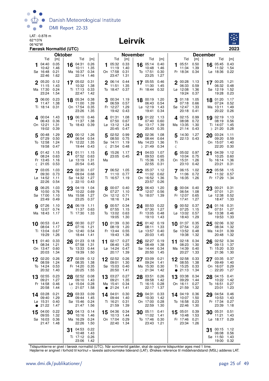

#### Leirvík



|    |                             | Færøsk Normaltid (UTC) |                |                                |              |           |                                        |              |                 |                             |              |         |                             |              |                 |                           | 2023         |
|----|-----------------------------|------------------------|----------------|--------------------------------|--------------|-----------|----------------------------------------|--------------|-----------------|-----------------------------|--------------|---------|-----------------------------|--------------|-----------------|---------------------------|--------------|
|    |                             |                        | <b>Oktober</b> |                                |              |           |                                        |              | <b>November</b> |                             |              |         |                             |              | <b>December</b> |                           |              |
| 1  | Tid<br>04:40                | [m]<br>0.05            |                | Tid<br>16 $04:31$              | [m]<br>0.26  |           | Tid<br>1 05:32 0.33                    | [m]          |                 | Tid<br>16 $05:14$           | [m]<br>0.40  |         | Tid<br><b>1</b> 05:51       | [m]<br>0.50  |                 | Tid<br>16 $05:45$         | [m]<br>0.43  |
|    | 10:42                       | 1.46                   |                | 10:11                          | 1.35         |           | 11:19                                  | 1.40         |                 | 10:48                       | 1.46         |         | 11:34                       | 1.39         |                 | 11:32                     | 1.54         |
|    | Sø 16:48<br>22:46           | 0.21<br>1.62           |                | Ma 16:37<br>22:14              | 0.34<br>1.46 |           | On 17:58<br>23:47                      | 0.31<br>1.31 |                 | To 17:51<br>23:25           | 0.30<br>1.27 |         | Fr 18:34 0.34               |              |                 | Lø 18:36                  | 0.22         |
|    | 2 05:20                     | 0.12                   |                | 17 05:02                       | 0.31         |           | 2 06:14 0.44                           |              |                 | 17 05:55                    | 0.46         |         | $2^{00:28}$                 | 1.13         |                 | $17^{00:25}$              | - 1.21       |
|    | 11:15<br>Ma 17:30           | 1.43<br>0.24           |                | 10:32<br>Ti 17:13              | 1.38<br>0.33 |           | 11:51<br>To 18:47 0.37                 | 1.35         |                 | 11:30<br>Fr 18:44           | 1.45<br>0.32 |         | 06:33<br>Lø 12:08           | 0.59<br>1.36 |                 | 06:32<br>Sø 12:19         | 0.48<br>1.52 |
|    | 23:24                       | 1.54                   |                | 22:47                          | 1.42         |           |                                        |              |                 |                             |              |         | 19:24                       | 0.37         |                 | 19:28                     | 0.23         |
|    | 06:00<br>11:47              | 0.23<br>1.38           |                | 18 05:34<br>11:00              | 0.38<br>1.39 |           | $3\ \frac{00:34}{00.75}$ 1.19<br>06:59 | 0.57         |                 | 18 00:19 1.20<br>06:43      | 0.54         |         | 01:18<br>07:18 0.66         | 1.05         |                 | 18 01:20<br>07:24         | 1.17<br>0.52 |
|    | Ti 18:14 0.31               |                        |                | On 17:54                       | 0.35         |           | Fr 12:27                               | 1.29         |                 | $L\varnothing$ 12:19        | 1.43         |         | Sø 12:47                    | 1.33         |                 | Ma 13:11                  | 1.49         |
|    |                             |                        |                | 23:26                          | 1.35         |           | 19:42 0.43                             |              |                 | 19:41                       | 0.34         |         | 20:18                       | 0.41         |                 | 20:22                     | 0.26         |
|    | 4 00:04 1.43<br>06:43       | 0.36                   |                | 19 06:10<br>11:37              | 0.46<br>1.38 |           | 4 01:31<br>07:50                       | 1.08<br>0.67 |                 | 19 01:22<br>07:40           | 1.13<br>0.60 |         | 4 02:15 0.99<br>08:08       | 0.72         |                 | 19 02:19<br>08:19         | 1.13<br>0.56 |
|    | On 12:21<br>19:02           | 1.31<br>0.39           |                | To 18:43 0.39                  |              |           | $L\varnothing$ 13:12<br>20:45          | 1.24<br>0.47 |                 | Sø 13:17<br>20:43           | 1.39<br>0.35 |         | Ma 13:35<br>21:14 0.43      | 1.30         |                 | Ti 14:07<br>$D$ 21:20     | 1.45<br>0.28 |
|    | 5 00:48                     | 1.29                   |                | 20 00:12 1.26                  |              |           | 5 02:52 0.99                           |              |                 | 20 02:36                    | 1.08         | 5       | 14:30 1.27                  |              | 20              | 03:24                     | 1.11         |
|    | 07:29                       | 0.50                   |                | 06:54                          | 0.54         |           | 08:50                                  | 0.75         |                 | 08:44                       | 0.64         |         | 22:13 0.43                  |              |                 | 09:20                     | 0.59         |
|    | To 12:58<br>19:58           | 1.24<br>0.47           |                | Fr 12:22<br>19:44              | 1.35<br>0.43 |           | Sø 14:11<br>$\binom{21:54}{0.48}$      | 1.19         |                 | Ma 14:23<br>$D$ 21:49       | 1.36<br>0.34 | Τi<br>ℂ |                             |              |                 | On 15:07<br>22:20         | 1.40<br>0.30 |
|    | 01:42                       | 1.15                   | 21             | 01:11                          | 1.15         | 6         | 15:26 1.17                             |              | 21              | 04:03                       | 1.07         |         | 05:02 0.97                  |              | 21              | 04:39                     | 1.12         |
|    | 08:24<br>Fr 13:45           | 0.63<br>1.16           |                | 07:52<br>$L\sigma$ 13:19       | 0.63<br>1.31 | Ma        | 23:05 0.45                             |              |                 | 09:53<br>Ti 15:36           | 0.65<br>1.35 |         | 10:04<br>On 15:31           | 0.75<br>1.26 |                 | 10:25<br>To 16:14         | 0.60<br>1.36 |
|    | $\binom{21:05}{ }$          | 0.53                   |                | 20:54                          | 0.45         |           |                                        |              |                 | 22:55                       | 0.31         |         | 23:10 0.42                  |              |                 | 23:21                     | 0.31         |
|    | 7 03:05<br>09:30            | 1.03<br>0.73           |                | 22 02:30<br>09:04              | 1.07<br>0.68 |           | 7 06:52 1.05<br>11:10 0.77             |              |                 | 22 05:37<br>11:02           | 1.12<br>0.62 |         | 7 06:15<br>11:06 0.72       | 1.02         |                 | 22 05:58<br>11:32         | 1.15<br>0.57 |
|    | Lø 14:52                    | 1.11                   |                | Sø 14:32                       | 1.27         |           | Ti 16:57 1.19                          |              |                 | On 16:52                    | 1.36         |         | To 16:35 1.26               |              |                 | Fr 17:29                  | - 1.34       |
|    | 22:26                       | 0.54                   |                | $D$ 22:10                      | 0.43         |           |                                        |              |                 | 23:57                       | 0.26         |         |                             |              |                 |                           |              |
|    | 8 06:25<br>10:50            | 1.03<br>0.76           | 23             | 04:19<br>10:22                 | 1.04<br>0.69 |           | 00:07 0.40<br>07:27                    | 1.10         |                 | 23 06:43<br>12:07           | 1.20<br>0.56 |         | 8 00:04 0.40<br>06:54       | 1.08         |                 | 23 00:21<br>07:01         | 0.31<br>1.21 |
|    | Sø 17:00<br>23:49           | 1.10<br>0.49           |                | Ma 15:58<br>23:25              | 1.27<br>0.37 |           | On 12:12 0.71<br>18:16                 | 1.24         |                 | To 18:07 1.39               |              |         | Fr 12:07<br>17:41           | 0.65<br>1.27 |                 | Lø 12:38<br>18:47         | 0.52<br>1.33 |
|    | 9 07:26                     | 1.10                   |                | 24 06:19                       | 1.11         |           | <b>g</b> 00:57 0.34                    |              |                 | 24 00:53                    | 0.22         |         | 90:52                       | 0.37         |                 | 24 01:16                  | 0.31         |
|    | 12:07<br>Ma 18:43           | 0.74<br>1.17           |                | 11:37<br>Ti 17:30              | 0.63<br>1.33 |           | 07:55<br>To 13:02                      | 1.15<br>0.63 |                 | 07:30<br>Fr 13:05           | 1.27<br>0.48 |         | 07:25<br>Lø 13:02           | 1.15<br>0.57 |                 | 07:51<br>Sø 13:38         | 1.27<br>0.46 |
|    |                             |                        |                |                                |              |           | 19:05                                  | 1.30         |                 | 19:10                       | 1.43         |         | 18:43                       | 1.29         |                 | 19:53                     | 1.33         |
|    | $10$ 00:53                  | 0.41                   | 25             | 00:30 0.27                     |              |           | 10 01:39                               | 0.30         | 25              | 01:42                       | 0.19         | 10      | 01:37                       | 0.35         | 25              | 02:06                     | 0.32         |
|    | 08:04<br>Ti 13:04           | 1.17<br>0.67           |                | 07:16<br>On 12:40              | 1.21<br>0.54 |           | 08:19<br>Fr 13:44                      | 1.20<br>0.55 |                 | 08:11<br>Lø 13:57           | 1.33<br>0.40 |         | 07:54<br>Sø 13:52           | 1.22<br>0.48 |                 | 08:34<br>Ma 14:31         | 1.32<br>0.39 |
|    | 19:29                       | 1.26                   |                | 18:44                          | 1.41         |           | 19:43                                  | 1.36         |                 | 20:03                       | 1.45         |         | 19:38                       | 1.32         |                 | 20:48                     | 1.32         |
|    | 11 01:40<br>08:34           | 0.33<br>1.21           |                | $26$ $^{01:23}_{-22}$<br>07:58 | 0.18<br>1.31 |           | 11 02:17 0.27<br>08:40                 | 1.25         |                 | $26^{02:27}$<br>08:49       | 0.19<br>1.38 |         | 11 02:18 0.34<br>08:23 1.30 |              |                 | 26 02:52<br>09:13         | 0.34<br>1.37 |
|    | On 13:47 0.60<br>20:03 1.34 |                        |                | To 13:33 0.44<br>19:39         | 1.50         |           | Lø 14:24 0.47<br>20:17 1.39            |              |                 | Sø 14:44 0.34<br>20:50 1.45 |              |         | Ma 14:39 0.40<br>20:27 1.33 |              |                 | Ti 15:20 0.33<br>21:36    | 1.30         |
|    | 02:20                       | 0.26                   |                | 27 02:09                       | 0.12         |           | 12 02:52 0.26                          |              |                 | 27 03:09                    | 0.21         |         | 12 02:58                    | 0.33         |                 | 27 03:35                  | 0.37         |
|    | 08:59                       | 1.24                   |                | 08:35                          | 1.38         |           | 09:01                                  | 1.30         |                 | 09:24                       | 1.41         |         | 08:55                       | 1.38         |                 | 09:49                     | 1.40         |
|    | To 14:24<br>20:32           | 0.53<br>1.40           |                | Fr 14:20<br>20:25              | 0.35<br>1.55 |           | Sø 15:03<br>20:50                      | 0.40<br>1.41 |                 | Ma 15:30<br>$\circ$ 21:34   | 0.30<br>1.42 |         | Ti 15:25<br>$\bullet$ 21:13 | 0.33<br>1.34 |                 | On 16:07<br>$\circ$ 22:20 | 0.29<br>1.27 |
|    | 13 02:55                    | 0.23                   |                | 28 02:52                       | 0.08         |           | 13 03:27                               | 0.27         |                 | 28 03:51                    | 0.26         |         | 13 03:38                    | 0.34         |                 | 28 04:15                  | 0.41         |
|    | 09:21<br>Fr 14:58           | 1.27<br>0.46           |                | 09:10<br>Lø 15:04              | 1.43<br>0.28 |           | 09:21<br>Ma 15:41                      | 1.35<br>0.34 |                 | 09:58<br>Ti 16:15           | 1.42<br>0.28 |         | 09:29<br>On 16:11           | 1.44<br>0.27 |                 | 10:22<br>To 16:51         | 1.42<br>0.27 |
|    | 20:58                       | 1.44                   |                | $\circ$ 21:07                  | 1.58         | $\bullet$ | 21:24                                  | 1.41         |                 | 22:17                       | 1.37         |         | 21:59                       | 1.32         |                 | 23:01                     | 1.23         |
|    | 14 03:28<br>09:40           | 0.21<br>1.29           | 29             | 03:33<br>09:44                 | 0.09<br>1.45 |           | 14 04:01<br>09:44                      | 0.30<br>1.40 |                 | 29 04:31<br>10:30           | 0.33<br>1.42 |         | 14 04:19<br>10:07           | 0.36<br>1.50 |                 | 29 04:54<br>10:53         | 0.46<br>1.43 |
|    | Lø 15:31                    | 0.40                   |                | Sø 15:46                       | 0.24         |           | Ti 16:21                               | 0.31         |                 | On 17:00                    | 0.28         |         | To 16:58                    | 0.23         |                 | Fr 17:34                  | 0.27         |
|    | • 21:22                     | 1.47                   |                | 21:47                          | 1.56         |           | 21:59                                  | 1.39         |                 | 22:59                       | 1.30         |         | 22:46                       | 1.30         |                 | 23:39                     | 1.18<br>0.51 |
| 15 | 04:00<br>09:55              | 0.22<br>1.32           |                | 30 04:13<br>10:16              | 0.14<br>1.46 |           | 15 04:36 0.34<br>10:13                 | 1.44         |                 | 30 05:11<br>11:02           | 0.41<br>1.41 |         | 15 05:01<br>10:48           | 0.39<br>1.53 |                 | 30 05:31<br>11:21         | 1.43         |
|    | Sø 16:03<br>21:47           | 0.36<br>1.48           |                | Ma 16:29<br>22:26              | 0.24<br>1.50 |           | On 17:04 0.29<br>22:40                 | 1.34         |                 | To 17:46<br>23:43 1.21      | 0.30         |         | Fr 17:46<br>23:34           | 0.21<br>1.26 |                 | Lø 18:17 0.29             |              |
|    |                             |                        | 31             | 04:53                          | 0.22         |           |                                        |              |                 |                             |              |         |                             |              | 31              | 00:15                     | 1.12         |
|    |                             |                        |                | 10:48<br>Ti 17:12 0.26         | 1.43         |           |                                        |              |                 |                             |              |         |                             |              |                 | 06:08<br>Sø 11:50         | 0.56<br>1.43 |
|    |                             |                        |                | 23:06                          | 1.42         |           |                                        |              |                 |                             |              |         |                             |              |                 | 19:00 0.32                |              |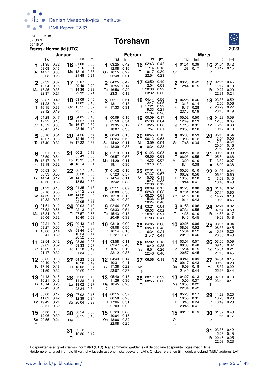

#### 06°46'W **Tórshavn**



|    |                                                   | Januar                       |    |                                                 |                                      |    | <b>Februar</b>                                |                              |         |                                                 | <b>Marts</b>                         |         |                                                 |                              |                 |                                                    |                                      |
|----|---------------------------------------------------|------------------------------|----|-------------------------------------------------|--------------------------------------|----|-----------------------------------------------|------------------------------|---------|-------------------------------------------------|--------------------------------------|---------|-------------------------------------------------|------------------------------|-----------------|----------------------------------------------------|--------------------------------------|
|    | Tid                                               | [m]                          |    | Tid                                             | [m]                                  |    | Tid                                           | [m]                          |         | Tid                                             | [m]                                  |         | Tid                                             | [m]                          |                 | Tid                                                | [m]                                  |
| 1  | 01:35<br>09:08<br>Sø 14:27<br>22:03               | 0.32<br>0.16<br>0.38<br>0.23 |    | 16 01:00<br>07:16<br>Ma 13:16<br>21:48          | 0.33<br>0.21<br>0.35<br>0.21         | 1  | 03:25<br>12:08<br>On 16:15<br>22:48           | 0.42<br>0.16<br>0.27<br>0.21 |         | 16 02:43<br>11:14<br>To 19:17<br>22:54          | 0.42<br>0.13<br>0.30<br>0.23         | 1<br>On | 01:51<br>11:58 0.17                             | 0.39                         | 16<br>To        | 01:04<br>10:17                                     | 0.42<br>0.15                         |
|    | 2 02:39<br>10:24<br>Ma 15:25<br>22:37             | 0.37<br>0.15<br>0.35<br>0.21 |    | 17 02:07<br>09:49<br>Ti 14:36<br>22:32          | 0.36<br>0.20<br>0.33<br>0.21         |    | 2 04:25<br>12:55<br>To 16:56<br>23:31         | 0.47<br>0.14<br>0.29<br>0.18 |         | 17 03:50<br>12:04<br>Fr 20:38<br>23:32          | 0.49<br>0.08<br>0.29<br>0.20         | To      | 03:28 0.42<br>12:44 0.15                        |                              |                 | 17 02:25 0.46<br>11:17<br>Fr 19:27<br>22:31        | 0.10<br>0.29<br>0.24                 |
|    | 03:37<br>11:28<br>Ti 16:15<br>23:12               | 0.42<br>0.14<br>0.33<br>0.19 |    | 18 03:09<br>11:02<br>On 15:51<br>23:11          | 0.40<br>0.16<br>0.32<br>0.20         | 3  | 05:11<br>13:11<br>Fr 17:33                    | 0.51<br>0.13<br>0.31         |         | 18 04:44<br>12:47<br>Lø 17:21<br>19:33<br>21:34 | 0.56<br>0.05<br>0.29<br>0.21<br>0.26 |         | 3 04:25 0.46<br>13:13<br>Fr 16:47<br>23:15      | 0.14<br>0.28<br>0.19         |                 | 18 03:35<br>12:00<br>Lø 20:29<br>23:13             | 0.52<br>0.06<br>0.27<br>0.19         |
|    | $4^{04:29}$<br>12:22<br>On 16:59<br>23:47         | 0.47<br>0.13<br>0.33<br>0.17 |    | 19 04:05<br>11:57<br>To 16:47<br>23:46          | 0.46<br>0.11<br>0.32<br>0.19         |    | 400:090.16<br>05:50<br>Lø 13:35<br>18:07      | 0.54<br>0.12<br>0.33         |         | 19 00:09<br>05:30<br>Sø 13:25<br>17:57          | 0.17<br>0.64<br>0.03<br>0.31         |         | 405:020.50<br>12:49<br>Lø 17:16<br>23:53        | 0.13<br>0.31<br>0.16         | 19              | 04:29<br>12:35<br>Sø 16:59<br>19:17                | 0.59<br>0.05<br>0.30<br>0.19         |
|    | 5 05:16<br>13:07<br>To 17:40                      | 0.51<br>0.13<br>0.32         | 20 | 04:56<br>12:46<br>Fr 17:32                      | 0.54<br>0.07<br>0.32                 | 5  | 00:43<br>06:24<br>Sø 14:02<br>$\circ$ 18:39   | 0.13<br>0.56<br>0.11<br>0.35 | 20      | 00:45<br>06:13<br>Ma 13:59<br>• $18:34$         | 0.12<br>0.68<br>0.04<br>0.33         | 5       | 05:33<br>13:06<br>Sø 17:45 0.34                 | 0.53<br>0.12                 | 20              | 05:13<br>13:04<br>Ma 17:34<br>20:04<br>21:53       | 0.64<br>0.05<br>0.34<br>0.16<br>0.22 |
|    | $6^{00:21}$<br>05:59<br>Fr 13:47<br>$\circ$ 18:19 | 0.15<br>0.54<br>0.13<br>0.32 | 21 | 00:21<br>05:43<br>$L\varnothing$ 13:31<br>18:14 | 0.18<br>0.60<br>0.04<br>0.31         | 6  | 01:13<br>06:57<br>Ma 14:29<br>19:11           | 0.11<br>0.57<br>0.11<br>0.36 |         | 21 01:23<br>06:55<br>Ti 14:33<br>19:10          | 0.08<br>0.69<br>0.07<br>0.35         | 6       | 00:25<br>06:03<br>Ma 13:29<br>18:14             | 0.13<br>0.55<br>0.10<br>0.38 | 21<br>$\bullet$ | 00:29<br>05:54<br>Ti 13:32<br>18:09                | 0.08<br>0.66<br>0.07<br>0.38         |
|    | 00:53<br>06:39<br>Lø 14:24<br>18:56               | 0.14<br>0.56<br>0.12<br>0.33 | 22 | 00:57<br>06:28<br>Sø 14:15<br>18:53             | 0.16<br>0.66<br>0.04<br>0.30         |    | 7 01:42<br>07:29<br>Ti 14:54<br>19:42         | 0.10<br>0.57<br>0.11<br>0.38 | 22      | 02:01<br>07:37<br>On 15:05<br>19:47<br>22:36    | 0.05<br>0.67<br>0.11<br>0.38<br>0.12 |         | 7 00:55<br>06:32<br>Ti 13:53<br>$\circ$ 18:44   | 0.10<br>0.56<br>0.10<br>0.41 | 22              | 01:07<br>06:34<br>On 13:59<br>18:45                | 0.04<br>0.65<br>0.10<br>0.43         |
|    | 01:23<br>07:16<br>Sø 14:59<br>19:32               | 0.13<br>0.56<br>0.12<br>0.33 |    | 23 01:35<br>07:12<br>Ma 14:58<br>19:32<br>22:05 | 0.13<br>0.69<br>0.05<br>0.30<br>0.11 |    | 02:11<br>08:00<br>On 15:18<br>20:14           | 0.09<br>0.56<br>0.12<br>0.39 | 23      | 00:09<br>02:40<br>To 08:20<br>15:36<br>20:24    | 0.17<br>0.03<br>0.61<br>0.16<br>0.40 | 8       | 01:23<br>07:01<br>On 14:15<br>19:14             | 0.08<br>0.56<br>0.10<br>0.43 | 23              | 01:45<br>07:14<br>To 14:27<br>19:22                | 0.02<br>0.60<br>0.13<br>0.46         |
|    | 01:51<br>07:52<br>Ma 15:34<br>20:06               | 0.12<br>0.56<br>0.13<br>0.32 |    | 24 00:03<br>02:13<br>Ti 07:57<br>15:40          | 0.19<br>0.10<br>0.68<br>0.09         |    | 02:44<br>08:33<br>To 15:43<br>20:49           | 0.08<br>0.54<br>0.13<br>0.39 |         | 24 03:21<br>09:03<br>Fr 16:07<br>21:03          | 0.04<br>0.52<br>0.21<br>0.41         | 9       | 01:53<br>07:31<br>To 14:38<br>19:45             | 0.06<br>0.55<br>0.10<br>0.45 |                 | 24 02:24<br>07:54<br>Fr 14:53<br>19:59             | 0.02<br>0.53<br>0.17<br>0.48         |
|    | 10 02:21<br>08:27<br>Ti 16:06<br>20:41            | 0.12<br>0.55<br>0.14<br>0.32 | 25 | 00:43<br>02:53<br>On 08:44<br>16:24<br>20:52    | 0.17<br>0.08<br>0.64<br>0.14<br>0.30 |    | 10 03:19<br>09:08<br>Fr 16:14<br>21:27        | 0.09<br>0.50<br>0.16<br>0.39 |         | 25 04:05<br>09:49<br>Lø 16:34<br>21:47          | 0.08<br>0.43<br>0.24<br>0.41         |         | 10 02:26<br>08:03<br>Fr 15:04<br>20:19          | 0.06<br>0.52<br>0.12<br>0.46 | 25              | 03:05<br>08:33<br>Lø 15:17<br>20:38                | 0.04<br>0.45<br>0.20<br>0.48         |
| 11 | 02:54<br>09:02<br>On 16:39<br>21:17 0.32          | 0.12<br>0.52<br>0.16         | 26 | 03:36<br>09:33<br>To 17:10<br>21:34             | 0.08<br>0.57<br>0.19<br>0.32         | 11 | 03:58<br>09:47<br>Lø 16:51<br>22:12 0.38      | 0.11<br>0.46<br>0.19         | 26      | 05:02<br>10:40<br>Sø 16:51<br>22:46             | 0.13<br>0.35<br>0.26<br>0.40         | 11      | 03:01<br>08:38<br>Lø 15:34<br>20:57             | 0.07<br>0.48<br>0.15<br>0.45 | 26              | 03:50<br>09:13<br>Sø 15:34<br>21:19 0.46           | 0.09<br>0.37<br>0.21                 |
|    | 03:32 0.13<br>09:40<br>To 17:16<br>21:59          | 0.49<br>0.18<br>0.32         |    | 04:23<br>10:26<br>Fr 18:02 0.24<br>22:25        | 0.09<br>0.49<br>0.33                 |    | 04:43 0.14<br>10:31<br>Sø 17:38<br>23:07 0.37 | 0.41<br>0.22                 | Ma<br>D | 27 06:56 0.18                                   |                                      |         | $12^{03.41}$<br>09:17<br>Sø 16:09<br>21:40 0.44 | 0.09<br>0.43<br>0.18         |                 | 04:54<br>09:52<br>Ma 15:37<br>22:13                | 0.15<br>0.29<br>0.22<br>0.44         |
|    | 13 04:13<br>10:21<br>Fr 18:14 0.20<br>22:49       | 0.15<br>0.46<br>0.31         |    | 28 05:22<br>11:28<br>Lø 19:02 0.27<br>D 23:34   | 0.13<br>0.41<br>0.34                 | ℭ  | 13 05:40<br>11:26<br>Ma 18:45 0.25            | 0.18<br>0.36                 | Τi      | $28\substack{00:17\\0.39}$<br>08:56 0.20        |                                      |         | 13 04:27<br>10:00<br>Ma 16:50 0.22<br>22:34     | 0.13<br>0.37<br>0.42         | Τi              | 28 07:01<br>23:44 0.41                             | 0.19                                 |
|    | 14 05:00<br>11:09<br>Lø 19:49<br>23:51            | 0.17<br>0.42<br>0.21<br>0.32 | 29 | 07:02<br>12:39<br>Sø 20:04                      | 0.16<br>0.34<br>0.28                 |    | 14 00:15 0.37<br>06:58<br>Ti 17:06<br>21:03   | 0.20<br>0.31<br>0.26         |         |                                                 |                                      |         | 14 05:28<br>10:56 0.31<br>Ti 13:40<br>23:45     | 0.17<br>0.24<br>0.41         | 29<br>D         | 11:23<br>13:23<br>On 13:49 0.20                    | 0.20<br>0.20                         |
| ℂ  | 15 05:58<br>12:06<br>Sø 20:55 0.21                | 0.19<br>0.39                 | Ma | 30 00:54 0.36<br>08:55 0.18                     |                                      |    | 15 01:29<br>10:04<br>On 18:06<br>22:08        | 0.38<br>0.18<br>0.32<br>0.25 |         |                                                 |                                      | On<br>ℭ | 15 08:19 0.19                                   |                              | To              | 30 01:32 0.40<br>11:55 0.17                        |                                      |
|    |                                                   |                              | Τi | 02:12 0.39<br>10:36 0.17                        |                                      |    |                                               |                              |         |                                                 |                                      |         |                                                 |                              | 31              | 03:36 0.42<br>12:25<br>Fr 20:16 0.25<br>22:03 0.23 | 0.15                                 |

Tidspunkterne er givet i færøsk normaltid (UTC). Når sommertid gælder, skal de opgivne tidspunkter øges med 1 time.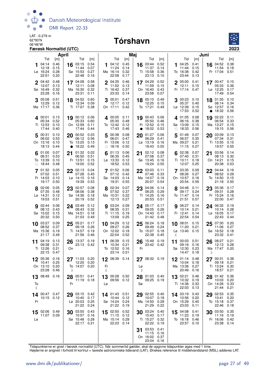

## **CARE-0.279 m**<br>62 90'N **Tórshavn**



| April                                                                                                                                 |                                                                                        | Maj                                                                                                                         | Juni                                                                                         |                                                                              |  |  |
|---------------------------------------------------------------------------------------------------------------------------------------|----------------------------------------------------------------------------------------|-----------------------------------------------------------------------------------------------------------------------------|----------------------------------------------------------------------------------------------|------------------------------------------------------------------------------|--|--|
| Tid<br>[m]<br>Tid<br>04:14<br>0.46<br>03:15<br>16<br>12:18<br>0.15<br>11:44<br>0.28<br>Sø 15:53<br>Lø 16:24<br>22:51<br>0.20<br>22:48 | Tid<br>[m]<br>0.54<br>04:12<br>1<br>11:24<br>0.07<br>0.27<br>Ma 16:14<br>22:58<br>0.16 | Tid<br>[m]<br>[m]<br>0.45<br>0.52<br>16 03:44<br>11:37<br>0.14<br>0.14<br>0.36<br>0.32<br>Ti 15:58<br>23:13<br>0.17<br>0.10 | Tid<br>[m]<br>04:25<br>0.41<br>16<br>1<br>11:44<br>0.15<br>0.42<br>To 16:38<br>23:44<br>0.13 | Tid<br>[m]<br>04:52<br>0.38<br>11:54<br>0.18<br>Fr 17:04<br>0.51             |  |  |
| 2 04:42<br>0.48<br>17 04:08<br>12:07<br>0.13<br>12:11<br>Ma 16:30<br>Sø 16:49<br>0.32<br>23:28<br>0.16<br>23:31                       | 0.58<br>2 04:35<br>11:52<br>0.08<br>0.32<br>Ti 16:42<br>0.11<br>23:33                  | 0.52<br>0.46<br>17 04:29<br>0.13<br>11:59<br>0.15<br>On 16:40<br>0.37<br>0.43<br>23:58<br>0.14<br>0.07                      | 2 05:00<br>0.41<br>12:11<br>0.15<br>Fr 17:14<br>0.47                                         | $17^{00:47}$<br>0.10<br>05:33<br>0.36<br>$Lø$ 12:25<br>0.17<br>17:49<br>0.54 |  |  |
| 0.51<br>18 04:52<br>05:08<br>12:34<br>12:29<br>0.12<br>Ma 17:17<br>0.36<br>Ti 17:07                                                   | 0.60<br>05:01<br>3<br>0.09<br>12:17<br>On 17:11<br>0.38                                | 18 05:10<br>0.47<br>0.49<br>12:25<br>0.12<br>0.15<br>To 17:21<br>0.42<br>0.49                                               | 00:23<br>0.10<br>3<br>18<br>05:37<br>0.40<br>Lø 12:39<br>0.15<br>17:53<br>0.52               | 01:35<br>0.10<br>06:14<br>0.34<br>Sø 12:57<br>0.16<br>18:32<br>0.56          |  |  |
| 0.13<br>19 00:12 0.06<br>400:01<br>05:33<br>05:34<br>0.52<br>Ti 12:53<br>0.10<br>On 12:59<br>17:44<br>17:44<br>0.40                   | 4 00:05 0.11<br>0.60<br>05:30<br>To 12:42<br>0.11<br>17:43<br>0.44                     | 19 00:43<br>0.06<br>05:50<br>0.48<br>0.46<br>0.12<br>Fr 12:52<br>0.15<br>18:02<br>0.53<br>0.46<br>$\bullet$                 | 401:05<br>0.08<br>06:16<br>0.38<br>Sø 13:09<br>0.15<br>18:33<br>0.56<br>$\bigcirc$           | 19 02:22<br>0.11<br>06:54<br>0.33<br>Ma 13:27<br>0.15<br>19:15<br>0.56       |  |  |
| 00:31<br>0.10<br>00:52<br>5<br>20<br>0.53<br>06:12<br>06:02<br>On 13:16<br>To 13:25<br>0.10<br>18:13<br>18:22<br>0.44<br>$\bullet$    | 0.03<br>00:38<br>5<br>0.56<br>06:01<br>0.13<br>Fr 13:06<br>$\circ$ 18:16<br>0.49       | 0.06<br>0.08<br>01:27<br>20<br>06:29<br>0.47<br>0.41<br>0.12<br>$L\varnothing$ 13:19<br>0.16<br>18:43<br>0.55<br>0.50       | 01:49<br>0.07<br>5<br>20<br>06:57<br>0.35<br>Ma 09:27<br>0.21<br>11:15<br>0.27               | 03:09<br>0.13<br>07:34<br>0.31<br>Ti 13:55<br>0.15<br>19:57<br>0.55          |  |  |
| 0.07<br>6 01:00<br>01:32<br>21<br>0.53<br>06:31<br>06:50<br>To 13:39<br>0.10<br>Fr 13:51<br>18:44<br>19:00<br>0.48<br>$\bigcirc$      | 0.02<br>01:13<br>0.51<br>06:35<br>0.15<br>Lø 13:33<br>0.52<br>18:52                    | 02:12<br>0.08<br>0.06<br>21<br>07:08<br>0.37<br>0.45<br>0.12<br>Sø 13:45<br>0.16<br>19:24<br>0.55<br>0.53                   | $6^{02:38}$<br>0.07<br>21<br>07:40<br>0.31<br>Ti 10:11<br>0.18<br>12:07<br>0.25              | 03:56<br>0.14<br>08:13<br>0.30<br>On 14:21<br>0.15<br>20:38<br>0.53          |  |  |
| 02:13<br>7 01:32<br>0.05<br>22<br>07:28<br>07:02<br>0.51<br>Fr 14:03<br>0.10<br>$L\varnothing$ 14:15<br>19:39<br>19:17<br>0.50        | 7 01:52 0.06<br>0.04<br>07:12<br>0.45<br>0.16<br>Sø 14:03<br>0.53<br>19:31             | 03:03<br>0.11<br>22<br>07:46<br>0.33<br>0.42<br>0.14<br>Ma 14:07<br>0.16<br>0.54<br>0.55<br>20:07                           | 03:35<br>0.09<br>22<br>08:26<br>0.27<br>On 10:57<br>0.16<br>20:54<br>0.59                    | 04:44<br>0.16<br>08:52<br>0.29<br>To 14:50<br>0.15<br>21:18<br>0.50          |  |  |
| 23 02:57<br>8 02:06<br>0.05<br>07:35<br>08:06<br>0.48<br>Lø 14:31<br>0.12<br>Sø 14:36<br>19:53<br>0.51<br>20:19                       | 0.08<br>8 02:34<br>07:52<br>0.38<br>0.18<br>Ma 10:31<br>0.52<br>12:13                  | 23 04:06<br>0.07<br>0.14<br>08:25<br>0.29<br>0.37<br>0.22<br>Ti 14:25<br>0.16<br>0.27<br>20:53<br>0.51                      | 8 04:48<br>0.11<br>09:17<br>0.24<br>To 11:47<br>0.14<br>21:51<br>0.57                        | 23 05:36<br>0.17<br>09:31<br>0.28<br>Fr 15:24<br>0.16<br>22:00<br>0.47       |  |  |
| 02:44<br>0.06<br>24 03:49<br>08:43<br>08:12<br>0.43<br>Sø 15:02<br>0.15<br>Ma 14:51<br>20:32<br>21:03<br>0.50                         | 0.12<br><b>g</b> 03:24 0.09<br>0.32<br>08:35<br>0.18<br>Ti 11:15<br>13:09<br>0.49      | 24 05:17<br>0.17<br>0.31<br>09:05<br>0.26<br>0.19<br>On 14:43<br>0.17<br>0.25<br>21:42<br>0.48                              | 06:27<br>0.14<br>9<br>0.21<br>10:14<br>Fr 12:41<br>0.14<br>22:54<br>0.54                     | 24 06:32<br>0.19<br>10:14<br>0.28<br>Lø 16:05<br>0.17<br>22:43<br>0.44       |  |  |
| 0.09<br>05:21<br>10 $03:27$<br>25<br>08:52<br>0.37<br>09:18<br>Ma 15:36<br>0.19<br>Ti 14:57<br>21:17<br>21:56<br>0.49                 | 0.17<br>10 04:29<br>09:27<br>0.26<br>0.19<br>On 12:02<br>22:04<br>0.46                 | 25 06:24<br>0.12<br>0.18<br>0.26<br>09:49<br>0.24<br>To 15:07<br>0.18<br>0.18<br>0.52<br>22:38<br>0.45                      | 10 08:01<br>0.15<br>25<br>11:20<br>0.21<br>$La$ 13:40<br>0.15<br>ℂ                           | 0.20<br>07:30<br>11:06<br>0.27<br>Sø 16:52<br>0.18<br>23:32<br>0.41          |  |  |
| 04:19<br>0.13<br>13:37<br>26<br>11<br>09:38<br>0.31<br>23:13 0.42<br>Ti 12:26<br>0.21<br>On<br>22:15<br>0.47                          | 0.19<br>06:39<br>11<br>10:34<br>To 12:52<br>23:14 0.51                                 | 0.15<br>15:49<br>0.19<br>26<br>0.21<br>23:42 0.42<br>Fr<br>0.16                                                             | 00:03 0.51<br>26<br>11<br>09:16<br>0.16<br>Sø 12:30<br>0.23<br>14:47<br>0.18                 | 08:27<br>0.21<br>12:13<br>0.28<br>Ma 17:47 0.20<br>D                         |  |  |
| 05:36 0.16<br>11:03 0.20<br>12<br>0.25<br>12:20<br>10:41<br>On 13:10<br>0.20<br>To 14:07 0.20<br>23:28<br>0.46<br>D                   | 08:39 0.14<br>12<br>0.20<br>Fr<br>ℭ                                                    | 27 08:32 0.19<br>Lø<br>D                                                                                                    | 12 01:14 0.48<br>27<br>10:04 0.18<br>Ma 13:36 0.27<br>20:49<br>0.16                          | 00:31<br>0.38<br>0.21<br>09:18<br>Ti 13:24<br>0.30<br>18:57<br>0.21          |  |  |
| 08:49 0.16<br>28 00:51<br>13<br>11:19 0.18<br>Fr<br>To<br>$\mathbb{C}$                                                                | 13<br>00:28 0.50<br>0.41<br>09:56 0.12<br>Lø                                           | 28 01:03 0.40<br>09:25 0.19<br>Sø                                                                                           | 13 02:21<br>0.46<br>28<br>10:32 0.19<br>Ti 14:36 0.33<br>22:03 0.13                          | 0.36<br>01:42<br>10:03<br>0.20<br>On 14:26<br>0.33<br>0.21<br>21:44          |  |  |
| 14 00:47 0.47<br>29 03:15 0.42<br>10:15 0.12<br>10:40<br>Lø 20:03<br>Fr<br>21:22                                                      | 14 01:43 0.51<br>0.17<br>10:44 0.12<br>0.25<br>Sø 14:24 0.24<br>0.24<br>21:22 0.19     | 29 02:55<br>0.40<br>10:07<br>0.18<br>Ma 14:50<br>0.28<br>21:29<br>0.22                                                      | 14 03:19 0.43<br>10:56<br>0.20<br>On 15:29<br>0.40<br>23:03<br>0.11                          | 29 02:53<br>0.35<br>0.20<br>10:41<br>To 15:18<br>0.37<br>22:46<br>0.18       |  |  |
| 03:50<br>15 02:06 0.49<br>30<br>10:57<br>11:07 0.09<br>Sø 15:48<br>Lø<br>22:17 0.21                                                   | 15 02:50 0.52<br>0.43<br>0.16<br>$11:15$ 0.12<br>0.28<br>Ma 15:14 0.29<br>22:23 0.14   | 30 03:24<br>0.40<br>10:43<br>0.17<br>Ti 15:27<br>0.32<br>22:22<br>0.19                                                      | 15 04:08 0.41<br>30<br>11:23 0.19<br>To 16:18 0.46<br>23:57 0.10                             | 03:50<br>0.35<br>11:16 0.19<br>Fr 16:06 0.42<br>23:38 0.14                   |  |  |
|                                                                                                                                       |                                                                                        | 03:53<br>0.41<br>31<br>11:15<br>0.16<br>On 16:02<br>0.37<br>23:04 0.16                                                      |                                                                                              |                                                                              |  |  |

Tidspunkterne er givet i færøsk normaltid (UTC). Når sommertid gælder, skal de opgivne tidspunkter øges med 1 time.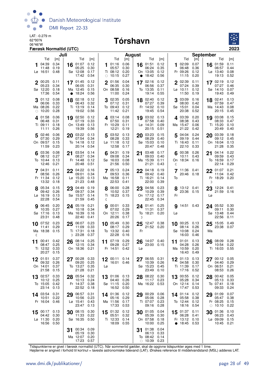

#### 06°46'W **Tórshavn**



|            | Juli                          |              |           |                       |              | <b>August</b> |                      |              |               |                   | September    |    |                           |              |    |                        |              |
|------------|-------------------------------|--------------|-----------|-----------------------|--------------|---------------|----------------------|--------------|---------------|-------------------|--------------|----|---------------------------|--------------|----|------------------------|--------------|
|            | Tid                           | [m]          |           | Tid                   | [m]          |               | Tid                  | [m]          |               | Tid               | [m]          |    | Tid                       | [m]          |    | Tid                    | [m]          |
|            | 04:39<br>11:48                | 0.34<br>0.19 | 16        | 01:07<br>05:25        | 0.12<br>0.30 | 1             | 01:16<br>05:57       | 0.06<br>0.30 | 16            | 01:51<br>06:24    | 0.12<br>0.35 | 1  | 02:09<br>06:48            | 0.07<br>0.36 |    | 16 01:59<br>06:57      | 0.11<br>0.44 |
|            | Lø 16:51                      | 0.48         |           | Sø 12:08              | 0.17         |               | Ti 08:12             | 0.20         |               | On 13:05          | 0.12         |    | Fr 09:26<br>11:15         | 0.12         |    | $L\varnothing$ 13:40   | 0.08         |
|            |                               |              |           | 17:42                 | 0.54         | $\bigcirc$    | 10:15                | 0.27         | $\bullet$     | 18:42             | 0.56         |    |                           | 0.20         |    | 19:13                  | 0.52         |
|            | 00:25<br>05:23                | 0.11<br>0.34 |           | 17 01:45<br>06:05     | 0.12<br>0.31 | $\mathbf 2$   | 01:56<br>06:35       | 0.04<br>0.30 | 17            | 02:16<br>06:56    | 0.12<br>0.37 |    | 02:39<br>07:24            | 0.11<br>0.39 |    | 17 02:19<br>07:27      | 0.12<br>0.46 |
|            | Sø 12:20                      | 0.18         |           | Ma 12:45              | 0.15         |               | On 08:58             | 0.16         |               | To 13:35          | 0.11         |    | Lø 10:11                  | 0.12         |    | Sø 14:10               | 0.07         |
|            | 17:36                         | 0.54         | $\bullet$ | 18:24                 | 0.56         |               | 11:00                | 0.24         |               | 19:14             | 0.55         |    | 11:50                     | 0.19         |    | 19:43                  | 0.49         |
|            | 01:12<br>06:06                | 0.08<br>0.33 | 18        | 02:18<br>06:43        | 0.12<br>0.32 |               | 02:35<br>07:12       | 0.05<br>0.31 | 18            | 02:40<br>07:27    | 0.12<br>0.39 | 3  | 03:09<br>08:00            | 0.16<br>0.42 | 18 | 02:41<br>07:59         | 0.13<br>0.47 |
|            | Ma 08:26                      | 0.22         |           | Ti 13:19              | 0.14         |               | To 09:43             | 0.12         |               | Fr 14:02          | 0.10         |    | Sø 15:01                  | 0.04         |    | Ma 14:43               | 0.08         |
| $\bigcirc$ | 10:20                         | 0.28         |           | 19:02                 | 0.56         |               | 11:42                | 0.21         |               | 19:45             | 0.54         |    | 20:38                     | 0.52         |    | 20:15                  | 0.45         |
|            | 401:58<br>06:48               | 0.06<br>0.31 | 19        | 02:50<br>07:19        | 0.12<br>0.33 |               | 4 03:14<br>07:50     | 0.08<br>0.31 | 19            | 03:02<br>07:58    | 0.13<br>0.40 |    | 4 03:39<br>08:38          | 0.20<br>0.43 | 19 | 03:08<br>08:33         | 0.15<br>0.47 |
|            | Ti 09:11                      | 0.18         |           | On 13:49              | 0.13         |               | Fr 10:29             | 0.11         |               | Lø 14:31          | 0.09         |    | Ma 15:47                  | 0.06         |    | Ti 15:20               | 0.10         |
|            | 11:11                         | 0.26         |           | 19:39                 | 0.56         |               | 12:21                | 0.19         |               | 20:15             | 0.51         |    | 21:22                     | 0.42         |    | 20:49                  | 0.40         |
| 5          | 02:46<br>07:30                | 0.06<br>0.29 | 20        | 03:22<br>07:54        | 0.13<br>0.34 | 5             | 03:52<br>08:28       | 0.13<br>0.33 | 20            | 03:23<br>08:29    | 0.15<br>0.40 | 5  | 04:04<br>09:19            | 0.24<br>0.44 | 20 | 03:39<br>09:12         | 0.18<br>0.45 |
|            | On 09:57                      | 0.15         |           | To 14:18              | 0.12         |               | $L\varnothing$ 11:18 | 0.12         |               | Sø 15:03          | 0.10         |    | Ti 16:43                  | 0.11         |    | On 16:04               | 0.13         |
|            | 11:59                         | 0.23         |           | 20:14                 | 0.54         |               | 12:58                | 0.17         |               | 20:47             | 0.48         |    | 22:10                     | 0.33         |    | 21:28                  | 0.35         |
|            | 03:36<br>08:12                | 0.08<br>0.27 | 21        | 03:54<br>08:27        | 0.14<br>0.34 | 6             | 04:31<br>09:08       | 0.19<br>0.34 | 21            | 03:48<br>09:03    | 0.17<br>0.40 |    | 00:38<br>10:11            | 0.26<br>0.43 | 21 | 04:14<br>09:59         | 0.22<br>0.43 |
|            | To 10:44                      | 0.13         |           | Fr 14:48              | 0.12         |               | Sø 16:03             | 0.08         |               | Ma 15:39          | 0.11         |    | On 18:34                  | 0.16         |    | To 16:59               | 0.17         |
|            | 12:46                         | 0.21         |           | 20:48                 | 0.51         |               | 21:56                | 0.50         |               | 21:21             | 0.43         | ℂ  |                           |              |    | 22:14                  | 0.29         |
|            | 704:31<br>08:56               | 0.11<br>0.26 |           | $22^{04:22}$<br>09:01 | 0.16<br>0.34 |               | 705:13<br>09:53      | 0.24         | 22            | 04:18<br>09:42    | 0.19<br>0.40 |    | 11:36  0.41<br>20:46 0.18 |              |    | 22 01:07<br>11:04      | 0.21<br>0.42 |
|            | Fr 11:34                      | 0.12         |           | $L\varnothing$ 15:20  | 0.13         |               | Ma 16:58             | 0.36<br>0.11 |               | Ti 16:21          | 0.14         | To |                           |              |    | Fr 18:29               | 0.20         |
|            | 13:32                         | 0.18         |           | 21:23                 | 0.48         |               | 22:53                | 0.41         |               | 22:00             | 0.39         |    |                           |              | D  |                        |              |
|            | 8 05:34                       | 0.15         | 23        | 04:49                 | 0.19         |               | 06:00                | 0.28         | 23            | 04:56             | 0.23         |    | 13:12 0.41                |              | 23 | 12:24 0.41             |              |
|            | 09:42<br>$L\varnothing$ 16:19 | 0.26<br>0.13 |           | 09:37<br>Sø 15:57     | 0.34<br>0.14 |               | 10:52<br>Ti 18:23    | 0.37<br>0.15 |               | 10:29<br>On 17:12 | 0.39<br>0.17 | Fr | 23:36 0.15                |              | Lø | 21:59 0.16             |              |
|            | 22:28                         | 0.54         |           | 21:59                 | 0.45         | ℂ             |                      |              |               | 22:45             | 0.34         |    |                           |              |    |                        |              |
|            | <b>9</b> 06:45                | 0.20         |           | 24 05:19              | 0.21         | q             | 00:01                | 0.33         |               | 24 01:41          | 0.25         |    | <b>g</b> 14:51 0.43       |              |    | 24 05:52               | 0.30         |
|            | 10:35<br>Sø 17:16             | 0.27<br>0.13 |           | 10:18<br>Ma 16:39     | 0.34<br>0.16 |               | 07:02<br>On 12:11    | 0.29<br>0.38 |               | 11:31<br>To 18:21 | 0.37<br>0.20 | Lø |                           |              |    | 09:11<br>Sø 13:48      | 0.30<br>0.44 |
|            | 23:31                         | 0.48         |           | 22:40                 | 0.41         |               | 20:26                | 0.17         | $\mathcal{D}$ |                   |              |    |                           |              |    | 22:56                  | 0.11         |
| 10         | 07:52                         | 0.23         | 25        | 06:07                 | 0.23         | 10            | 05:49                | 0.30         | 25            | 12:47             | 0.38         |    | $10$ 00:25                | 0.13         | 25 | 15:05                  | 0.49         |
|            | 11:41<br>Ma 18:38             | 0.29<br>0.15 |           | 11:09<br>Ti 17:31     | 0.33<br>0.18 |               | 08:17<br>To 13:32    | 0.29<br>0.40 | Fr            | 21:52 0.20        |              |    | 08:14<br>Sø 10:08         | 0.26<br>0.24 | Ma | 23:38                  | 0.07         |
| ℂ          |                               |              |           | D 23:28               | 0.37         |               | 22:28                | 0.16         |               |                   |              |    | 16:03                     | 0.46         |    |                        |              |
| 11         | 00:41                         | 0.42         | 26        | 08:14                 | 0.25         | 11            | 07:19                | 0.29         | 26            | 14:07 0.40        |              | 11 | 01:01                     | 0.13         | 26 | 08:09                  | 0.28         |
|            | 08:47<br>Ti 12:52             | 0.25<br>0.33 |           | 12:15<br>On 18:36     | 0.34<br>0.21 |               | 09:28<br>Fr 14:51    | 0.27<br>0.42 | Lø            | 23:00             | 0.15         |    | 04:28<br>Ma 10:59         | 0.26<br>0.20 |    | 10:54<br>Ti 16:03 0.55 | 0.22         |
|            | 20:27                         | 0.15         |           |                       |              |               |                      |              |               |                   |              |    | 16:43                     | 0.49         |    |                        |              |
|            | 01:51                         | 0.37         |           | 00:28                 | 0.33         |               | 00:11                | 0.14         | 27            | 06:55             | 0.31         |    | 12 01:13                  | 0.13         | 27 | 00:12                  | 0.05         |
|            | 09:32<br>On 14:01             | 0.26<br>0.37 |           | 09:20<br>To 13:27     | 0.25<br>0.35 | Lø            | 16:01                | 0.46         |               | 10:39<br>Sø 15:23 | 0.26<br>0.45 |    | 04:58<br>Ti 11:39         | 0.30<br>0.17 |    | 04:40<br>On 06:51      | 0.29<br>0.21 |
|            | 21:58                         | 0.15         |           | 21:28                 | 0.21         |               |                      |              |               | 23:49             | 0.10         |    | 17:16                     | 0.52         |    | 08:53                  | 0.26         |
| 13         | 02:57                         | 0.33         |           | 28 05:54              | 0.32         |               | 13 01:06 0.13        |              | 28            | 08:22             | 0.30         |    | 13 00:55                  | 0.12         |    | 28 00:42               | 0.05         |
|            | 10:12<br>To 15:05             | 0.25<br>0.42 |           | 10:13<br>Fr 14:37     | 0.24<br>0.38 |               | 04:40<br>Sø 11:15    | 0.26<br>0.20 |               | 11:17<br>Ma 16:22 | 0.23<br>0.53 |    | 05:28<br>On 12:14         | 0.34<br>0.14 |    | 05:13<br>To 07:41      | 0.33<br>0.18 |
|            | 23:14                         | 0.13         |           | 22:52                 | 0.18         |               | 16:52                | 0.50         |               |                   |              |    | 17:47                     | 0.53         |    | 09:33                  | 0.24         |
|            | 14 03:54                      | 0.31         | 29        | 06:57                 | 0.31         |               | 14 01:36             | 0.12         | 29            | 00:29             | 0.06         |    | 14 01:14                  | 0.12         | 29 | 01:09                  | 0.07         |
|            | 10:51<br>Fr 16:04             | 0.22<br>0.46 |           | 10:56<br>Lø 15:41     | 0.23<br>0.43 |               | 05:16<br>Ma 11:56    | 0.29<br>0.17 |               | 05:06<br>Ti 07:07 | 0.28<br>0.23 |    | 05:58<br>To 12:44         | 0.38<br>0.12 |    | 05:47<br>Fr 08:25      | 0.38<br>0.15 |
|            |                               |              |           | 23:47                 | 0.13         |               | 17:33                | 0.53         |               | 09:16             | 0.28         |    | 18:16                     | 0.54         | O  | 10:10                  | 0.22         |
| 15         | 00:17                         | 0.13         |           | 30 08:15              | 0.30         |               | 15 01:32             | 0.12         | 30            | 01:05             | 0.04         |    | 15 01:37                  | 0.11         | 30 | 01:36                  | 0.10         |
|            | 04:42<br>$L\varnothing$ 11:30 | 0.30<br>0.20 |           | 11:33<br>Sø 16:35     | 0.22<br>0.50 |               | 05:51<br>Ti 12:33    | 0.32<br>0.14 |               | 05:39<br>On 07:58 | 0.30<br>0.18 |    | 06:28<br>Fr 13:12         | 0.41<br>0.10 |    | 06:23<br>Lø 09:09      | 0.43<br>0.15 |
|            | 16:56                         | 0.50         |           |                       |              |               | 18:09                | 0.55         |               | 10:00             | 0.25         |    | • 18:45                   | 0.53         |    | 10:45                  | 0.21         |
|            |                               |              | 31        | 00:34                 | 0.09         |               |                      |              | 31            | 01:38             | 0.04         |    |                           |              |    |                        |              |
|            |                               |              |           | 05:19<br>Ma 12:07     | 0.30<br>0.20 |               |                      |              |               | 06:13<br>To 08:42 | 0.33<br>0.14 |    |                           |              |    |                        |              |
|            |                               |              |           | 17:23 0.57            |              |               |                      |              |               | $\circ$ 10:39     | 0.23         |    |                           |              |    |                        |              |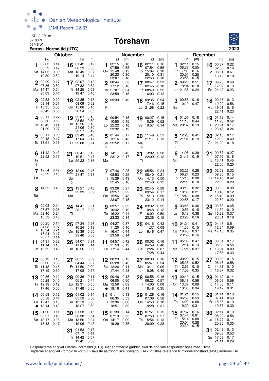

#### 06°46'W **Tórshavn**



|                                                    |                                      | <b>Oktober</b>   |                                                 |                                      |                 |                                                      | <b>November</b>                      |                  |                                              |                                      |                         |                                               |                                      | <b>December</b> |                                                 |                              |
|----------------------------------------------------|--------------------------------------|------------------|-------------------------------------------------|--------------------------------------|-----------------|------------------------------------------------------|--------------------------------------|------------------|----------------------------------------------|--------------------------------------|-------------------------|-----------------------------------------------|--------------------------------------|-----------------|-------------------------------------------------|------------------------------|
|                                                    | Tid<br>[m]                           |                  | Tid                                             | [m]                                  |                 | Tid                                                  | [m]                                  |                  | Tid                                          | [m]                                  |                         | Tid                                           | [m]                                  |                 | Tid                                             | [m]                          |
| 02:03<br>06:59<br>Sø 14:05<br>19:30                | 0.14<br>0.47<br>0.02<br>0.52         |                  | 16 $01:42$<br>06:59<br>Ma 13:49<br>19:14        | 0.12<br>0.50<br>0.07<br>0.44         | 1               | 02:15<br>07:59<br>On 15:40<br>20:23<br>23:07         | 0.18<br>0.55<br>0.12<br>0.30<br>0.18 | 16               | 02:11<br>07:54<br>To 15:04<br>20:10<br>22:53 | 0.16<br>0.56<br>0.10<br>0.31<br>0.18 | 1                       | 02:11<br>08:37<br>Fr 17:00<br>20:51<br>23:56  | 0.15<br>0.55<br>0.16<br>0.25<br>0.15 | 16              | 00:37<br>02:35<br>$L\varnothing$ 08:31<br>16:12 | 0.22<br>0.16<br>0.61<br>0.10 |
| 02:29<br>07:36<br>Ma 14:47<br>20:09                | 0.17<br>0.50<br>0.04<br>0.44         |                  | 17 02:07<br>07:32<br>Ti 14:25<br>19:47          | 0.13<br>0.52<br>0.08<br>0.40         |                 | 2 08:44<br>17:12<br>To 21:01<br>23:59                | 0.53<br>0.16<br>0.24<br>0.16         |                  | 17 00:47<br>02:45<br>Fr 08:40<br>16:03       | 0.23<br>0.18<br>0.55<br>0.12         |                         | 2 09:26<br>18:04<br>Lø 21:36                  | 0.51<br>0.18<br>0.24                 |                 | 17 09:23<br>17:27<br>Sø 21:42 0.23              | 0.59<br>0.13                 |
| 02:53<br>08:14<br>Ti 15:35<br>20:49                | 0.20<br>0.51<br>0.08<br>0.35         |                  | 18 02:35<br>08:09<br>On 15:06<br>20:24          | 0.15<br>0.52<br>0.10<br>0.35         | Fr              | 3 09:39 0.49                                         |                                      |                  | 18 09:35<br>17:46<br>$L\varnothing$ 21:58    | 0.54<br>0.15<br>0.22                 | Sø                      | 3 00:55 0.16<br>10:19 0.47                    |                                      |                 | 18 00:18 0.13<br>10:20<br>Ma 19:01<br>22:41     | 0.56<br>0.15<br>0.23         |
| 403:11<br>08:56<br>On 16:45<br>21:29               | 0.22<br>0.50<br>0.14<br>0.27         | 19               | 03:07<br>08:52<br>To 15:56<br>21:06<br>23:57    | 0.18<br>0.50<br>0.13<br>0.30<br>0.19 |                 | 4 00:54 0.16<br>10:50 0.45<br>Lø 22:22 0.18<br>23:32 | 0.19                                 | 19               | 00:27<br>10:39<br>Sø 19:57                   | 0.15<br>0.52<br>0.14                 |                         | $\Delta$ 01:57 0.18<br>11:18<br>Ma 20:07 0.19 | 0.44                                 |                 | 19 01:13<br>11:23<br>Ti 20:21<br>D 23:48        | 0.14<br>0.52<br>0.17<br>0.24 |
| 500:11<br>09:48<br>To 18:51                        | 0.20<br>0.47<br>0.18                 |                  | 20 09:43<br>17:04<br>Fr 22:00                   | 0.48<br>0.17<br>0.24                 | ℂ               | 5 01:44 0.17<br>12:16 0.43<br>Sø 22:52 0.17          |                                      | Ma<br>D          | 20 11:49 0.51<br>21:17 0.13                  |                                      | 5<br>Τi<br>ℂ            | 12:28  0.41<br>21:01 0.19                     |                                      | 20              | 02:15<br>12:32<br>On 21:20                      | 0.17<br>0.49<br>0.18         |
| Fr<br>ℭ                                            | 11:12 0.43<br>22:52 0.17             | 21               | 00:41<br>10:51<br>$L\sigma$ 20:23               | 0.18<br>0.47<br>0.16                 | 6<br>Ma         | 14:11 0.42<br>23:12 0.17                             |                                      | 21<br>Τi         | 13:02 0.50<br>22:09 0.12                     |                                      | 6<br>On                 | 14:05 0.39<br>21:45 0.19                      |                                      | 21              | 00:57<br>07:56<br>To 13:41<br>22:00             | 0.27<br>0.18<br>0.45<br>0.20 |
| Lø                                                 | 12:54 0.42<br>23:29 0.15             | Sø<br>D          | 22 $12:09$ 0.46<br>21:47                        | 0.13                                 |                 | 7 07:46 0.25<br>08:53<br>Ti 15:29<br>22:45           | 0.25<br>0.43<br>0.16                 |                  | 22 05:56<br>08:40<br>On 14:13<br>22:46       | 0.24<br>0.21<br>0.50<br>0.12         |                         | 7 02:26 0.28<br>06:24<br>To 15:15<br>22:22    | 0.23<br>0.38<br>0.18                 |                 | $22^{02:02}$<br>09:30<br>Fr 14:45<br>22:30      | 0.32<br>0.15<br>0.42<br>0.20 |
| Sø                                                 | 8 14:55 0.43                         | 23<br>Ma         | 13:27 0.48<br>22:39 0.09                        |                                      |                 | 03:26<br>09:57<br>On 15:56<br>23:07                  | 0.27<br>0.22<br>0.43<br>0.15         | 23               | 02:45<br>09:54<br>To 15:13<br>23:12          | 0.28<br>0.17<br>0.50<br>0.14         |                         | 03:10 0.32<br>10:06<br>Fr 15:43<br>22:56      | 0.21<br>0.38<br>0.17                 | 23              | 03:00<br>10:40<br>$Lg$ 15:40<br>22:59           | 0.38<br>0.12<br>0.39<br>0.20 |
| 00:03<br>07:57<br>Ma 09:40<br>15:53                | 0.14<br>0.26<br>0.24<br>0.45         | Τi               | 24 14:41 0.51<br>23:17 0.08                     |                                      |                 | 903:57<br>10:42<br>To 16:22<br>23:33                 | 0.32<br>0.19<br>0.44<br>0.14         |                  | 24 03:32<br>10:48<br>Fr 16:02<br>23:36       | 0.35<br>0.12<br>0.50<br>0.15         |                         | 903:48<br>10:53<br>Lø 16:13<br>23:26          | 0.36<br>0.18<br>0.38<br>0.16         |                 | 24 03:53<br>11:39<br>Sø 16:29<br>23:31          | 0.45<br>0.10<br>0.37<br>0.19 |
| 00:25<br>10<br>04:03<br>Ti 10:34<br>16:24<br>23:57 | 0.14<br>0.27<br>0.21<br>0.47<br>0.14 | 25               | 07:34 0.26<br>10:24<br>On 15:39<br>23:46        | 0.19<br>0.55<br>0.08                 | 10              | 04:27<br>11:20<br>Fr 16:47<br>23:59                  | 0.37<br>0.16<br>0.44<br>0.14         | 25               | 04:16<br>11:37<br>Lø 16:46                   | 0.42<br>0.08<br>0.47                 | 10                      | 04:24<br>11:35<br>Sø 16:45<br>23:53           | 0.41<br>0.15<br>0.37<br>0.16         | 25              | 04:43<br>12:34<br>Ma 17:13                      | 0.51<br>0.09<br>0.35         |
| 11 04:31<br>11:14<br>On 16:52 0.49                 | 0.32<br>0.18                         |                  | 26 04:07<br>11:08<br>To 16:26                   | 0.31<br>0.14<br>0.57                 |                 | 11 04:57<br>11:53<br>$L\varnothing$ 17:14 0.44       | 0.42<br>0.13                         | 26               | 00:02<br>04:59<br>Sø 12:24<br>17:28          | 0.16<br>0.48<br>0.07<br>0.44         |                         | 11 05:00<br>12:14<br>Ma 17:21                 | 0.47<br>0.13<br>0.37                 | 26              | 00:04<br>05:30<br>Ti 13:24<br>17:56             | 0.17<br>0.55<br>0.09<br>0.33 |
| 00:13<br>05:00<br>To 11:48<br>17:19                | 0.13<br>0.36<br>0.15<br>0.50         | 27               | 00:11<br>04:44<br>Fr 11:50<br>17:08             | 0.09<br>0.37<br>0.09<br>0.57         | 12              | 00:23<br>05:28<br>Sø 12:26<br>17:44                  | 0.13<br>0.46<br>0.11<br>0.43         | 27<br>$\bigcirc$ | 00:30<br>05:41<br>Ma 13:11<br>18:08          | 0.16<br>0.54<br>0.06<br>0.40         | $\overline{\mathbf{2}}$ | 00:20<br>05:38<br>Ti 12:55<br>17:58           | 0.15<br>0.52<br>0.10<br>0.35         | 27              | 00:38<br>06:15<br>On 14:11<br>$\circ$ 18:37     | 0.15<br>0.58<br>0.10<br>0.32 |
| 00:36<br>13<br>05:29<br>Fr 12:19<br>17:46          | 0.12<br>0.40<br>0.12<br>0.50         | 28<br>$\bigcirc$ | 00:36<br>05:21<br>$L\varnothing$ 12:31<br>17:48 | 0.11<br>0.44<br>0.05<br>0.55         | 13<br>$\bullet$ | 00:46<br>06:00<br>Ma 12:59<br>18:16                  | 0.13<br>0.50<br>0.09<br>0.41         | 28               | 00:58<br>06:23<br>Ti 14:00<br>18:48          | 0.16<br>0.57<br>0.08<br>0.35         | 13                      | 00:49<br>06:18<br>On 13:37<br>18:38           | 0.15<br>0.56<br>0.09<br>0.34         | 28              | 01:12<br>06:59<br>To 14:55<br>19:17             | 0.14<br>0.59<br>0.11<br>0.31 |
| 00:59<br>14<br>05:58<br>Lø 12:47<br>18:14          | 0.12<br>0.44<br>0.10<br>0.49         | 29               | 01:02<br>05:59<br>Sø 13:13<br>18:27             | 0.14<br>0.50<br>0.03<br>0.50         | 14              | 01:11<br>06:35<br>Ti 13:36<br>18:51                  | 0.13<br>0.53<br>0.08<br>0.39         | 29               | 01:26<br>07:06<br>On 14:53<br>19:28          | 0.16<br>0.58<br>0.10<br>0.31         | 14                      | 01:21<br>06:59<br>To 14:23<br>19:20           | 0.15<br>0.59<br>0.08<br>0.31         | 29              | 01:44<br>07:41<br>Fr 15:38<br>19:57             | 0.13<br>0.59<br>0.13<br>0.30 |
| 01:20<br>15<br>06:27<br>Sø 13:17<br>18:43          | 0.11<br>0.48<br>0.08<br>0.47         | 30               | 01:28<br>06:38<br>Ma 13:56<br>19:06             | 0.15<br>0.54<br>0.04<br>0.43         | 15              | 01:39<br>07:13<br>On 14:17<br>19:29                  | 0.14<br>0.55<br>0.09<br>0.35         | 30               | 01:51<br>07:50<br>To 15:54<br>20:09          | 0.15<br>0.57<br>0.13<br>0.28         | 15                      | 01:57<br>07:44<br>Fr 15:14<br>20:04<br>22:39  | 0.16<br>0.61<br>0.08<br>0.28<br>0.15 | 30<br>Lø        | 02:14<br>08:22<br>16:22<br>20:36                | 0.13<br>0.56<br>0.14<br>0.30 |
|                                                    |                                      | 31               | 01:53<br>07:17<br>Ti 14:42<br>19:45             | 0.17<br>0.56<br>0.07<br>0.36         |                 |                                                      |                                      |                  |                                              |                                      |                         |                                               |                                      | 31              | 02:42<br>09:03<br>Sø 17:08<br>21:14 0.29        | 0.13<br>0.53<br>0.17         |

Tidspunkterne er givet i færøsk normaltid (UTC). Når sommertid gælder, skal de opgivne tidspunkter øges med 1 time.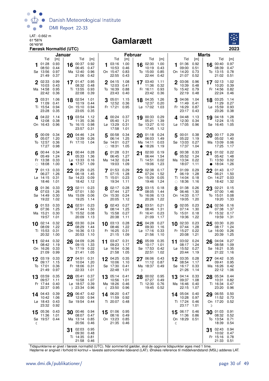

#### Gamlarætt



|    |                        | Januar       |    |                     |              |              |                           | Februar      |    |                               |              |    |                   |              | <b>Marts</b>  |                               |                |
|----|------------------------|--------------|----|---------------------|--------------|--------------|---------------------------|--------------|----|-------------------------------|--------------|----|-------------------|--------------|---------------|-------------------------------|----------------|
|    | Tid                    | [m]          |    | Tid                 | [m]          |              | Tid                       | [m]          |    | Tid                           | [m]          |    | Tid               | [m]          |               | Tid                           | [m]            |
| 1  | 01:28<br>08:50         | 0.93<br>0.44 |    | $16$ 00:37<br>06:45 | 0.92<br>0.47 |              | $103:16$ 1.00<br>10:53    | 0.46         |    | 16 02:30<br>10:19             | 1.00<br>0.43 |    | 101:36<br>09:00   | 0.92<br>0.51 |               | 16 00:40<br>08:39             | 0.97<br>0.47   |
|    | Sø 13:56               | 0.97         |    | Ma 12:40            | 0.96         |              | On 15:47                  | 0.83         |    | To 15:00                      | 0.85         |    | On 14:20          | 0.73         |               | To 13:15                      | 0.78           |
|    | 21:49                  | 0.37         |    | 21:06               | 0.42         |              | 22:55                     | 0.43         |    | 22:44                         | 0.42         |    | 21:07             | 0.52         |               | 21:02                         | 0.51           |
|    | 02:33                  | 0.99         |    | 17 $01:47$          | 0.95         |              | $2^{04:15}$               | 1.08         |    | 17 03:40                      | 1.11         |    | 2 03:06           | 0.96         |               | 17 02:13                      | 1.02           |
|    | 10:03<br>Ma 14:58      | 0.43<br>0.95 |    | 08:32<br>Ti 13:55   | 0.48<br>0.93 |              | 12:03<br>To 16:39         | 0.41<br>0.88 |    | 11:36<br>Fr 16:11             | 0.32<br>0.93 |    | 10:39<br>To 15:42 | 0.48<br>0.79 |               | 10:20<br>Fr 14:56             | 0.39<br>0.82   |
|    | 22:42                  | 0.36         |    | 22:08               | 0.39         |              | 23:43                     | 0.40         |    | 23:42                         | 0.36         |    | 22:19             | 0.48         |               | 22:24                         | 0.46           |
|    | 3 03:31                | 1.06         |    | 18 02:54            | 1.01         |              | 305:01                    | 1.15         |    | 18 04:35                      | 1.26         |    | 3 04:06           | 1.04         |               | 18 03:25                      | 1.14           |
|    | 11:09<br>Ti 15:54      | 0.41<br>0.94 |    | 10:19               | 0.44<br>0.94 |              | 12:52                     | 0.36         |    | 12:37<br>Lø 17:02             | 0.20         |    | 11:49             | 0.41<br>0.87 |               | 11:29<br>Lø 15:59             | 0.27<br>0.93   |
|    | 23:28                  | 0.35         |    | On 15:10<br>23:05   | 0.35         |              | Fr 17:21                  | 0.95         |    |                               | 1.03         |    | Fr 16:29<br>23:17 | 0.43         |               | 23:26                         | 0.38           |
|    | 4 04:22                | 1.14         |    | 19 03:54            | 1.12         |              | 4 00:24 0.37              |              |    | 19 00:33 0.29                 |              |    | $4^{04:48}$       | 1.13         | 19            | 04:18                         | 1.28           |
|    | 12:08                  | 0.38         |    | 11:35               | 0.36         |              | 05:40                     | 1.21         |    | 05:21                         | 1.39         |    | 12:30             | 0.34         |               | 12:24                         | 0.15           |
|    | On 16:43 0.96          |              |    | To 16:15<br>23:57   | 0.98<br>0.31 |              | Lø 13:29<br>17:58         | 0.31<br>1.01 |    | Sø 13:27<br>17:45             | 0.10<br>1.12 |    | Lø 17:05          | 0.96         |               | Sø 16:45                      | 1.05           |
|    | 5 00:09 0.34           |              |    | 20 04:46            | 1.24         |              | 500:58                    | 0.34         |    | 20 01:18                      | 0.24         |    | 5 00:01 0.38      |              |               | 20 00:17 0.29                 |                |
|    | 05:07                  | 1.20         |    | 12:39               | 0.26         |              | 06:14                     | 1.25         |    | 06:03                         | 1.49         |    | 05:22             | 1.19         |               | 05:02                         | 1.40           |
|    | To 12:57<br>17:27      | 0.36<br>0.98 |    | Fr 17:10 1.04       |              |              | Sø 14:01<br>$\circ$ 18:31 | 0.27<br>1.05 |    | Ma 14:11<br>• 18:26           | 0.03         |    | Sø 13:03<br>17:37 | 0.27<br>1.04 |               | Ma 13:09<br>17:25             | 0.06<br>1.17   |
|    |                        |              |    |                     |              |              |                           |              |    |                               | 1.19         |    |                   |              |               |                               |                |
|    | 00:44<br>05:49         | 0.34<br>1.24 | 21 | 00:44 0.28<br>05:33 | 1.36         | 6            | 01:28<br>06:45            | 0.31<br>1.27 | 21 | 02:00<br>06:44                | 0.19<br>1.54 |    | 00:38<br>05:52    | 0.33<br>1.24 | 21            | 01:02<br>05:42                | 0.22<br>1.48   |
|    | Fr 13:38               | 0.33         |    | Lø 13:33            | 0.16         |              | Ma 14:32                  | 0.24         |    | Ti 14:51                      | 0.02         |    | Ma 13:34          | 0.22         |               | Ti 13:50                      | 0.02           |
|    | $\circ$ 18:08          | 1.00         |    | $\bullet$ 17:57     | 1.09         |              | 19:03                     | 1.09         |    | 19:06                         | 1.23         |    | 18:07             | 1.11         |               | • 18:04                       | 1.26           |
|    | 7.01:13<br>06:27       | 0.33<br>1.26 |    | 22 01:29<br>06:18   | 0.25<br>1.45 |              | 701:53<br>07:15           | 0.29<br>1.28 |    | 22 02:38<br>07:24             | 0.17<br>1.52 |    | 7 01:09<br>06:19  | 0.29<br>1.28 |               | 22 01:43<br>06:21             | 0.17<br>1.50   |
|    | Lø 14:15               | 0.31         |    | Sø 14:23            | 0.09         |              | Ti 15:01                  | 0.23         |    | On 15:29                      | 0.05         |    | Ti 14:04          | 0.18         |               | On 14:27                      | 0.03           |
|    | 18:46                  | 1.01         |    | 18:42               | 1.12         |              | 19:34                     | 1.11         |    | 19:46                         | 1.24         |    | $\circ$ 18:36     | 1.16         |               | 18:42                         | 1.32           |
|    | 8 01:36                | 0.33         | 23 | 02:11               | 0.23         |              | 8 02:17 0.28              |              |    | 23 03:15                      | 0.18         |    | 8 01:38           | 0.26         |               | 23 02:21                      | 0.15           |
|    | 07:03<br>Sø 14:49      | 1.26<br>0.30 |    | 07:01<br>Ma 15:09   | 1.50<br>0.06 |              | 07:44<br>On 15:30         | 1.27<br>0.24 |    | 08:05<br>To 16:06             | 1.44<br>0.13 |    | 06:46<br>On 14:33 | 1.30<br>0.17 |               | 07:00<br>To 15:01             | 1.46<br>0.08   |
|    | 19:22                  | 1.02         |    | 19:25               | 1.14         |              | 20:05                     | 1.12         |    | 20:26                         | 1.22         |    | 19:05             | 1.20         |               | 19:20                         | 1.33           |
|    | <b>9</b> 01:53         | 0.33         |    | 24 02:51            | 0.23         |              | <b>g</b> 02:43 0.27       |              |    | 24 03:51                      | 0.21         |    | <b>9</b> 02:05    | 0.23         |               | 24 02:56                      | 0.16           |
|    | 07:36<br>Ma 15:21      | 1.25<br>0.30 |    | 07:44<br>Ti 15:52   | 1.50<br>0.08 |              | 08:14<br>To 15:58         | 1.25<br>0.27 |    | 08:46<br>Fr 16:41             | 1.31<br>0.23 |    | 07:14<br>To 15:01 | 1.30<br>0.18 |               | 07:38<br>Fr 15:32             | 1.37<br>0.17   |
|    | 19:57                  | 1.01         |    | 20:09               | 1.13         |              | 20:38                     | 1.11         |    | 21:09                         | 1.17         |    | 19:36             | 1.22         |               | 19:59                         | 1.31           |
|    | $10^{02:14}$           | 0.32         | 25 | 03:30               | 0.24         |              | 10 03:13                  | 0.28         | 25 | 04:28                         | 0.27         |    | 10 02:33          | 0.23         | 25            | 03:30                         | 0.20           |
|    | 08:09                  | 1.22         |    | 08:29               | 1.44         |              | 08:46<br>Fr 16:25         | 1.22         |    | 09:30<br>$L\varnothing$ 17:16 | 1.16         |    | 07:44             | 1.28         |               | 08:17                         | 1.24           |
|    | Ti 15:53<br>20:32      | 0.31<br>1.00 |    | On 16:36<br>20:53   | 0.13<br>1.10 |              | 21:15                     | 0.31<br>1.09 |    | 21:56                         | 0.33<br>1.10 |    | Fr 15:27<br>20:08 | 0.22<br>1.21 |               | $L\varnothing$ 16:00<br>20:39 | 0.26<br>1.25   |
|    | 11 02:44               | 0.32         |    | 26 04:09            | 0.26         |              | 11 03:47 0.31             |              |    | 26 05:09                      | 0.35         |    | 11 03:02 0.24     |              | 26            | 04:04                         | 0.27           |
|    | 08:42                  | 1.19         |    | 09:15               | 1.33         |              | 09:23                     | 1.17         |    | 10:17                         | 1.01         |    | 08:17             | 1.24         |               | 08:58                         | 1.09           |
|    | On 16:26<br>21:09 0.99 | 0.33         |    | To 17:19<br>21:41   | 0.22<br>1.05 |              | Lø 16:54<br>21:58         | 0.36<br>1.05 |    | Sø 17:53<br>22:51             | 0.42<br>1.02 |    | Lø 15:52<br>20:44 | 0.27<br>1.19 |               | Sø 16:21<br>21:22             | 0.35<br>- 1.16 |
| 12 | 03:19                  | 0.33         | 27 | 04:51               | 0.31         |              | 04:25                     | 0.35         | 27 | 06:06                         | 0.43         | 12 | 03:35             | 0.28         | 27            | 04:42                         | 0.35           |
|    | 09:17                  | 1.15         |    | 10:04               | 1.20         |              | 10:06                     | 1.10         |    | 11:12                         | 0.87         |    | 08:54             | 1.17         |               | 09:41                         | 0.95           |
|    | To 17:01<br>21:49      | 0.36<br>0.97 |    | Fr 18:06<br>22:33   | 0.31<br>1.01 |              | Sø 17:30<br>22:48         | 0.41<br>1.01 | D  | Ma 18:37                      | 0.49         |    | Sø 16:17<br>21:26 | 0.33<br>1.14 |               | Ma 16:26<br>22:12             | 0.42<br>1.06   |
|    |                        | 0.35         |    |                     | 0.37         |              | 13 05:14                  | 0.41         |    |                               | 0.95         |    |                   | 0.33         |               | 05:34                         | 0.44           |
|    | 13 03:59<br>09:57      | 1.11         |    | 28 05:41<br>10:58   | 1.07         |              | 10:56                     | 1.01         |    | $28^{00:02}$<br>07:27         | 0.49         |    | 13 04:14<br>09:37 | 1.08         | 28            | 10:31                         | 0.82           |
|    | Fr 17:44<br>22:37      | 0.40<br>0.95 |    | Lø 18:57<br>D 23:34 | 0.39<br>0.96 |              | Ma 18:26<br>23:50         | 0.46<br>0.96 |    | Ti 12:30<br>19:45             | 0.76<br>0.52 |    | Ma 16:46<br>22:15 | 0.40<br>1.07 |               | Ti 16:34<br>23:20             | 0.47<br>0.96   |
|    |                        |              |    |                     |              | $\mathbb{C}$ |                           |              |    |                               |              |    |                   |              |               |                               |                |
|    | 14 04:43<br>10:42      | 0.39<br>1.06 | 29 | 06:47<br>12:00      | 0.42<br>0.94 | 14           | 06:20<br>11:59            | 0.47<br>0.92 |    |                               |              |    | 14 05:04<br>10:28 | 0.40<br>0.97 | 29            | 06:55<br>11:52                | 0.50<br>0.73   |
|    | Lø 18:43               | 0.43         |    | Sø 19:54            | 0.44         |              | Ti 20:07                  | 0.48         |    |                               |              |    | Ti 17:24          | 0.46         |               | On 17:20                      | 0.52           |
|    | 23:32                  | 0.92         |    |                     |              |              |                           |              |    |                               |              |    | 23:17             | 1.01         | $\mathcal{D}$ |                               |                |
| 15 | 05:36<br>11:36         | 0.43<br>1.01 | 30 | 00:46<br>08:07      | 0.94<br>0.47 | 15           | 01:06 0.95<br>08:16       | 0.49         |    |                               |              |    | 15 06:17<br>11:36 | 0.46<br>0.86 | 30            | 01:03<br>08:32                | 0.91<br>0.52   |
|    | Sø 19:57 0.44          |              |    | Ma 13:14            | 0.85         |              | On 13:23 0.85             |              |    |                               |              |    | On 18:29 0.51     |              |               | To 13:54                      | 0.71           |
| €  |                        |              |    | 20:56               | 0.46         |              | 21:35 0.46                |              |    |                               |              | ℭ  |                   |              |               | 18:39                         | 0.54           |
|    |                        |              | 31 | 02:03               | 0.95         |              |                           |              |    |                               |              |    |                   |              | 31            | 02:43                         | 0.94           |
|    |                        |              |    | 09:30<br>Ti 14:35   | 0.48<br>0.81 |              |                           |              |    |                               |              |    |                   |              |               | 10:02<br>Fr 15:16             | 0.47<br>0.78   |
|    |                        |              |    | 21:58               | 0.46         |              |                           |              |    |                               |              |    |                   |              |               | 21:33                         | 0.51           |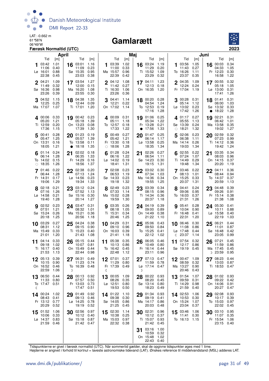

#### Gamlarætt



|         |                                                   | April                               |           |                                                       |                                     |         |                                                 | Maj                                 |         |                                                   |                                     |              |                                              |                                     | Juni |                                                        |                                     |
|---------|---------------------------------------------------|-------------------------------------|-----------|-------------------------------------------------------|-------------------------------------|---------|-------------------------------------------------|-------------------------------------|---------|---------------------------------------------------|-------------------------------------|--------------|----------------------------------------------|-------------------------------------|------|--------------------------------------------------------|-------------------------------------|
|         | Tid<br>03:42<br>11:06<br>Lø 16:01<br>22:38        | [m]<br>1.01<br>0.40<br>0.88<br>0.45 | 16        | Tid<br>03:01<br>11:09<br>Sø 15:35<br>23:03            | [m]<br>1.16<br>0.23<br>0.95<br>0.38 | 1       | Tid<br>03:39<br>11:00<br>Ma 15:57<br>22:39      | [m]<br>1.02<br>0.33<br>0.96<br>0.42 |         | Tid<br>16 03:24<br>11:29<br>Ti 15:52<br>23:29     | [m]<br>1.19<br>0.20<br>1.09<br>0.32 | 1            | Tid<br>03:56<br>11:43<br>To 16:26<br>23:37   | [m]<br>1.05<br>0.27<br>1.11<br>0.35 | 16   | Tid<br>00:03<br>04:33<br>Fr 12:23<br>16:58             | [m]<br>0.34<br>1.05<br>0.30<br>1.22 |
|         | $2^{04:21}$<br>11:49<br>Sø 16:36<br>23:26         | 1.09<br>0.32<br>0.98<br>0.39        |           | 17 03:54<br>12:00<br>Ma 16:20<br>23:55                | 1.27<br>0.15<br>1.08<br>0.30        |         | $2^{04:12}$<br>11:42<br>Ti 16:30<br>23:26       | 1.08<br>0.27<br>1.06<br>0.36        |         | 17 04:11<br>12:13<br>On 16:35                     | 1.23<br>0.18<br>1.20                |              | 2 04:35<br>12:24<br>Fr 17:04                 | 1.09<br>0.24<br>1.19                |      | $17^{00:55}$<br>05:18<br>$L\varnothing$ 13:00<br>17:41 | 0.32<br>1.05<br>0.31<br>1.26        |
|         | 04:52<br>12:25<br>Ma 17:07                        | 1.15<br>0.25<br>1.07                |           | 18 04:38<br>12:44<br>Ti 17:01                         | 1.35<br>0.09<br>1.20                | 3       | 04:41<br>12:21<br>On 17:02                      | 1.14<br>0.22<br>1.14                | 18      | 00:20<br>04:54<br>To 12:53<br>17:16               | 0.28<br>1.24<br>0.19<br>1.28        |              | $3^{00:28}$<br>05:14<br>Lø 13:02<br>17:42    | 0.31<br>1.12<br>0.23<br>1.26        | 18   | 01:41<br>06:00<br>Sø 13:32<br>18:22                    | 0.31<br>1.03<br>0.33<br>1.28        |
|         | 400:06<br>05:20<br>Ti 12:59<br>17:36              | 0.33<br>1.21<br>0.20<br>1.15        |           | 19 00:42 0.23<br>05:18<br>On 13:23<br>17:39           | 1.39<br>0.08<br>1.30                |         | 400:09<br>05:11<br>To 12:57<br>17:33            | 0.31<br>1.18<br>0.18<br>1.22        |         | 19 01:06<br>05:34<br>Fr 13:28<br>17:56            | 0.25<br>1.22<br>0.21<br>1.33        | $\circ$      | 4.01:17<br>05:55<br>Sø 13:39<br>18:21        | 0.27<br>1.13<br>0.24<br>1.32        |      | 19 02:21<br>06:42<br>Ma 13:58<br>19:02                 | 0.31<br>1.01<br>0.35<br>1.27        |
|         | 5 00:41<br>05:47<br>On 13:31<br>18:05             | 0.28<br>1.25<br>0.16<br>1.21        | $\bullet$ | 20 01:23 0.19<br>05:57<br>To 13:58<br>18:18           | 1.39<br>0.11<br>1.35                | 5       | 00:49<br>05:42<br>Fr 13:30<br>$\circ$ 18:06     | 0.27<br>1.21<br>0.18<br>1.28        | 20      | 01:47<br>06:14<br>$L\varnothing$ 13:58<br>18:35   | 0.25<br>1.17<br>0.25<br>1.34        | 5            | 02:06<br>06:38<br>Ma 14:14<br>19:03          | 0.23<br>1.11<br>0.26<br>1.34        | 20   | 02:59<br>07:23<br>Ti 14:12<br>19:42                    | 0.32<br>0.99<br>0.36<br>1.24        |
|         | $6^{01:14}$<br>06:14<br>To 14:02<br>$\circ$ 18:35 | 0.24<br>1.28<br>0.15<br>1.26        | 21        | 02:02 0.18<br>06:35<br>Fr 14:29<br>18:56              | 1.33<br>0.16<br>1.37                |         | 01:28<br>06:16<br>$L\varnothing$ 14:02<br>18:41 | 0.24<br>1.22<br>0.19<br>1.31        | 21      | 02:26<br>06:54<br>Sø 14:23<br>19:15               | 0.27<br>1.11<br>0.30<br>1.31        |              | $6^{02:55}$<br>07:24<br>Ti 14:49<br>19:48    | 0.22<br>1.07<br>0.29<br>1.34        | 21   | 03:35<br>08:03<br>On 14:15<br>20:20                    | 0.34<br>0.96<br>0.37<br>1.19        |
|         | 01:46<br>06:44<br>Fr 14:31<br>19:06               | 0.22<br>1.28<br>0.17<br>1.29        |           | 22 02:38<br>07:13<br>Lø 14:56<br>19:34                | 0.20<br>1.24<br>0.23<br>1.33        |         | 702:08<br>06:53<br>Sø 14:33<br>19:18            | 0.23<br>1.19<br>0.23<br>1.32        | 22      | 03:02<br>07:34<br>Ma 14:36<br>19:55               | 0.30<br>1.03<br>0.34<br>1.25        |              | 7 03:46<br>08:13<br>On 15:25<br>20:37        | 0.22<br>1.01<br>0.33<br>1.31        | 22   | 04:11<br>08:44<br>To 14:37<br>20:59                    | 0.36<br>0.94<br>0.37<br>1.13        |
|         | 8 02:18<br>07:16<br>$Lg$ 14:58<br>19:40           | 0.21<br>1.26<br>0.21<br>1.28        | 23        | 03:12 0.24<br>07:52<br>Sø 15:16<br>20:14              | 1.13<br>0.30<br>1.27                |         | 8 02:49<br>07:33<br>Ma 15:02<br>19:59           | 0.23<br>1.14<br>0.28<br>1.30        |         | 23 03:39<br>08:15<br>Ti 14:34<br>20:37            | 0.34<br>0.96<br>0.36<br>1.18        |              | 8 04:41<br>09:06<br>To 16:03<br>21:31        | 0.24<br>0.95<br>0.37<br>1.26        | 23   | 04:48<br>09:26<br>Fr 15:14<br>21:38                    | 0.39<br>0.91<br>0.38<br>1.08        |
| 9       | 02:52<br>07:51<br>Sø 15:24<br>20:18               | 0.23<br>1.21<br>0.26<br>1.25        |           | 24 03:47 0.31<br>08:32<br>Ma 15:21<br>20:56           | 1.01<br>0.36<br>1.18                |         | <b>9</b> 03:35<br>08:18<br>Ti 15:31<br>20:46    | 0.26<br>1.05<br>0.34<br>1.25        |         | 24 04:19<br>09:00<br>On 14:49<br>21:22            | 0.39<br>0.89<br>0.38<br>1.10        |              | <b>9</b> 05:41<br>10:04<br>Fr 16:48<br>22:31 | 0.28<br>0.90<br>0.41<br>1.20        | 24   | 05:30<br>10:11<br>Lø 15:58<br>22:19                    | 0.41<br>0.88<br>0.40<br>1.03        |
|         | 10 03:29<br>08:31<br>Ma 15:49<br>21:01            | 0.27<br>1.12<br>0.33<br>1.20        | 25        | 04:24<br>09:15<br>Ti 15:23<br>21:43                   | 0.38<br>0.90<br>0.40<br>1.08        |         | 10 04:29<br>09:10<br>On 16:03<br>21:41          | 0.31<br>0.96<br>0.39<br>1.18        |         | $25\degree^{05:06}$<br>09:50<br>To 15:25<br>22:12 | 0.43<br>0.84<br>0.41<br>1.02        | $\mathbb{C}$ | 10 06:46<br>11:08<br>Lø 17:48<br>23:37       | 0.30<br>0.86<br>0.44<br>1.14        | 25   | 06:21<br>11:01<br>Sø 16:48<br>23:05                    | 0.44<br>0.87<br>0.42<br>0.99        |
| 11      | 04:14<br>09:18<br>Ti 16:17<br>21:53               | 0.33<br>1.02<br>0.40<br>1.13        | 26        | 05:15<br>10:07<br>On 15:49<br>22:44 0.98              | 0.44<br>0.81<br>0.44                | 11      | 05:38<br>10:13<br>To 16:42<br>22:48             | 0.35<br>0.86<br>0.45<br>1.12        | 26      | 06:05<br>10:49<br>Fr 16:14<br>23:11               | 0.46<br>0.80<br>0.44<br>0.96        | 11           | 07:54<br>12:17<br>Sø 19:19 0.45              | 0.32<br>0.86                        | 26   | 07:21<br>11:59<br>Ma 17:45<br>D 23:59                  | 0.45<br>0.86<br>0.45<br>0.95        |
| 12      | 05:13<br>10:15<br>On 16:52<br>22:59               | 0.39<br>0.90<br>0.46<br>1.06        | D         | 06:31<br>11:23<br>To 16:39 0.48                       | 0.49<br>0.74                        | 12<br>ℭ | 07:01<br>11:29<br>Fr 17:39                      | 0.37<br>0.80<br>0.49                | 27<br>D | 07:13 0.47<br>11:59<br>Lø 17:14 0.47              | 0.78                                |              | $12^{00.47}$<br>08:59<br>Ma 13:27<br>20:46   | 1.09<br>0.32<br>0.90<br>0.43        |      | 08:23<br>13:03<br>Ti 18:53                             | 0.44<br>0.87<br>0.47                |
| 13<br>€ | 06:50<br>11:33<br>To 17:47                        | 0.44<br>0.80<br>0.51                | 28        | 00:13 0.92<br>07:57<br>Fr 13:03 0.73<br>17:47         | 0.50<br>0.51                        | 13      | 00:05<br>08:26<br>Lø 12:51<br>19:53             | 1.09<br>0.35<br>0.80<br>0.50        | 28      | 00:22<br>08:20<br>Sø 13:14<br>18:23               | 0.93<br>0.45<br>0.80<br>0.49        |              | 13 01:54<br>09:59<br>Ti 14:29<br>21:59       | 1.07<br>0.31<br>0.98<br>0.40        | 28   | 01:02<br>09:22<br>On 14:06<br>20:27                    | 0.93<br>0.42<br>0.91<br>0.47        |
|         | 14 00:24<br>08:43<br>Fr 13:12<br>20:29            | 1.02<br>0.41<br>0.77<br>0.52        | 29        | 01:49<br>09:13<br>Lø 14:25<br>19:19                   | 0.92<br>0.46<br>0.78<br>0.52        |         | 14 01:22<br>09:38<br>Sø 14:05<br>21:25          | 1.10<br>0.30<br>0.86<br>0.45        | 29      | 01:34<br>09:19<br>Ma 14:17<br>20:03               | 0.93<br>0.41<br>0.86<br>0.48        |              | 14 02:53<br>10:53<br>On 15:24<br>23:04       | 1.06<br>0.30<br>1.07<br>0.37        | 29   | 02:08<br>10:17<br>To 15:03<br>22:02                    | 0.93<br>0.39<br>0.97<br>0.45        |
|         | 15 01:52<br>10:06<br>Lø 14:37<br>21:59            | 1.06<br>0.33<br>0.83<br>0.46        |           | 30 02:56<br>10:12 0.40<br>Sø 15:18 0.87<br>21:42 0.47 | 0.97                                | 15      | 02:30<br>10:38<br>Ma 15:03<br>22:32             | 1.14<br>0.25<br>0.97<br>0.38        | 30      | 02:31<br>10:12<br>Ti 15:07<br>21:42               | 0.96<br>0.37<br>0.93<br>0.45        |              | 15 03:46<br>11:41<br>To 16:13 1.15           | 1.06<br>0.30                        | 30   | 03:10<br>11:07<br>Fr 15:54<br>23:15                    | 0.95<br>0.35<br>1.06<br>0.40        |
|         |                                                   |                                     |           |                                                       |                                     |         |                                                 |                                     | 31      | 03:16<br>10:59<br>On 15:48<br>22:43               | 1.00<br>0.32<br>1.02<br>0.40        |              |                                              |                                     |      |                                                        |                                     |

Tidspunkterne er givet i færøsk normaltid (UTC). Når sommertid gælder, skal de opgivne tidspunkter øges med 1 time.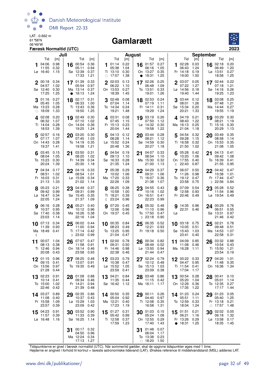

## 06°49'W **Gamlarætt**



|    |                                              | Juli                         |           |                                                  |                              |                       |                                                 | August                       |           |                                                    |                              |         |                                               | <b>September</b>             |         |                                                    |                              |
|----|----------------------------------------------|------------------------------|-----------|--------------------------------------------------|------------------------------|-----------------------|-------------------------------------------------|------------------------------|-----------|----------------------------------------------------|------------------------------|---------|-----------------------------------------------|------------------------------|---------|----------------------------------------------------|------------------------------|
|    | Tid                                          | [m]                          |           | Tid                                              | [m]                          |                       | Tid                                             | [m]                          |           | Tid                                                | [m]                          |         | Tid                                           | [m]                          |         | Tid                                                | [m]                          |
|    | 04:06<br>11:55<br>$L\varnothing$ 16:40       | 0.98<br>0.32<br>1.15         | 16        | 00:54<br>05:11<br>Sø 12:39<br>17:33              | 0.36<br>0.94<br>0.37<br>1.21 |                       | 01:14<br>05:38<br>Ti 13:10<br>$\circ$ 17:57     | 0.22<br>1.04<br>0.30<br>1.38 | $\bullet$ | 16 01:57<br>06:16<br>On 13:27<br>18:31             | 0.27<br>1.05<br>0.35<br>1.25 | 1       | 02:28<br>06:43<br>Fr 14:18<br>19:00           | 0.03<br>1.24<br>0.19<br>1.50 |         | 16 02:18<br>06:49<br>$L\varnothing$ 13:51<br>18:58 | 0.20<br>1.20<br>0.27<br>1.25 |
|    | $2^{00:18}$<br>04:57<br>Sø 12:40<br>17:25    | 0.34<br>1.02<br>0.30<br>1.25 | $\bullet$ | 17 01:39<br>05:54<br>Ma 13:14<br>18:13           | 0.33<br>0.97<br>0.37<br>1.24 | $\mathbf{2}$          | 02:03<br>06:22<br>On 13:53<br>18:39             | 0.13<br>1.10<br>0.27<br>1.45 |           | 17 02:26<br>06:48<br>To 13:51<br>19:01             | 0.25<br>1.09<br>0.33<br>1.26 |         | 2 03:07<br>07:22<br>Lø 14:56<br>19:40         | 0.05<br>1.27<br>0.18<br>1.44 |         | 17 02:44<br>07:18<br>Sø 14:16<br>19:25             | 0.22<br>1.21<br>0.26<br>1.23 |
|    | 01:16<br>05:45<br>Ma 13:23<br>$\circ$ 18:09  | 0.27<br>1.05<br>0.28<br>1.33 | 18        | 02:17<br>06:33<br>Ti 13:43<br>18:50              | 0.31<br>1.00<br>0.36<br>1.25 |                       | 02:48<br>07:04<br>To 14:34<br>19:21             | 0.08<br>1.14<br>0.24<br>1.48 |           | 18 02:53<br>07:19<br>Fr 14:11<br>19:29             | 0.24<br>1.11<br>0.31<br>1.24 |         | 03:44<br>08:01<br>Sø 15:34<br>20:21           | 0.12<br>1.26<br>0.20<br>1.33 | 18      | 03:08<br>07:48<br>Ma 14:44<br>19:55                | 0.25<br>1.21<br>0.27<br>1.19 |
|    | <b>4</b> 02:08<br>06:32<br>Ti 14:04<br>18:53 | 0.20<br>1.07<br>0.28<br>1.39 |           | 19 02:49<br>07:10<br>On 14:04<br>19:25           | 0.30<br>1.02<br>0.36<br>1.24 |                       | 403:31<br>07:45<br>Fr 15:13<br>20:04            | 0.08<br>1.15<br>0.23<br>1.44 |           | 19 03:19<br>07:50<br>$L\varnothing$ 14:32<br>19:58 | 0.26<br>1.12<br>0.30<br>1.22 |         | 4.04:19<br>08:43<br>Ma 16:13<br>21:04         | 0.21<br>1.22<br>0.25<br>1.18 |         | 19 03:29<br>08:21<br>Ti 15:16<br>20:29             | 0.30<br>1.19<br>0.30<br>1.13 |
|    | 502:57<br>07:17<br>On 14:43<br>19:37         | 0.16<br>1.07<br>0.28<br>1.41 | 20        | 03:20<br>07:45<br>To 14:19<br>19:58              | 0.30<br>1.03<br>0.35<br>1.21 | 5                     | 04:13<br>08:28<br>Lø 15:52<br>20:48             | 0.12<br>1.14<br>0.24<br>1.36 | 20        | 03:44<br>08:21<br>Sø 14:59<br>20:27                | 0.28<br>1.12<br>0.30<br>1.18 | 5       | 04:54<br>09:28<br>Ti 16:58<br>21:50           | 0.32<br>1.15<br>0.32<br>1.02 | 20      | 03:49<br>08:58<br>On 15:53<br>21:08                | 0.35<br>1.14<br>0.35<br>1.05 |
|    | $6^{03:45}$<br>08:04<br>To 15:23<br>20:24    | 0.15<br>1.05<br>0.30<br>1.39 | 21        | 03:50<br>08:20<br>Fr 14:39<br>20:30              | 0.31<br>1.02<br>0.34<br>1.18 |                       | 04:54<br>09:13<br>Sø 16:33<br>21:35             | 0.19<br>1.10<br>0.28<br>1.24 | 21        | 04:07<br>08:54<br>Ma 15:30<br>21:00                | 0.33<br>1.10<br>0.32<br>1.13 | 6<br>ℂ  | 05:28<br>10:20<br>On 17:55<br>22:43           | 0.42<br>1.06<br>0.40<br>0.87 | 21      | 04:13<br>09:42<br>To 16:39<br>21:55                | 0.41<br>1.08<br>0.41<br>0.95 |
|    | 7 04:34<br>08:51<br>Fr 16:03<br>21:13        | 0.17<br>1.02<br>0.31<br>1.33 | 22        | 04:19<br>08:54<br>$L\varnothing$ 15:09<br>21:02  | 0.33<br>1.01<br>0.34<br>1.14 |                       | 05:38<br>10:02<br>Ma 17:20<br>22:26             | 0.29<br>1.06<br>0.33<br>1.09 | 22        | 04:29<br>09:31<br>Ti 16:07<br>21:38                | 0.37<br>1.06<br>0.36<br>1.07 |         | 06:07<br>11:26<br>To 19:12<br>23:58           | 0.50<br>0.98<br>0.47<br>0.75 | 22<br>D | 04:42<br>10:38<br>Fr 17:44<br>22:56                | 0.47<br>1.01<br>0.47<br>0.84 |
|    | 8 05:23<br>09:42<br>Lø 16:47<br>22:05        | 0.21<br>0.99<br>0.34<br>1.24 |           | 23 04:49<br>09:31<br>Sø 15:45<br>21:37           | 0.37<br>0.99<br>0.35<br>1.09 | $\mathbb{\mathbb{C}}$ | 8 06:25<br>10:58<br>Ti 18:21<br>23:24           | 0.38<br>1.00<br>0.39<br>0.96 |           | 23 04:55<br>10:16<br>On 16:51<br>22:23             | 0.43<br>1.02<br>0.41<br>0.99 |         | 8 07:09<br>12:58<br>Fr 20:46                  | 0.54<br>0.93<br>0.49         | 23      | 05:28<br>11:54<br>$L\varnothing$ 19:54             | 0.52<br>0.96<br>0.49         |
|    | <b>9</b> 06:16<br>10:37<br>Sø 17:40<br>23:03 | 0.28<br>0.95<br>0.38<br>1.14 |           | 24 05:21<br>10:12<br>Ma 16:26<br>22:16           | 0.40<br>0.96<br>0.38<br>1.04 | g                     | 07:20<br>12:06<br>On 19:37 0.45                 | 0.45<br>0.96                 |           | 24 05:32<br>11:10<br>To 17:50<br>$D$ 23:18         | 0.48<br>0.96<br>0.47<br>0.90 | 9<br>Lø | 14:35 0.96<br>22:31 0.46                      |                              | 24      | 00:29<br>06:51<br>Sø 13:31<br>21:46                | 0.76<br>0.55<br>0.97<br>0.42 |
| ℂ  | $10^{-07:13}$<br>11:39<br>Ma 18:49           | 0.34<br>0.93<br>0.41         |           | 25 06:02<br>11:00<br>Ti 17:14<br>D 23:02         | 0.44<br>0.94<br>0.42<br>0.99 | 10                    | 00:35 0.84<br>08:23<br>To 13:25<br>21:04        | 0.49<br>0.95<br>0.47         |           | 25 06:35<br>12:21<br>Fr 19:18                      | 0.52<br>0.93<br>0.50         |         | 10 03:18 0.75<br>10:05<br>Sø 15:43<br>23:41   | 0.51<br>1.03<br>0.40         | 25      | 02:21<br>09:48<br>Ma 14:53<br>22:58                | 0.78<br>0.51<br>1.07<br>0.31 |
| 11 | 00:07<br>08:13<br>Ti 12:46<br>20:08          | 1.04<br>0.38<br>0.94<br>0.43 | 26        | 07:07<br>11:58<br>On 18:14<br>23:58              | 0.47<br>0.91<br>0.46<br>0.93 | 11                    | 02:00<br>09:31<br>Fr 14:46<br>22:38             | 0.78<br>0.50<br>0.98<br>0.46 | 26        | 00:34<br>08:49<br>$La$ 13:50<br>21:44              | 0.82<br>0.52<br>0.94<br>0.47 | 11      | 04:09<br>11:08<br>Ma 16:28                    | 0.85<br>0.46<br>1.11         | 26      | 03:32<br>10:54<br>Ti 15:50<br>23:54                | 0.88<br>0.43<br>1.21<br>0.19 |
| 12 | 01:15<br>09:15<br>On 13:56<br>21:28          | 0.96<br>0.41<br>0.97<br>0.44 |           | 08:25 0.48<br>13:07<br>To 19:35                  | 0.91<br>0.49                 | 12                    | 03:23 0.79<br>10:38<br>Lø 15:52<br>23:59        | 0.47<br>1.05<br>0.41         | 27        | 02:24 0.79<br>10:12<br>Sø 15:13<br>23:09           | 0.48<br>1.03<br>0.38         |         | 12 $00:22$ 0.33<br>04:47<br>Ti 11:54<br>17:04 | 0.95<br>0.41<br>1.17         | 27      | 04:20<br>11:48<br>On 16:36                         | 1.01<br>0.35<br>1.34         |
| 13 | 02:23<br>10:14<br>To 15:00<br>22:46          | 0.91<br>0.41<br>1.02<br>0.42 |           | 28 01:08 0.88<br>09:34 0.46<br>Fr 14:21<br>21:39 | 0.94<br>0.48                 |                       | 13 04:21<br>11:35 0.44<br>Sø 16:42 1.12         | 0.84                         | 28        | 03:48<br>11:15<br>Ma 16:11                         | 0.86<br>0.42<br>1.17         |         | 13 00:54<br>05:20<br>On 12:29 0.36<br>17:35   | 0.28<br>1.04<br>1.22         | 28      | 00:41<br>05:01<br>To 12:35<br>17:17                | 0.10<br>1.14<br>0.27<br>1.44 |
|    | 14 03:27<br>11:08<br>Fr 15:58<br>23:57       | 0.89<br>0.40<br>1.09<br>0.39 |           | 29 02:35<br>10:37<br>Lø 15:29<br>23:09           | 0.86<br>0.43<br>1.03<br>0.42 |                       | 14 00:50 0.35<br>05:04<br>Ma 12:21<br>17:23     | 0.92<br>0.40<br>1.19         |           | 29 00:11<br>04:40<br>Ti 12:08<br>16:58             | 0.26<br>0.97<br>0.35<br>1.31 |         | 14 01:23<br>05:51<br>To 12:59<br>18:04        | 0.24<br>1.11<br>0.33<br>1.24 |         | 29 01:23<br>05:40<br>Fr 13:18<br>$\circ$ 17:57     | 0.05<br>1.25<br>0.21<br>1.48 |
|    | 15 04:23<br>11:57<br>Lø 16:48                | 0.91<br>0.39<br>1.16         |           | 30 03:52<br>11:33<br>Sø 16:25                    | 0.90<br>0.39<br>1.14         |                       | $15^{01:27}$<br>05:42 0.99<br>Ti 12:58<br>17:59 | 0.31<br>0.37<br>1.23         |           | 30 01:03<br>05:24<br>On 12:55<br>17:40             | 0.15<br>1.08<br>0.29<br>1.43 |         | 15 01:51<br>06:21<br>Fr 13:26<br>• 18:31      | 0.21<br>1.16<br>0.29<br>1.25 | 30      | 02:02<br>06:18<br>Lø 13:58<br>18:35                | 0.05<br>1.32<br>0.17<br>1.45 |
|    |                                              |                              | 31        | 00:17<br>04:50<br>Ma 12:24<br>17:13              | 0.32<br>0.96<br>0.34<br>1.27 |                       |                                                 |                              | 31        | 01:48<br>06:04<br>To 13:38<br>$\circ$ 18:20        | 0.07<br>1.17<br>0.23<br>1.50 |         |                                               |                              |         |                                                    |                              |

Tidspunkterne er givet i færøsk normaltid (UTC). Når sommertid gælder, skal de opgivne tidspunkter øges med 1 time.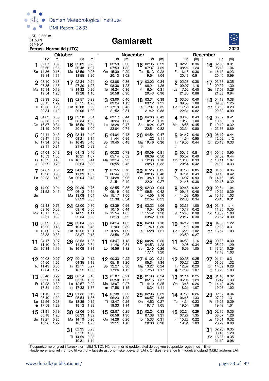

#### Gamlarætt



|          |                                | <b>Oktober</b> |         |                               |              |           |                          | <b>November</b> |    |                   |              |             |                      |              | <b>December</b> |                               |              |
|----------|--------------------------------|----------------|---------|-------------------------------|--------------|-----------|--------------------------|-----------------|----|-------------------|--------------|-------------|----------------------|--------------|-----------------|-------------------------------|--------------|
|          | Tid                            | [m]            |         | Tid                           | [m]          |           | Tid                      | [m]             |    | Tid               | [m]          |             | Tid                  | [m]          |                 | Tid                           | [m]          |
| 1        | 02:37<br>06:56                 | 0.09           | 16      | 02:09                         | 0.20         | 1         | 02:59                    | 0.30            |    | 16 02:35          | 0.29         | 1           | 02:23                | 0.36         |                 | 16 02:58                      | 0.31         |
|          | Sø 14:36                       | 1.36<br>0.16   |         | 06:48<br>Ma 13:59             | 1.27<br>0.25 |           | 07:53<br>On 15:39        | 1.32<br>0.29    |    | 07:37<br>To 15:13 | 1.29<br>0.28 |             | 08:21<br>Fr 16:16    | 1.24<br>0.36 |                 | 08:13<br>Lø 16:13             | 1.34<br>0.23 |
|          | 19:14                          | 1.37           |         | 18:55                         | 1.20         |           | 20:13                    | 1.02            |    | 19:54             | 1.04         |             | 20:46                | 0.91         |                 | 20:40                         | 0.99         |
|          | 03:10                          | 0.16           |         | 17 02:34                      | 0.24         |           | 03:08                    | 0.36            |    | 17 03:02          | 0.34         |             | 02:28                | 0.38         |                 | 17 03:33                      | 0.35         |
|          | 07:35                          | 1.35           |         | 07:20                         | 1.27         |           | 08:36                    | 1.23            |    | 08:21             | 1.26         |             | 09:07                | 1.16         |                 | 09:02                         | 1.30         |
|          | Ma 15:14                       | 0.19           |         | Ti 14:32                      | 0.26         |           | To 16:24                 | 0.36            |    | Fr 16:04          | 0.31         |             | Lø 17:02             | 0.40         |                 | Sø 17:08                      | 0.26         |
|          | 19:54                          | 1.25           |         | 19:28                         | 1.16         |           | 20:58                    | 0.90            |    | 20:43             | 0.96         |             | 21:35                | 0.86         |                 | 21:33                         | 0.94         |
|          | 03:39<br>08:15                 | 0.26<br>1.29   |         | 18 02:57<br>07:55             | 0.29<br>1.25 |           | 3 03:00<br>09:24         | 0.40<br>1.13    |    | 18 03:31<br>09:12 | 0.38<br>1.21 |             | 3 03:00<br>09:56     | 0.40<br>1.08 |                 | 18 04:13<br>09:56             | 0.38<br>1.25 |
|          | Ti 15:53                       | 0.26           |         | On 15:08                      | 0.29         |           | Fr 17:19                 | 0.43            |    | Lø 17:07          | 0.35         |             | Sø 17:55             | 0.43         |                 | Ma 18:08                      | 0.29         |
|          | 20:34                          | 1.10           |         | 20:06                         | 1.09         |           | 21:52                    | 0.81            |    | 21:42             | 0.88         |             | 22:31                | 0.82         |                 | 22:32                         | 0.90         |
|          | 4.04:03                        | 0.35           | 19      | 03:20                         | 0.34         |           | 403:17                   | 0.44            |    | 19 04:06          | 0.43         |             | 403:48               | 0.43         |                 | 19 05:02 0.41                 |              |
|          | 08:58                          | 1.21           |         | 08:34                         | 1.20         |           | 10:24                    | 1.03            |    | 10:12             | 1.15         |             | 10:50                | 1.00         |                 | 10:56                         | 1.18         |
|          | On 16:37<br>21:19              | 0.34<br>0.95   |         | To 15:50<br>20:49             | 0.34<br>1.00 |           | Lø 18:28<br>23:04        | 0.47<br>0.74    |    | Sø 18:24<br>22:51 | 0.37<br>0.82 |             | Ma 18:55<br>23:34    | 0.45<br>0.80 |                 | Ti 19:12<br>D 23:36           | 0.32<br>0.89 |
|          |                                |                |         |                               |              |           |                          |                 |    |                   |              |             |                      |              |                 |                               |              |
|          | $5^{04:11}$<br>09:47           | 0.43<br>1.10   |         | 20 03:44<br>09:21             | 0.40<br>1.14 | 5         | 04:04 0.48<br>11:44      | 0.96            |    | 20 04:54<br>11:22 | 0.47<br>1.11 | 5           | 04:47<br>11:54       | 0.46<br>0.95 | 20              | 06:12 0.44<br>12:02 1.12      |              |
|          | To 17:34                       | 0.42           |         | Fr 16:45                      | 0.40         |           | Sø 19:45 0.48            |                 |    | Ma 19:46          | 0.36         |             | Ti 19:56 0.44        |              |                 | On 20:18 0.33                 |              |
|          | 22:11                          | 0.81           |         | 21:42                         | 0.89         | a         |                          |                 | D  |                   |              | ℂ           |                      |              |                 |                               |              |
|          | 04:04                          | 0.48           | 21      | 04:13                         | 0.46         | 6         | 00:32 0.73               |                 | 21 | 00:09             | 0.81         | 6           | 00:46                | 0.81         | 21              | 00:46 0.90                    |              |
|          | 10:53                          | 1.00           |         | 10:21                         | 1.07         |           | 05:14                    | 0.52            |    | 06:09             | 0.50         |             | 05:57                | 0.49         |                 | 07:52                         | 0.44         |
|          | Fr 18:52<br>$\binom{23:29}{ }$ | 0.48<br>0.72   |         | $L\varnothing$ 18:11<br>22:54 | 0.44<br>0.80 |           | Ma 13:14<br>20:55        | 0.93<br>0.45    |    | Ti 12:38<br>20:59 | 1.10<br>0.32 |             | On 13:03<br>20:54    | 0.93<br>0.42 |                 | To 13:11<br>21:20             | 1.07<br>0.33 |
|          | 04:37                          | 0.52           |         |                               | 0.51         |           |                          | 0.78            |    |                   | 0.85         |             | 701:53               | 0.85         |                 |                               | 0.96         |
|          | 12:28                          | 0.93           |         | 22 04:58<br>11:39             | 1.02         |           | 701:55<br>06:44          | 0.53            |    | 22 01:25<br>08:35 | 0.48         |             | 07:31                | 0.49         |                 | 22 01:53<br>09:16             | 0.42         |
|          | Lø 20:23                       | 0.49           |         | Sø 20:04                      | 0.43         |           | Ti 14:28                 | 0.96            |    | On 13:49          | 1.12         |             | To 14:07             | 0.93         |                 | Fr 14:16                      | 1.05         |
|          |                                |                | D       |                               |              |           | 21:51                    | 0.40            |    | 22:01             | 0.27         |             | 21:46                | 0.38         |                 | 22:18                         | 0.32         |
|          | 8 14:09 0.94                   |                | 23      | 00:29                         | 0.76         |           | 8 02:55                  | 0.86            |    | 23 02:30          | 0.94         |             | 02:48                | 0.92         | 23              | 02:54                         | 1.04         |
| Sø       | 21:52 0.45                     |                |         | 06:13<br>Ma 13:08             | 0.54<br>1.04 |           | 09:19<br>On 15:17        | 0.49<br>1.00    |    | 09:51<br>To 14:50 | 0.42<br>1.16 |             | 09:13<br>Fr 14:58    | 0.46<br>0.95 |                 | 10:29<br>$L\varnothing$ 15:16 | 0.39<br>1.03 |
|          |                                |                |         | 21:29                         | 0.35         |           | 22:38                    | 0.34            |    | 22:54             | 0.23         |             | 22:33                | 0.34         |                 | 23:10                         | 0.31         |
|          | $9^{02:48}$                    | 0.76           |         | 24 02:00                      | 0.80         |           | <b>g</b> 03:39           | 0.96            |    | 24 03:23          | 1.06         |             | 903:33               | 1.00         |                 | 24 03:48                      | 1.14         |
|          | 09:16                          | 0.53           |         | 09:16                         | 0.50         |           | 10:15                    | 0.44            |    | 10:54             | 0.36         |             | 10:17                | 0.42         |                 | 11:35                         | 0.35         |
| Ma 15:17 |                                | 1.00           |         | Ti 14:25                      | 1.11         |           | To 15:54                 | 1.05            |    | Fr 15:42          | 1.20         |             | $L\varnothing$ 15:40 | 0.98         |                 | Sø 16:09                      | 1.03         |
|          | 22:51                          | 0.39           |         | 22:34                         | 0.26         |           | 23:19                    | 0.29            |    | 23:42             | 0.20         |             | 23:17                | 0.30         |                 | 23:57                         | 0.30         |
| 10 03:39 | 10:22                          | 0.86<br>0.48   | 25      | 03:04<br>10:26                | 0.92<br>0.43 | 10        | 04:14<br>11:03           | 1.05<br>0.39    |    | 25 04:09<br>11:49 | 1.18<br>0.30 | 10          | 04:12<br>11:13       | 1.08<br>0.38 | 25              | 04:36<br>12:33                | 1.22<br>0.31 |
|          | Ti 16:00                       | 1.07           |         | On 15:22                      | 1.21         |           | Fr 16:26                 | 1.09            |    | Lø 16:28          | 1.21         |             | Sø 16:20             | 1.02         |                 | Ma 16:57                      | 1.03         |
|          | 23:33                          | 0.33           |         | 23:27                         | 0.18         |           | 23:58                    | 0.25            |    |                   |              |             | 23:59                | 0.27         |                 |                               |              |
| 11 04:17 |                                | 0.97           |         | 26 03:53                      | 1.05         |           | 11 $04:47$               | 1.13            |    | 26 00:24          | 0.20         |             | 11 04:50             | 1.16         | 26              | 00:38                         | 0.30         |
|          | 11:10                          | 0.42           |         | 11:22<br>To 16:09             | 0.34         |           | 11:46<br>$L\sigma$ 16:56 | 0.34            |    | 04:53<br>Sø 12:40 | 1.28         |             | 12:06                | 0.34         |                 | 05:22                         | 1.29         |
|          | On 16:34                       | 1.13           |         |                               | 1.31         |           |                          | 1.12            |    | 17:11             | 0.26<br>1.20 |             | Ma 16:59             | 1.05         |                 | Ti 13:24<br>17:43 1.03        | 0.29         |
|          | 00:08                          | 0.27           |         | 00:13                         | 0.12         |           | 00:33                    | 0.22            |    | 01:03             | 0.21         | $\mathbf 2$ | 00:38                | 0.25         |                 | 01:14                         | 0.31         |
| 12       | 04:50                          | 1.06           | 27      | 04:35                         | 1.18         |           | 05:18                    | 1.20            | 27 | 05:34             | 1.34         |             | 05:27                | 1.23         |                 | 06:05                         | 1.32         |
|          | To 11:49                       | 0.36           |         | Fr 12:11                      | 0.27         |           | Sø 12:27                 | 0.30            |    | Ma 13:27          | 0.24         |             | Ti 12:57             | 0.29         |                 | On 14:09                      | 0.28         |
|          | 17:04                          | 1.17           |         | 16:52                         | 1.36         |           | 17:26                    | 1.15            |    | $\circ$ 17:53     | 1.17         | $\bullet$   | 17:39                | 1.07         |                 | $\circ$ 18:26                 | 1.03         |
| 13       | 00:40                          | 0.22           |         | 28 00:54                      | 0.10         |           | 13 01:07                 | 0.21            | 28 | 01:36             | 0.24         |             | 13 01:14             | 0.25         | 28              | 01:45                         | 0.32         |
|          | 05:20<br>Fr 12:23              | 1.14<br>0.32   |         | 05:15<br>Lø 12:57             | 1.29<br>0.22 |           | 05:50<br>Ma 13:07        | 1.25<br>0.27    |    | 06:15<br>Ti 14:10 | 1.37<br>0.25 |             | 06:05<br>On 13:45    | 1.29<br>0.26 |                 | 06:47<br>To 14:49             | 1.33<br>0.28 |
|          | 17:31                          | 1.20           | $\circ$ | 17:32                         | 1.37         | $\bullet$ | 17:58                    | 1.15            |    | 18:34             | 1.11         |             | 18:21                | 1.07         |                 | 19:08                         | 1.02         |
| 14 01:12 |                                | 0.20           | 29      | 01:32                         | 0.12         | 14        | 01:38                    | 0.22            | 29 | 02:05             | 0.29         | 14          | 01:50                | 0.26         | 29              | 02:07                         | 0.34         |
|          | 05:49                          | 1.20           |         | 05:54                         | 1.36         |           | 06:23                    | 1.29            |    | 06:57             | 1.36         |             | 06:45                | 1.33         |                 | 07:27                         | 1.31         |
|          | Lø 12:56<br>17:58              | 0.28<br>1.22   |         | Sø 13:39<br>18:12             | 0.19         |           | Ti 13:47<br>18:33        | 0.26            |    | On 14:52<br>19:17 | 0.27<br>1.05 |             | To 14:34<br>19:04    | 0.23<br>1.06 |                 | Fr 15:26<br>19:49             | 0.29<br>1.01 |
|          |                                |                |         |                               | 1.33         |           |                          | 1.14            |    |                   |              |             |                      |              |                 |                               |              |
| 15       | 01:41<br>06:18                 | 0.19<br>1.25   | 30      | 02:06<br>06:33                | 0.16<br>1.39 | 15        | 02:07<br>06:58           | 0.25<br>1.30    | 30 | 02:24<br>07:38    | 0.33<br>1.31 | 15          | 02:24<br>07:27       | 0.29<br>1.35 | 30              | 02:15<br>08:07                | 0.35<br>1.26 |
|          | Sø 13:27                       | 0.26           |         | Ma 14:19                      | 0.20         |           | On 14:28                 | 0.26            |    | To 15:33          | 0.31         |             | Fr 15:23             | 0.22         | Lø              | 16:01                         | 0.32         |
|          | 18:26                          | 1.22           |         | 18:51                         | 1.25         |           | 19:11                    | 1.10            |    | 20:00             | 0.98         |             | 19:51                | 1.03         |                 | 20:29                         | 0.98         |
|          |                                |                | 31      | 02:35                         | 0.23         |           |                          |                 |    |                   |              |             |                      |              | 31              | 02:26                         | 0.35         |
|          |                                |                |         | 07:12                         | 1.38         |           |                          |                 |    |                   |              |             |                      |              |                 | 08:45                         | 1.20         |
|          |                                |                |         | Ti 14:59<br>19:31             | 0.23<br>1.14 |           |                          |                 |    |                   |              |             |                      |              |                 | Sø 16:36<br>21:10             | 0.35<br>0.96 |
|          |                                |                |         |                               |              |           |                          |                 |    |                   |              |             |                      |              |                 |                               |              |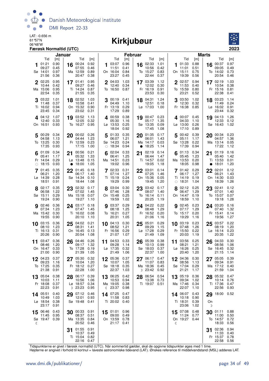

#### 06°48'W **Kirkjubøur**



|    |                   | Januar       |           |                               |              |    |                                | <b>Februar</b> |           |                    |              |    |                               |              | <b>Marts</b> |                               |              |
|----|-------------------|--------------|-----------|-------------------------------|--------------|----|--------------------------------|----------------|-----------|--------------------|--------------|----|-------------------------------|--------------|--------------|-------------------------------|--------------|
| 1  | Tid<br>01:21      | [m]<br>0.90  | 16        | Tid<br>00:24                  | [m]<br>0.92  | 1. | Tid<br>03:07                   | [m]<br>0.96    | 16        | Tid<br>02:33       | [m]<br>1.01  |    | Tid<br>101:33                 | [m]<br>0.88  |              | Tid<br>16 $00:37$             | [m]<br>0.97  |
|    | 09:27<br>Sø 14:01 | 0.45<br>0.97 |           | 07:55<br>Ma 12:59             | 0.46<br>0.89 |    | 11:51<br>On 16:04              | 0.41<br>0.84   |           | 10:56<br>To 15:27  | 0.42<br>0.83 |    | 11:01<br>On 15:11             | 0.51<br>0.75 |              | 09:05<br>To 14:02             | 0.49<br>0.73 |
|    | 21:56             | 0.36         |           | 20:47                         | 0.38         |    | 23:27                          | 0.45           |           | 22:44              | 0.37         |    | 19:39                         | 0.56         |              | 20:54                         | 0.46         |
|    | 2 02:25<br>10:44  | 0.95<br>0.42 |           | $17^{01:41}$<br>09:27         | 0.95<br>0.46 |    | 2 04:03<br>12:40               | 1.03<br>0.34   |           | 17 03:39<br>12:02  | 1.12<br>0.30 |    | $2^{02:57}$<br>11:53          | 0.94<br>0.40 |              | 17 02:19<br>10:54             | 1.03<br>0.38 |
|    | Ma 15:06          | 0.95         |           | Ti 14:24                      | 0.87         |    | To 16:50                       | 0.87           |           | Fr 16:19           | 0.91         |    | To 15:59                      | 0.80         |              | Fr 15:16                      | 0.81         |
|    | 22:54<br>3 03:22  | 0.35<br>1.01 |           | 21:55<br>18 02:52             | 0.35<br>1.03 |    | 3 00:19 0.41                   |                |           | 23:53<br>18 04:31  | 0.30<br>1.24 |    | 23:21<br>03:50                | 0.52<br>1.02 |              | 22:38<br>18 03:23             | 0.41<br>1.14 |
|    | 11:48             | 0.37         |           | 10:58                         | 0.41         |    | 04:49 1.10                     |                |           | 12:51              | 0.18         |    | 12:30                         | 0.32         |              | 11:49                         | 0.24         |
|    | Ti 16:02<br>23:45 | 0.94<br>0.34 |           | On 15:32<br>23:02             | 0.90<br>0.31 |    | Fr 13:19<br>17:29              | 0.29<br>0.89   |           | Lø 17:03           | 1.00         |    | Fr 16:38                      | 0.85         |              | Lø 16:02<br>23:44             | 0.91<br>0.32 |
|    | $4^{04:12}$       | 1.07         |           | 19 03:52<br>12:05             | 1.13         |    | 400:59<br>05:30                | 0.38           |           | 19 00:47<br>05:17  | 0.23<br>1.35 |    | 4 00:07 0.45<br>04:33         |              | 19           | 04:13<br>12:33                | 1.26         |
|    | 12:40<br>On 16:51 | 0.33<br>0.93 |           | To 16:27                      | 0.32<br>0.95 |    | Lø 13:53                       | 1.16<br>0.25   |           | Sø 13:35           | 0.09         |    | $L\varnothing$ 13:00          | 1.10<br>0.26 |              | Sø 16:43                      | 0.12<br>1.02 |
|    | 00:29             | 0.34         |           | 00:02 0.26                    |              |    | 18:04<br>01:33                 | 0.92<br>0.35   |           | 17:45              | 1.08<br>0.17 |    | 17:10<br>00:42                | 0.89<br>0.39 |              | 00:34                         | 0.23         |
| 5  | 04:58             | 1.13         | 20        | 04:44                         | 1.23         | 5  | 06:07                          | 1.21           | 20        | 01:35<br>06:01     | 1.43         | 5  | 05:11                         | 1.17         | 20           | 04:57                         | 1.36         |
|    | To 13:25<br>17:35 | 0.30<br>0.93 |           | Fr 12:59<br>17:15             | 0.23<br>1.00 |    | Sø 14:23<br>$\circ$ 18:34      | 0.24<br>0.94   | $\bullet$ | Ma 14:17<br>18:25  | 0.03<br>1.14 |    | Sø 13:28<br>17:39             | 0.22<br>0.94 |              | Ma 13:14<br>17:22             | 0.05<br>1.12 |
|    | 6 01:09           | 0.34         |           | 21 00:56                      | 0.21         | 6  | 02:04                          | 0.33           | 21        | 02:19              | 0.14         | 6  | 01:13                         | 0.34         | 21           | 01:19                         | 0.16         |
|    | 05:41<br>Fr 14:04 | 1.17<br>0.29 |           | 05:32<br>$L\varnothing$ 13:48 | 1.33<br>0.15 |    | 06:41<br>Ma 14:51              | 1.25<br>0.23   |           | 06:44<br>Ti 14:57  | 1.47<br>0.02 |    | 05:45<br>Ma 13:53             | 1.23<br>0.20 |              | 05:40<br>Ti 13:53             | 1.42<br>0.01 |
|    | $\circ$ 18:15     | 0.93         | $\bullet$ | 18:00                         | 1.05         |    | 19:02                          | 0.96           |           | 19:05              | 1.18         |    | 18:05                         | 0.98         | $\bullet$    | 18:01                         | 1.20         |
|    | 01:45<br>06:21    | 0.35<br>1.20 | 22        | 01:45<br>06:17                | 0.18<br>1.40 |    | 702:33<br>07:14                | 0.31<br>1.27   |           | 22 03:01<br>07:25  | 0.14<br>1.46 |    | 701:42<br>06:17               | 0.29<br>1.27 | 22           | 02:01<br>06:21                | 0.12<br>1.43 |
|    | Lø 14:39<br>18:51 | 0.28<br>0.91 |           | Sø 14:34<br>18:44             | 0.10<br>1.08 |    | Ti 15:19<br>19:29              | 0.24<br>0.99   |           | On 15:36<br>19:45  | 0.05<br>1.20 |    | Ti 14:19<br>$\circ$ 18:31     | 0.19<br>1.04 |              | On 14:30<br>18:39             | 0.03<br>1.26 |
| 8  | 02:17             | 0.35         |           | 23 02:32                      | 0.17         |    | 8 03:04                        | 0.30           | 23        | 03:42              | 0.17         |    | 8 02:12                       | 0.25         | 23           | 02:41                         | 0.12         |
|    | 06:58<br>Sø 15:11 | 1.22<br>0.29 |           | 07:02<br>Ma 15:18             | 1.45<br>0.07 |    | 07:46<br>On 15:48              | 1.28<br>0.25   |           | 08:07<br>To 16:14  | 1.40<br>0.11 |    | 06:47<br>On 14:47             | 1.29<br>0.19 |              | 07:01<br>To 15:07             | 1.40<br>0.07 |
|    | 19:24             | 0.90         |           | 19:27                         | 1.10         |    | 19:59                          | 1.02           |           | 20:25              | 1.19         |    | 18:59                         | 1.10         |              | 19:18                         | 1.28         |
|    | 02:46<br>07:34    | 0.36<br>1.23 |           | $24$ 03:17<br>07:47           | 0.18<br>1.45 |    | <b>9</b> 03:37<br>08:18        | 0.29<br>1.25   |           | 24 04:22<br>08:48  | 0.22<br>1.29 |    | 9 02:45<br>07:17              | 0.23<br>1.29 |              | 24 03:20<br>07:40             | 0.16<br>1.32 |
|    | Ma 15:42<br>19:55 | 0.30<br>0.90 |           | Ti 16:02<br>20:10             | 0.08<br>1.10 |    | To 16:21<br>20:31              | 0.27<br>1.05   |           | Fr 16:52<br>21:06  | 0.20<br>1.16 |    | To 15:17<br>19:29             | 0.20<br>1.16 |              | Fr 15:41<br>19:56             | 0.14<br>1.27 |
|    | 10 03:15          | 0.36         | 25        | 04:02                         | 0.21         |    | 10 04:13                       | 0.30           | 25        | 05:01              | 0.29         |    | 10 03:19                      | 0.23         | 25           | 03:57                         | 0.22         |
|    | 08:10<br>Ti 16:13 | 1.23<br>0.31 |           | 08:31<br>On 16:45             | 1.41<br>0.13 |    | 08:52<br>Fr 16:56              | 1.21<br>0.29   |           | 09:29<br>Lø 17:28  | 1.15<br>0.29 |    | 07:48<br>Fr 15:50             | 1.26<br>0.22 |              | 08:19<br>$L\varnothing$ 16:14 | 1.20<br>0.23 |
|    | 20:26             | 0.90<br>0.36 |           | 20:54                         | 1.08         |    | 21:07                          | 1.07<br>0.33   |           | 21:49              | 1.09         |    | 20:03                         | 1.19         |              | 20:35                         | 1.22         |
| 11 | 03:47<br>08:46    | 1.20         | 26        | 04:46<br>09:17                | 0.26<br>1.32 | 11 | 04:53<br>09:28                 | 1.14           | 26        | 05:39<br>10:13     | 0.38<br>0.99 | 11 | 03:56<br>08:21                | 0.25<br>1.21 | 26           | 04:33<br>08:56                | 0.30<br>1.06 |
|    | On 16:47<br>21:00 | 0.33<br>0.90 |           | To 17:28<br>21:39             | 0.19<br>1.05 |    | Lø 17:35<br>21:49              | 0.32<br>1.06   |           | Sø 18:03<br>22:37  | 0.37<br>1.00 |    | $L\varnothing$ 16:26<br>20:40 | 0.25<br>1.20 |              | Sø 16:45<br>21:15             | 0.32<br>1.14 |
| 12 | 04:23             | 0.37         |           | 27 05:30                      | 0.32         |    | 05:36                          | 0.37           | 27        | 06:17              | 0.47         |    | 12 04:36                      | 0.30         | 27           | 05:05 0.39                    |              |
|    | 09:23<br>To 17:25 | 1.16<br>0.35 |           | 10:04<br>Fr 18:12             | 1.20<br>0.27 |    | 10:07<br>Sø 18:18              | 1.05<br>0.35   |           | 11:07<br>Ma 18:36  | 0.83<br>0.45 |    | 08:56<br>Sø 17:04             | 1.13<br>0.29 |              | 09:34<br>Ma 17:12             | 0.91<br>0.40 |
|    | 21:38<br>05:04    | 0.91<br>0.38 |           | 22:28                         | 1.00<br>0.39 |    | 22:37                          | 1.03<br>0.42   |           | $D$ 23:42<br>06:54 | 0.92<br>0.54 |    | 21:21<br>05:19                | 1.17<br>0.36 |              | 21:59                         | 1.04<br>0.47 |
| 13 | 10:03             | 1.11         |           | 28 06:17<br>10:56             | 1.06         |    | 13 06:25<br>10:53              | 0.94           | 28        | 13:38              | 0.73         | 13 | 09:34                         | 1.02         |              | 28 05:32<br>10:14             | 0.76         |
|    | Fr 18:08<br>22:23 | 0.37<br>0.91 |           | Lø 18:57 0.34<br>D 23:23      | 0.95         |    | Ma 19:05<br>$\binom{23:37}{ }$ | 0.38<br>0.98   |           | Ti 19:07 0.51      |              |    | Ma 17:46<br>22:07             | 0.34<br>1.10 |              | Ti 17:36<br>22:56             | 0.47<br>0.93 |
|    | 14 05:51          | 0.40         | 29        | 07:12                         | 0.46         |    | 14 07:25                       | 0.47           |           |                    |              |    | 14 06:07                      | 0.43         | 29           | 18:00                         | 0.52         |
|    | 10:49<br>Lø 18:54 | 1.03<br>0.38 |           | 12:01<br>Sø 19:48             | 0.93<br>0.41 |    | 11:58<br>Ti 20:02              | 0.83<br>0.40   |           |                    |              |    | 10:18<br>Ti 18:31             | 0.90<br>0.39 | On           |                               |              |
|    | 23:17             | 0.91         |           |                               |              |    |                                | 0.96           |           |                    |              |    | 23:06                         | 1.02         | D            |                               |              |
| 15 | 06:46<br>11:45    | 0.43<br>0.95 |           | 30 00:33<br>08:37             | 0.91<br>0.51 |    | 15 01:01<br>09:00              | 0.49           |           |                    |              |    | 15 07:08<br>11:24             | 0.48<br>0.77 | 30           | 01:11<br>11:00                | 0.88<br>0.50 |
| ₫  | Sø 19:47 0.39     |              |           | Ma 13:35<br>20:52             | 0.84<br>0.46 |    | On 13:59<br>21:17              | 0.78<br>0.41   |           |                    |              | ℂ  | On 19:27 0.44                 |              |              | To 14:57<br>18:33             | 0.72<br>0.56 |
|    |                   |              | 31        | 01:55                         | 0.91         |    |                                |                |           |                    |              |    |                               |              | 31           | 02:36                         | 0.94         |
|    |                   |              |           | 10:37<br>Ti 15:04 0.82        | 0.49         |    |                                |                |           |                    |              |    |                               |              |              | 11:33<br>Fr 15:37             | 0.40<br>0.78 |
|    |                   |              |           | 22:16 0.47                    |              |    |                                |                |           |                    |              |    |                               |              |              | 22:58                         | 0.56         |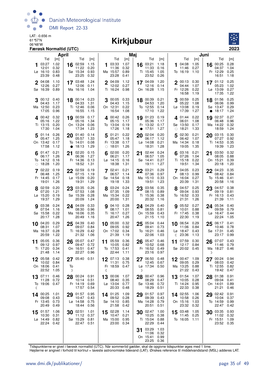

#### 06°48'W **Kirkjubøur**



| April                                                                                                                                                                        | Maj                                                                                                                                                                            | Juni                                                                                                                                                                 |
|------------------------------------------------------------------------------------------------------------------------------------------------------------------------------|--------------------------------------------------------------------------------------------------------------------------------------------------------------------------------|----------------------------------------------------------------------------------------------------------------------------------------------------------------------|
| Tid<br>Tid<br>[m]<br>[m]<br>1.02<br>02:59<br>03:27<br>1.15<br>16<br>0.32<br>11:22<br>0.20<br>12:01<br>0.83<br>0.93<br>Lø 16:10<br>Sø 15:34<br>23:25<br>23:39<br>0.32<br>0.48 | Tid<br>Tid<br>[m]<br>[m]<br>03:33<br>16 03:21<br>1.07<br>1.18<br>1<br>11:36<br>0.32<br>11:33<br>0.16<br>Ma 15:57<br>0.89<br>Ti 15:45<br>1.05<br>23:28<br>23:52<br>0.41<br>0.26 | Tid<br>Tid<br>[m]<br>[m]<br>0.28<br>1.05<br>00:25<br>04:08<br>16<br>1<br>0.27<br>04:37<br>1.04<br>11:46<br>Fr 12:29<br>To 16:19<br>1.10<br>0.25<br>16:51<br>1.18     |
| 17 03:48<br>1.24<br>2 04:08<br>1.10<br>12:26<br>0.27<br>12:06<br>0.11<br>0.89<br>Sø 16:39<br>Ma 16:16<br>1.04                                                                | 17 04:09<br>1.20<br>2 04:09<br>1.12<br>12:02<br>0.27<br>12:16<br>0.14<br>On 16:28<br>Ti 16:24<br>0.98<br>1.15                                                                  | 0.25<br>$2^{00:13}$<br>0.30<br>17 01:12<br>05:23<br>1.02<br>04:44<br>1.07<br>Fr 12:26<br>Lø 13:09<br>0.27<br>0.22<br>16:58<br>17:35<br>1.22<br>1.19                  |
| 00:12<br>0.40<br>18 00:14<br>0.23<br>3<br>04:33<br>1.31<br>04:43<br>1.17<br>Ma 12:50<br>0.23<br>Ti 12:46<br>0.06<br>17:05<br>0.96<br>16:55<br>1.15                           | 00:05<br>0.33<br>18 00:39<br>0.21<br>3<br>04:43<br>04:53<br>1.20<br>1.15<br>To 12:55<br>On 12:31<br>0.22<br>0.14<br>16:54<br>1.08<br>17:10<br>1.22                             | 00:59<br>0.25<br>01:56<br>0.25<br>3<br>18<br>05:22<br>0.99<br>1.08<br>06:06<br>$La$ 13:08<br>0.19<br>Sø 13:47<br>0.29<br>17:39<br>1.27<br>18:17<br>1.24<br>$\bullet$ |
| 0.17<br>$\Delta$ 00:42<br>0.32<br>19 00:59<br>1.22<br>1.34<br>05:16<br>05:16<br>Ti 13:15<br>0.20<br>On 13:24<br>0.06<br>17:30<br>1.04<br>17:34<br>1.23                       | 19 01:23<br>400:42<br>0.26<br>0.19<br>05:36<br>05:15<br>1.17<br>1.17<br>To 13:04<br>0.19<br>Fr 13:32<br>0.17<br>17:26<br>1.18<br>17:51<br>1.27<br>$\bullet$                    | 02:37<br>401:44<br>0.22<br>0.27<br>19<br>1.08<br>0.96<br>06:01<br>06:48<br>Sø 13:50<br>0.17<br>Ma 14:22<br>0.32<br>18:21<br>1.33<br>18:59<br>1.24<br>$\circ$         |
| 01:14<br>0.26<br>01:40<br>0.14<br>5<br>20<br>1.25<br>05:57<br>1.33<br>05:47<br>On 13:42<br>0.17<br>To 14:01<br>0.08<br>17:58<br>1.12<br>18:13<br>1.29<br>$\bullet$           | 01:21<br>0.22<br>02:04<br>0.20<br>20<br>5<br>05:47<br>1.18<br>1.12<br>06:17<br>Fr 13:38<br>0.17<br>$L\varnothing$ 14:08<br>0.21<br>$\circ$ 18:01<br>1.26<br>18:31<br>1.28      | 02:30<br>0.21<br>03:15<br>0.30<br>5<br>20<br>06:42<br>07:27<br>0.92<br>1.07<br>Ma 14:34<br>0.18<br>Ti 14:53<br>0.35<br>19:39<br>19:05<br>1.35<br>1.23                |
| 02:20<br>01:47<br>0.21<br>0.15<br>21<br>1.26<br>06:36<br>1.27<br>06:17<br>Fr 14:36<br>To 14:12<br>0.16<br>0.13<br>$\circ$ 18:28<br>1.20<br>18:52<br>1.31                     | 02:44<br>0.24<br>02:00<br>0.20<br>21<br>06:57<br>1.05<br>06:21<br>1.17<br>Sø 14:41<br>0.27<br>$L\varnothing$ 14:15<br>0.16<br>18:38<br>1.31<br>19:11<br>1.27                   | 0.32<br>03:16<br>0.21<br>03:50<br>21<br>6<br>07:26<br>0.88<br>1.04<br>08:05<br>Ti 15:18<br>0.22<br>On 15:21<br>0.39<br>19:51<br>1.34<br>20:18<br>1.20                |
| 02:59<br>02:22<br>0.19<br>22<br>0.19<br>1.25<br>07:15<br>1.19<br>06:48<br>Fr 14:45<br>0.17<br>$La$ 15:09<br>0.20<br>1.26<br>19:01<br>19:31<br>1.29                           | 0.29<br>$7^{02:41}$<br>0.21<br>03:21<br>22<br>06:57<br>07:36<br>1.14<br>0.97<br>Sø 14:54<br>0.33<br>0.18<br>Ma 15:10<br>19:51<br>1.23<br>19:18<br>1.33                         | 7<br>04:05<br>0.23<br>22<br>04:23<br>0.35<br>08:42<br>08:13<br>0.99<br>0.84<br>To 15:46<br>On 16:04<br>0.27<br>0.41<br>20:39<br>1.31<br>20:58<br>1.16                |
| 02:59<br>0.20<br>23<br>03:35<br>0.26<br>8<br>07:20<br>1.21<br>07:53<br>1.08<br>Lø 15:20<br>Sø 15:39<br>0.19<br>0.28<br>1.29<br>20:09<br>19:37<br>1.24                        | 23 03:56<br>0.35<br>8 03:24<br>0.24<br>07:35<br>08:15<br>1.09<br>0.89<br>Ma 15:34<br>0.22<br>Ti 15:36<br>0.38<br>20:32<br>20:00<br>1.31<br>1.16                                | 8 04:57<br>0.25<br>23<br>04:57<br>0.38<br>09:04<br>0.93<br>09:19<br>0.81<br>To 16:52<br>Fr 16:13<br>0.33<br>0.43<br>21:31<br>21:39<br>1.26<br>1.11                   |
| 03:38<br>0.24<br>24 04:09<br>0.33<br>1.16<br>07:54<br>08:30<br>0.96<br>0.22<br>Sø 15:58<br>Ma 16:06<br>0.35<br>20:17<br>1.28<br>20:49<br>1.16                                | 0.40<br><b>9</b> 04:10<br>0.28<br>24 04:29<br>0.81<br>08:17<br>1.01<br>08:55<br>On 15:59<br>Ti 16:17<br>0.27<br>0.43<br>20:47<br>1.26<br>21:15<br>1.10                         | 05:52<br>0.27<br>24 05:34<br>0.40<br>9<br>0.79<br>10:01<br>0.88<br>09:59<br>Lø 16:47<br>Fr 17:45<br>0.38<br>0.44<br>22:30<br>22:24<br>1.19<br>1.05                   |
| 0.29<br>04:39<br>04:20<br>0.40<br>25<br>10<br>08:31<br>1.07<br>09:07<br>0.84<br>0.28<br>Ti 16:29<br>Ma 16:37<br>0.42<br>21:32<br>20:59<br>1.22<br>1.06                       | 0.32<br>05:04<br>05:00<br>0.44<br>25<br>10<br>09:41<br>0.73<br>09:05<br>0.92<br>On 17:02<br>0.34<br>To 16:21<br>0.46<br>21:39<br>1.19<br>22:06<br>1.03                         | 0.41<br>10 06:54<br>0.29<br>06:17<br>25<br>11:06<br>0.84<br>10:46<br>0.78<br>Lø 18:47<br>Sø 17:31<br>0.43<br>0.45<br>23:36<br>1.13<br>23:17<br>0.99<br>ℂ             |
| 05:07<br>05:05<br>0.36<br>0.47<br>26<br>11<br>09:12<br>0.97<br>09:47<br>0.72<br>Ti 17:20<br>0.34<br>On 16:51<br>0.47<br>21:48<br>1.14<br>22:27<br>0.96                       | 05:59<br>0.36<br>05:47<br>0.46<br>11<br>26<br>10:05<br>0.82<br>10:52<br>0.68<br>To 17:53<br>0.41<br>Fr 16:52<br>0.49<br>22:44<br>1.11<br>23:16<br>0.97                         | 07:07<br>07:59<br>0.30<br>0.43<br>26<br>11<br>12:17<br>0.84<br>11:46<br>0.79<br>Sø 20:02<br>Ma 18:27<br>0.45<br>0.46<br>D                                            |
| 05:58<br>0.42<br>27 05:40 0.51<br>10:02<br>0.84<br>On 18:06<br>0.41<br>To<br>22:52<br>1.05<br>D                                                                              | 07:13 0.38<br>06:50<br>0.48<br>11:31<br>0.75<br>12:45<br>0.67<br>Fr 18:59 0.47<br>Lø 17:34 0.50<br>D<br>ℭ                                                                      | 12 00:47<br>1.09<br>00:24<br>0.94<br>27<br>09:05<br>0.29<br>08:03<br>0.42<br>Ti 12:55<br>Ma 13:25 0.88<br>0.82<br>21:22<br>0.43<br>19:42<br>0.47                     |
| 00:24<br>07:11<br>0.46<br>0.91<br>28<br>13<br>0.51<br>11:28<br>0.72<br>10:14<br>Fr 14:19 0.69<br>To 19:06<br>0.47<br>17:57<br>0.54<br>ℭ                                      | 00:06<br>1.07<br>28<br>00:47<br>0.96<br>13<br>08:29<br>08:40<br>0.35<br>0.47<br>Lø 13:04 0.77<br>Sø 13:46<br>0.72<br>20:33<br>0.48<br>18:29<br>0.51                            | 13 01:54<br>1.07<br>01:38<br>0.91<br>28<br>10:05<br>0.28<br>09:04<br>0.41<br>Ti 14:24 0.95<br>On 14:01<br>0.89<br>22:33<br>0.38<br>21:21<br>0.46                     |
| 01:57<br>14 00:25<br>1.01<br>0.95<br>29<br>10:47<br>09:08<br>0.43<br>0.43<br>Lø 14:58<br>0.75<br>Fr 13:45<br>0.73<br>20:49<br>18:44<br>0.56<br>0.49                          | 14 01:25<br>1.09<br>01:57<br>0.97<br>29<br>09:52<br>0.28<br>09:39<br>0.43<br>Sø 14:10<br>0.85<br>Ma 14:28<br>0.79<br>21:58<br>0.42<br>20:51<br>0.51                            | 14 02:55<br>1.06<br>02:42<br>0.91<br>29<br>10:58<br>10:04<br>0.37<br>0.26<br>On 15:16<br>To 14:59<br>0.99<br>1.03<br>23:32<br>22:47<br>0.42<br>0.32                  |
| 02:51<br>15 01:57<br>1.06<br>1.01<br>30<br>11:12<br>0.37<br>10:30<br>0.31<br>Lø 14:49<br>Sø 15:29<br>0.81<br>0.82<br>22:24<br>22:47 0.51<br>0.42                             | 02:28<br>1.14<br>30 02:47<br>1.00<br>15<br>10:25<br>10:47<br>0.21<br>0.38<br>Ma 15:00<br>Ti 15:04<br>0.95<br>0.88<br>23:00<br>22:29<br>0.34<br>0.44                            | 03:48<br>30 03:35<br>0.93<br>1.05<br>15<br>11:45<br>0.32<br>0.25<br>11:02<br>To 16:05 1.11<br>Fr 15:51<br>1.09<br>23:52 0.35                                         |
|                                                                                                                                                                              | 03:29<br>1.03<br>31<br>11:06<br>0.32<br>On 15:41<br>0.99<br>23:25<br>0.36                                                                                                      |                                                                                                                                                                      |

Tidspunkterne er givet i færøsk normaltid (UTC). Når sommertid gælder, skal de opgivne tidspunkter øges med 1 time.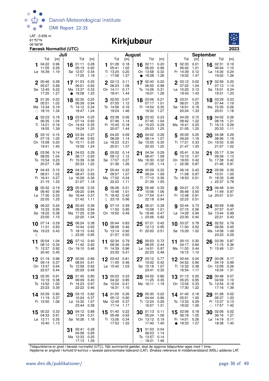

## 06°48'W **Kirkjubøur**



|            |                                       | Juli                         |    |                                               |                              |              |                                             | <b>August</b>                |         |                                                 |                              |           |                                             |                              | <b>September</b> |                                                    |                              |
|------------|---------------------------------------|------------------------------|----|-----------------------------------------------|------------------------------|--------------|---------------------------------------------|------------------------------|---------|-------------------------------------------------|------------------------------|-----------|---------------------------------------------|------------------------------|------------------|----------------------------------------------------|------------------------------|
|            | Tid                                   | [m]                          |    | Tid                                           | [m]                          |              | Tid                                         | [m]                          |         | Tid                                             | [m]                          |           | Tid                                         | [m]                          |                  | Tid                                                | [m]                          |
|            | 04:22<br>11:55<br>Lø 16:39            | 0.96<br>0.26<br>1.19         | 16 | 01:11<br>05:19<br>Sø 12:57<br>17:25           | 0.28<br>0.92<br>0.34<br>1.18 | 1.           | 01:28<br>05:41<br>Ti 13:24<br>$\circ$ 17:58 | 0.18<br>1.02<br>0.20<br>1.37 | 16<br>٠ | 02:11<br>06:20<br>On 13:58<br>18:28             | 0.20<br>0.96<br>0.32<br>1.26 | 1         | 02:33<br>06:42<br>Fr 14:39<br>19:02         | 0.01<br>1.21<br>0.12<br>1.47 |                  | 16 02:31<br>06:44<br>$L\varnothing$ 14:30<br>19:02 | 0.19<br>1.10<br>0.24<br>1.26 |
|            | 00:46<br>05:07<br>Sø 12:45<br>17:25   | 0.28<br>0.99<br>0.22<br>1.27 |    | 17 01:53<br>06:01<br>Ma 13:37<br>18:08        | 0.25<br>0.93<br>0.33<br>1.22 | $\mathbf 2$  | 02:13<br>06:23<br>On 14:11<br>18:41         | 0.11<br>1.08<br>0.17<br>1.44 | 17      | 02:40<br>06:50<br>To 14:26<br>19:01             | 0.20<br>0.98<br>0.31<br>1.28 |           | $2^{03:12}$<br>07:22<br>Lø 15:20<br>19:43   | 0.02<br>1.24<br>0.13<br>1.43 |                  | 17 02:59<br>07:13<br>Sø 15:01<br>19:31             | 0.20<br>1.15<br>0.24<br>1.23 |
| $\bigcirc$ | 01:35<br>05:51<br>Ma 13:34<br>18:10   | 0.22<br>1.02<br>0.19<br>1.34 | 18 | 02:30<br>06:39<br>Ti 14:12<br>18:47           | 0.25<br>0.94<br>0.34<br>1.24 | 3            | 02:55<br>07:05<br>To 14:56<br>19:24         | 0.07<br>1.12<br>0.16<br>1.46 |         | 18 03:06<br>07:17<br>Fr 14:54<br>19:32          | 0.21<br>1.01<br>0.30<br>1.27 | 3         | 03:51<br>08:01<br>Sø 16:01<br>20:24         | 0.07<br>1.25<br>0.18<br>1.33 | 18               | 03:29<br>07:44<br>Ma 15:35<br>20:01                | 0.23<br>1.19<br>0.26<br>1.18 |
|            | 402:23<br>06:35<br>Ti 14:21<br>18:55  | 0.18<br>1.04<br>0.18<br>1.39 |    | 19 03:04<br>07:14<br>On 14:43<br>19:24        | 0.25<br>0.93<br>0.35<br>1.25 |              | 4 03:38<br>07:46<br>Fr 15:40<br>20:07       | 0.06<br>1.14<br>0.18<br>1.44 |         | 19 03:33<br>07:45<br>$Lø$ 15:23<br>20:03        | 0.23<br>1.04<br>0.29<br>1.25 |           | 4.04:29<br>08:42<br>Ma 16:41<br>21:05       | 0.15<br>1.22<br>0.25<br>1.20 |                  | 19 04:02<br>08:18<br>Ti 16:13<br>20:33             | 0.26<br>1.21<br>0.29<br>1.11 |
|            | 5 03:10<br>07:19<br>On 15:08<br>19:41 | 0.15<br>1.05<br>0.20<br>1.40 | 20 | 03:34 0.27<br>07:46<br>To 15:11<br>19:59      | 0.93<br>0.35<br>1.24         | 5            | 04:20<br>08:29<br>Lø 16:23<br>20:51         | 0.09<br>1.14<br>0.21<br>1.37 | 20      | 04:02<br>08:14<br>Sø 15:55<br>20:33             | 0.26<br>1.07<br>0.30<br>1.20 | 5         | 05:05<br>09:24<br>Ti 17:21<br>21:47         | 0.25<br>1.16<br>0.33<br>1.03 | 20               | 04:38<br>08:56<br>On 16:53<br>21:07                | 0.29<br>1.19<br>0.35<br>1.02 |
| 6          | 03:56<br>08:05<br>To 15:54<br>20:27   | 0.14<br>1.04<br>0.23<br>1.38 | 21 | 04:03<br>08:17<br>Fr 15:39<br>20:33           | 0.29<br>0.93<br>0.36<br>1.22 |              | 05:02<br>09:12<br>Sø 17:07<br>21:36         | 0.14<br>1.12<br>0.27<br>1.26 | 21      | 04:34<br>08:47<br>Ma 16:30<br>21:05             | 0.29<br>1.09<br>0.32<br>1.14 | 6<br>ℂ    | 05:41<br>10:10<br>On 18:03<br>22:36         | 0.34<br>1.07<br>0.42<br>0.87 | 21               | 05:17<br>09:39<br>To 17:38<br>21:46                | 0.34<br>1.13<br>0.42<br>0.91 |
|            | 04:43<br>08:51<br>Fr 16:41<br>21:15   | 0.15<br>1.02<br>0.27<br>1.33 |    | $22^{04:33}$<br>08:47<br>Lø 16:09<br>21:07    | 0.31<br>0.93<br>0.36<br>1.18 |              | 7 05:44<br>09:57<br>Ma 17:52<br>22:23       | 0.22<br>1.07<br>0.34<br>1.11 | 22      | 05:09<br>09:24<br>Ti 17:10<br>21:39             | 0.32<br>1.09<br>0.36<br>1.05 |           | 06:16<br>11:08<br>To 18:53                  | 0.43<br>0.97<br>0.51         | 22<br>D          | 05:59<br>10:31<br>Fr 18:33<br>22:37                | 0.39<br>1.05<br>0.48<br>0.78 |
|            | 8 05:32<br>09:40<br>Lø 17:30<br>22:05 | 0.19<br>0.99<br>0.33<br>1.25 | 23 | 05:06<br>09:20<br>Sø 16:44<br>21:42           | 0.33<br>0.94<br>0.37<br>1.11 | $\mathbb{C}$ | 8 06:28<br>10:48<br>Ti 18:42<br>23:19       | 0.31<br>1.01<br>0.42<br>0.96 |         | 23 05:48<br>10:06<br>On 17:54<br>22:18          | 0.35<br>1.06<br>0.41<br>0.94 |           | 8 00:21<br>06:48<br>Fr 12:48<br>22:23       | 0.72<br>0.50<br>0.91<br>0.51 | 23               | 06:48<br>11:49<br>Lø 20:01                         | 0.44<br>0.97<br>0.51         |
|            | 06:22<br>10:33<br>Sø 18:22<br>23:00   | 0.24<br>0.95<br>0.38<br>1.15 | 24 | 05:43<br>09:59<br>Ma 17:25<br>22:20           | 0.36<br>0.94<br>0.39<br>1.04 | q            | 07:14<br>11:50<br>On 19:50                  | 0.39<br>0.95<br>0.49         |         | 24 06:31<br>10:58<br>To 18:46<br>D 23:06        | 0.39<br>1.01<br>0.47<br>0.82 | 9         | 02:44<br>07:15<br>Lø 14:29<br>23:30         | 0.73<br>0.56<br>0.94<br>0.40 |                  | 24 00:59<br>07:57<br>Sø 13:44<br>22:21             | 0.68<br>0.47<br>0.99<br>0.43 |
| €          | $10^{-07:14}$<br>11:31<br>Ma 19:23    | 0.29<br>0.93<br>0.43         | 25 | 06:24<br>10:44<br>Ti 18:13<br>$D$ 23:05       | 0.38<br>0.93<br>0.42<br>0.95 | 10           | 00:44<br>08:09<br>To 13:14<br>21:57         | 0.83<br>0.46<br>0.92<br>0.50 |         | $25^{07:21}_{0.12}$<br>12:13<br>Fr 20:00        | 0.42<br>0.95<br>0.51         |           | 10 03:37<br>11:00<br>Sø 15:29               | 0.78<br>0.52<br>1.02         | 25               | 02:52<br>09:56<br>Ma 14:58<br>23:23                | 0.76<br>0.45<br>1.09<br>0.29 |
| 11         | 00:04<br>08:12<br>Ti 12:37<br>20:40   | 1.04<br>0.34<br>0.92<br>0.45 | 26 | 07:10<br>11:42<br>On 19:10                    | 0.40<br>0.92<br>0.46         | 11           | 02:34<br>09:36<br>Fr 14:39<br>23:30         | 0.79<br>0.49<br>0.96<br>0.41 | 26      | 00:53<br>08:25<br>$L\varnothing$ 14:01<br>22:23 | 0.72<br>0.44<br>0.97<br>0.48 | 11        | 00:10<br>04:17<br>Ma 11:53<br>16:15         | 0.30<br>0.84<br>0.44<br>1.10 | 26               | 03:39<br>11:15<br>Ti 15:49                         | 0.87<br>0.36<br>1.21         |
| 12         | 01:19<br>09:14<br>On 13:47<br>22:07   | 0.96<br>0.37<br>0.94<br>0.44 |    | 00:06 0.86<br>08:04<br>To 12:58<br>20:29      | 0.41<br>0.92<br>0.49         | 12           | 03:43 0.81<br>11:05 0.46<br>Lø 15:42 1.03   |                              | 27      | 03:10<br>10:02<br>Sø 15:18<br>23:41             | 0.77<br>0.42<br>1.07<br>0.35 |           | 12 00:44 0.24<br>04:52<br>Ti 12:32<br>16:54 | 0.90<br>0.38<br>1.17         | 27               | 00:08<br>04:19<br>On 12:09<br>16:34                | 0.17<br>0.99<br>0.26<br>1.31 |
| 13         | 02:35<br>10:19<br>To 14:52<br>23:23   | 0.91<br>0.38<br>1.00<br>0.39 | 28 | 01:45<br>09:09<br>Fr 14:23<br>22:22           | 0.80<br>0.40<br>0.97<br>0.46 | 13           | 00:23<br>04:32 0.85<br>Sø 12:04<br>16:31    | 0.33<br>0.41<br>1.10         | 28      | 04:02<br>11:25<br>Ma 16:11                      | 0.86<br>0.35<br>1.19         | 13        | 01:13<br>05:23<br>On 13:04<br>17:30         | 0.20<br>0.95<br>0.33<br>1.22 | 28               | 00:48<br>04:59<br>To 12:54<br>17:16                | 0.07<br>1.10<br>0.18<br>1.39 |
|            | 14 03:39<br>11:19<br>Fr 15:50         | 0.90<br>0.37<br>1.06         | 29 | 03:15<br>10:24<br>Lø 15:32<br>23:44           | 0.82<br>0.37<br>1.07<br>0.38 |              | 14 01:05<br>05:12<br>Ma 12:49<br>17:14      | 0.26<br>0.90<br>0.37<br>1.17 |         | 29 00:30<br>04:44<br>Ti 12:24<br>16:57          | 0.22<br>0.96<br>0.26<br>1.31 |           | 14 01:40<br>05:51<br>To 13:33<br>18:02      | 0.18<br>1.00<br>0.29<br>1.26 | 29<br>$\circ$    | 01:28<br>05:37<br>Fr 13:37<br>17:57                | 0.02<br>1.20<br>0.13<br>1.42 |
| 15         | 00:22<br>04:33<br>$LØ$ 12:11<br>16:40 | 0.33<br>0.91<br>0.35<br>1.13 |    | 30 04:12<br>11:34<br>Sø 16:26                 | 0.88<br>0.31<br>1.18         | 15           | 01:40<br>05:48<br>Ti 13:26<br>17:53         | 0.22<br>0.93<br>0.34<br>1.22 | 30      | 01:13<br>05:24<br>On 13:12<br>17:40             | 0.11<br>1.06<br>0.19<br>1.40 | $\bullet$ | 15 02:06<br>06:18<br>Fr 14:01<br>18:33      | 0.18<br>1.05<br>0.26<br>1.27 | 30               | 02:06<br>06:16<br>Lø 14:19<br>18:38                | 0.02<br>1.27<br>0.11<br>1.40 |
|            |                                       |                              | 31 | 00:41<br>04:58<br>Ma 12:33 0.25<br>17:13 1.29 | 0.28<br>0.95                 |              |                                             |                              | 31      | 01:53<br>06:03<br>To 13:57<br>$\circ$ 18:21     | 0.04<br>1.14<br>0.14<br>1.46 |           |                                             |                              |                  |                                                    |                              |

Tidspunkterne er givet i færøsk normaltid (UTC). Når sommertid gælder, skal de opgivne tidspunkter øges med 1 time.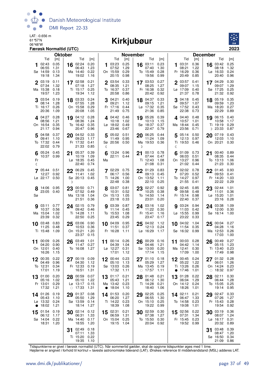

#### 06°48'W **Kirkjubøur**



| Tid<br>Tid<br>Tid<br>Tid<br>Tid<br>[m]<br>[m]<br>Tid<br>[m]<br>[m]<br>[m]<br>103:23<br>0.25<br>0.23<br>02:43<br>0.05<br>16 $02:24$<br>0.20<br>16 03:11<br>03:31<br>0.36<br>16 03:42<br>1<br>1<br>1.29<br>06:55<br>1.31<br>06:43<br>1.23<br>07:52<br>1.30<br>1.22<br>08:18<br>07:40<br>08:21<br>Sø 14:59<br>On 15:59<br>0.29<br>To 15:49<br>0.28<br>Fr 16:29<br>0.36<br>0.13<br>Ma 14:40<br>0.22<br>Lø 16:33<br>1.34<br>19:18<br>19:02<br>20:15<br>0.98<br>19:56<br>0.99<br>20:49<br>0.85<br>20:40<br>1.16<br>0.27<br>03:19<br>17 02:58<br>0.21<br>2 03:54<br>0.33<br>17 03:53<br>2 03:57<br>17 04:29<br>0.11<br>0.41<br>07:34<br>1.32<br>07:18<br>1.27<br>08:35<br>1.21<br>08:25<br>1.27<br>09:07<br>09:07<br>1.15<br>Ti 15:17<br>To 16:37<br>0.37<br>Fr 16:38<br>0.32<br>Lø 17:09<br>Sø 17:25<br>Ma 15:38<br>0.18<br>0.25<br>0.40<br>19:34<br>21:32<br>19:57<br>1.23<br>1.12<br>20:58<br>0.86<br>20:42<br>0.92<br>21:37<br>0.78<br>18 03:33<br>18 04:37<br>0.33<br>3 04:18<br>18 05:19<br>$3^{03:54}$<br>0.19<br>0.24<br>3 04:21<br>0.40<br>0.45<br>1.28<br>07:55<br>1.28<br>09:21<br>1.21<br>09:57<br>08:14<br>1.12<br>09:15<br>1.07<br>09:59<br>0.26<br>On 15:58<br>Lø 17:32<br>Sø 17:52<br>Ti 16:17<br>0.29<br>Fr 17:16<br>0.44<br>0.35<br>0.43<br>Ma 18:20<br>0.73<br>20:36<br>1.09<br>20:08<br>1.05<br>21:49<br>0.75<br>21:36<br>0.85<br>22:38<br>22:29<br>0.28<br>0.39<br>06:15<br>4 04:27<br>04:12<br>0.28<br>4 04:42<br>0.46<br>05:26<br>404:40<br>0.48<br>19<br>19<br>19<br>08:56<br>1.21<br>08:36<br>1.24<br>10:18<br>10:13<br>10:57<br>10:58<br>1.02<br>1.15<br>1.01<br>On 16:54<br>0.35<br>To 16:42<br>0.35<br>$L\varnothing$ 18:02<br>0.49<br>Sø 18:37<br>0.37<br>Ma 18:44<br>0.45<br>Ti 19:19<br>20:47<br>0.96<br>22:47<br>23:56<br>D 23:33<br>21:17<br>0.94<br>23:46<br>0.67<br>0.79<br>0.71<br>0.37<br>20 06:25 0.44<br>5 05:14 0.50<br>20 07:19<br>5 04:58<br>20 04:52 0.33<br>505:02<br>0.51<br>09:23<br>11:24<br>1.09<br>12:13<br>0.97<br>09:41<br>1.10<br>1.17<br>11:49<br>0.95<br>12:03<br>Fr 17:32<br>Ma 19:53 0.36<br>Ti 19:53 0.46<br>On 20:21<br>To 17:32<br>0.44<br>0.41<br>Sø 20:56 0.50<br>22:02<br>0.79<br>21:33<br>0.85<br>ℂ<br>D<br>ℂ<br>05:24 0.45<br>0.39<br>05:37<br>13:24 0.96<br>00:13 0.78<br>01:09 0.73<br>00:40<br>21<br>21<br>6<br>21<br>22:11 0.44<br>10:37 0.99<br>10:19<br>07:44<br>06:03<br>08:35<br>1.09<br>0.47<br>0.51<br>$Lg$ 18:35<br>Ti 12:43<br>1.08<br>On 13:27<br>0.96<br>To 13:13<br>Fr<br>0.45<br>Ma<br>22:40<br>0.74<br>21:08<br>0.31<br>21:02<br>0.44<br>21:23<br>ℂ<br>7 05:44 0.51<br>22 06:29<br>7 02:29 0.75<br>22 01:29<br>702:02<br>22 01:45<br>0.45<br>0.83<br>0.78<br>12:27<br>0.92<br>11:41<br>1.02<br>06:17<br>0.56<br>09:13<br>0.45<br>07:20<br>0.52<br>09:53<br>Lø 22:17 0.50<br>Ti 14:26<br>1.00<br>On 13:52<br>To 14:27<br>0.97<br>Fr 14:20<br>Sø 20:13<br>0.45<br>1.11<br>22:48<br>0.38<br>22:10<br>0.25<br>21:55<br>22:22<br>0.41<br>D |                                                                                                                 | [m]<br>0.25<br>1.32<br>0.24<br>0.96<br>0.30<br>1.29<br>0.25<br>0.92<br>0.35<br>1.23<br>0.27<br>0.89<br>0.40<br>1.17<br>0.29<br>0.87<br>0.43<br>1.10<br>0.30<br>0.89 | <b>Oktober</b>                 | <b>November</b>                | <b>December</b>                                                |
|-----------------------------------------------------------------------------------------------------------------------------------------------------------------------------------------------------------------------------------------------------------------------------------------------------------------------------------------------------------------------------------------------------------------------------------------------------------------------------------------------------------------------------------------------------------------------------------------------------------------------------------------------------------------------------------------------------------------------------------------------------------------------------------------------------------------------------------------------------------------------------------------------------------------------------------------------------------------------------------------------------------------------------------------------------------------------------------------------------------------------------------------------------------------------------------------------------------------------------------------------------------------------------------------------------------------------------------------------------------------------------------------------------------------------------------------------------------------------------------------------------------------------------------------------------------------------------------------------------------------------------------------------------------------------------------------------------------------------------------------------------------------------------------------------------------------------------------------------------------------------------------------------------------------------------------------------------------------------------------------------------------------------------------------------------------------------------------------------------------------------------------------------------------------------------------------------------------------------------------------------------------------------------------------------------------------------------------------------------------------------------------------------------------------------------------------------------------------------------------------------------------------------------------------------------------------------------------------------------------------------------------------------------------------------------------------------------------------------------------------------------------------------------------------------------------------------------------------------------------------------------------------------------------------|-----------------------------------------------------------------------------------------------------------------|---------------------------------------------------------------------------------------------------------------------------------------------------------------------|--------------------------------|--------------------------------|----------------------------------------------------------------|
|                                                                                                                                                                                                                                                                                                                                                                                                                                                                                                                                                                                                                                                                                                                                                                                                                                                                                                                                                                                                                                                                                                                                                                                                                                                                                                                                                                                                                                                                                                                                                                                                                                                                                                                                                                                                                                                                                                                                                                                                                                                                                                                                                                                                                                                                                                                                                                                                                                                                                                                                                                                                                                                                                                                                                                                                                                                                                                                 |                                                                                                                 |                                                                                                                                                                     |                                |                                |                                                                |
|                                                                                                                                                                                                                                                                                                                                                                                                                                                                                                                                                                                                                                                                                                                                                                                                                                                                                                                                                                                                                                                                                                                                                                                                                                                                                                                                                                                                                                                                                                                                                                                                                                                                                                                                                                                                                                                                                                                                                                                                                                                                                                                                                                                                                                                                                                                                                                                                                                                                                                                                                                                                                                                                                                                                                                                                                                                                                                                 |                                                                                                                 |                                                                                                                                                                     |                                |                                |                                                                |
|                                                                                                                                                                                                                                                                                                                                                                                                                                                                                                                                                                                                                                                                                                                                                                                                                                                                                                                                                                                                                                                                                                                                                                                                                                                                                                                                                                                                                                                                                                                                                                                                                                                                                                                                                                                                                                                                                                                                                                                                                                                                                                                                                                                                                                                                                                                                                                                                                                                                                                                                                                                                                                                                                                                                                                                                                                                                                                                 |                                                                                                                 |                                                                                                                                                                     |                                |                                |                                                                |
|                                                                                                                                                                                                                                                                                                                                                                                                                                                                                                                                                                                                                                                                                                                                                                                                                                                                                                                                                                                                                                                                                                                                                                                                                                                                                                                                                                                                                                                                                                                                                                                                                                                                                                                                                                                                                                                                                                                                                                                                                                                                                                                                                                                                                                                                                                                                                                                                                                                                                                                                                                                                                                                                                                                                                                                                                                                                                                                 |                                                                                                                 |                                                                                                                                                                     |                                |                                |                                                                |
|                                                                                                                                                                                                                                                                                                                                                                                                                                                                                                                                                                                                                                                                                                                                                                                                                                                                                                                                                                                                                                                                                                                                                                                                                                                                                                                                                                                                                                                                                                                                                                                                                                                                                                                                                                                                                                                                                                                                                                                                                                                                                                                                                                                                                                                                                                                                                                                                                                                                                                                                                                                                                                                                                                                                                                                                                                                                                                                 |                                                                                                                 |                                                                                                                                                                     |                                |                                |                                                                |
|                                                                                                                                                                                                                                                                                                                                                                                                                                                                                                                                                                                                                                                                                                                                                                                                                                                                                                                                                                                                                                                                                                                                                                                                                                                                                                                                                                                                                                                                                                                                                                                                                                                                                                                                                                                                                                                                                                                                                                                                                                                                                                                                                                                                                                                                                                                                                                                                                                                                                                                                                                                                                                                                                                                                                                                                                                                                                                                 |                                                                                                                 |                                                                                                                                                                     |                                |                                |                                                                |
|                                                                                                                                                                                                                                                                                                                                                                                                                                                                                                                                                                                                                                                                                                                                                                                                                                                                                                                                                                                                                                                                                                                                                                                                                                                                                                                                                                                                                                                                                                                                                                                                                                                                                                                                                                                                                                                                                                                                                                                                                                                                                                                                                                                                                                                                                                                                                                                                                                                                                                                                                                                                                                                                                                                                                                                                                                                                                                                 |                                                                                                                 |                                                                                                                                                                     |                                |                                |                                                                |
|                                                                                                                                                                                                                                                                                                                                                                                                                                                                                                                                                                                                                                                                                                                                                                                                                                                                                                                                                                                                                                                                                                                                                                                                                                                                                                                                                                                                                                                                                                                                                                                                                                                                                                                                                                                                                                                                                                                                                                                                                                                                                                                                                                                                                                                                                                                                                                                                                                                                                                                                                                                                                                                                                                                                                                                                                                                                                                                 |                                                                                                                 |                                                                                                                                                                     |                                |                                |                                                                |
|                                                                                                                                                                                                                                                                                                                                                                                                                                                                                                                                                                                                                                                                                                                                                                                                                                                                                                                                                                                                                                                                                                                                                                                                                                                                                                                                                                                                                                                                                                                                                                                                                                                                                                                                                                                                                                                                                                                                                                                                                                                                                                                                                                                                                                                                                                                                                                                                                                                                                                                                                                                                                                                                                                                                                                                                                                                                                                                 |                                                                                                                 |                                                                                                                                                                     |                                |                                |                                                                |
|                                                                                                                                                                                                                                                                                                                                                                                                                                                                                                                                                                                                                                                                                                                                                                                                                                                                                                                                                                                                                                                                                                                                                                                                                                                                                                                                                                                                                                                                                                                                                                                                                                                                                                                                                                                                                                                                                                                                                                                                                                                                                                                                                                                                                                                                                                                                                                                                                                                                                                                                                                                                                                                                                                                                                                                                                                                                                                                 |                                                                                                                 |                                                                                                                                                                     |                                |                                |                                                                |
|                                                                                                                                                                                                                                                                                                                                                                                                                                                                                                                                                                                                                                                                                                                                                                                                                                                                                                                                                                                                                                                                                                                                                                                                                                                                                                                                                                                                                                                                                                                                                                                                                                                                                                                                                                                                                                                                                                                                                                                                                                                                                                                                                                                                                                                                                                                                                                                                                                                                                                                                                                                                                                                                                                                                                                                                                                                                                                                 |                                                                                                                 |                                                                                                                                                                     |                                |                                |                                                                |
|                                                                                                                                                                                                                                                                                                                                                                                                                                                                                                                                                                                                                                                                                                                                                                                                                                                                                                                                                                                                                                                                                                                                                                                                                                                                                                                                                                                                                                                                                                                                                                                                                                                                                                                                                                                                                                                                                                                                                                                                                                                                                                                                                                                                                                                                                                                                                                                                                                                                                                                                                                                                                                                                                                                                                                                                                                                                                                                 |                                                                                                                 |                                                                                                                                                                     |                                |                                |                                                                |
|                                                                                                                                                                                                                                                                                                                                                                                                                                                                                                                                                                                                                                                                                                                                                                                                                                                                                                                                                                                                                                                                                                                                                                                                                                                                                                                                                                                                                                                                                                                                                                                                                                                                                                                                                                                                                                                                                                                                                                                                                                                                                                                                                                                                                                                                                                                                                                                                                                                                                                                                                                                                                                                                                                                                                                                                                                                                                                                 |                                                                                                                 |                                                                                                                                                                     |                                |                                |                                                                |
|                                                                                                                                                                                                                                                                                                                                                                                                                                                                                                                                                                                                                                                                                                                                                                                                                                                                                                                                                                                                                                                                                                                                                                                                                                                                                                                                                                                                                                                                                                                                                                                                                                                                                                                                                                                                                                                                                                                                                                                                                                                                                                                                                                                                                                                                                                                                                                                                                                                                                                                                                                                                                                                                                                                                                                                                                                                                                                                 |                                                                                                                 |                                                                                                                                                                     |                                |                                |                                                                |
|                                                                                                                                                                                                                                                                                                                                                                                                                                                                                                                                                                                                                                                                                                                                                                                                                                                                                                                                                                                                                                                                                                                                                                                                                                                                                                                                                                                                                                                                                                                                                                                                                                                                                                                                                                                                                                                                                                                                                                                                                                                                                                                                                                                                                                                                                                                                                                                                                                                                                                                                                                                                                                                                                                                                                                                                                                                                                                                 |                                                                                                                 |                                                                                                                                                                     |                                |                                |                                                                |
|                                                                                                                                                                                                                                                                                                                                                                                                                                                                                                                                                                                                                                                                                                                                                                                                                                                                                                                                                                                                                                                                                                                                                                                                                                                                                                                                                                                                                                                                                                                                                                                                                                                                                                                                                                                                                                                                                                                                                                                                                                                                                                                                                                                                                                                                                                                                                                                                                                                                                                                                                                                                                                                                                                                                                                                                                                                                                                                 |                                                                                                                 |                                                                                                                                                                     |                                |                                |                                                                |
|                                                                                                                                                                                                                                                                                                                                                                                                                                                                                                                                                                                                                                                                                                                                                                                                                                                                                                                                                                                                                                                                                                                                                                                                                                                                                                                                                                                                                                                                                                                                                                                                                                                                                                                                                                                                                                                                                                                                                                                                                                                                                                                                                                                                                                                                                                                                                                                                                                                                                                                                                                                                                                                                                                                                                                                                                                                                                                                 |                                                                                                                 |                                                                                                                                                                     |                                |                                |                                                                |
|                                                                                                                                                                                                                                                                                                                                                                                                                                                                                                                                                                                                                                                                                                                                                                                                                                                                                                                                                                                                                                                                                                                                                                                                                                                                                                                                                                                                                                                                                                                                                                                                                                                                                                                                                                                                                                                                                                                                                                                                                                                                                                                                                                                                                                                                                                                                                                                                                                                                                                                                                                                                                                                                                                                                                                                                                                                                                                                 |                                                                                                                 |                                                                                                                                                                     |                                |                                |                                                                |
|                                                                                                                                                                                                                                                                                                                                                                                                                                                                                                                                                                                                                                                                                                                                                                                                                                                                                                                                                                                                                                                                                                                                                                                                                                                                                                                                                                                                                                                                                                                                                                                                                                                                                                                                                                                                                                                                                                                                                                                                                                                                                                                                                                                                                                                                                                                                                                                                                                                                                                                                                                                                                                                                                                                                                                                                                                                                                                                 |                                                                                                                 |                                                                                                                                                                     |                                |                                |                                                                |
|                                                                                                                                                                                                                                                                                                                                                                                                                                                                                                                                                                                                                                                                                                                                                                                                                                                                                                                                                                                                                                                                                                                                                                                                                                                                                                                                                                                                                                                                                                                                                                                                                                                                                                                                                                                                                                                                                                                                                                                                                                                                                                                                                                                                                                                                                                                                                                                                                                                                                                                                                                                                                                                                                                                                                                                                                                                                                                                 |                                                                                                                 |                                                                                                                                                                     |                                |                                |                                                                |
|                                                                                                                                                                                                                                                                                                                                                                                                                                                                                                                                                                                                                                                                                                                                                                                                                                                                                                                                                                                                                                                                                                                                                                                                                                                                                                                                                                                                                                                                                                                                                                                                                                                                                                                                                                                                                                                                                                                                                                                                                                                                                                                                                                                                                                                                                                                                                                                                                                                                                                                                                                                                                                                                                                                                                                                                                                                                                                                 |                                                                                                                 | 1.06                                                                                                                                                                |                                |                                |                                                                |
|                                                                                                                                                                                                                                                                                                                                                                                                                                                                                                                                                                                                                                                                                                                                                                                                                                                                                                                                                                                                                                                                                                                                                                                                                                                                                                                                                                                                                                                                                                                                                                                                                                                                                                                                                                                                                                                                                                                                                                                                                                                                                                                                                                                                                                                                                                                                                                                                                                                                                                                                                                                                                                                                                                                                                                                                                                                                                                                 |                                                                                                                 | 0.30                                                                                                                                                                |                                |                                |                                                                |
|                                                                                                                                                                                                                                                                                                                                                                                                                                                                                                                                                                                                                                                                                                                                                                                                                                                                                                                                                                                                                                                                                                                                                                                                                                                                                                                                                                                                                                                                                                                                                                                                                                                                                                                                                                                                                                                                                                                                                                                                                                                                                                                                                                                                                                                                                                                                                                                                                                                                                                                                                                                                                                                                                                                                                                                                                                                                                                                 |                                                                                                                 |                                                                                                                                                                     |                                |                                | 0.93                                                           |
|                                                                                                                                                                                                                                                                                                                                                                                                                                                                                                                                                                                                                                                                                                                                                                                                                                                                                                                                                                                                                                                                                                                                                                                                                                                                                                                                                                                                                                                                                                                                                                                                                                                                                                                                                                                                                                                                                                                                                                                                                                                                                                                                                                                                                                                                                                                                                                                                                                                                                                                                                                                                                                                                                                                                                                                                                                                                                                                 |                                                                                                                 |                                                                                                                                                                     |                                |                                | 0.41                                                           |
|                                                                                                                                                                                                                                                                                                                                                                                                                                                                                                                                                                                                                                                                                                                                                                                                                                                                                                                                                                                                                                                                                                                                                                                                                                                                                                                                                                                                                                                                                                                                                                                                                                                                                                                                                                                                                                                                                                                                                                                                                                                                                                                                                                                                                                                                                                                                                                                                                                                                                                                                                                                                                                                                                                                                                                                                                                                                                                                 |                                                                                                                 |                                                                                                                                                                     |                                |                                |                                                                |
|                                                                                                                                                                                                                                                                                                                                                                                                                                                                                                                                                                                                                                                                                                                                                                                                                                                                                                                                                                                                                                                                                                                                                                                                                                                                                                                                                                                                                                                                                                                                                                                                                                                                                                                                                                                                                                                                                                                                                                                                                                                                                                                                                                                                                                                                                                                                                                                                                                                                                                                                                                                                                                                                                                                                                                                                                                                                                                                 |                                                                                                                 | 1.03                                                                                                                                                                |                                |                                |                                                                |
| 14:06 0.95                                                                                                                                                                                                                                                                                                                                                                                                                                                                                                                                                                                                                                                                                                                                                                                                                                                                                                                                                                                                                                                                                                                                                                                                                                                                                                                                                                                                                                                                                                                                                                                                                                                                                                                                                                                                                                                                                                                                                                                                                                                                                                                                                                                                                                                                                                                                                                                                                                                                                                                                                                                                                                                                                                                                                                                                                                                                                                      |                                                                                                                 | 0.29                                                                                                                                                                |                                |                                |                                                                |
| 23:05 0.40<br>Sø                                                                                                                                                                                                                                                                                                                                                                                                                                                                                                                                                                                                                                                                                                                                                                                                                                                                                                                                                                                                                                                                                                                                                                                                                                                                                                                                                                                                                                                                                                                                                                                                                                                                                                                                                                                                                                                                                                                                                                                                                                                                                                                                                                                                                                                                                                                                                                                                                                                                                                                                                                                                                                                                                                                                                                                                                                                                                                |                                                                                                                 | 02:27<br>0.92<br>23 02:44<br>23<br>00:50 0.71<br>8 03:07<br>0.81<br>23<br>8 02:45<br>0.85<br>1.01                                                                   |                                |                                |                                                                |
| 21:51<br>23:18<br>23:01<br>0.20<br>22:40<br>23:16<br>0.36<br>0.33<br>0.37                                                                                                                                                                                                                                                                                                                                                                                                                                                                                                                                                                                                                                                                                                                                                                                                                                                                                                                                                                                                                                                                                                                                                                                                                                                                                                                                                                                                                                                                                                                                                                                                                                                                                                                                                                                                                                                                                                                                                                                                                                                                                                                                                                                                                                                                                                                                                                                                                                                                                                                                                                                                                                                                                                                                                                                                                                       |                                                                                                                 | 07:52<br>10:31<br>10:25<br>0.38<br>09:58<br>11:01<br>0.49<br>0.52<br>0.48<br>0.36                                                                                   |                                |                                | 0.28                                                           |
|                                                                                                                                                                                                                                                                                                                                                                                                                                                                                                                                                                                                                                                                                                                                                                                                                                                                                                                                                                                                                                                                                                                                                                                                                                                                                                                                                                                                                                                                                                                                                                                                                                                                                                                                                                                                                                                                                                                                                                                                                                                                                                                                                                                                                                                                                                                                                                                                                                                                                                                                                                                                                                                                                                                                                                                                                                                                                                                 |                                                                                                                 | On 15:13<br>Fr 15:14<br>0.98<br>Ma 13:18<br>1.04<br>1.05<br>To 14:50<br>1.14<br>Lø 15:20<br>1.01                                                                    |                                |                                |                                                                |
| 0.56<br>11:14<br>10:37<br>09:42<br>0.46<br>0.45<br>11:22<br>0.30<br>11:03<br>0.42<br>12:00                                                                                                                                                                                                                                                                                                                                                                                                                                                                                                                                                                                                                                                                                                                                                                                                                                                                                                                                                                                                                                                                                                                                                                                                                                                                                                                                                                                                                                                                                                                                                                                                                                                                                                                                                                                                                                                                                                                                                                                                                                                                                                                                                                                                                                                                                                                                                                                                                                                                                                                                                                                                                                                                                                                                                                                                                      |                                                                                                                 |                                                                                                                                                                     |                                |                                | 0.30                                                           |
| Ma 15:04<br>Ti 14:28<br>To 15:53<br>Fr 15:41<br>Lø 15:55<br>0.99<br>1.02<br>1.11<br>1.08<br>1.16                                                                                                                                                                                                                                                                                                                                                                                                                                                                                                                                                                                                                                                                                                                                                                                                                                                                                                                                                                                                                                                                                                                                                                                                                                                                                                                                                                                                                                                                                                                                                                                                                                                                                                                                                                                                                                                                                                                                                                                                                                                                                                                                                                                                                                                                                                                                                                                                                                                                                                                                                                                                                                                                                                                                                                                                                | 0.77<br>24 02:15<br>0.79<br>903:39<br>0.87<br>1.02<br>903:24<br>0.94<br>903:11<br>24 03:16                      | 24 03:38<br>1.09                                                                                                                                                    |                                |                                | Sø 16:14 1.00                                                  |
|                                                                                                                                                                                                                                                                                                                                                                                                                                                                                                                                                                                                                                                                                                                                                                                                                                                                                                                                                                                                                                                                                                                                                                                                                                                                                                                                                                                                                                                                                                                                                                                                                                                                                                                                                                                                                                                                                                                                                                                                                                                                                                                                                                                                                                                                                                                                                                                                                                                                                                                                                                                                                                                                                                                                                                                                                                                                                                                 |                                                                                                                 |                                                                                                                                                                     |                                |                                |                                                                |
| 03:06<br>0.90<br>04:09<br>04:02<br>1.12<br>04:02<br>1.04<br>00:04<br>25<br>10<br>10                                                                                                                                                                                                                                                                                                                                                                                                                                                                                                                                                                                                                                                                                                                                                                                                                                                                                                                                                                                                                                                                                                                                                                                                                                                                                                                                                                                                                                                                                                                                                                                                                                                                                                                                                                                                                                                                                                                                                                                                                                                                                                                                                                                                                                                                                                                                                                                                                                                                                                                                                                                                                                                                                                                                                                                                                             | 23:39<br>22:50<br>23:47<br>23:22<br>0.33<br>0.32<br>0.25<br>23:45<br>0.29<br>0.17                               |                                                                                                                                                                     |                                |                                | 0.27                                                           |
|                                                                                                                                                                                                                                                                                                                                                                                                                                                                                                                                                                                                                                                                                                                                                                                                                                                                                                                                                                                                                                                                                                                                                                                                                                                                                                                                                                                                                                                                                                                                                                                                                                                                                                                                                                                                                                                                                                                                                                                                                                                                                                                                                                                                                                                                                                                                                                                                                                                                                                                                                                                                                                                                                                                                                                                                                                                                                                                 | 0.83<br>0.95<br>10 03:48<br>25<br>25                                                                            |                                                                                                                                                                     |                                |                                |                                                                |
| 23:37<br>0.15<br>17:03                                                                                                                                                                                                                                                                                                                                                                                                                                                                                                                                                                                                                                                                                                                                                                                                                                                                                                                                                                                                                                                                                                                                                                                                                                                                                                                                                                                                                                                                                                                                                                                                                                                                                                                                                                                                                                                                                                                                                                                                                                                                                                                                                                                                                                                                                                                                                                                                                                                                                                                                                                                                                                                                                                                                                                                                                                                                                          | 11:25<br>10:53<br>11:51<br>12:13<br>11:54<br>04:28<br>0.48<br>0.36<br>0.37<br>0.24<br>0.35                      | 1.16                                                                                                                                                                |                                |                                | 1.00                                                           |
|                                                                                                                                                                                                                                                                                                                                                                                                                                                                                                                                                                                                                                                                                                                                                                                                                                                                                                                                                                                                                                                                                                                                                                                                                                                                                                                                                                                                                                                                                                                                                                                                                                                                                                                                                                                                                                                                                                                                                                                                                                                                                                                                                                                                                                                                                                                                                                                                                                                                                                                                                                                                                                                                                                                                                                                                                                                                                                                 | Lø 16:29<br>Ti 15:48<br>1.09<br>On 15:21<br>1.20<br>Fr 16:28<br>1.11<br>1.17<br>Sø 16:32 0.99                   | 0.26<br>Ma 12:53                                                                                                                                                    |                                |                                |                                                                |
| 04:20<br>0.90<br>11:47<br>0.27<br>04:39<br>1.04<br>04:46<br>1.21<br>04:42<br>1.14<br>05:15                                                                                                                                                                                                                                                                                                                                                                                                                                                                                                                                                                                                                                                                                                                                                                                                                                                                                                                                                                                                                                                                                                                                                                                                                                                                                                                                                                                                                                                                                                                                                                                                                                                                                                                                                                                                                                                                                                                                                                                                                                                                                                                                                                                                                                                                                                                                                                                                                                                                                                                                                                                                                                                                                                                                                                                                                      |                                                                                                                 |                                                                                                                                                                     |                                |                                | 1.23                                                           |
| Sø 13:00<br>0.20<br>Ma 12:41<br>On 12:01<br>0.40<br>To 16:08<br>1.27<br>Lø 12:27<br>0.31<br>0.30<br>Ti 13:40                                                                                                                                                                                                                                                                                                                                                                                                                                                                                                                                                                                                                                                                                                                                                                                                                                                                                                                                                                                                                                                                                                                                                                                                                                                                                                                                                                                                                                                                                                                                                                                                                                                                                                                                                                                                                                                                                                                                                                                                                                                                                                                                                                                                                                                                                                                                                                                                                                                                                                                                                                                                                                                                                                                                                                                                    | 0.26<br>26 03:49<br>00:29<br>00:09<br>1.01<br>00:14<br>0.26<br>11 00:03<br>0.28<br>26<br>0.16<br>26<br>11<br>11 | 00:49<br>0.27                                                                                                                                                       |                                |                                | 0.23                                                           |
|                                                                                                                                                                                                                                                                                                                                                                                                                                                                                                                                                                                                                                                                                                                                                                                                                                                                                                                                                                                                                                                                                                                                                                                                                                                                                                                                                                                                                                                                                                                                                                                                                                                                                                                                                                                                                                                                                                                                                                                                                                                                                                                                                                                                                                                                                                                                                                                                                                                                                                                                                                                                                                                                                                                                                                                                                                                                                                                 |                                                                                                                 |                                                                                                                                                                     |                                |                                |                                                                |
| 16:26<br>1.15<br>17:01<br>1.12<br>17:14 1.15<br>17:09<br>1.00                                                                                                                                                                                                                                                                                                                                                                                                                                                                                                                                                                                                                                                                                                                                                                                                                                                                                                                                                                                                                                                                                                                                                                                                                                                                                                                                                                                                                                                                                                                                                                                                                                                                                                                                                                                                                                                                                                                                                                                                                                                                                                                                                                                                                                                                                                                                                                                                                                                                                                                                                                                                                                                                                                                                                                                                                                                   |                                                                                                                 | 17:49 0.98                                                                                                                                                          | 00:35<br>00:19<br>0.09<br>27   | 00:44<br>0.23<br>27<br>12      | 00:45<br>0.24<br>01:32<br>0.28<br>12<br>27                     |
| 0.22<br>01:10<br>0.18                                                                                                                                                                                                                                                                                                                                                                                                                                                                                                                                                                                                                                                                                                                                                                                                                                                                                                                                                                                                                                                                                                                                                                                                                                                                                                                                                                                                                                                                                                                                                                                                                                                                                                                                                                                                                                                                                                                                                                                                                                                                                                                                                                                                                                                                                                                                                                                                                                                                                                                                                                                                                                                                                                                                                                                                                                                                                           |                                                                                                                 |                                                                                                                                                                     |                                |                                |                                                                |
| 05:29<br>05:22<br>04:49<br>0.96<br>04:30<br>1.12<br>05:10<br>1.13<br>1.27<br>1.22<br>06:01                                                                                                                                                                                                                                                                                                                                                                                                                                                                                                                                                                                                                                                                                                                                                                                                                                                                                                                                                                                                                                                                                                                                                                                                                                                                                                                                                                                                                                                                                                                                                                                                                                                                                                                                                                                                                                                                                                                                                                                                                                                                                                                                                                                                                                                                                                                                                                                                                                                                                                                                                                                                                                                                                                                                                                                                                      |                                                                                                                 | 1.26                                                                                                                                                                | 17:01<br>16:51<br>1.31<br>1.19 | 17:32<br>1.11<br>$\circ$ 17:57 | 17:46<br>1.01<br>18:32<br>0.97<br>1.11<br>$\circ$<br>$\bullet$ |
| To 12:31<br>Fr 12:33<br>Sø 13:03<br>Ti 13:26<br>0.26<br>On 14:24<br>0.34<br>0.19<br>0.26<br>Ma 13:45<br>0.19                                                                                                                                                                                                                                                                                                                                                                                                                                                                                                                                                                                                                                                                                                                                                                                                                                                                                                                                                                                                                                                                                                                                                                                                                                                                                                                                                                                                                                                                                                                                                                                                                                                                                                                                                                                                                                                                                                                                                                                                                                                                                                                                                                                                                                                                                                                                                                                                                                                                                                                                                                                                                                                                                                                                                                                                    |                                                                                                                 | 0.23                                                                                                                                                                |                                |                                |                                                                |
|                                                                                                                                                                                                                                                                                                                                                                                                                                                                                                                                                                                                                                                                                                                                                                                                                                                                                                                                                                                                                                                                                                                                                                                                                                                                                                                                                                                                                                                                                                                                                                                                                                                                                                                                                                                                                                                                                                                                                                                                                                                                                                                                                                                                                                                                                                                                                                                                                                                                                                                                                                                                                                                                                                                                                                                                                                                                                                                 |                                                                                                                 |                                                                                                                                                                     | 05:10<br>1.22<br>05:16<br>1.02 | 05:43<br>1.21<br>06:12         | 1.29<br>1.28<br>06:04<br>06:44                                 |
| 0.20<br>28 00:59<br>0.07<br>0.21<br>01:28<br>0.22<br>02:11<br>01:00<br>01:17<br>28<br>01:48<br>0.21<br>13<br>28<br>13<br>13<br>1.30                                                                                                                                                                                                                                                                                                                                                                                                                                                                                                                                                                                                                                                                                                                                                                                                                                                                                                                                                                                                                                                                                                                                                                                                                                                                                                                                                                                                                                                                                                                                                                                                                                                                                                                                                                                                                                                                                                                                                                                                                                                                                                                                                                                                                                                                                                                                                                                                                                                                                                                                                                                                                                                                                                                                                                             |                                                                                                                 | 0.30                                                                                                                                                                | 0.29<br>Lø 13:17<br>0.15       | 0.23<br>Ma 13:42<br>Ti 14:28   | 0.25<br>On 14:12<br>0.24<br>To 15:05                           |
| Fr 13:01<br>0.21                                                                                                                                                                                                                                                                                                                                                                                                                                                                                                                                                                                                                                                                                                                                                                                                                                                                                                                                                                                                                                                                                                                                                                                                                                                                                                                                                                                                                                                                                                                                                                                                                                                                                                                                                                                                                                                                                                                                                                                                                                                                                                                                                                                                                                                                                                                                                                                                                                                                                                                                                                                                                                                                                                                                                                                                                                                                                                |                                                                                                                 |                                                                                                                                                                     |                                |                                |                                                                |
| 17:32<br>1.21<br>17:33<br>1.31<br>18:04<br>18:26<br>19:14<br>1.10<br>18:40<br>1.06<br>1.01<br>$\circ$<br>$\bullet$                                                                                                                                                                                                                                                                                                                                                                                                                                                                                                                                                                                                                                                                                                                                                                                                                                                                                                                                                                                                                                                                                                                                                                                                                                                                                                                                                                                                                                                                                                                                                                                                                                                                                                                                                                                                                                                                                                                                                                                                                                                                                                                                                                                                                                                                                                                                                                                                                                                                                                                                                                                                                                                                                                                                                                                              |                                                                                                                 | 0.95                                                                                                                                                                | 0.19<br>01:37<br>0.08<br>29    |                                |                                                                |
| 02:25<br>0.25<br>02:47<br>14 01:26<br>01:53<br>0.20<br>02:11<br>0.21<br>29<br>29<br>14<br>14                                                                                                                                                                                                                                                                                                                                                                                                                                                                                                                                                                                                                                                                                                                                                                                                                                                                                                                                                                                                                                                                                                                                                                                                                                                                                                                                                                                                                                                                                                                                                                                                                                                                                                                                                                                                                                                                                                                                                                                                                                                                                                                                                                                                                                                                                                                                                                                                                                                                                                                                                                                                                                                                                                                                                                                                                    |                                                                                                                 | 0.33                                                                                                                                                                |                                |                                |                                                                |
| 05:50<br>1.29<br>06:20<br>06:55<br>1.30<br>07:26<br>05:43<br>1.10<br>1.27<br>06:47<br>1.33                                                                                                                                                                                                                                                                                                                                                                                                                                                                                                                                                                                                                                                                                                                                                                                                                                                                                                                                                                                                                                                                                                                                                                                                                                                                                                                                                                                                                                                                                                                                                                                                                                                                                                                                                                                                                                                                                                                                                                                                                                                                                                                                                                                                                                                                                                                                                                                                                                                                                                                                                                                                                                                                                                                                                                                                                      |                                                                                                                 | 1.27                                                                                                                                                                |                                |                                |                                                                |
| Lø 13:32<br>0.24<br>Sø 13:59<br>0.14<br>Ti 14:22<br>0.23<br>On 15:10<br>0.25<br>To 14:58<br>0.23<br>Fr 15:43<br>1.21<br>18:14<br>1.27<br>18:39<br>19:22<br>0.99<br>19:08<br>19:54<br>18:02<br>1.08<br>1.01                                                                                                                                                                                                                                                                                                                                                                                                                                                                                                                                                                                                                                                                                                                                                                                                                                                                                                                                                                                                                                                                                                                                                                                                                                                                                                                                                                                                                                                                                                                                                                                                                                                                                                                                                                                                                                                                                                                                                                                                                                                                                                                                                                                                                                                                                                                                                                                                                                                                                                                                                                                                                                                                                                      |                                                                                                                 | 0.28<br>0.92                                                                                                                                                        |                                |                                |                                                                |
|                                                                                                                                                                                                                                                                                                                                                                                                                                                                                                                                                                                                                                                                                                                                                                                                                                                                                                                                                                                                                                                                                                                                                                                                                                                                                                                                                                                                                                                                                                                                                                                                                                                                                                                                                                                                                                                                                                                                                                                                                                                                                                                                                                                                                                                                                                                                                                                                                                                                                                                                                                                                                                                                                                                                                                                                                                                                                                                 |                                                                                                                 |                                                                                                                                                                     |                                |                                |                                                                |
| 02:59<br>03:19<br>01:54<br>02:31<br>0.21<br>0.30<br>15 02:56<br>0.19<br>02:14<br>0.12<br>0.22<br>15<br>30<br>30<br>15<br>30<br>07:38<br>1.27<br>07:31<br>1.34<br>06:12<br>1.17<br>06:31<br>1.33<br>06:59<br>1.31<br>08:07                                                                                                                                                                                                                                                                                                                                                                                                                                                                                                                                                                                                                                                                                                                                                                                                                                                                                                                                                                                                                                                                                                                                                                                                                                                                                                                                                                                                                                                                                                                                                                                                                                                                                                                                                                                                                                                                                                                                                                                                                                                                                                                                                                                                                                                                                                                                                                                                                                                                                                                                                                                                                                                                                       |                                                                                                                 | 0.36<br>1.24                                                                                                                                                        |                                |                                |                                                                |
| Fr 15:45<br>Sø 14:04<br>0.22<br>Ma 14:40<br>0.17<br>On 15:04<br>0.25<br>To 15:50<br>0.30<br>0.23<br>Lø 16:17                                                                                                                                                                                                                                                                                                                                                                                                                                                                                                                                                                                                                                                                                                                                                                                                                                                                                                                                                                                                                                                                                                                                                                                                                                                                                                                                                                                                                                                                                                                                                                                                                                                                                                                                                                                                                                                                                                                                                                                                                                                                                                                                                                                                                                                                                                                                                                                                                                                                                                                                                                                                                                                                                                                                                                                                    |                                                                                                                 | 0.31                                                                                                                                                                |                                |                                |                                                                |
| 18:55<br>20:04<br>19:52<br>18:31<br>1.20<br>1.20<br>19:15<br>1.04<br>0.92<br>0.99<br>20:32                                                                                                                                                                                                                                                                                                                                                                                                                                                                                                                                                                                                                                                                                                                                                                                                                                                                                                                                                                                                                                                                                                                                                                                                                                                                                                                                                                                                                                                                                                                                                                                                                                                                                                                                                                                                                                                                                                                                                                                                                                                                                                                                                                                                                                                                                                                                                                                                                                                                                                                                                                                                                                                                                                                                                                                                                      |                                                                                                                 | 0.89                                                                                                                                                                |                                |                                |                                                                |
| 02:49<br>03:48<br>0.18<br>31<br>31                                                                                                                                                                                                                                                                                                                                                                                                                                                                                                                                                                                                                                                                                                                                                                                                                                                                                                                                                                                                                                                                                                                                                                                                                                                                                                                                                                                                                                                                                                                                                                                                                                                                                                                                                                                                                                                                                                                                                                                                                                                                                                                                                                                                                                                                                                                                                                                                                                                                                                                                                                                                                                                                                                                                                                                                                                                                              |                                                                                                                 | 0.39                                                                                                                                                                |                                |                                |                                                                |
| 07:11<br>1.33<br>08:47<br>Ti 15:20<br>0.22<br>Sø 16:50                                                                                                                                                                                                                                                                                                                                                                                                                                                                                                                                                                                                                                                                                                                                                                                                                                                                                                                                                                                                                                                                                                                                                                                                                                                                                                                                                                                                                                                                                                                                                                                                                                                                                                                                                                                                                                                                                                                                                                                                                                                                                                                                                                                                                                                                                                                                                                                                                                                                                                                                                                                                                                                                                                                                                                                                                                                          |                                                                                                                 | 1.20<br>0.34                                                                                                                                                        |                                |                                |                                                                |
|                                                                                                                                                                                                                                                                                                                                                                                                                                                                                                                                                                                                                                                                                                                                                                                                                                                                                                                                                                                                                                                                                                                                                                                                                                                                                                                                                                                                                                                                                                                                                                                                                                                                                                                                                                                                                                                                                                                                                                                                                                                                                                                                                                                                                                                                                                                                                                                                                                                                                                                                                                                                                                                                                                                                                                                                                                                                                                                 |                                                                                                                 |                                                                                                                                                                     |                                |                                | 0.44                                                           |
|                                                                                                                                                                                                                                                                                                                                                                                                                                                                                                                                                                                                                                                                                                                                                                                                                                                                                                                                                                                                                                                                                                                                                                                                                                                                                                                                                                                                                                                                                                                                                                                                                                                                                                                                                                                                                                                                                                                                                                                                                                                                                                                                                                                                                                                                                                                                                                                                                                                                                                                                                                                                                                                                                                                                                                                                                                                                                                                 |                                                                                                                 |                                                                                                                                                                     |                                |                                |                                                                |
|                                                                                                                                                                                                                                                                                                                                                                                                                                                                                                                                                                                                                                                                                                                                                                                                                                                                                                                                                                                                                                                                                                                                                                                                                                                                                                                                                                                                                                                                                                                                                                                                                                                                                                                                                                                                                                                                                                                                                                                                                                                                                                                                                                                                                                                                                                                                                                                                                                                                                                                                                                                                                                                                                                                                                                                                                                                                                                                 |                                                                                                                 |                                                                                                                                                                     |                                |                                |                                                                |
|                                                                                                                                                                                                                                                                                                                                                                                                                                                                                                                                                                                                                                                                                                                                                                                                                                                                                                                                                                                                                                                                                                                                                                                                                                                                                                                                                                                                                                                                                                                                                                                                                                                                                                                                                                                                                                                                                                                                                                                                                                                                                                                                                                                                                                                                                                                                                                                                                                                                                                                                                                                                                                                                                                                                                                                                                                                                                                                 |                                                                                                                 |                                                                                                                                                                     |                                |                                |                                                                |
|                                                                                                                                                                                                                                                                                                                                                                                                                                                                                                                                                                                                                                                                                                                                                                                                                                                                                                                                                                                                                                                                                                                                                                                                                                                                                                                                                                                                                                                                                                                                                                                                                                                                                                                                                                                                                                                                                                                                                                                                                                                                                                                                                                                                                                                                                                                                                                                                                                                                                                                                                                                                                                                                                                                                                                                                                                                                                                                 |                                                                                                                 |                                                                                                                                                                     |                                |                                |                                                                |
|                                                                                                                                                                                                                                                                                                                                                                                                                                                                                                                                                                                                                                                                                                                                                                                                                                                                                                                                                                                                                                                                                                                                                                                                                                                                                                                                                                                                                                                                                                                                                                                                                                                                                                                                                                                                                                                                                                                                                                                                                                                                                                                                                                                                                                                                                                                                                                                                                                                                                                                                                                                                                                                                                                                                                                                                                                                                                                                 |                                                                                                                 |                                                                                                                                                                     |                                |                                |                                                                |
|                                                                                                                                                                                                                                                                                                                                                                                                                                                                                                                                                                                                                                                                                                                                                                                                                                                                                                                                                                                                                                                                                                                                                                                                                                                                                                                                                                                                                                                                                                                                                                                                                                                                                                                                                                                                                                                                                                                                                                                                                                                                                                                                                                                                                                                                                                                                                                                                                                                                                                                                                                                                                                                                                                                                                                                                                                                                                                                 |                                                                                                                 |                                                                                                                                                                     |                                |                                |                                                                |
|                                                                                                                                                                                                                                                                                                                                                                                                                                                                                                                                                                                                                                                                                                                                                                                                                                                                                                                                                                                                                                                                                                                                                                                                                                                                                                                                                                                                                                                                                                                                                                                                                                                                                                                                                                                                                                                                                                                                                                                                                                                                                                                                                                                                                                                                                                                                                                                                                                                                                                                                                                                                                                                                                                                                                                                                                                                                                                                 |                                                                                                                 |                                                                                                                                                                     |                                |                                |                                                                |
|                                                                                                                                                                                                                                                                                                                                                                                                                                                                                                                                                                                                                                                                                                                                                                                                                                                                                                                                                                                                                                                                                                                                                                                                                                                                                                                                                                                                                                                                                                                                                                                                                                                                                                                                                                                                                                                                                                                                                                                                                                                                                                                                                                                                                                                                                                                                                                                                                                                                                                                                                                                                                                                                                                                                                                                                                                                                                                                 |                                                                                                                 |                                                                                                                                                                     |                                |                                |                                                                |
|                                                                                                                                                                                                                                                                                                                                                                                                                                                                                                                                                                                                                                                                                                                                                                                                                                                                                                                                                                                                                                                                                                                                                                                                                                                                                                                                                                                                                                                                                                                                                                                                                                                                                                                                                                                                                                                                                                                                                                                                                                                                                                                                                                                                                                                                                                                                                                                                                                                                                                                                                                                                                                                                                                                                                                                                                                                                                                                 |                                                                                                                 |                                                                                                                                                                     |                                |                                |                                                                |
|                                                                                                                                                                                                                                                                                                                                                                                                                                                                                                                                                                                                                                                                                                                                                                                                                                                                                                                                                                                                                                                                                                                                                                                                                                                                                                                                                                                                                                                                                                                                                                                                                                                                                                                                                                                                                                                                                                                                                                                                                                                                                                                                                                                                                                                                                                                                                                                                                                                                                                                                                                                                                                                                                                                                                                                                                                                                                                                 |                                                                                                                 |                                                                                                                                                                     |                                |                                |                                                                |
|                                                                                                                                                                                                                                                                                                                                                                                                                                                                                                                                                                                                                                                                                                                                                                                                                                                                                                                                                                                                                                                                                                                                                                                                                                                                                                                                                                                                                                                                                                                                                                                                                                                                                                                                                                                                                                                                                                                                                                                                                                                                                                                                                                                                                                                                                                                                                                                                                                                                                                                                                                                                                                                                                                                                                                                                                                                                                                                 |                                                                                                                 |                                                                                                                                                                     |                                |                                |                                                                |
|                                                                                                                                                                                                                                                                                                                                                                                                                                                                                                                                                                                                                                                                                                                                                                                                                                                                                                                                                                                                                                                                                                                                                                                                                                                                                                                                                                                                                                                                                                                                                                                                                                                                                                                                                                                                                                                                                                                                                                                                                                                                                                                                                                                                                                                                                                                                                                                                                                                                                                                                                                                                                                                                                                                                                                                                                                                                                                                 |                                                                                                                 |                                                                                                                                                                     |                                |                                |                                                                |
|                                                                                                                                                                                                                                                                                                                                                                                                                                                                                                                                                                                                                                                                                                                                                                                                                                                                                                                                                                                                                                                                                                                                                                                                                                                                                                                                                                                                                                                                                                                                                                                                                                                                                                                                                                                                                                                                                                                                                                                                                                                                                                                                                                                                                                                                                                                                                                                                                                                                                                                                                                                                                                                                                                                                                                                                                                                                                                                 |                                                                                                                 |                                                                                                                                                                     |                                |                                |                                                                |
|                                                                                                                                                                                                                                                                                                                                                                                                                                                                                                                                                                                                                                                                                                                                                                                                                                                                                                                                                                                                                                                                                                                                                                                                                                                                                                                                                                                                                                                                                                                                                                                                                                                                                                                                                                                                                                                                                                                                                                                                                                                                                                                                                                                                                                                                                                                                                                                                                                                                                                                                                                                                                                                                                                                                                                                                                                                                                                                 |                                                                                                                 |                                                                                                                                                                     |                                |                                |                                                                |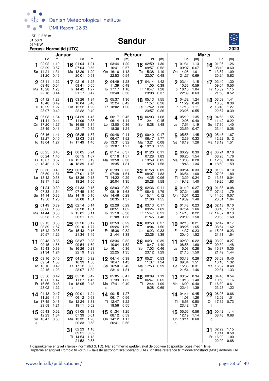

#### Sandur



|             |                                               | Færøsk Normaltid (UTC)              |        |                                                  |                                     |   |                                                            |                                     |                |                                               |                                     |    |                                               |                                     |                       |                                               | 2023                                |
|-------------|-----------------------------------------------|-------------------------------------|--------|--------------------------------------------------|-------------------------------------|---|------------------------------------------------------------|-------------------------------------|----------------|-----------------------------------------------|-------------------------------------|----|-----------------------------------------------|-------------------------------------|-----------------------|-----------------------------------------------|-------------------------------------|
|             |                                               |                                     | Januar |                                                  |                                     |   |                                                            |                                     | <b>Februar</b> |                                               |                                     |    |                                               |                                     | <b>Marts</b>          |                                               |                                     |
|             | Tid<br>02:02<br>08:29<br>Sø 14:21<br>21:20    | [m]<br>1.19<br>0.57<br>1.31<br>0.45 |        | Tid<br>16 01:04<br>07:04<br>Ma 13:29<br>20:01    | [m]<br>1.21<br>0.56<br>1.29<br>0.51 | 1 | Tid<br>03:44<br>10:41<br>On 16:16<br>22:53                 | [m]<br>1.20<br>0.57<br>1.13<br>0.54 | 16             | Tid<br>02:59<br>09:57<br>To 15:38<br>22:07    | [m]<br>1.30<br>0.52<br>1.19<br>0.48 |    | Tid<br>01:31<br>09:07<br>On 14:26<br>21:27    | [m]<br>1.13<br>0.67<br>1.01<br>0.69 | 16                    | Tid<br>01:05<br>08:10<br>To 13:57<br>20:24    | [m]<br>1.26<br>0.60<br>1.09<br>0.62 |
| $\mathbf 2$ | 03:11<br>09:45<br>Ma 15:28<br>22:18           | 1.22<br>0.54<br>1.28<br>0.44        |        | 17 02:16<br>08:41<br>Ti 14:42<br>21:17           | 1.25<br>0.55<br>1.27<br>0.47        | 2 | 04:49<br>11:39<br>To 17:17<br>23:40                        | 1.28<br>0.49<br>1.16<br>0.50        |                | 17 04:14<br>11:05<br>Fr 16:47<br>23:08        | 1.42<br>0.39<br>1.28<br>0.37        | 2  | 03:14<br>10:36<br>To 16:16<br>22:39           | 1.15<br>0.59<br>1.04<br>0.63        | 17 02:40              | 09:54<br>Fr 15:32<br>21:58                    | 1.30<br>0.50<br>1.15<br>0.52        |
| 3           | 04:12<br>10:48<br>Ti 16:29<br>23:07           | 1.28<br>0.49<br>1.27<br>0.42        |        | 18 03:26<br>10:04<br>On 15:52<br>22:22           | 1.34<br>0.48<br>1.29<br>0.40        | 3 | 05:37<br>12:24 0.42<br>Fr 18:02                            | 1.36<br>1.20                        | 18             | 05:13<br>11:57<br>Lø 17:42<br>23:57           | 1.55<br>0.26<br>1.38<br>0.26        |    | 3 04:32<br>11:29<br>Fr 17:16<br>23:25         | 1.24<br>0.49<br>1.11<br>0.55        | 18 03:59              | 10:55<br>Lø 16:40<br>22:57                    | 1.41<br>0.36<br>1.27<br>0.39        |
|             | 405:03<br>11:41<br>On 17:20<br>23:49          | 1.34<br>0.44<br>1.27<br>0.41        | 19     | 04:29<br>11:09<br>To 16:55<br>23:17              | 1.45<br>0.38<br>1.34<br>0.32        |   | 4 00:17 0.45<br>06:14<br>$L\varnothing$ 13:00<br>18:36     | 1.44<br>0.36<br>1.24                | 19             | 06:03<br>12:41<br>Sø 18:28                    | 1.68<br>0.15<br>1.48                |    | 405:19<br>12:08<br>Lø 17:51<br>23:59          | 1.35<br>0.40<br>1.19<br>0.47        | 19                    | 04:58<br>11:42<br>Sø 17:30<br>23:44           | 1.55<br>0.22<br>1.40<br>0.26        |
| 5           | 05:46<br>12:27<br>To 18:04                    | 1.41<br>0.40<br>1.27                |        | 20 05:25<br>12:03<br>Fr 17:49                    | 1.57<br>0.28<br>1.40                | 5 | 00:48<br>06:47<br>Sø 13:31<br>$\circ$ 19:07                | 0.41<br>1.52<br>0.32<br>1.27        |                | $20^{00:40}$<br>06:47<br>Ma 13:21<br>• 19:10  | 0.17<br>1.77<br>0.08<br>1.55        |    | 5 05:55<br>12:39<br>Sø 18:19 1.26             | 1.45<br>0.33                        | 20 05:45              | 12:22<br>Ma 18:12                             | 1.67<br>0.12<br>- 1.51              |
|             | 00:25<br>06:24<br>Fr 13:07<br>$\circ$ 18:42   | 0.40<br>1.46<br>0.37<br>1.27        | 21     | 00:05<br>06:15<br>Lø 12:51<br>• 18:39            | 0.24<br>1.67<br>0.19<br>1.46        |   | 01:14<br>07:18<br>Ma 13:58<br>19:35                        | 0.37<br>1.57<br>0.30<br>1.31        | 21             | 01:20<br>07:28<br>Ti 13:59<br>19:50           | 0.11<br>1.83<br>0.05<br>1.58        |    | 00:29<br>06:25<br>Ma 13:06<br>18:46           | 0.39<br>1.54<br>0.28<br>1.34        | 21 00:24<br>$\bullet$ | 06:26<br>Ti 12:58<br>18:50                    | 0.16<br>1.76<br>0.06<br>1.59        |
|             | 7 00:56<br>06:59<br>Lø 13:42<br>19:17         | 0.40<br>1.51<br>0.36<br>1.26        | 22     | 00:50<br>07:01<br>Sø 13:36<br>19:24              | 0.18<br>1.76<br>0.13<br>1.50        |   | 7 01:39<br>07:48<br>Ti 14:22<br>20:04                      | 0.33<br>1.61<br>0.29<br>1.35        |                | 22 01:58<br>08:07<br>On 14:35<br>20:28        | 0.09<br>1.83<br>0.06<br>1.58        |    | 700:54<br>06:54<br>Ti 13:29<br>$\circ$ 19:12  | 0.33<br>1.60<br>0.24<br>1.40        | 22 01:02              | 07:05<br>On 13:33<br>19:26                    | 0.10<br>1.80<br>0.04<br>1.63        |
|             | 8 01:24<br>07:33<br>Sø 14:14<br>19:50         | 0.39<br>1.54<br>0.36<br>1.26        | 23     | 01:33<br>07:45<br>Ma 14:19<br>20:08              | 0.15<br>1.80<br>0.10<br>1.51        |   | 02:03<br>08:19<br>On 14:46<br>20:35                        | 0.30<br>1.63<br>0.29<br>1.37        | 23             | 02:36<br>08:46<br>To 15:11<br>21:06           | 0.11<br>1.79<br>0.12<br>1.55        |    | 01:19<br>07:24<br>On 13:51<br>19:39           | 0.27<br>1.65<br>0.22<br>1.46        | 23                    | 01:38<br>07:42<br>To 14:05<br>20:01           | 0.08<br>1.79<br>0.07<br>1.64        |
|             | <b>9</b> 01:49<br>08:06<br>Ma 14:44<br>20:23  | 0.39<br>1.56<br>0.36<br>1.25        |        | 24 02:14<br>08:28<br>Ti 15:01<br>20:51           | 0.14<br>1.81<br>0.11<br>1.50        |   | <b>9</b> 02:29<br>08:51<br>To 15:10<br>21:08               | 0.29<br>1.62<br>0.30<br>1.38        |                | 24 03:13<br>09:24<br>Fr 15:47<br>21:45        | 0.17<br>1.69<br>0.21<br>1.48        |    | 01:43<br>07:54<br>To 14:13<br>20:09           | 0.23<br>1.66<br>0.22<br>1.50        | 24 02:13              | 08:18<br>Fr 14:37<br>20:36                    | 0.10<br>1.73<br>0.13<br>1.60        |
|             | $10$ 02:15<br>08:39<br>Ti 15:12<br>20:57      | 0.38<br>1.57<br>0.38<br>1.25        | 25     | 02:56<br>09:10<br>On 15:43<br>21:34              | 0.17<br>1.77<br>0.16<br>1.45        |   | 10 02:59<br>09:26<br>Fr 15:38<br>21:44                     | 0.29<br>1.59<br>0.32<br>1.38        | 25             | 03:50<br>10:04<br>Lø 16:23<br>22:26           | 0.27<br>1.56<br>0.33<br>1.39        | 10 | 02:10<br>08:25<br>Fr 14:37<br>20:40           | 0.21<br>1.65<br>0.23<br>1.52        | 25                    | 02:47<br>08:54<br>Lø 15:08<br>21:11           | 0.17<br>1.62<br>0.23<br>1.54        |
| 11          | 02:43<br>09:15<br>On 15:43 0.39<br>21:34 1.24 | 0.38<br>1.56                        |        | 26 03:37<br>09:54<br>To 16:26 0.23<br>22:19 1.39 | 0.23<br>1.69                        |   | 11 03:34 0.32<br>10:04<br>Lø 16:11 0.36<br>22:25 1.35      | 1.52                                | 26             | 04:31<br>10:47<br>Sø 17:03 0.46<br>23:12 1.29 | 0.39<br>1.40                        | 11 | 02:39<br>08:58<br>Lø 15:03 0.26<br>21:15 1.50 | 0.22<br>1.60                        | 26                    | 03:22<br>09:30<br>Sø 15:37 0.35<br>21:49 1.44 | 0.27<br>1.48                        |
|             | 03:16<br>09:54<br>To 16:16<br>22:15           | 0.40<br>1.53<br>0.42<br>1.23        |        | 27 04:21<br>10:39<br>Fr 17:12 0.33<br>23:07      | 0.32<br>1.58<br>1.32                |   | 12 04:14 0.38<br>10:47 1.43<br>Sø 16:50<br>23:14 1.31      | 0.42                                | D              | 27 05:21<br>11:37<br>Ma 17:53                 | 0.53<br>1.24<br>0.59                |    | $12^{03:13}$<br>09:34<br>Sø 15:33<br>21:54    | 0.26<br>1.51<br>0.31<br>1.46        | 27 03:59              | 10:10<br>Ma 16:07<br>22:31                    | 0.40<br>1.32<br>0.48<br>1.33        |
|             | 13 03:56<br>10:36<br>Fr 16:56<br>23:02        | 0.42<br>1.47<br>0.45<br>1.22        | D      | 28 05:10<br>11:27<br>Lø 18:05 0.43               | 0.42<br>1.45                        | ℭ | 13 05:05<br>11:39<br>Ma 17:41 0.49                         | 0.47<br>1.32                        |                | 28 00:09<br>06:47<br>Ti 12:44<br>19:28 0.69   | 1.19<br>0.65<br>1.09                |    | 13 03:52<br>10:16<br>Ma 16:09<br>22:41        | 0.34<br>1.40<br>0.40<br>1.39        | 28 04:45              | 10:56<br>Ti 16:39<br>23:23                    | 0.54<br>1.16<br>0.61<br>1.22        |
|             | 14 04:43<br>11:25<br>Lø 17:45<br>23:58        | 0.47<br>1.41<br>0.48<br>1.21        | 29     | 00:01<br>06:12<br>Sø 12:24<br>19:11              | 1.24<br>0.53<br>1.31<br>0.52        |   | 14 00:15 1.27<br>06:17 0.56<br>Ti 12:47 1.22<br>18:56 0.55 |                                     |                |                                               |                                     |    | 14 04:41<br>11:08<br>Ti 16:56<br>23:42        | 0.45<br>1.26<br>0.50<br>1.31        | 29 06:08<br>D         | 12:02<br>On 17:32 0.73                        | 0.66<br>1.01                        |
| ℂ           | $15^{05:43}$<br>12:23<br>Sø 18:47 0.50        | 0.52<br>1.34                        |        | 30 01:05<br>07:39<br>Ma 13:32<br>20:33           | 1.18<br>0.61<br>1.20<br>0.58        |   | 15 01:34 1.25<br>08:12 0.59<br>On 14:12 1.17<br>20:41 0.56 |                                     |                |                                               |                                     | €  | 15 05:55 0.56<br>12:19<br>On 18:11 0.60       | 1.14                                | To                    | 30 00:42 1.14<br>08:48 0.68                   |                                     |
|             |                                               |                                     |        | 02:23<br>09:21<br>Ti 14:54<br>21:52 0.58         | 1.16<br>0.62<br>1.13                |   |                                                            |                                     |                |                                               |                                     |    |                                               |                                     | 31                    | 02:29 1.15<br>10:14<br>Fr 16:00<br>22:09      | 0.58<br>1.00<br>0.68                |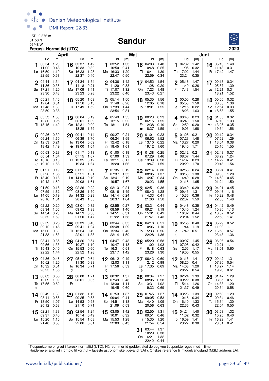

#### Sandur



|            |                                                   | April                        |                 |                                                    |                              |         |                                                  | Maj                          |    |                                                 |                              |            |                                                       |                              | Juni    |                                            |                              |
|------------|---------------------------------------------------|------------------------------|-----------------|----------------------------------------------------|------------------------------|---------|--------------------------------------------------|------------------------------|----|-------------------------------------------------|------------------------------|------------|-------------------------------------------------------|------------------------------|---------|--------------------------------------------|------------------------------|
|            | Tid                                               | [m]                          |                 | Tid                                                | [m]                          |         | Tid                                              | [m]                          |    | Tid                                             | [m]                          |            | Tid                                                   | [m]                          |         | Tid                                        | [m]                          |
|            | 03:54<br>11:02<br>$L\varnothing$ 16:50<br>22:55   | 1.23<br>0.48<br>1.10<br>0.58 | 16              | 03:37<br>10:33<br>Sø 16:23<br>22:37                | 1.42<br>0.32<br>1.28<br>0.40 | 1       | 03:52<br>10:50<br>Ma 16:33<br>22:47              | 1.33<br>0.41<br>1.20<br>0.50 |    | 16 04:03<br>10:48<br>Ti 16:41<br>22:59          | 1.48<br>0.25<br>1.39<br>0.34 | 1          | 04:32<br>11:05<br>To 17:02<br>23:24                   | 1.42<br>0.32<br>1.44<br>0.35 | 16      | 05:13<br>11:43<br>Fr 17:42                 | 1.40<br>0.31<br>1.47         |
|            | $2^{04:44}$<br>11:36<br>Sø 17:21<br>23:30         | 1.34<br>0.38<br>1.20<br>0.48 |                 | 17 04:34<br>11:18<br>Ma 17:09<br>23:23             | 1.54<br>0.21<br>1.41<br>0.28 |         | 2 04:36<br>11:20<br>Ti 17:07<br>23:22            | 1.42<br>0.33<br>1.32<br>0.40 |    | 17 04:52<br>11:28<br>On 17:23<br>23:43          | 1.54<br>0.20<br>1.48<br>0.27 |            | 2 05:16<br>11:40<br>Fr 17:43                          | 1.47<br>0.26<br>1.54         |         | $17^{00:13}$<br>05:57<br>Lø 12:21<br>18:21 | 0.34<br>1.39<br>0.31<br>1.52 |
|            | 05:21<br>12:04<br>Ma 17:48<br>23:59               | 1.45<br>0.31<br>1.30<br>0.38 |                 | 18 05:20<br>11:56<br>Ti 17:49                      | 1.63<br>0.13<br>1.52         |         | 05:14<br>11:48<br>On 17:39<br>23:54              | 1.50<br>0.26<br>1.44<br>0.31 |    | 18 05:35<br>12:05<br>To 18:01                   | 1.56<br>0.18<br>1.55         | З          | 00:05<br>05:58<br>Lø 12:15<br>18:23                   | 0.28<br>1.50<br>0.22<br>1.63 | 18      | 00:55<br>06:38<br>Sø 12:54<br>18:58        | 0.32<br>1.36<br>0.33<br>1.55 |
|            | 405:53<br>12:30<br>Ti 18:15                       | 1.53<br>0.25<br>1.40         |                 | 19 00:04<br>06:01<br>On 12:31<br>18:25             | 0.19<br>1.69<br>0.09<br>1.59 |         | 405:49<br>12:15<br>To 18:11                      | 1.55<br>0.22<br>1.54         |    | 19 00:23<br>06:15<br>Fr 12:38<br>18:37          | 0.23<br>1.55<br>0.19<br>1.59 | $\bigcirc$ | 400:46<br>06:40<br>Sø 12:50<br>19:03                  | 0.23<br>1.50<br>0.20<br>1.68 |         | 19 01:35<br>07:16<br>Ma 13:25<br>19:34     | 0.32<br>1.33<br>0.35<br>1.56 |
|            | 5 00:26<br>06:24<br>On 12:53<br>18:42             | 0.30<br>1.60<br>0.21<br>1.49 | 20<br>$\bullet$ | 00:41<br>06:39<br>To 13:04<br>19:00                | 0.14<br>1.70<br>0.09<br>1.64 | 5       | 00:27 0.24<br>06:24<br>Fr 12:42<br>$\circ$ 18:45 | 1.59<br>0.18<br>1.61         | 20 | 01:01<br>06:52<br>$L\varnothing$ 13:10<br>19:12 | 0.23<br>1.52<br>0.22<br>1.60 | 5          | 01:28<br>07:23<br>Ma 13:27<br>19:45                   | 0.21<br>1.48<br>0.20<br>1.71 | 20      | 02:12<br>07:52<br>Ti 13:54<br>20:10        | 0.34<br>1.29<br>0.38<br>1.55 |
| $\bigcirc$ | $6^{00:53}$<br>06:54<br>To 13:16<br>19:12         | 0.23<br>1.64<br>0.18<br>1.56 |                 | 21 01:17<br>07:15<br>Fr 13:35<br>19:34             | 0.13<br>1.67<br>0.12<br>1.64 |         | 01:00<br>07:00<br>$L\varnothing$ 13:11<br>19:20  | 0.19<br>1.59<br>0.17<br>1.66 | 21 | 01:38<br>07:29<br>Sø 13:39<br>19:47             | 0.25<br>1.46<br>0.28<br>1.59 |            | $6^{02:12}$<br>08:07<br>Ti 14:07<br>20:29             | 0.21<br>1.44<br>0.23<br>1.70 | 21      | 02:48<br>08:29<br>On 14:22<br>20:46        | 0.37<br>1.24<br>0.41<br>1.54 |
|            | 01:21<br>07:26<br>Fr 13:40<br>19:42               | 0.19<br>1.65<br>0.18<br>1.60 |                 | 22 01:51<br>07:51<br>$L\varnothing$ 14:04<br>20:08 | 0.16<br>1.61<br>0.19<br>1.61 |         | 7 01:35<br>07:37<br>Sø 13:41<br>19:57            | 0.19<br>1.55<br>0.19<br>1.67 | 22 | 02:14<br>08:05<br>Ma 14:07<br>20:23             | 0.30<br>1.37<br>0.34<br>1.55 |            | 7 02:58<br>08:53<br>On 14:49<br>21:16                 | 0.24<br>1.38<br>0.28<br>1.65 | 22      | 03:24<br>09:06<br>To 14:50<br>21:24        | 0.41<br>1.20<br>0.45<br>1.50 |
|            | 8 01:50<br>07:59<br>$L\varnothing$ 14:05<br>20:16 | 0.18<br>1.62<br>0.19<br>1.61 |                 | 23 02:26<br>08:26<br>Sø 14:32<br>20:43             | 0.22<br>1.50<br>0.28<br>1.55 |         | 8 02:13<br>08:16<br>Ma 14:14<br>20:37            | 0.21<br>1.49<br>0.24<br>1.64 |    | 23 02:51<br>08:42<br>Ti 14:33<br>21:00          | 0.36<br>1.28<br>0.41<br>1.50 |            | 8 03:49<br>09:43<br>To 15:36<br>22:07                 | 0.29<br>1.31<br>0.36<br>1.59 |         | 23 04:01<br>09:46<br>Fr 15:22<br>22:05     | 0.45<br>1.16<br>0.48<br>1.46 |
|            | 9 02:22<br>08:34<br>Sø 14:34<br>20:52             | 0.20<br>1.56<br>0.23<br>1.59 |                 | 24 03:01<br>09:02<br>Ma 14:59<br>21:20             | 0.32<br>1.38<br>0.38<br>1.47 |         | 902:55<br>08:59<br>Ti 14:51<br>21:22             | 0.27<br>1.40<br>0.31<br>1.58 |    | 24 03:31<br>09:21<br>On 15:01<br>21:41          | 0.44<br>1.19<br>0.49<br>1.43 | 9          | 04:48<br>10:40<br>Fr 16:32<br>23:04                   | 0.35<br>1.24<br>0.44<br>1.52 |         | 24 04:42<br>10:30<br>Lø 16:02<br>22:50     | 0.49<br>1.13<br>0.52<br>1.41 |
|            | 10 02:59<br>09:12<br>Ma 15:06<br>21:33            | 0.26<br>1.46<br>0.30<br>1.53 |                 | 25 03:39<br>09:41<br>Ti 15:24<br>22:01             | 0.43<br>1.24<br>0.49<br>1.38 |         | $10^{03:44}$<br>09:48<br>On 15:34<br>22:14       | 0.35<br>1.29<br>0.40<br>1.50 |    | $25^{04:18}$<br>10:06<br>To 15:33<br>22:28      | 0.51<br>1.10<br>0.56<br>1.36 | ℂ          | 10 05:55<br>11:44<br>Lø 17:42 0.51                    | 0.40<br>1.19                 | 25      | 05:29<br>11:22<br>Sø 16:53<br>23:43        | 0.52<br>1.11<br>0.57<br>1.36 |
| 11         | 03:41<br>09:56<br>Ti 15:43<br>22:22               | 0.35<br>1.33<br>0.40<br>1.44 | 26              | 04:26<br>10:27<br>On 15:53<br>22:52                | 0.54<br>1.10<br>0.60<br>1.28 | 11      | 04:47 0.43<br>10:47<br>To 16:31<br>23:17         | 1.18<br>0.51<br>1.42         | 26 | 05:20<br>11:02<br>Fr 16:18<br>23:26             | 0.58<br>1.03<br>0.63<br>1.30 | 11         | 00:07 1.45<br>07:08<br>Sø 12:55<br>19:05              | 0.42<br>1.17<br>0.55         | 26<br>D | 06:26<br>12:21<br>Ma 18:01                 | 0.54<br>1.11<br>0.60         |
| 12         | 04:36<br>10:52<br>On 16:32<br>23:25               | 0.46<br>1.20<br>0.51<br>1.35 | 27<br>D         | 05:47 0.64<br>11:30<br>To 16:34 0.71               | 0.99                         | 12<br>ℭ | 06:12 0.49<br>12:03<br>Fr 17:56 0.59             | 1.11                         | D  | 06:43 0.60<br>12:12<br>Lø 17:35                 | 0.99<br>0.69                 |            | $12^{01:15}$<br>08:20<br>Ma 14:08<br>20:27            | 1.41<br>0.41<br>1.20<br>0.54 | 27      | 00:42 1.31<br>07:30<br>Ti 13:27<br>19:28   | 0.54<br>1.14<br>0.61         |
| 13<br>ℭ    | 06:03<br>12:09<br>To 17:55                        | 0.56<br>1.09<br>0.62         | Fr              | 28 00:00<br>08:01 0.65                             | 1.21                         | 13      | 00:32 1.37<br>07:49 0.48<br>Lø 13:30<br>19:45    | 1.11<br>0.60                 | 28 | 00:34<br>08:05<br>Sø 13:31<br>19:33             | 1.27<br>0.58<br>1.02<br>0.69 |            | 13 02:24<br>09:22 0.38<br>Ti 15:14<br>21:37           | 1.39<br>1.26<br>0.49         | 28      | 01:47<br>08:35<br>On 14:33<br>20:54        | 1.29<br>0.51<br>1.20<br>0.58 |
|            | 14 00:49<br>08:11<br>Fr 13:50<br>20:12            | 1.30<br>0.55<br>1.07<br>0.63 |                 | 29 01:32 1.19<br>09:25<br>Lø 14:53<br>21:10        | 0.58<br>0.98<br>0.71         |         | 14 01:53<br>09:04<br>Sø 14:51<br>21:09           | 1.37<br>0.41<br>1.18<br>0.53 |    | 29 01:45<br>09:05<br>Ma 14:40<br>20:56          | 1.27<br>0.53<br>1.09<br>0.63 |            | 14 03:28<br>10:16 0.34<br>On 16:10<br>22:36           | 1.39<br>1.33<br>0.43         | 29      | 02:52<br>09:34<br>To 15:34<br>22:04        | 1.29<br>0.46<br>1.30<br>0.50 |
| 15         | 02:21<br>09:37<br>Lø 15:20<br>21:40               | 1.33<br>0.45<br>1.15<br>0.53 | 30              | 02:54<br>10:14<br>Sø 15:54<br>22:06 0.61           | 1.24<br>0.49<br>1.08         | 15      | 03:05<br>10:01<br>Ma 15:53<br>22:09              | 1.42<br>0.32<br>1.28<br>0.43 |    | 30 02:50<br>09:51<br>Ti 15:35<br>21:54          | 1.31<br>0.46<br>1.20<br>0.54 |            | 15 04:24 1.40<br>11:02 0.32<br>To 16:59<br>23:27 0.38 | 1.41                         | 30      | 03:53<br>10:25<br>Fr 16:29<br>23:01        | 1.32<br>0.40<br>1.41<br>0.41 |
|            |                                                   |                              |                 |                                                    |                              |         |                                                  |                              | 31 | 03:44<br>10:29<br>On 16:21<br>22:42 0.44        | 1.37<br>0.38<br>1.32         |            |                                                       |                              |         |                                            |                              |

Tidspunkterne er givet i færøsk normaltid (UTC). Når sommertid gælder, skal de opgivne tidspunkter øges med 1 time.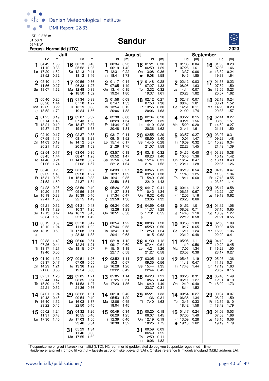

#### Sandur



| Juli                                                                                                                |                                                                                                                    | August                                                                             | <b>September</b>                                                                                                                        |                              |
|---------------------------------------------------------------------------------------------------------------------|--------------------------------------------------------------------------------------------------------------------|------------------------------------------------------------------------------------|-----------------------------------------------------------------------------------------------------------------------------------------|------------------------------|
| Tid<br>Tid<br>$\lceil m \rceil$                                                                                     | [m]<br>Tid<br>[m]                                                                                                  | Tid<br>[m]                                                                         | Tid<br>Tid<br>[m]                                                                                                                       | [m]                          |
| 1.36<br>$16$ 00:13<br>04:49<br>05:52<br>11:12<br>0.33<br>Lø 17:20<br>1.52<br>Sø 12:13<br>23:52<br>0.32<br>18:12     | 0.23<br>0.40<br>100:34<br>1.26<br>1.42<br>06:19<br>0.41<br>Ti 12:31<br>0.22<br>1.46<br>$\circ$ 18:41<br>1.73       | 16 01:21<br>0.30<br>1.29<br>06:59<br>0.36<br>On 13:08<br>• 19:08<br>1.58           | 01:36<br>0.04<br>16 01:38<br>1.<br>07:28<br>1.61<br>07:26<br>Fr 13:37<br>Lø 13:32<br>0.06<br>19:45<br>1.85<br>19:38                     | 0.23<br>1.46<br>0.24<br>1.64 |
| 1.40<br>$2^{05:40}$<br>17 00:56<br>11:56<br>0.27<br>06:33<br>1.62<br>Ma 12:48<br>Sø 18:07<br>$\bullet$ 18:50        | 0.36<br>01:17<br>0.14<br>$\mathbf 2$<br>07:05<br>1.27<br>1.49<br>0.39<br>On 13:14<br>0.15<br>1.52<br>19:24<br>1.80 | 0.28<br>17 01:48<br>07:27<br>1.33<br>To 13:32<br>0.32<br>19:37<br>1.61             | $2^{02:12}$<br>0.03<br>17 01:58<br>08:06<br>07:52<br>1.63<br>Sø 13:56<br>Lø 14:14<br>0.07<br>20:23<br>1.82<br>20:07                     | 0.23<br>1.50<br>0.23<br>1.62 |
| 00:40 0.25<br>18 01:34<br>1.44<br>06:28<br>07:10<br>Ma 12:39<br>0.22<br>Ti 13:19<br>$\circ$ 18:52<br>1.70<br>19:24  | 0.09<br>0.33<br>3 01:58<br>1.27<br>07:47<br>1.53<br>0.38<br>To 13:54<br>0.12<br>1.56<br>1.83<br>20:06              | 0.27<br>18 02:12<br>1.36<br>07:53<br>Fr 13:55<br>0.30<br>1.63<br>20:06             | 302:47<br>18 02:18<br>0.07<br>08:43<br>1.61<br>08:21<br>0.11<br>Ma 14:23<br>Sø 14:51<br>21:02<br>1.74<br>20:38                          | 0.24<br>1.52<br>0.23<br>1.57 |
| 401:25<br>19 02:07<br>0.19<br>07:43<br>07:14<br>1.46<br>Ti 13:21<br>0.19<br>On 13:47<br>19:37<br>1.75<br>19:57      | 0.32<br>4 02:38<br>0.08<br>1.28<br>08:29<br>1.54<br>0.37<br>Fr 14:34<br>0.12<br>1.58<br>20:48<br>1.81              | 19 02:34<br>0.28<br>08:21<br>1.39<br>$L\varnothing$ 14:19<br>0.28<br>20:36<br>1.62 | 403:22<br>19 02:41<br>0.15<br>09:21<br>1.56<br>08:53<br>Ma 15:29<br>0.20<br>Ti 14:52<br>21:41<br>21:11<br>1.61                          | 0.27<br>1.51<br>0.27<br>1.50 |
| 20 02:37<br>502:10<br>0.17<br>07:59<br>1.46<br>08:15<br>On 14:03<br>0.19<br>To 14:12<br>20:21<br>20:29<br>1.76      | 0.33<br>$5^{03:17}$<br>0.11<br>1.28<br>1.52<br>09:10<br>0.37<br>Lø 15:14<br>0.17<br>1.59<br>21:29<br>1.75          | 20 02:55<br>0.29<br>08:50<br>1.40<br>0.28<br>Sø 14:45<br>1.58<br>21:07             | 5 03:57<br>0.27<br>20<br>03:07<br>1.47<br>09:29<br>10:01<br>On 15:28<br>Ti 16:09<br>0.32<br>22:23<br>1.45<br>21:49                      | 0.31<br>1.48<br>0.34<br>1.39 |
| 02:54<br>0.17<br>21 03:04<br>08:45<br>1.44<br>08:47<br>Fr 14:38<br>To 14:46<br>0.21<br>21:06<br>1.74<br>21:02       | 0.35<br>03:57<br>0.18<br>1.28<br>09:52<br>1.47<br>Sø 15:56<br>0.24<br>0.37<br>1.57<br>22:12<br>1.64                | 0.32<br>03:18<br>21<br>09:23<br>1.40<br>0.31<br>Ma 15:14<br>1.52<br>21:41          | 04:35<br>0.40<br>03:39<br>21<br>10:46<br>1.36<br>10:12<br>To 16:11<br>On 16:57<br>0.47<br>22:35<br>23:11<br>1.28<br>$\mathbb{C}$        | 0.38<br>1.42<br>0.43<br>1.26 |
| 0.20<br>22 03:31<br>7 03:40<br>1.40<br>09:20<br>09:32<br>Fr 15:31<br>0.26<br>Lø 15:06<br>21:52<br>1.69<br>21:37     | 7 04:39<br>0.27<br>0.37<br>1.27<br>10:37<br>1.39<br>0.38<br>Ma 16:41<br>0.35<br>1.54<br>22:58<br>1.51              | 22 03:45<br>0.35<br>09:59<br>1.38<br>Ti 15:49<br>0.36<br>22:19<br>1.43             | 22 04:19<br>$7^{05:19}$<br>0.54<br>11:40<br>1.25<br>11:06<br>Fr 17:13<br>To 18:11<br>0.60<br>D 23:39                                    | 0.47<br>1.34<br>0.55<br>1.14 |
| 8 04:28<br>0.25<br>03:59<br>23<br>10:20<br>1.35<br>09:56<br>Lø 16:19<br>0.33<br>Sø 15:39<br>22:41<br>1.60<br>22:15  | 0.38<br>0.40<br>8 05:26<br>1.26<br>11:27<br>1.31<br>Ti 17:34<br>0.40<br>0.47<br>$\binom{23:50}{ }$<br>1.49<br>1.36 | 0.41<br>$23^{04:17}$<br>10:42<br>1.34<br>On 16:32<br>0.45<br>23:05<br>1.32         | 23<br>05:17<br>$8^{00:14}$<br>1.12<br>06:35<br>12:22<br>0.67<br>Fr 12:56<br>1.16<br>Lø 19:13<br>20:28<br>0.66                           | 0.58<br>1.27<br>0.62         |
| 905:21<br>0.32<br>24 04:31<br>1.29<br>11:13<br>10:37<br>Sø 17:13<br>0.42<br>Ma 16:19<br>23:34<br>1.50<br>22:58      | 06:24<br>0.50<br>0.43<br>9<br>1.25<br>12:26<br>1.23<br>0.45<br>On 18:51<br>0.58<br>1.42                            | 24 04:59<br>0.48<br>11:37<br>1.28<br>To 17:31<br>0.55<br>D                         | <b>9</b> 01:52<br>1.01<br>24 01:12 1.06<br>08:52<br>0.71<br>07:16<br>$L\varnothing$ 14:40<br>1.16<br>Sø 13:59<br>22:12<br>21:21<br>0.58 | 0.65<br>1.27<br>0.55         |
| 0.39<br>06:19<br>05:10<br>25<br>10<br>11:25<br>12:12<br>1.24<br>Ma 18:19 0.50<br>Ti 17:08<br>D 23:48<br>ℭ           | 10 00:54 1.22<br>0.47<br>1.22<br>07:44<br>0.58<br>0.51<br>To 13:41<br>1.18<br>1.33<br>20:41<br>0.63                | 1.20<br>00:06<br>25<br>05:59<br>0.56<br>Fr 12:50<br>1.24<br>19:15<br>0.62          | 10 03:56<br>02:56<br>1.03<br>25<br>10:17<br>09:22<br>0.65<br>Sø 16:11<br>Ma 15:26<br>1.24<br>23:12<br>22:29<br>0.48                     | 1.09<br>0.58<br>1.36<br>0.41 |
| 26 06:00<br>00:33 1.40<br>11<br>07:26<br>12:24<br>0.44<br>1.21<br>Ti 13:17<br>On 18:15<br>19:40 0.56                | 0.51<br>11 02:18<br>1.12<br>1.21<br>09:17<br>0.60<br>Fr 15:10<br>0.57<br>1.19<br>22:17 0.58                        | 01:30<br>1.12<br>26<br>0.61<br>07:44<br>Lø 14:21<br>1.26<br>21:27<br>0.58          | 11 05:05<br>1.11<br>26<br>04:12<br>11:10<br>0.56<br>10:29<br>1.34<br>Ma 17:05<br>Ti 16:29<br>23:53 0.38<br>23:17 0.27                   | 1.21<br>0.45<br>1.50         |
| 1.32<br>01:40<br>00:51<br>08:37<br>07:09<br>0.47<br>On 14:29<br>1.21<br>To 13:36<br>21:06<br>19:54<br>0.56          | 1.26<br>03:52<br>1.11<br>0.55<br>10:31<br>0.57<br>Lø 16:28<br>1.26<br>1.22<br>0.60<br>23:22 0.49                   | 03:05<br>1.13<br>27<br>09:35<br>0.56<br>Sø 15:44<br>1.35<br>22:44<br>0.45          | 12 05:43<br>1.19<br>05:05<br>11:48 0.47<br>11:19<br>Ti 17:43<br>1.44<br>On 17:19<br>23:57                                               | 1.36<br>0.31<br>1.63<br>0.15 |
| 1.26<br>28 02:05<br>13 02:51<br>08:35<br>09:44<br>0.47<br>To 15:39<br>1.26<br>Fr 14:53<br>21:36<br>22:21<br>0.52    | 1.21<br>13 05:05<br>1.14<br>0.54<br>11:25<br>0.51<br>Sø 17:23<br>1.27<br>1.36<br>0.56                              | 28 04:23<br>1.21<br>10:45<br>0.44<br>Ma 16:49<br>1.49<br>23:37<br>0.31             | 28 05:48<br>13 00:26 0.31<br>1.27<br>12:01<br>06:11<br>On 12:19 0.40<br>To 18:02<br>18:14<br>1.52                                       | 1.49<br>0.19<br>1.73         |
| 1.24<br>03:22<br>14 04:01<br>29<br>09:54<br>10:43<br>0.45<br>1.32<br>Lø 16:03<br>Fr 16:40<br>23:22<br>22:50<br>0.46 | 1.21<br>14 00:10 0.40<br>1.20<br>0.49<br>05:53<br>1.37<br>Ma 12:06<br>0.45<br>0.45<br>18:04<br>1.45                | 29 05:21<br>1.33<br>11:36<br>0.31<br>Ti 17:40<br>1.63                              | 14 00:54<br>0.27<br>00:34<br>29<br>06:36<br>06:27<br>1.34<br>To 12:45<br>0.33<br>Fr 12:39<br>18:42<br>1.58<br>$\circ$ 18:42             | 0.07<br>1.59<br>0.10<br>1.79 |
| 1.24<br>30 04:32<br>15 05:02<br>10:55<br>11:31 0.43<br>Lø 17:30 1.40<br>Sø 17:03<br>23:46                           | 0.34<br>1.26<br>15 00:49<br>1.25<br>0.40<br>06:29<br>1.50<br>Ti 12:39<br>0.40<br>0.34<br>18:38<br>1.52             | 30 00:20<br>0.18<br>06:07<br>1.45<br>On 12:19<br>0.19<br>18:25<br>1.75             | 30 01:09<br>$15^{01:17}$<br>0.24<br>07:00<br>1.40<br>07:03<br>Fr 13:09 0.28<br>$L\varnothing$ 13:16<br>$\bullet$ 19:10 1.62<br>19:19    | 0.03<br>1.66<br>0.06<br>1.79 |
| 05:29<br>31<br>11:46<br>Ma 17:55                                                                                    | 1.34<br>0.30<br>1.62                                                                                               | 00:59<br>0.09<br>31<br>06:49<br>1.55<br>To 12:59<br>0.11<br>$\circ$ 19:06<br>1.82  |                                                                                                                                         |                              |

Tidspunkterne er givet i færøsk normaltid (UTC). Når sommertid gælder, skal de opgivne tidspunkter øges med 1 time.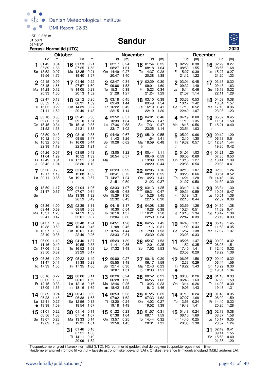

#### Sandur



|           |                                               | Færøsk Normaltid (UTC)              |    |                                                       |                                     |           |                                                            |                                     |    |                                                     |                                     |    |                                                       |                                     |                                                                 | 2023                                |
|-----------|-----------------------------------------------|-------------------------------------|----|-------------------------------------------------------|-------------------------------------|-----------|------------------------------------------------------------|-------------------------------------|----|-----------------------------------------------------|-------------------------------------|----|-------------------------------------------------------|-------------------------------------|-----------------------------------------------------------------|-------------------------------------|
|           |                                               | <b>Oktober</b>                      |    |                                                       |                                     |           |                                                            | <b>November</b>                     |    |                                                     |                                     |    |                                                       |                                     | <b>December</b>                                                 |                                     |
| 1         | Tid<br>01:42<br>07:39<br>Sø 13:52<br>19:56    | [m]<br>0.04<br>1.68<br>0.07<br>1.75 |    | Tid<br>16 01:23<br>07:25<br>Ma 13:35<br>19:40         | [m]<br>0.21<br>1.58<br>0.21<br>1.57 | 1         | Tid<br>02:17<br>08:27<br>On 14:49<br>20:47                 | [m]<br>0.24<br>1.61<br>0.27<br>1.40 | 16 | Tid<br>01:54<br>08:18<br>To 14:37<br>20:38          | [m]<br>0.25<br>1.64<br>0.28<br>1.38 |    | Tid<br>02:29<br>08:50<br>Fr 15:27<br>21:12            | [m]<br>0.38<br>1.55<br>0.39<br>1.22 | Tid<br>02:29<br>16<br>08:55<br>Lø 15:27<br>21:20                | [m]<br>0.27<br>1.68<br>0.27<br>1.33 |
|           | 02:15<br>08:15<br>Ma 14:28<br>20:33           | 0.09<br>1.66<br>0.12<br>1.65        |    | 17 01:46<br>07:57<br>Ti 14:05<br>20:13                | 0.22<br>1.60<br>0.23<br>1.52        | 2         | 02:47<br>09:06<br>To 15:31<br>21:28                        | 0.34<br>1.53<br>0.38<br>1.27        |    | 17 02:29<br>09:01<br>Fr 15:23<br>21:24              | 0.30<br>1.60<br>0.34<br>1.29        |    | 03:01<br>09:32<br>Lø 16:14<br>21:57                   | 0.45<br>1.49<br>0.46<br>1.14        | 17 03:13<br>09:43<br>Sø 16:19<br>22:11                          | 0.32<br>1.63<br>0.32<br>1.28        |
|           | $3^{02:47}$<br>08:52<br>Ti 15:05<br>21:11     | 0.18<br>1.60<br>0.22<br>1.52        |    | 18 02:12<br>08:31<br>On 14:39<br>20:49                | 0.25<br>1.59<br>0.27<br>1.43        |           | 3 03:18<br>09:49<br>Fr 16:22<br>22:15                      | 0.45<br>1.44<br>0.49<br>1.14        |    | 18 03:10<br>09:49<br>$L\varnothing$ 16:19<br>22:19  | 0.38<br>1.54<br>0.41<br>1.20        |    | 3 03:36<br>10:17<br>Sø 17:10<br>22:49                 | 0.53<br>1.42<br>0.52<br>1.07        | 18 04:03<br>10:34<br>Ma 17:16<br>23:08                          | 0.38<br>1.57<br>0.36<br>1.23        |
|           | 4 03:18<br>09:30<br>On 15:45<br>21:52         | 0.30<br>1.51<br>0.34<br>1.36        | 19 | 02:41<br>09:10<br>To 15:18<br>21:31                   | 0.30<br>1.54<br>0.35<br>1.33        | 4         | 03:52 0.57<br>10:39<br>Lø 17:36<br>23:17                   | 1.34<br>0.58<br>1.02                | 19 | 04:01<br>10:46<br>Sø 17:31<br>23:25                 | 0.46<br>1.47<br>0.47<br>1.14        | 4  | 04:19<br>11:10<br>Ma 18:18<br>23:51                   | 0.60<br>1.35<br>0.56<br>1.03        | 19 05:02<br>11:31<br>Ti 18:21<br>D                              | 0.45<br>1.50<br>0.40                |
|           | 5 03:50<br>10:12<br>To 16:32<br>22:38         | 0.43<br>1.40<br>0.48<br>1.19        |    | 20 03:16<br>09:55<br>Fr 16:08<br>22:22                | 0.38<br>1.47<br>0.44<br>1.21        | 5<br>ℂ    | 04:40<br>11:43<br>Sø 19:26                                 | 0.67<br>1.26<br>0.62                | D  | 20 05:10<br>11:54<br>Ma 18:59                       | 0.55<br>1.41<br>0.48                | ℂ  | 505:22<br>12:10<br>Ti 19:32 0.57                      | 0.66<br>1.30                        | 20 00:12<br>06:13<br>On 12:34<br>19:30                          | 1.20<br>0.51<br>1.44<br>0.42        |
|           | 04:26<br>11:04<br>Fr 17:49<br>(23:42)         | 0.57<br>1.29<br>0.61<br>1.04        | 21 | 03:59<br>10:52<br>Lø 17:21<br>23:30                   | 0.48<br>1.39<br>0.54<br>1.10        | 6<br>Ma   | 13:05 1.22<br>20:54 0.57                                   |                                     | 21 | 00:44<br>06:46<br>Ti 13:09<br>20:20                 | 1.11<br>0.59<br>1.39<br>0.44        |    | 01:01<br>06:56<br>On 13:16<br>20:36                   | 1.03<br>0.69<br>1.27<br>0.54        | 01:21<br>21<br>07:35<br>To 13:41<br>20:38                       | 1.20<br>0.53<br>1.39<br>0.41        |
|           | 05:20<br>12:17<br>$L\varnothing$ 20:11        | 0.70<br>1.19<br>0.65                | D  | $22^{05:04}$<br>12:08<br>Sø 19:19 0.57                | 0.59<br>1.32                        |           | 7 02:23 0.99<br>08:41<br>Ti 14:27<br>21:51                 | 0.72<br>1.24<br>0.50                |    | 22 02:05<br>08:20<br>On 14:23<br>21:23              | 1.16<br>0.55<br>1.41<br>0.37        |    | 702:10<br>08:26<br>To 14:21<br>21:27                  | 1.07<br>0.66<br>1.28<br>0.50        | 22 02:30<br>08:54<br>Fr 14:48<br>21:39                          | 1.24<br>0.52<br>1.36<br>0.39        |
| 8<br>Sø   | 13:59 1.17<br>21:47 0.57                      |                                     | 23 | 01:04<br>07:07<br>Ma 13:38<br>20:59                   | 1.06<br>0.64<br>1.32<br>0.49        |           | 03:33<br>09:45<br>On 15:29<br>22:32                        | 1.07<br>0.63<br>1.30<br>0.43        | 23 | 03:13<br>09:31<br>To 15:26<br>22:15                 | 1.25<br>0.47<br>1.45<br>0.30        |    | 8 03:10<br>09:31<br>Fr 15:19<br>22:10                 | 1.16<br>0.59<br>1.31<br>0.44        | 03:34<br>23<br>10:03<br>Lø 15:51<br>22:32                       | 1.30<br>0.47<br>1.36<br>0.36        |
|           | <b>9</b> 03:36<br>09:44<br>Ma 15:31<br>22:41  | 1.00<br>0.69<br>1.23<br>0.47        |    | 24 02:39<br>08:58<br>Ti 14:59<br>22:01                | 1.11<br>0.58<br>1.39<br>0.37        |           | <b>9</b> 04:16<br>10:30<br>To 16:16<br>23:04               | 1.17<br>0.54<br>1.37<br>0.36        |    | 24 04:08<br>10:28<br>Fr 16:21<br>22:59              | 1.35<br>0.38<br>1.50<br>0.24        |    | $Q$ 03:59<br>10:24<br>$L\varnothing$ 16:10<br>22:47   | 1.26<br>0.51<br>1.34<br>0.39        | 24 04:30<br>11:02<br>Sø 16:47<br>23:19                          | 1.38<br>0.41<br>1.36<br>0.33        |
| 10        | 04:37<br>10:38<br>Ti 16:27<br>23:19           | 1.09<br>0.59<br>1.33<br>0.38        | 25 | 03:48<br>10:04<br>On 16:01<br>22:49                   | 1.24<br>0.45<br>1.49<br>0.26        | 10        | 04:51<br>11:08<br>Fr 16:56<br>23:33                        | 1.28<br>0.45<br>1.44<br>0.31        | 25 | 04:55<br>11:16<br>Lø 17:09<br>23:39                 | 1.45<br>0.31<br>1.53<br>0.20        | 10 | 04:43<br>11:09<br>Sø 16:57<br>23:23                   | 1.37<br>0.43<br>1.38<br>0.33        | 05:19<br>25<br>11:53<br>Ma 17:37 1.37                           | 1.45<br>0.35                        |
| 11        | 05:09<br>11:16<br>On 17:06 1.42<br>23:50 0.32 | 1.19<br>0.49                        |    | 26 04:40<br>10:55 0.33<br>To 16:52 1.59<br>23:29 0.17 | 1.37                                |           | 11 $05:23$<br>11:41 0.36<br>Lø 17:32 1.48                  | 1.39                                |    | 26 05:37<br>12:01<br>Sø 17:52 1.53                  | 1.53<br>0.25                        | 11 | 05:25<br>11:52 0.35<br>Ma 17:40 1.41<br>23:58 0.29    | 1.47                                | $26\frac{00:02}{00:02}$<br>06:03<br>Ti 12:40 0.32<br>18:22 1.36 | 0.32<br>1.51                        |
|           | 12 05:36<br>11:47<br>To 17:39                 | 1.29<br>0.41<br>1.50                |    | 27 05:22<br>11:38<br>Fr 17:35                         | 1.49<br>0.23<br>1.66                |           | 12 00:00 0.27<br>05:55 1.48<br>Sø 12:14 0.30<br>18:07 1.51 |                                     |    | 27 00:16 0.20<br>06:17<br>Ma 12:43<br>$\circ$ 18:33 | 1.59<br>0.23<br>1.51                |    | 12 06:05<br>12:33 0.29<br>Ti 18:22                    | 1.56<br>- 1.43                      | 27 00:40<br>06:44<br>On 13:22<br>$\circ$ 19:04                  | 0.32<br>1.56<br>0.30<br>1.34        |
|           | 13 00:16 0.27<br>06:02<br>Fr 12:15<br>18:09   | 1.38<br>0.33<br>1.55                |    | 28 00:06 0.11<br>06:01<br>Lø 12:18<br>$\circ$ 18:16   | 1.59<br>0.16<br>1.69                | $\bullet$ | 13 00:26 0.24<br>06:28<br>Ma 12:46 0.26<br>18:42           | 1.56<br>1.52                        |    | 28 00:52<br>06:55<br>Ti 13:23<br>19:13              | 0.21<br>1.62<br>0.23<br>1.46        |    | 13 00:33 0.26<br>06:46<br>On 13:14 0.26<br>19:05      | 1.63<br>1.43                        | 28 01:16<br>07:22<br>To 14:03<br>19:43                          | 0.33<br>1.59<br>0.30<br>1.31        |
| $\bullet$ | 14 00:39<br>06:28<br>Lø 12:41<br>18:38        | 0.24<br>1.46<br>0.27<br>1.59        | 29 | 00:41<br>06:38<br>Sø 12:56<br>18:54                   | 0.09<br>1.65<br>0.13<br>1.67        |           | 14 00:53 0.23<br>07:02 1.62<br>Ti 13:20 0.24<br>19:18      | 1.49                                |    | 29 01:25<br>07:33<br>On 14:03<br>19:52              | 0.25<br>1.62<br>0.27<br>1.39        |    | 14 01:10 0.24<br>07:27<br>To 13:56<br>19:48           | 1.68<br>0.24<br>1.41                | 01:48<br>29<br>08:00<br>Fr 14:40<br>20:20                       | 0.35<br>1.59<br>0.32<br>1.28        |
| 15        | 01:01<br>06:56<br>Sø 13:07 0.23<br>19:09      | 0.22<br>1.53<br>1.59                |    | 30 $^{01:14}$ 0.11<br>07:14<br>Ma 13:33<br>19:31      | 1.67<br>0.14<br>1.61                |           | 15 $01:22$ 0.23<br>07:38<br>On 13:57 0.25<br>19:56         | 1.64<br>- 1.45                      |    | $30^{01:57}$<br>08:11<br>To 14:44 0.32<br>20:31     | 0.31<br>1.59<br>1.31                |    | 15 01:48 0.24<br>08:10<br>Fr 14:40 0.25<br>20:33 1.38 | 1.69                                | 30 02:19<br>08:37<br>Lø 15:17<br>20:57                          | 0.38<br>1.58<br>0.35<br>1.24        |
|           |                                               |                                     | 31 | 01:46<br>07:51<br>Ti 14:11 0.19<br>20:09 1.52         | 0.16<br>1.66                        |           |                                                            |                                     |    |                                                     |                                     |    |                                                       |                                     | 02:49<br>31<br>09:14<br>Sø 15:53 0.40<br>21:35                  | 0.41<br>1.55<br>1.20                |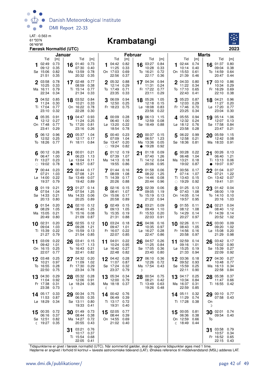

#### 06°49'W **Krambatangi**



|                    | Januar<br>Tid<br>Tid<br>[m]                 |                              |                 |                                             |                              |   | <b>Februar</b><br>Tid<br>Tid                           |                              |    |                                                          |                              |    | Marts<br>Tid<br>Tid                              |                              |               |                                                       |                              |
|--------------------|---------------------------------------------|------------------------------|-----------------|---------------------------------------------|------------------------------|---|--------------------------------------------------------|------------------------------|----|----------------------------------------------------------|------------------------------|----|--------------------------------------------------|------------------------------|---------------|-------------------------------------------------------|------------------------------|
|                    |                                             |                              |                 |                                             | [m]                          |   |                                                        | [m]                          |    |                                                          | [m]                          |    |                                                  | [m]                          |               |                                                       | [m]                          |
|                    | 02:49<br>09:12<br>Sø 15:06                  | 0.73<br>0.35<br>0.82         | 16              | 01:40<br>07:30<br>Ma 13:59                  | 0.73<br>0.40<br>0.78         |   | 1 $04:42$<br>11:25<br>On 17:03                         | 0.82<br>0.33<br>0.69         |    | 16 $03:27$<br>10:28<br>To 16:21                          | 0.84<br>0.33<br>0.72         |    | <b>1</b> 02:44<br>10:14<br>On 15:53              | 0.74<br>0.40<br>0.61         |               | 16 01:37<br>09:04<br>To 14:59                         | 0.80<br>0.38<br>0.64         |
|                    | 21:51                                       | 0.35                         |                 | 20:32                                       | 0.35                         |   | 22:56                                                  | 0.37                         |    | 22:17                                                    | 0.36                         |    | 21:39                                            | 0.46                         |               | 20:47                                                 | 0.44                         |
| 2                  | 03:58<br>10:25<br>Ma 16:11<br>22:34         | 0.78<br>0.33<br>0.79<br>0.34 |                 | 17 02:48<br>08:59<br>Ti 15:14<br>21:34      | 0.77<br>0.38<br>0.77<br>0.33 |   | 2 05:32<br>12:14<br>To 17:49<br>23:35                  | 0.88<br>0.29<br>0.71<br>0.33 |    | 17 04:34<br>11:31<br>Fr 17:22<br>23:11                   | 0.94<br>0.24<br>0.77<br>0.29 |    | 2 04:33<br>11:22<br>To 17:10<br>22:43            | 0.80<br>0.34<br>0.65<br>0.41 |               | 17 03:10<br>10:34<br>Fr 16:29<br>22:10                | 0.86<br>0.29<br>0.69<br>0.38 |
|                    | $3^{04:52}$<br>11:24<br>Ti 17:04<br>23:10   | 0.85<br>0.30<br>0.77<br>0.32 |                 | 18 03:52<br>10:21<br>On 16:22<br>22:28      | 0.84<br>0.33<br>0.78<br>0.30 |   | 3 06:09<br>12:50<br>Fr 18:23                           | 0.94<br>0.25<br>0.75         |    | 18 05:26<br>12:18<br>Lø 18:08<br>23:56                   | 1.05<br>0.15<br>0.83<br>0.22 |    | 305:23<br>12:03<br>Fr 17:46<br>23:25             | 0.87<br>0.29<br>0.70<br>0.34 |               | 18 04:21<br>11:27<br>Lø 17:20<br>23:04                | 0.96<br>0.20<br>0.77<br>0.30 |
|                    | $4^{05:35}$<br>12:12<br>On 17:48<br>23:41   | 0.91<br>0.27<br>0.77<br>0.29 |                 | 19 04:47<br>11:24<br>To 17:20<br>23:16      | 0.93<br>0.25<br>0.81<br>0.26 |   | 4 00:09 0.28<br>06:40<br>$L\varnothing$ 13:20<br>18:54 | 1.00<br>0.22<br>0.78         |    | 19 06:13<br>12:59<br>Sø 18:49                            | 1.15<br>0.08<br>0.88         |    | 405:55<br>12:32<br>Lø 18:12<br>23:58             | 0.94<br>0.24<br>0.76<br>0.28 | 19            | 05:14<br>12:07<br>Sø 17:58<br>23:47                   | 1.06<br>0.13<br>0.84<br>0.21 |
|                    | $5^{06:12}$<br>12:52<br>To 18:26 0.77       | 0.96<br>0.25                 |                 | 20 05:37<br>12:17<br>Fr 18:11 0.84          | 1.04<br>0.17                 |   | 500:40<br>07:09<br>Sø 13:47<br>$\circ$ 19:24           | 0.23<br>1.04<br>0.20<br>0.82 |    | 20 $^{00:37}_{0.2}$ 0.15<br>06:57<br>Ma 13:36<br>• 19:28 | 1.23<br>0.05<br>0.92         |    | 5 06:22<br>12:58<br>Sø 18:36 0.81                | 0.99<br>0.21                 |               | 20 05:59<br>12:42<br>Ma 18:33 0.91                    | 1.15<br>0.08                 |
|                    | 00:12<br>06:47<br>Fr 13:27<br>$\circ$ 19:02 | 0.26<br>1.00<br>0.23<br>0.78 | 21<br>$\bullet$ | 00:01<br>06:23<br>Lø 13:04<br>18:57         | 0.21<br>1.13<br>0.11<br>0.87 |   | 01:12<br>07:39<br>Ma 14:13<br>19:55                    | 0.19<br>1.07<br>0.18<br>0.86 | 21 | 01:18<br>07:40<br>Ti 14:12<br>20:06                      | 0.09<br>1.26<br>0.04<br>0.95 |    | 00:28<br>06:48<br>Ma 13:21<br>19:02              | 0.22<br>1.04<br>0.18<br>0.87 |               | 21 00:26 0.13<br>06:40<br>Ti 13:13<br>$\bullet$ 19:07 | 1.21<br>0.06<br>0.97         |
|                    | 00:44<br>07:21<br>Lø 14:00<br>19:37         | 0.23<br>1.03<br>0.22<br>0.79 |                 | $22^{00:44}$<br>07:08<br>Sø 13:49<br>19:42  | 0.17<br>1.21<br>0.07<br>0.89 |   | 7 01:44<br>08:09<br>Ti 14:39<br>20:26                  | 0.16<br>1.08<br>0.17<br>0.88 |    | 22 01:58<br>08:22<br>On 14:46<br>20:44                   | 0.06<br>1.25<br>0.08<br>0.96 |    | 7 00:56<br>07:14<br>Ti 13:43<br>$\circ$ 19:29    | 0.17<br>1.07<br>0.15<br>0.92 |               | 22 01:04<br>07:21<br>On 13:42<br>19:41                | 0.07<br>1.22<br>0.07<br>1.01 |
|                    | $8^{01:19}$<br>07:54<br>Sø 14:33<br>20:13   | 0.21<br>1.04<br>0.21<br>0.80 | 23              | 01:27 0.14<br>07:54<br>Ma 14:33<br>20:25    | 1.25<br>0.06<br>0.89         |   | 8 02:16<br>08:41<br>On 15:06<br>20:58                  | 0.15<br>1.07<br>0.17<br>0.89 |    | 23 02:39<br>09:05<br>To 15:19<br>21:22                   | 0.06<br>1.19<br>0.13<br>0.94 |    | 8 01:25<br>07:43<br>On 14:05<br>19:57            | 0.13<br>1.08<br>0.14<br>0.95 | 23            | 01:42<br>08:00<br>To 14:10<br>20:16                   | 0.04<br>1.19<br>0.10<br>1.03 |
|                    | 901:54<br>08:29<br>Ma 15:05<br>20:49        | 0.20<br>1.05<br>0.21<br>0.80 |                 | 24 02:10<br>08:40<br>Ti 15:16<br>21:09      | 0.12<br>1.25<br>0.08<br>0.87 |   | 902:49<br>09:13<br>To 15:35<br>21:31                   | 0.15<br>1.05<br>0.19<br>0.88 |    | 24 03:21<br>09:49<br>Fr 15:53<br>22:03                   | 0.09<br>1.10<br>0.20<br>0.91 |    | <b>9</b> 01:55<br>08:12<br>To 14:29<br>20:27     | 0.11<br>1.08<br>0.14<br>0.97 |               | 24 02:21<br>08:40<br>Fr 14:39<br>20:52                | 0.04<br>1.12<br>0.14<br>1.02 |
|                    | 10 02:31<br>09:04<br>Ti 15:39<br>21:27      | 0.20<br>1.03<br>0.22<br>0.79 | 25              | 02:55<br>09:28<br>On 15:59<br>21:54         | 0.12<br>1.21<br>0.13<br>0.85 |   | 10 03:24<br>09:47<br>Fr 16:07<br>22:07                 | 0.18<br>1.01<br>0.22<br>0.85 | 25 | 04:06<br>10:35<br>$L\sigma$ 16:27<br>22:47               | 0.16<br>0.97<br>0.28<br>0.86 |    | 10 02:26<br>08:43<br>Fr 14:56<br>20:58           | 0.11<br>1.05<br>0.16<br>0.97 | 25            | 03:00<br>09:20<br>$Lg$ 15:08<br>21:29                 | 0.09<br>1.02<br>0.20<br>0.98 |
|                    | 11 03:09<br>09:42<br>On 16:15<br>22:07 0.77 | 0.22<br>1.01<br>0.25         |                 | 26 03:41<br>10:17<br>To 16:43<br>22:41 0.82 | 0.15<br>1.13<br>0.21         |   | 11 04:01<br>10:24<br>Lø 16:42<br>22:48                 | 0.22<br>0.95<br>0.27<br>0.82 |    | 26 04:57<br>11:25<br>Sø 17:05<br>23:40 0.80              | 0.26<br>0.84<br>0.36         |    | 11 02:59<br>09:16<br>$Lg$ 15:25<br>21:33 0.94    | 0.14<br>1.01<br>0.19         | 26            | 03:42<br>10:02<br>Sø 15:39<br>22:09 0.92              | 0.17<br>0.90<br>0.27         |
|                    | 03:48<br>10:21<br>To 16:55<br>22:50         | 0.25<br>0.97<br>0.28<br>0.75 |                 | 04:32<br>11:09<br>Fr 17:30<br>23:34         | 0.20<br>1.02<br>0.29<br>0.78 |   | 04:42 0.28<br>11:07<br>Sø 17:24<br>23:37               | 0.87<br>0.32<br>0.79         | D  | 06:10 0.36<br>12:26<br>Ma 17:54 0.43                     | 0.72                         | 12 | 03:36<br>09:52<br>Sø 15:59<br>22:11              | 0.18<br>0.93<br>0.25<br>0.90 | 27            | 04:30<br>10:48<br>Ma 16:13<br>22:58                   | 0.27<br>0.77<br>0.34<br>0.84 |
|                    | 13 04:30<br>11:04<br>Fr 17:38<br>23:38      | 0.29<br>0.92<br>0.31<br>0.73 | D               | 28 05:32<br>12:06<br>Lø 18:24               | 0.28<br>0.91<br>0.36         | ℭ | 13 05:34<br>12:00<br>Ma 18:18 0.37                     | 0.34<br>0.79                 |    | 28 00:54<br>08:21<br>Ti 13:49<br>19:26                   | 0.75<br>0.42<br>0.63<br>0.48 |    | 13 04:17<br>10:34<br>Ma 16:37<br>22:59           | 0.25<br>0.84<br>0.31<br>0.85 |               | 28 05:38<br>11:47<br>Ti 16:55                         | 0.37<br>0.66<br>0.42         |
|                    | 14 05:17<br>11:53<br>Lø 18:29               | 0.33<br>0.87<br>0.34         | 29              | 00:34<br>06:55<br>Sø 13:11<br>19:33         | 0.75<br>0.35<br>0.80<br>0.41 |   | 14 00:42<br>06:49<br>Ti 13:17<br>19:31                 | 0.76<br>0.39<br>0.72<br>0.40 |    |                                                          |                              |    | 14 05:11<br>11:29<br>Ti 17:28                    | 0.32<br>0.74<br>0.38         | 29<br>On<br>D | 00:10 0.77<br>07:58 0.43                              |                              |
| 15<br>$\mathbb{C}$ | 00:35<br>06:16<br>Sø 12:51<br>19:27         | 0.72<br>0.37<br>0.82<br>0.35 |                 | 30 01:49<br>08:44<br>Ma 14:27<br>20:55      | 0.73<br>0.38<br>0.72<br>0.43 |   | 15 02:05<br>08:44<br>On 14:55<br>21:02 0.40            | 0.77<br>0.39<br>0.69         |    |                                                          |                              |    | 15 00:05<br>06:36<br>On 12:59<br>$\sqrt{}$ 18:49 | 0.81<br>0.38<br>0.66<br>0.44 | 30<br>To      | 02:01 0.74<br>09:54                                   | 0.40                         |
|                    |                                             |                              | 31              | 03:21<br>10:17<br>Ti 15:54<br>22:05 0.41    | 0.76<br>0.37<br>0.68         |   |                                                        |                              |    |                                                          |                              |    |                                                  |                              | 31            | 03:58<br>10:57<br>Fr 16:52<br>22:15 0.43              | 0.79<br>0.34<br>0.65         |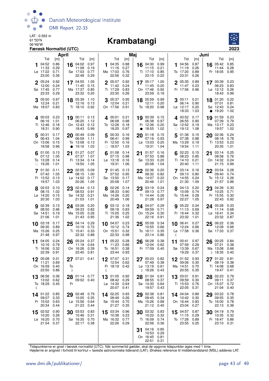

#### 06°49'W **Krambatangi**



|    |                                             | April                               |         |                                                  |                              |    |                                                    |                                     | Maj<br><b>Tid</b><br>[m] |                                                  |                              | Juni<br>Tid<br>Tid<br>[m] |                                                 |                              |           |                                                        |                              |
|----|---------------------------------------------|-------------------------------------|---------|--------------------------------------------------|------------------------------|----|----------------------------------------------------|-------------------------------------|--------------------------|--------------------------------------------------|------------------------------|---------------------------|-------------------------------------------------|------------------------------|-----------|--------------------------------------------------------|------------------------------|
| 1  | Tid<br>04:52<br>11:33<br>Lø 17:22<br>23:00  | [m]<br>0.86<br>0.29<br>0.71<br>0.36 | 16      | Tid<br>04:02 0.97<br>11:08<br>Sø 17:03<br>22:48  | [m]<br>0.19<br>0.77<br>0.29  |    | Tid<br>104:35<br>11:16<br>Ma 17:03<br>22:56        | [m]<br>0.88<br>0.27<br>0.76<br>0.32 |                          | 16 04:30<br>11:15<br>Ti 17:10<br>23:15           | 0.99<br>0.21<br>0.85<br>0.22 | 1                         | 04:56<br>11:19<br>To 17:20<br>23:31             | 0.87<br>0.26<br>0.89<br>0.26 | 16        | 05:42<br>11:44<br>Fr 18:05                             | [m]<br>0.85<br>0.28<br>0.95  |
|    | 2 05:24<br>12:00<br>Sø 17:45<br>23:33       | 0.92<br>0.24<br>0.77<br>0.29        |         | 17 04:55<br>11:45<br>Ma 17:37<br>23:32           | 1.05<br>0.15<br>0.85<br>0.20 |    | $2^{05:07}$<br>11:42<br>Ti 17:29<br>23:30          | 0.92<br>0.24<br>0.83<br>0.26        |                          | 17 05:17<br>11:45<br>On 17:46<br>23:59           | 1.00<br>0.20<br>0.92<br>0.18 |                           | 2 05:35<br>11:47<br>Fr 17:56                    | 0.89<br>0.23<br>0.96         |           | $17^{00:39}$<br>06:23<br>$L\varnothing$ 12:12<br>18:43 | 0.23<br>0.83<br>0.26<br>0.99 |
|    | 3 05:50<br>12:24<br>Ma 18:07                | 0.97<br>0.21<br>0.83                |         | 18 05:39<br>12:16 0.13<br>Ti 18:10 0.92          | 1.10                         |    | $3^{05:37}$<br>12:04<br>On 17:56                   | 0.95<br>0.21<br>0.91                |                          | 18 05:59<br>12:11<br>To 18:20                    | 0.99<br>0.20<br>0.98         |                           | 300:11<br>06:14<br>Lø 12:17<br>18:33            | 0.21<br>0.90<br>0.20<br>1.03 | $\bullet$ | 18 01:20<br>07:01<br>Sø 12:43<br>19:20                 | 0.22<br>0.81<br>0.24<br>1.02 |
|    | 400:03<br>06:16<br>Ti 12:46<br>18:31        | 0.23<br>1.01<br>0.18<br>0.90        |         | 19 00:11 0.13<br>06:20<br>On 12:43<br>18:43      | 1.12<br>0.12<br>0.99         |    | <b>4</b> 00:01<br>06:08<br>To 12:26<br>18:25       | 0.21<br>0.98<br>0.18<br>0.97        |                          | 19 00:39<br>06:38<br>Fr 12:36<br>$\bullet$ 18:55 | 0.15<br>0.97<br>0.20<br>1.02 |                           | 400:52<br>06:55<br>Sø 12:52<br>$\circ$ 19:12    | 0.17<br>0.90<br>0.19<br>1.08 |           | 19 01:59<br>07:39<br>Ma 13:17<br>19:57                 | 0.23<br>0.79<br>0.23<br>1.02 |
|    | 5 00:31<br>06:43<br>On 13:06<br>18:58       | 0.17<br>1.04<br>0.15<br>0.96        |         | 20 00:49 0.09<br>06:59<br>To 13:08<br>• 19:16    | 1.11<br>0.13<br>1.03         | 5  | 00:33<br>06:41<br>Fr 12:50<br>$\circ$ 18:57        | 0.16<br>0.99<br>0.16<br>1.03        | 20                       | 01:18<br>07:16<br>$L\varnothing$ 13:03<br>19:31  | 0.15<br>0.93<br>0.20<br>1.04 | 5                         | 01:36<br>07:38<br>Ma 13:29<br>19:54             | 0.15<br>0.88<br>0.19<br>1.11 | 20        | 02:36<br>08:18<br>Ti 13:53<br>20:35                    | 0.24<br>0.78<br>0.23<br>1.01 |
|    | 01:00<br>07:12<br>To 13:28<br>$\circ$ 19:26 | 0.13<br>1.05<br>0.14<br>1.01        |         | $21^{01:27}$<br>07:37<br>Fr 13:34<br>19:50       | 0.07<br>1.07<br>0.14<br>1.05 |    | 01:08<br>07:15<br>$L\varnothing$ 13:18<br>19:31    | 0.14<br>0.98<br>0.16<br>1.06        | 21                       | 01:57<br>07:53<br>Sø 13:33<br>20:08              | 0.16<br>0.88<br>0.20<br>1.04 | 6                         | 02:23<br>08:23<br>Ti 14:10<br>20:40             | 0.15<br>0.85<br>0.21<br>1.11 | 21        | 03:14<br>08:58<br>On 14:32<br>21:15                    | 0.25<br>0.76<br>0.24<br>0.99 |
|    | 7 01:30<br>07:42<br>Fr 13:52<br>19:57       | 0.11<br>1.05<br>0.13<br>1.03        |         | 22 02:05<br>08:15<br>Lø 14:02<br>20:26           | 0.09<br>1.00<br>0.17<br>1.05 |    | 701:45<br>07:52<br>Sø 13:50<br>20:08               | 0.13<br>0.95<br>0.17<br>1.07        |                          | 22 02:36<br>08:32<br>Ma 14:07<br>20:46           | 0.20<br>0.82<br>0.22<br>1.01 |                           | 703:14<br>09:13<br>On 14:55<br>21:30            | 0.16<br>0.80<br>0.24<br>1.09 |           | 22 03:54<br>09:40<br>To 15:12<br>21:57                 | 0.28<br>0.74<br>0.26<br>0.96 |
|    | 8 02:03<br>08:15<br>Lø 14:20<br>20:30       | 0.10<br>1.02<br>0.15<br>1.03        |         | 23 $02:44$ 0.13<br>08:53<br>Sø 14:32<br>21:03    | 0.91<br>0.21<br>1.01         |    | 8 02:26<br>08:33<br>Ma 14:26<br>20:49              | 0.14<br>0.90<br>0.20<br>1.06        |                          | 23 03:19<br>09:13<br>Ti 14:44<br>21:28           | 0.24<br>0.77<br>0.26<br>0.97 |                           | 8 04:13<br>10:09<br>To 15:44<br>22:27           | 0.20<br>0.74<br>0.28<br>1.05 |           | 23 04:39<br>10:25<br>Fr 15:55<br>22:43                 | 0.30<br>0.71<br>0.30<br>0.92 |
|    | 9 02:39<br>08:50<br>Sø 14:51<br>21:06       | 0.13<br>0.96<br>0.19<br>1.01        |         | 24 03:26<br>09:33<br>Ma 15:05<br>21:43           | 0.20<br>0.82<br>0.26<br>0.95 |    | 903:12<br>09:18<br>Ti 15:05<br>21:36               | 0.18<br>0.83<br>0.25<br>1.02        |                          | 24 04:07<br>09:59<br>On 15:24<br>22:16           | 0.29<br>0.71<br>0.30<br>0.91 |                           | 905:22<br>11:13<br>Fr 16:44<br>23:32            | 0.24<br>0.69<br>0.32<br>1.01 |           | 24 05:28<br>11:14<br>Lø 16:41<br>23:32                 | 0.33<br>0.68<br>0.34<br>0.87 |
|    | 10 03:18<br>09:30<br>Ma 15:26<br>21:48      | 0.17<br>0.89<br>0.25<br>0.97        | 25      | 04:14<br>10:19<br>Ti 15:41<br>22:32              | 0.29<br>0.72<br>0.33<br>0.88 |    | 10 04:07<br>10:12<br>On 15:51<br>22:33             | 0.23<br>0.74<br>0.32<br>0.98        | 25                       | 05:09<br>10:55<br>To 16:11<br>23:14              | 0.34<br>0.66<br>0.35<br>0.86 | €                         | 10 06:41<br>12:24<br>Lø 17:58                   | 0.27<br>0.66<br>0.36         | 25        | 06:22<br>12:09<br>Sø 17:33                             | 0.36<br>0.66<br>0.37         |
| 11 | 04:05<br>10:16<br>Ti 16:06<br>22:39         | 0.24<br>0.79<br>0.32<br>0.91        | 26      | 05:24<br>11:18<br>On 16:26<br>23:40 0.81         | 0.37<br>0.64<br>0.39         |    | 11 $05:22$<br>11:23<br>To 16:51<br>23:44 0.93      | 0.28<br>0.66<br>0.38                |                          | 26 06:28<br>12:04<br>Fr 17:09                    | 0.38<br>0.62<br>0.40         | 11                        | 00:41<br>07:59<br>Sø 13:39<br>19:29             | 0.97<br>0.29<br>0.67<br>0.37 | 26        | 00:25<br>07:21<br>Ma 13:08<br>ກ 18:35                  | 0.84<br>0.38<br>0.66<br>0.40 |
| 12 | 05:08<br>11:21<br>On 16:59<br>23:50         | 0.31<br>0.69<br>0.40<br>0.86        | To<br>D | 27 07:21 0.41                                    |                              | ℭ  | 07:07 0.31<br>12:54<br>Fr 18:19 0.42               | 0.62                                |                          | 00:23<br>07:49<br>Lø 13:19<br>D 18:26            | 0.82<br>0.38<br>0.61<br>0.43 |                           | $12^{01:52}$<br>09:06<br>Ma 14:51<br>20:55      | 0.93<br>0.30<br>0.70<br>0.35 | 27        | 01:22 0.81<br>08:19<br>Ti 14:08<br>19:47               | 0.38<br>0.68<br>0.41         |
| ℂ  | 13 06:56<br>13:02<br>To 18:29               | 0.36<br>0.62<br>0.45                | Fr      | 28 01:14 0.77<br>09:02 0.40                      |                              | 13 | 01:05 0.92<br>08:42 0.29<br>Lø 14:30 0.64<br>20:07 | 0.41                                | 28                       | 01:34<br>08:55<br>Sø 14:30<br>19:57              | 0.81<br>0.37<br>0.64<br>0.43 |                           | 13 03:01<br>09:59<br>Ti 15:53<br>22:05          | 0.91<br>0.30<br>0.76<br>0.31 | 28        | 02:23<br>09:11<br>On 15:07<br>21:04                    | 0.79<br>0.37<br>0.72<br>0.40 |
|    | 14 01:22<br>09:07<br>Fr 15:02<br>20:34      | 0.85<br>0.33<br>0.63<br>0.44        | 29      | 02:48 0.79<br>10:05<br>Lø 15:56 0.64<br>21:23    | 0.35<br>0.44                 |    | 14 02:25<br>09:49<br>Sø 15:44<br>21:27             | 0.93<br>0.26<br>0.70<br>0.35        | 29                       | 02:38<br>09:45<br>Ma 15:26<br>21:12              | 0.81<br>0.34<br>0.68<br>0.40 |                           | 14 04:04<br>10:42<br>On 16:44<br>23:04          | 0.89<br>0.30<br>0.83<br>0.27 | 29        | 03:22<br>09:55<br>To 16:00<br>22:13                    | 0.78<br>0.35<br>0.78<br>0.36 |
|    | 15 02:52<br>10:20<br>Lø 16:20<br>21:54      | 0.90<br>0.26<br>0.70<br>0.37        |         | 30 03:53<br>10:46<br>Sø 16:35 0.70<br>22:17 0.38 | 0.83<br>0.31                 |    | 15 03:34<br>10:38<br>Ma 16:32<br>22:26             | 0.96<br>0.23<br>0.77<br>0.29        |                          | 30 03:32<br>10:22<br>Ti 16:09<br>22:06           | 0.83<br>0.32<br>0.74<br>0.36 |                           | $15^{04:57}$<br>11:15<br>To 17:26<br>23:55 0.25 | 0.87<br>0.29<br>0.89         |           | 30 04:19<br>10:35<br>Fr 16:47<br>23:10                 | 0.79<br>0.32<br>0.86<br>0.31 |
|    |                                             |                                     |         |                                                  |                              |    |                                                    |                                     | 31                       | 04:16<br>10:53<br>On 16:45<br>22:51 0.31         | 0.85<br>0.29<br>0.81         |                           |                                                 |                              |           |                                                        |                              |

Tidspunkterne er givet i færøsk normaltid (UTC). Når sommertid gælder, skal de opgivne tidspunkter øges med 1 time.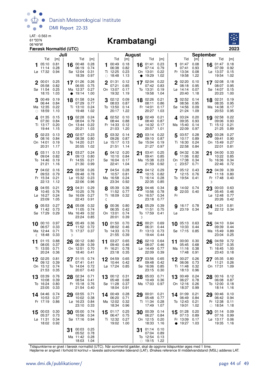

#### 06°49'W **Krambatangi**



| Juli                                                                               |                                                                                     | <b>August</b>                                                                      |                                                                                       | September<br>Tid<br>Tid                                                             |                                                                                    |  |  |  |
|------------------------------------------------------------------------------------|-------------------------------------------------------------------------------------|------------------------------------------------------------------------------------|---------------------------------------------------------------------------------------|-------------------------------------------------------------------------------------|------------------------------------------------------------------------------------|--|--|--|
| Tid<br>[m]                                                                         | Tid<br>[m]                                                                          | Tid<br>[m]                                                                         | Tid<br>[m]                                                                            | [m]                                                                                 | [m]                                                                                |  |  |  |
| 0.81<br>05:10<br>0.28<br>11:14<br>0.94<br>Lø 17:32                                 | 0.28<br>00:48<br>16<br>06:19<br>0.74<br>Sø 12:04<br>0.31<br>18:39<br>0.97           | 00:49<br>0.18<br>1<br>06:38<br>0.82<br>0.23<br>Ti 12:25<br>$\circ$ 18:48<br>1.13   | 0.23<br>16 01:41<br>07:14<br>0.79<br>0.22<br>On 13:01<br>• 19:29<br>1.02              | 01:47<br>0.08<br>1<br>07:41<br>0.93<br>Fr 13:34<br>0.08<br>19:58<br>1.22            | 16 01:47<br>0.18<br>07:39<br>0.92<br>Lø 13:37<br>0.15<br>19:54<br>1.02             |  |  |  |
| $2^{00:01}$<br>0.25<br>05:58<br>0.82<br>0.25<br>Sø 11:54<br>18:15<br>1.03          | 0.26<br>17 01:26<br>06:55<br>0.75<br>Ma 12:37<br>0.27<br>19:14<br>1.00<br>$\bullet$ | 01:31<br>0.12<br>$\mathbf 2$<br>07:21<br>0.85<br>On 13:07<br>0.17<br>19:32<br>1.19 | 0.22<br>17 02:04<br>0.83<br>07:42<br>To 13:31<br>0.19<br>19:58<br>1.04                | 2 02:20<br>0.10<br>08:18<br>0.95<br>Lø 14:14<br>0.07<br>20:40<br>1.18               | 17 02:08<br>0.18<br>08:07<br>0.95<br>Sø 14:07<br>0.15<br>20:23<br>1.00             |  |  |  |
| 00:49<br>0.19<br>06:44<br>0.84<br>0.22<br>Ma 12:35<br>18:59<br>1.10<br>$\bigcirc$  | 01:58<br>0.24<br>18<br>07:29<br>0.77<br>Ti 13:10<br>0.24<br>19:48<br>1.02           | 02:12<br>0.09<br>08:03<br>0.87<br>To 13:50<br>0.14<br>1.22<br>20:17                | 0.21<br>18 02:26<br>08:11<br>0.86<br>Fr 14:01<br>0.17<br>20:27<br>1.03                | 02:52<br>0.14<br>3<br>08:56<br>0.95<br>Sø 14:56<br>0.09<br>21:24<br>1.09            | 02:31<br>0.19<br>18<br>08:35<br>0.95<br>Ma 14:38<br>0.17<br>20:53<br>0.95          |  |  |  |
| 401:35<br>0.15<br>07:30<br>0.84<br>Ti 13:17<br>0.20<br>19:44<br>1.15               | 19 02:28<br>0.24<br>08:04<br>0.79<br>0.22<br>On 13:44<br>20:21<br>1.03              | 4 02:52 0.10<br>08:44<br>0.88<br>Fr 14:33<br>0.12<br>21:03<br>1.20                 | 19 02:49<br>0.21<br>08:40<br>0.87<br>Lø 14:32<br>0.17<br>20:57<br>1.01                | 4 03:24<br>0.20<br>09:35<br>0.93<br>Ma 15:40<br>0.14<br>22:09<br>0.97               | 19 02:58<br>0.22<br>0.93<br>09:06<br>Ti 15:12<br>0.21<br>21:25<br>0.89             |  |  |  |
| 502:23<br>0.13<br>0.84<br>08:16<br>On 14:01<br>0.19<br>20:31<br>1.17               | 02:57<br>0.23<br>20<br>08:38<br>0.80<br>To 14:20<br>0.21<br>20:55<br>1.02           | 03:32<br>0.14<br>5<br>09:26<br>0.87<br>Lø 15:17<br>0.13<br>21:51<br>1.14           | 03:14<br>0.22<br>20<br>09:10<br>0.87<br>Sø 15:04<br>0.19<br>21:27<br>0.97             | 03:57<br>0.28<br>5<br>10:17<br>0.89<br>Ti 16:30<br>0.24<br>22:58<br>0.84            | 0.27<br>03:28<br>20<br>09:41<br>0.90<br>On 15:49<br>0.27<br>22:01<br>0.81          |  |  |  |
| $6^{03:11}$<br>0.13<br>09:04<br>0.82<br>To 14:46<br>0.19<br>21:21<br>1.16          | 03:27<br>0.24<br>21<br>09:13<br>0.80<br>Fr 14:55<br>0.21<br>21:30<br>0.99           | 04:12 0.20<br>10:10<br>0.84<br>Sø 16:04<br>0.17<br>22:41<br>1.04                   | 03:41<br>0.25<br>21<br>09:41<br>0.85<br>Ma 15:38<br>0.23<br>0.92<br>21:59             | $6^{04:32}$<br>0.36<br>11:06<br>0.82<br>On 17:38<br>0.34<br>23:57<br>0.71<br>ℂ      | 0.33<br>04:00<br>21<br>10:22<br>0.85<br>To 16:36<br>0.34<br>22:46<br>0.72          |  |  |  |
| 7 04:02<br>0.16<br>0.79<br>09:53<br>Fr 15:34<br>0.21<br>22:13<br>1.12              | 03:58<br>0.26<br>22<br>09:48<br>0.78<br>Lø 15:32<br>0.23<br>22:06<br>0.96           | $7^{04:54}$<br>0.28<br>10:57<br>0.81<br>Ma 16:58<br>0.24<br>23:34<br>0.92          | 0.29<br>04:12<br>22<br>0.82<br>10:15<br>Ti 16:14<br>0.28<br>22:35<br>0.85             | 05:12<br>0.43<br>12:15<br>0.76<br>To 19:54<br>0.41                                  | 0.39<br>22<br>04:39<br>11:18<br>0.80<br>Fr 17:48 0.40<br>D                         |  |  |  |
| 0.21<br>8 04:55<br>0.76<br>10:45<br>Lø 16:27<br>0.24<br>23:09<br>1.05              | 23 04:31<br>0.29<br>10:25<br>0.76<br>Sø 16:09<br>0.27<br>22:43<br>0.91              | 0.36<br>8 05:39<br>11:52<br>0.77<br>Ti 18:09<br>0.32<br>ℭ                          | 0.34<br>23 04:46<br>0.78<br>10:56<br>On 16:57<br>0.34<br>23:18<br>0.77                | 8 14:02 0.74<br>22:03 0.40<br>Fr                                                    | 23<br>00:03 0.63<br>05:45<br>0.46<br>$L\varnothing$ 12:48<br>0.77<br>20:26<br>0.42 |  |  |  |
| 0.27<br>05:53<br>0.73<br>11:42<br>Sø 17:29<br>0.29                                 | 24 05:08<br>0.32<br>0.74<br>11:05<br>Ma 16:49<br>0.32<br>23:24<br>0.85              | 00:36 0.80<br>q<br>06:35<br>0.42<br>On 13:01<br>0.74<br>20:01<br>0.39              | 0.39<br>24 05:29<br>11:51<br>0.75<br>To 17:59<br>0.41<br>D                            | 16:17 0.78<br>9<br>23:19 0.34<br>Lø                                                 | 24 14:31 0.81<br>22:12<br>0.34<br>Sø                                               |  |  |  |
| 0.97<br>10 00:10<br>0.33<br>06:57<br>Ma 12:44<br>0.71<br>0.33<br>18:48<br>ℂ        | 05:49<br>0.36<br>25<br>11:52<br>0.72<br>Ti 17:37<br>0.37<br>D                       | 0.70<br>10 01:50<br>08:02<br>0.46<br>To 14:33<br>0.73<br>21:55<br>0.39             | $25^{00:21}$<br>0.69<br>06:31<br>0.44<br>0.73<br>Fr 13:13<br>19:44<br>0.44            | 10 05:13 0.63<br>10:33<br>0.44<br>Sø 17:15<br>0.85                                  | 04:10<br>0.64<br>25<br>09:39<br>0.44<br>Ma 15:49<br>0.89<br>23:04<br>0.25          |  |  |  |
| 0.88<br>01:15<br>11<br>0.37<br>08:05<br>Ti 13:55<br>0.71<br>20:24<br>0.36          | 00:12<br>0.80<br>26<br>06:39<br>0.39<br>On 12:51<br>0.70<br>18:40<br>0.41           | 03:27<br>0.65<br>11<br>09:40<br>0.46<br>Fr 16:21<br>0.78<br>23:18<br>0.35          | 02:10<br>0.64<br>26<br>08:07<br>0.46<br>$L\varnothing$ 14:49<br>0.77<br>22:09<br>0.39 | 00:00<br>0.30<br>11<br>05:45<br>0.68<br>Ma 11:16<br>0.38<br>17:48<br>0.91           | 0.72<br>04:59<br>26<br>10:37<br>0.35<br>Ti 16:45<br>1.00<br>23:43<br>0.18          |  |  |  |
| 0.81<br>02:25<br>12<br>0.39<br>09:12<br>On 15:12<br>0.74<br>21:53<br>0.35          | 0.74<br>01:15<br>27<br>07:41<br>0.41<br>To 14:04<br>0.72<br>20:07<br>0.43           | 12<br>04:59 0.65<br>10:44<br>0.42<br>Lø 17:24<br>0.85                              | 03:56<br>0.65<br>27<br>09:48<br>0.42<br>Sø 16:06<br>0.85<br>23:15<br>0.30             | 12 00:27 0.26<br>06:06<br>0.73<br>Ti 11:48<br>0.32<br>18:13<br>0.96                 | 05:35<br>0.80<br>0.26<br>11:21<br>On 17:31<br>1.09                                 |  |  |  |
| 0.76<br>03:39<br>13<br>0.39<br>10:08<br>To 16:24<br>0.80<br>23:05<br>0.33          | 02:34<br>0.71<br>28<br>08:54<br>0.41<br>Fr 15:18<br>0.76<br>21:54<br>0.40           | 00:12 0.31<br>13<br>05:48<br>0.68<br>Sø 11:28<br>0.37<br>0.91<br>18:04             | 05:03<br>0.71<br>28<br>0.36<br>10:49<br>Ma 17:03<br>0.97                              | 00:49<br>0.24<br>13<br>06:27<br>0.78<br>On 12:16<br>0.26<br>18:37<br>0.99           | 00:16 0.12<br>28<br>06:08<br>0.87<br>To 12:00<br>0.18<br>18:14<br>1.16             |  |  |  |
| 0.74<br>14 04:46<br>10:53<br>0.37<br>Fr 17:19<br>0.86                              | 03:55<br>0.71<br>29<br>10:02<br>0.38<br>Lø 16:23<br>0.84<br>23:10<br>0.33           | 0.28<br>14 00:49<br>06:20<br>0.71<br>Ma 12:02<br>0.32<br>18:34<br>0.96             | 29 00:01<br>0.21<br>05:48<br>0.77<br>Ti 11:34<br>0.28<br>17:49<br>1.07                | 14 01:09<br>0.21<br>06:49<br>0.84<br>To 12:43<br>0.21<br>19:01<br>1.02              | 29 00:46<br>0.10<br>06:42<br>0.94<br>Fr 12:38<br>0.11<br>$\circ$ 18:54<br>1.18     |  |  |  |
| 0.30<br>00:03<br>15<br>0.73<br>05:37<br>$L\varnothing$ 11:31<br>0.34<br>18:02 0.92 | 05:00<br>0.74<br>30<br>10:56<br>0.34<br>Sø 17:16 0.94                               | 0.25<br>$15^{01:17}$<br>06:47<br>0.75<br>Ti 12:32<br>0.27<br>19:02 1.00            | 00:39<br>0.14<br>30<br>06:27<br>0.84<br>On 12:15<br>0.20<br>18:33<br>1.16             | 15 01:28<br>0.20<br>07:13<br>0.89<br>Fr 13:09<br>0.17<br>19:27<br>1.03<br>$\bullet$ | 0.09<br>30<br>01:14<br>07:16<br>0.99<br>Lø 13:17<br>0.06<br>19:35<br>1.16          |  |  |  |
|                                                                                    | 00:03<br>0.25<br>31<br>05:52<br>0.78<br>Ma 11:42 0.28<br>18:03<br>1.04              |                                                                                    | 01:14<br>0.10<br>31<br>07:04<br>0.89<br>To 12:54<br>0.13<br>$\circ$ 19:15<br>1.22     |                                                                                     |                                                                                    |  |  |  |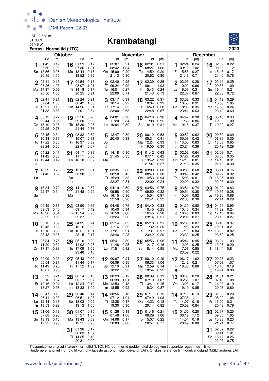

#### 06°49'W **Krambatangi**



| Færøsk Normaltid (UTC)<br><b>Oktober</b> |                                                      |                                     |          |                                                      |                                     |              |                                                            |                                     |    |                                                |                                     |              |                                                  | 2023                                |                                                  |                                     |
|------------------------------------------|------------------------------------------------------|-------------------------------------|----------|------------------------------------------------------|-------------------------------------|--------------|------------------------------------------------------------|-------------------------------------|----|------------------------------------------------|-------------------------------------|--------------|--------------------------------------------------|-------------------------------------|--------------------------------------------------|-------------------------------------|
|                                          |                                                      |                                     |          |                                                      |                                     |              |                                                            | <b>November</b>                     |    |                                                |                                     |              |                                                  |                                     | <b>December</b>                                  |                                     |
|                                          | Tid<br>01:42<br>07:50<br>Sø 13:56<br>20:15           | [m]<br>0.12<br>1.02<br>0.06<br>1.10 | 16       | Tid<br>01:29<br>07:36<br>Ma 13:44<br>19:52           | [m]<br>0.17<br>1.01<br>0.15<br>0.96 | 1            | Tid<br>02:07<br>08:42<br>On 15:09<br>21:13                 | [m]<br>0.21<br>1.04<br>0.20<br>0.80 | 16 | Tid<br>02:01<br>08:27<br>To 14:52<br>20:52     | [m]<br>0.21<br>1.06<br>0.20<br>0.80 |              | Tid<br>02:24<br>09:12<br>Fr 15:55<br>21:43       | [m]<br>0.24<br>1.02<br>0.27<br>0.71 | Tid<br>02:32<br>16<br>09:06<br>Lø 15:45<br>21:40 | [m]<br>0.22<br>1.12<br>0.17<br>0.76 |
| $\mathbf 2$                              | 02:11<br>08:26<br>Ma 14:37<br>20:56                  | 0.15<br>1.03<br>0.09<br>1.00        |          | 17 01:54<br>08:07<br>Ti 14:18<br>20:25               | 0.18<br>1.01<br>0.17<br>0.91        |              | 02:40<br>09:24<br>To 16:01<br>22:00                        | 0.25<br>0.99<br>0.27<br>0.71        |    | 17 02:39<br>09:11<br>Fr 15:43<br>21:43         | 0.25<br>1.03<br>0.24<br>0.73        |              | 2 03:05<br>10:00<br>Lø 16:53<br>22:37            | 0.28<br>0.96<br>0.31<br>0.67        | 17 03:19<br>09:58<br>Sø 16:44<br>22:38           | 0.25<br>1.09<br>0.21<br>0.72        |
|                                          | 02:41<br>09:04<br>Ti 15:21<br>21:38                  | 0.21<br>1.00<br>0.16<br>0.88        |          | 18 02:24<br>08:42<br>On 14:56<br>21:01               | 0.21<br>1.00<br>0.21<br>0.84        |              | $3^{03:17}$<br>10:14<br>Fr 17:14 0.35<br>23:00             | 0.31<br>0.92<br>0.63                | 18 | 03:22<br>10:04<br>$L\sigma$ 16:49<br>22:48     | 0.31<br>0.99<br>0.28<br>0.67        |              | 03:52<br>10:55<br>Sø 18:03<br>23:41              | 0.33<br>0.91<br>0.35<br>0.63        | 18 04:12<br>10:56<br>Ma 17:50<br>23:42           | 0.29<br>1.05<br>0.24<br>0.69        |
|                                          | $4^{03:12}$<br>09:44<br>On 16:10<br>22:25            | 0.27<br>0.95<br>0.26<br>0.76        |          | 19 02:56<br>09:20<br>To 15:39<br>21:44               | 0.26<br>0.96<br>0.26<br>0.76        |              | 4 04:01<br>11:20<br>Lø 19:04                               | 0.38<br>0.84<br>0.39                |    | 19 04:16<br>11:08<br>Sø 18:19                  | 0.36<br>0.95<br>0.31                |              | 4.04:47<br>11:58<br>Ma 19:18 0.37                | 0.38<br>0.86                        | 19 05:16<br>12:00<br>Ti 19:02 0.27<br>D          | 0.33<br>1.00                        |
|                                          | $5^{03:45}$<br>10:33<br>To 17:22<br>23:24            | 0.34<br>0.87<br>0.36<br>0.65        |          | 20 03:32<br>10:07<br>Fr 16:37<br>22:41               | 0.32<br>0.91<br>0.32<br>0.67        | 5<br>Sø<br>€ | 12:47 0.80<br>20:40 0.38                                   |                                     | 20 | 00:12<br>05:31<br>Ma 12:24<br>D 19:55          | 0.63<br>0.41<br>0.93<br>0.30        | $\mathbb{C}$ | 00:52<br>05:58<br>Ti 13:05<br>20:24              | 0.62<br>0.42<br>0.83<br>0.36        | 00:52 0.69<br>20<br>06:36<br>On 13:08<br>20:12   | 0.35<br>0.95<br>0.29                |
| ℂ                                        | 04:22<br>11:42<br>Fr 19:44                           | 0.41<br>0.80<br>0.42                | 21       | 04:17<br>11:11<br>$L\varnothing$ 18:10               | 0.39<br>0.86<br>0.37                | 6<br>Ma      | 14:18 0.80<br>21:45 0.35                                   |                                     | 21 | 01:42<br>07:11<br>Ti 13:42<br>21:07            | 0.63<br>0.42<br>0.93<br>0.27        |              | 02:02<br>07:27<br>On 14:10<br>21:18              | 0.64<br>0.43<br>0.81<br>0.35        | 02:03<br>21<br>08:06<br>To 14:18<br>21:13        | 0.71<br>0.35<br>0.91<br>0.30        |
| Lø                                       | 13:29 0.76<br>21:43 0.39                             |                                     | Sø<br>D  | $22$ $12:39$ 0.84<br>20:30 0.35                      |                                     |              | 7 03:35 0.63<br>08:58<br>Ti 15:29<br>22:27                 | 0.45<br>0.83<br>0.31                |    | 22 03:00<br>08:43<br>On 14:53<br>22:00         | 0.68<br>0.38<br>0.94<br>0.24        |              | 7 03:03<br>08:49<br>To 15:08<br>22:00            | 0.68<br>0.42<br>0.81<br>0.32        | $22^{03:11}$<br>09:27<br>Fr 15:25<br>22:03       | 0.76<br>0.32<br>0.88<br>0.30        |
| Sø                                       | 15:34 0.79<br>22:47 0.34                             |                                     | 23<br>Ma | 14:10 0.87<br>21:48 0.29                             |                                     |              | 04:19<br>09:58<br>On 16:15<br>22:58                        | 0.69<br>0.40<br>0.86<br>0.28        | 23 | 03:56<br>09:50<br>To 15:54<br>22:41            | 0.75<br>0.32<br>0.97<br>0.22        |              | 8 03:51<br>09:51<br>Fr 15:57<br>22:33            | 0.74<br>0.38<br>0.82<br>0.30        | 04:09<br>23<br>10:35<br>Lø 16:26<br>22:44        | 0.83<br>0.28<br>0.86<br>0.29        |
|                                          | <b>g</b> 04:45 0.63<br>09:59<br>Ma 16:36<br>23:22    | 0.45<br>0.84<br>0.29                |          | 24 03:50<br>09:17<br>Ti 15:24<br>22:37               | 0.66<br>0.42<br>0.93<br>0.22        |              | <b>9</b> 04:48<br>10:40<br>To 16:50<br>23:24               | 0.75<br>0.34<br>0.88<br>0.26        |    | 24 04:40<br>10:45<br>Fr 16:45<br>23:14         | 0.83<br>0.25<br>0.98<br>0.21        |              | 904:30<br>10:40<br>$L\varnothing$ 16:40<br>23:02 | 0.80<br>0.34<br>0.83<br>0.27        | 24 04:59 0.90<br>11:32<br>Sø 17:18<br>23:19      | 0.24<br>0.84<br>0.27                |
| 10                                       | 05:13<br>10:45<br>Ti 17:10<br>23:48                  | 0.69<br>0.38<br>0.89<br>0.26        | 25       | 04:35<br>10:16<br>On 16:21<br>23:15                  | 0.74<br>0.33<br>1.01<br>0.17        |              | $10^{-05:14}$<br>11:16<br>Fr 17:21<br>23:46                | 0.82<br>0.29<br>0.91<br>0.23        | 25 | 05:18<br>11:32<br>Lø 17:31<br>23:42            | 0.91<br>0.20<br>0.97<br>0.20        | 10           | 05:06<br>11:23<br>Sø 17:19<br>23:30              | 0.87<br>0.29<br>0.84<br>0.25        | 05:43<br>25<br>12:21<br>Ma 18:03<br>23:52        | 0.97<br>0.21<br>0.82<br>0.25        |
|                                          | 11 $05:34$<br>11:20<br>On 17:37 0.93                 | 0.75<br>0.32                        |          | $26^{05:10}$<br>11:02<br>To 17:09 1.06<br>23:46 0.15 | 0.82<br>0.25                        |              | 11 05:41<br>11:48<br>Lø 17:51 0.92                         | 0.89<br>0.25                        | 26 | 05:56<br>12:17<br>Sø 18:14 0.95                | 0.98<br>0.16                        |              | 11 05:41<br>12:03<br>Ma 17:58 0.85<br>23:59 0.22 | 0.95<br>0.25                        | $26^{06:24}$<br>13:05<br>Ti 18:44 0.81           | 1.03<br>0.20                        |
|                                          | 12 00:09<br>05:54<br>To 11:49<br>18:01               | 0.23<br>0.81<br>0.26<br>0.96        |          | 27 05:43<br>11:44<br>Fr 17:52                        | 0.90<br>0.17<br>1.09                |              | 12 00:07 0.21<br>06:09 0.95<br>Sø 12:19 0.21<br>18:22 0.93 |                                     |    | 27 00:10<br>06:33<br>Ma 12:59<br>$\circ$ 18:54 | 0.19<br>1.04<br>0.14<br>0.92        |              | 12 06:17<br>12:42<br>Ti 18:38                    | 1.02<br>0.21<br>0.86                | 27 00:25<br>07:03<br>On 13:45<br>$\circ$ 19:24   | 0.23<br>1.07<br>0.19<br>0.80        |
|                                          | 13 00:29<br>06:16 0.87<br>Fr 12:16<br>18:27          | 0.21<br>0.21<br>0.98                |          | 28 00:14<br>06:17<br>Lø 12:24<br>$\circ$ 18:32       | 0.13<br>0.97<br>0.12<br>1.09        | $\bullet$    | 13 00:29<br>06:39<br>Ma 12:53<br>18:55                     | 0.19<br>1.01<br>0.18<br>0.92        |    | 28 00:39<br>07:10<br>Ti 13:41<br>19:34         | 0.19<br>1.07<br>0.15<br>0.87        |              | 13 00:33<br>06:55<br>On 13:23<br>19:19           | 0.20<br>1.07<br>0.17<br>0.85        | 28 01:01<br>07:42<br>To 14:23<br>20:03           | 0.21<br>1.08<br>0.19<br>0.80        |
| $\bullet$                                | 14 00:47 0.19<br>06:41<br>Lø 12:44<br>18:53          | 0.93<br>0.18<br>0.99                | 29       | 00:40<br>06:51<br>Sø 13:03<br>19:12                  | 0.14<br>1.03<br>0.09<br>1.05        | 14           | 00:56<br>07:12<br>Ti 13:28<br>19:30                        | 0.18<br>1.04<br>0.17<br>0.90        |    | 29 01:11<br>07:49<br>On 14:23<br>20:14         | 0.19<br>1.08<br>0.18<br>0.82        |              | 14 01:10<br>07:36<br>To 14:07<br>20:02           | 0.19<br>1.11<br>0.16<br>0.84        | 01:38<br>29<br>08:20<br>Fr 15:00<br>20:43        | 0.20<br>1.08<br>0.21<br>0.79        |
|                                          | $15^{01:06}$<br>07:08<br>Sø 13:13 0.15<br>19:22 0.98 | 0.18<br>0.98                        |          | 30 01:07<br>07:27<br>Ma 13:43<br>19:51               | 0.15<br>1.07<br>0.09<br>0.98        |              | 15 01:26<br>07:48<br>On 14:08<br>20:09                     | 0.19<br>1.06<br>0.17<br>0.86        |    | 30 01:46<br>08:29<br>To 15:07<br>20:57         | 0.21<br>1.06<br>0.22<br>0.77        |              | 15 01:50<br>08:19<br>Fr 14:54<br>20:49 0.80      | 0.20<br>1.12<br>0.16                | 30 02:17<br>09:00<br>Lø 15:38<br>21:24           | 0.20<br>1.05<br>0.23<br>0.77        |
|                                          |                                                      |                                     | 31       | 01:36<br>08:03<br>Ti 14:25<br>20:31                  | 0.17<br>1.07<br>0.13<br>0.90        |              |                                                            |                                     |    |                                                |                                     |              |                                                  |                                     | 02:57<br>31<br>09:41<br>Sø 16:17<br>22:07 0.75   | 0.22<br>1.01<br>0.26                |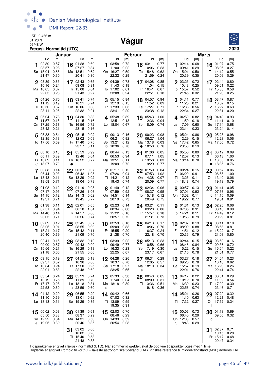

LAT: -0.466 m 61°28'N

#### 06°48'W **Vágur**



|              |                                                           | Færøsk Normaltid (UTC)               |        |                                                      |                                      |   |                                                       |                                      |                |                                                 |                                      |    |                                                           |                                      |              |                                                   | 2023                                 |
|--------------|-----------------------------------------------------------|--------------------------------------|--------|------------------------------------------------------|--------------------------------------|---|-------------------------------------------------------|--------------------------------------|----------------|-------------------------------------------------|--------------------------------------|----|-----------------------------------------------------------|--------------------------------------|--------------|---------------------------------------------------|--------------------------------------|
|              |                                                           |                                      | Januar |                                                      |                                      |   |                                                       |                                      | <b>Februar</b> |                                                 |                                      |    |                                                           |                                      | <b>Marts</b> |                                                   |                                      |
|              | Tid<br>02:30<br>08:57<br>Sø 15:04                         | [m]<br>0.57<br>0.28<br>0.68          | 16     | Tid<br>01:28<br>07:27<br>Ma 13:51                    | [m]<br>0.60<br>0.34<br>0.62          | 1 | Tid<br>03:58<br>11:00<br>On 16:27                     | [m]<br>0.72<br>0.22<br>0.59          | 16             | Tid<br>03:11<br>10:06<br>To 15:48               | [m]<br>0.77<br>0.23<br>0.62          |    | Tid<br>02:14<br>09:41<br>On 15:01                         | [m]<br>0.68<br>0.29<br>0.50          | 16           | Tid<br>01:27<br>08:25<br>To 14:12                 | [m]<br>0.75<br>0.27<br>0.55          |
| $\mathbf{2}$ | 21:47<br>03:39<br>10:16<br>Ma 16:05<br>22:35              | 0.30<br>0.63<br>0.24<br>0.67<br>0.28 |        | 20:41<br>17 02:43<br>09:08<br>Ti 15:08<br>21:43      | 0.30<br>0.65<br>0.31<br>0.64<br>0.27 |   | 22:32<br>2 04:39<br>11:43<br>To 17:02<br>23:08        | 0.29<br>0.78<br>0.18<br>0.61<br>0.24 |                | 21:59<br>17 04:08<br>11:04<br>Fr 16:41<br>22:51 | 0.24<br>0.85<br>0.15<br>0.67<br>0.18 |    | 20:39<br>2 03:23<br>10:43<br>To 15:57<br>21:45            | 0.35<br>0.72<br>0.25<br>0.52<br>0.32 |              | 20:09<br>17 $02:44$<br>09:51<br>Fr 15:30<br>21:28 | 0.29<br>0.80<br>0.22<br>0.58<br>0.25 |
| 3            | 04:26<br>11:12<br>Ti 16:50<br>23:11                       | 0.70<br>0.19<br>0.67<br>0.25         |        | 18 03:41<br>10:21<br>On 16:06<br>22:32               | 0.74<br>0.24<br>0.68<br>0.21         | 3 | 05:15<br>12:19<br>Fr 17:33<br>23:41                   | 0.84<br>0.15<br>0.63<br>0.20         |                | 18 04:57<br>11:52<br>Lø 17:27<br>23:38          | 0.94<br>0.09<br>0.71<br>0.12         |    | $3^{04:11}$<br>11:25<br>Fr 16:36<br>22:34                 | 0.77<br>0.21<br>0.56<br>0.27         |              | 18 03:47<br>10:52<br>Lø 16:27<br>22:31            | 0.87<br>0.15<br>0.63<br>0.20         |
|              | 405:04<br>11:57<br>On 17:25<br>23:42                      | 0.78<br>0.15<br>0.68<br>0.21         |        | 19 04:30<br>11:15<br>To 16:56<br>23:15               | 0.83<br>0.16<br>0.72<br>0.16         |   | 4 05:48<br>12:51<br>Lø 18:04                          | 0.89<br>0.13<br>0.67                 | 19             | 05:43<br>12:36<br>Sø 18:09                      | 1.00<br>0.04<br>0.74                 |    | 4.04:50<br>11:59<br>Lø 17:09<br>23:14                     | 0.82<br>0.18<br>0.60<br>0.23         | 19           | 04:40<br>11:41<br>Sø 17:14<br>23:24               | 0.93<br>0.10<br>0.68<br>0.14         |
| 5            | 05:38<br>12:35<br>To 17:56                                | 0.84<br>0.13<br>0.69                 |        | 20 05:15<br>12:02<br>Fr 17:40<br>23:57               | 0.92<br>0.09<br>0.75<br>0.11         | 5 | 00:13 0.16<br>06:21<br>Sø 13:21<br>$\circ$ 18:36      | 0.92<br>0.12<br>0.70                 |                | $20^{00:23}$<br>06:27<br>Ma 13:18<br>• 18:50    | 0.08<br>1.04<br>0.03<br>0.76         | 5  | 05:24<br>12:29<br>Sø 17:42<br>23:50                       | 0.86<br>0.15<br>0.65<br>0.19         | 20           | 05:28<br>12:23<br>Ma 17:56                        | 0.98<br>0.06<br>0.72                 |
|              | 00:10<br>06:11<br>Fr 13:09<br>$\circ$ 18:27               | 0.18<br>0.89<br>0.11<br>0.70         | 21     | 05:59<br>12:46<br>Lø 18:22 0.77                      | 0.99<br>0.04                         |   | 00:44<br>06:53<br>Ma 13:51<br>19:09                   | 0.13<br>0.94<br>0.11<br>0.72         | 21             | 01:06<br>07:11<br>Ti 13:58<br>19:29             | 0.05<br>1.05<br>0.03<br>0.77         |    | 05:56<br>12:57<br>Ma 18:14 0.70                           | 0.89<br>0.13                         | $\bullet$    | 21 00:12<br>06:13<br>Ti 13:03<br>18:35            | 0.09<br>1.00<br>0.05<br>0.76         |
|              | 00:38<br>06:44<br>Lø 13:43<br>18:58                       | 0.14<br>0.93<br>0.11<br>0.71         |        | 22 00:37<br>06:42<br>Sø 13:29<br>19:04               | 0.07<br>1.05<br>0.02<br>0.78         |   | 7.01:17<br>07:26<br>Ti 14:21<br>19:43                 | 0.12<br>0.94<br>0.12<br>0.74         |                | 22 01:50<br>07:53<br>On 14:38<br>20:09          | 0.04<br>1.02<br>0.07<br>0.77         |    | 700:24<br>06:29<br>Ti 13:25<br>$\circ$ 18:48              | 0.15<br>0.91<br>0.11<br>0.74         |              | 22 00:57<br>06:55<br>On 13:40<br>19:13            | 0.06<br>1.00<br>0.06<br>0.79         |
|              | 01:08<br>07:17<br>Sø 14:15<br>19:31                       | 0.12<br>0.95<br>0.12<br>0.71         | 23     | 01:19<br>07:26<br>Ma 14:13<br>19:45                  | 0.05<br>1.06<br>0.02<br>0.77         |   | 01:49<br>07:59<br>On 14:51<br>20:19                   | 0.12<br>0.92<br>0.14<br>0.73         | 23             | 02:34<br>08:37<br>To 15:18<br>20:49             | 0.06<br>0.95<br>0.12<br>0.75         |    | 00:57<br>07:01<br>On 13:52<br>19:22                       | 0.13<br>0.92<br>0.11<br>0.77         | 23           | 01:41<br>07:36<br>To 14:15<br>19:51               | 0.05<br>0.96<br>0.09<br>0.81         |
|              | <b>9</b> 01:38<br>07:51<br>Ma 14:48<br>20:05              | 0.11<br>0.94<br>0.14<br>0.71         |        | 24 02:01<br>08:10<br>Ti 14:57<br>20:26               | 0.05<br>1.04<br>0.06<br>0.74         |   | <b>9</b> 02:23<br>08:34<br>To 15:22<br>20:57          | 0.14<br>0.88<br>0.16<br>0.72         |                | 24 03:21<br>09:20<br>Fr 15:57<br>21:31          | 0.11<br>0.86<br>0.18<br>0.73         |    | 01:31<br>07:35<br>To 14:21<br>19:58                       | 0.13<br>0.91<br>0.11<br>0.79         |              | 24 02:25<br>08:16<br>Fr 14:49<br>20:29            | 0.06<br>0.90<br>0.12<br>0.81         |
|              | 10 02:09<br>08:25<br>Ti 15:21<br>20:40                    | 0.12<br>0.91<br>0.17<br>0.69         | 25     | 02:45<br>08:55<br>On 15:42<br>21:09                  | 0.07<br>0.99<br>0.11<br>0.70         |   | 10 02:59<br>09:09<br>Fr 15:55<br>21:38                | 0.18<br>0.83<br>0.20<br>0.70         | 25             | 04:13<br>10:06<br>Lø 16:37<br>22:18             | 0.17<br>0.76<br>0.24<br>0.70         | 10 | 02:07<br>08:09<br>Fr 14:51<br>20:35                       | 0.13<br>0.88<br>0.12<br>0.79         | 25           | 03:11<br>08:56<br>$Lø$ 15:22<br>21:08             | 0.10<br>0.81<br>0.17<br>0.80         |
| 11           | 02:41<br>09:00<br>On 15:56 0.21<br>21:18 0.66             | 0.15<br>0.87                         |        | 26 03:32<br>09:43<br>To 16:29 0.18<br>21:55 0.66     | 0.12<br>0.90                         |   | 11 03:39<br>09:49<br>Lø 16:33 0.23<br>22:25 0.67      | 0.22<br>0.77                         | 26             | 05:13<br>10:58<br>Sø 17:19 0.30<br>23:17 0.67   | 0.23<br>0.66                         | 11 | 02:44<br>08:46 0.84<br>Lø 15:22 0.15<br>21:16 0.78        | 0.15                                 |              | 26 03:59<br>09:36<br>Sø 15:54 0.22<br>21:51       | 0.16<br>0.72<br>0.77                 |
|              | 03:15<br>09:37<br>To 16:34<br>22:01                       | 0.19<br>0.82<br>0.24<br>0.63         |        | 27 04:25<br>10:36<br>Fr 17:20<br>22:48               | 0.18<br>0.80<br>0.25<br>0.62         |   | 12 04:28<br>10:37 0.70<br>Sø 17:18 0.27<br>23:25 0.65 | 0.26                                 | D              | 27 06:31<br>12:05<br>Ma 18:10                   | 0.29<br>0.57<br>0.34                 |    | $12$ 03:27<br>09:26<br>Sø 15:57<br>22:01                  | 0.18<br>0.78<br>0.19<br>0.76         |              | 27 04:54<br>10:18<br>Ma 16:26<br>22:41            | 0.23<br>0.62<br>0.26<br>0.74         |
|              | 13 03:54<br>10:19<br>Fr 17:17<br>22:53                    | 0.24<br>0.75<br>0.28<br>0.60         |        | 28 05:29<br>11:39<br>$L\varnothing$ 18:18<br>D 23:59 | 0.24<br>0.70<br>0.31<br>0.60         | ℂ | 13 05:33 0.30<br>11:40<br>Ma 18:18 0.30               | 0.64                                 |                | 28 00:40<br>08:09<br>Ti 13:36<br>19:18 0.36     | 0.65<br>0.31<br>0.51                 |    | $13^{04:17}$<br>10:12<br>Ma 16:39<br>22:56                | 0.22<br>0.70<br>0.23<br>0.74         |              | 28 06:01<br>11:09<br>Ti 17:02<br>23:46            | 0.29<br>0.54<br>0.30<br>0.71         |
|              | 14 $04:42$<br>11:10<br>Lø 18:13 0.31                      | 0.29<br>0.69                         | 29     | 06:55<br>13:01<br>Sø 19:29                           | 0.29<br>0.62<br>0.35                 |   | 14 00:42 0.66<br>07:02<br>Ti 13:09<br>19:35           | 0.32<br>0.59<br>0.31                 |                |                                                 |                                      |    | 14 05:21<br>11:10 0.63<br>Ti 17:32 0.27                   | 0.26                                 | D            | 29 07:29<br>12:21<br>On 17:52                     | 0.32<br>0.48<br>0.34                 |
|              | 15 00:02 0.58<br>05:50<br>Sø 12:22 0.64<br>$(19:25)$ 0.32 | 0.33                                 |        | $30$ 01:39<br>08:37<br>Ma 14:31<br>20:46             | 0.61<br>0.29<br>0.58<br>0.35         |   | 15 02:03 0.70<br>08:46<br>On 14:39 0.59<br>20:54 0.28 | 0.29                                 |                |                                                 |                                      |    | 15 00:06 0.73<br>06:45<br>On 12:33 0.57<br>$(18:43)$ 0.29 | 0.29                                 | To           | 30 01:13 0.69<br>09:06 0.32                       |                                      |
|              |                                                           |                                      |        | 03:02<br>10:02 0.26<br>Ti 15:40<br>21:48 0.33        | 0.66<br>0.58                         |   |                                                       |                                      |                |                                                 |                                      |    |                                                           |                                      | 31           | 02:37<br>10:15<br>Fr 15:17<br>20:47 0.34          | 0.71<br>0.28<br>0.48                 |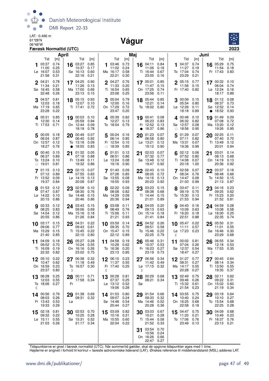

LAT: -0.466 m 61°28'N LAI: -0.466 m<br>61 28'N<br>06 <sup>248'W</sup> 2001



| April                                                                                   |                                                                                        | Maj                                                                                    |                                                                                       | Juni<br>Tid<br>Tid<br>[m]<br>[m]                                                   |                                                                                        |  |  |  |  |
|-----------------------------------------------------------------------------------------|----------------------------------------------------------------------------------------|----------------------------------------------------------------------------------------|---------------------------------------------------------------------------------------|------------------------------------------------------------------------------------|----------------------------------------------------------------------------------------|--|--|--|--|
| Tid<br>[m]<br>03:37<br>0.74<br>0.25<br>11:00<br>0.53<br>Lø 16:07<br>21:58<br>0.31       | Tid<br>[m]<br>03:27 0.85<br>16<br>10:37<br>0.17<br>0.60<br>Sø 16:13<br>22:16<br>0.21   | Tid<br>[m]<br>0.73<br>03:46<br>1<br>11:02<br>0.24<br>0.58<br>Ma 16:17<br>22:21<br>0.30 | Tid<br>[m]<br>0.84<br>16 04:11<br>11:06<br>0.18<br>0.67<br>Ti 16:44<br>23:05<br>0.16  | 04:37<br>0.74<br>1<br>11:27<br>0.19<br>To 17:04<br>0.74<br>23:29<br>0.21           | 05:29<br>0.75<br>16<br>11:54<br>0.18<br>Fr 17:43<br>0.83                               |  |  |  |  |
| $2^{04:21}$<br>0.78<br>11:34<br>0.21<br>0.58<br>Sø 16:45<br>22:48<br>0.26               | 17 04:25 0.90<br>11:26<br>0.13<br>Ma 17:00<br>0.66<br>23:13<br>0.15                    | 0.76<br>2 04:27<br>11:33<br>0.20<br>Ti 16:54<br>0.65<br>23:08<br>0.25                  | 0.85<br>17 05:01<br>0.15<br>11:47<br>On 17:25<br>0.74<br>23:56<br>0.11                | 2 05:15<br>0.77<br>11:56<br>0.15<br>Fr 17:40<br>0.82                               | 17 00:32 0.10<br>06:04<br>0.74<br>Lø 12:24<br>0.16<br>18:17<br>0.89                    |  |  |  |  |
| 04:57<br>0.81<br>12:03<br>0.18<br>Ma 17:19<br>0.65<br>23:28<br>0.22                     | 18 05:15<br>0.93<br>12:07<br>0.10<br>Ti 17:41<br>0.72                                  | 05:04<br>0.79<br>3<br>12:00<br>0.16<br>On 17:29<br>0.72<br>23:47<br>0.20               | 18 05:44<br>0.85<br>12:21<br>0.14<br>To 18:02<br>0.80                                 | 300:09<br>0.15<br>05:54<br>0.80<br>Lø 12:26<br>0.11<br>18:18<br>0.89               | 0.08<br>01:12<br>18<br>06:37<br>0.73<br>Sø 12:52<br>0.14<br>18:52<br>0.93<br>$\bullet$ |  |  |  |  |
| 405:31<br>0.85<br>12:30<br>0.14<br>Ti 17:53<br>0.71                                     | 19 00:03 0.10<br>0.94<br>05:59<br>On 12:44<br>0.09<br>18:19<br>0.78                    | 405:39<br>0.82<br>12:27<br>0.13<br>To 18:04<br>0.79                                    | 19 00:41<br>0.08<br>0.83<br>06:23<br>Fr 12:52<br>0.13<br>18:37<br>0.86                | 400:48<br>0.10<br>06:32<br>0.82<br>Sø 12:57<br>0.08<br>18:56<br>0.95<br>$\bigcirc$ | 0.09<br>19 01:49<br>0.72<br>07:08<br>Ma 13:20<br>0.12<br>19:26<br>0.95                 |  |  |  |  |
| 500:05<br>0.18<br>06:04<br>0.87<br>On 12:57<br>0.12<br>18:27<br>0.76                    | 00:49<br>0.07<br>20<br>06:40<br>0.92<br>0.09<br>To 13:18<br>18:55<br>0.83<br>$\bullet$ | 00:24 0.16<br>5<br>06:14<br>0.85<br>Fr 12:54<br>0.10<br>$\circ$ 18:39<br>0.85          | 0.07<br>01:23<br>20<br>06:58<br>0.80<br>$L\varnothing$ 13:21<br>0.12<br>19:12<br>0.90 | 5<br>01:29<br>0.07<br>0.82<br>07:11<br>Ma 13:31<br>0.07<br>19:36<br>0.99           | 02:25<br>0.11<br>20<br>07:40<br>0.70<br>Ti 13:49<br>0.12<br>20:01<br>0.94              |  |  |  |  |
| 0.15<br>$6^{00:40}$<br>06:37<br>0.89<br>To 13:24<br>0.10<br>19:01<br>0.81<br>$\bigcirc$ | 01:32 0.05<br>21<br>07:18<br>0.88<br>Fr 13:49<br>0.11<br>19:32<br>0.86                 | 01:01<br>0.12<br>06:51<br>0.86<br>Lø 13:24<br>0.08<br>19:16<br>0.90                    | 02:03<br>0.07<br>21<br>07:32<br>0.77<br>Sø 13:48<br>0.12<br>0.92<br>19:47             | 02:12<br>0.06<br>6<br>07:52<br>0.80<br>Ti 14:08<br>0.07<br>20:18<br>1.00           | 0.14<br>03:01<br>21<br>08:13<br>0.68<br>On 14:19<br>0.13<br>20:36<br>0.92              |  |  |  |  |
| 0.13<br>01:15<br>0.89<br>07:12<br>Fr 13:52<br>0.09<br>19:37<br>0.84                     | 02:15<br>0.07<br>22<br>07:55<br>0.83<br>Lø 14:19<br>0.13<br>20:08<br>0.87              | 701:40<br>0.09<br>07:28<br>0.85<br>Sø 13:55<br>0.08<br>19:55<br>0.93                   | 02:43<br>0.10<br>22<br>08:05<br>0.72<br>Ma 14:16<br>0.13<br>20:23<br>0.92             | 7 02:58<br>0.07<br>08:34<br>0.76<br>On 14:47<br>0.09<br>21:03<br>0.99              | 03:37<br>22<br>0.18<br>08:48<br>0.66<br>To 14:50<br>0.15<br>21:13<br>0.87              |  |  |  |  |
| 8 01:53<br>0.12<br>07:47<br>0.87<br>Lø 14:22<br>0.10<br>20:15<br>0.86                   | 23 02:58<br>0.10<br>08:30<br>0.76<br>Sø 14:48<br>0.15<br>20:46<br>0.86                 | 0.09<br>8 02:22<br>08:08<br>0.82<br>Ma 14:29<br>0.09<br>20:36<br>0.94                  | 23 03:23<br>0.15<br>08:38<br>0.68<br>Ti 14:44<br>0.15<br>0.89<br>21:01                | 8 03:47<br>0.11<br>09:19<br>0.70<br>To 15:30<br>0.13<br>21:53<br>0.94              | 0.23<br>23 04:16<br>09:25<br>0.62<br>Fr 15:23<br>0.20<br>21:52<br>0.81                 |  |  |  |  |
| <b>9</b> 02:33<br>0.12<br>08:25<br>0.83<br>Sø 14:54<br>0.12<br>20:55<br>0.86            | 24 03:43 0.15<br>09:06<br>0.69<br>Ma 15:16<br>0.18<br>21:26<br>0.84                    | <b>9</b> 03:08<br>0.11<br>08:49<br>0.76<br>Ti 15:06<br>0.11<br>21:21<br>0.93           | 0.20<br>24 04:05<br>09:13<br>0.63<br>On 15:14<br>0.18<br>21:41<br>0.84                | <b>9</b> 04:43<br>0.16<br>10:09<br>0.63<br>Fr 16:20<br>0.18<br>22:51<br>0.88       | 0.28<br>24 04:59<br>0.58<br>10:08<br>$L\varnothing$ 16:00<br>0.25<br>22:35<br>0.74     |  |  |  |  |
| 10 03:17<br>0.15<br>09:06<br>0.77<br>Ma 15:29<br>0.15<br>21:40<br>0.85                  | $25\frac{04:31}{20}$<br>0.22<br>09:43<br>0.61<br>Ti 15:45<br>0.22<br>22:10<br>0.80     | 10 03:59<br>0.14<br>09:35<br>0.70<br>On 15:47<br>0.15<br>22:12<br>0.89                 | 0.26<br>$25^{04:52}_{02}$<br>09:51<br>0.58<br>To 15:46<br>0.22<br>22:25<br>0.79       | 0.22<br>$10^{-05:47}$<br>11:11<br>0.57<br>Lø 17:23<br>0.23<br>ℂ                    | 0.31<br>05:50<br>25<br>0.55<br>11:01<br>Sø 16:46<br>0.30<br>23:29<br>0.68              |  |  |  |  |
| 04:09<br>0.18<br>11<br>09:52<br>0.70<br>Ti 16:09<br>0.19<br>22:32<br>0.82               | 05:27<br>0.28<br>26<br>10:24<br>0.55<br>On 16:16<br>0.26<br>23:02 0.75                 | 04:58<br>0.19<br>11<br>10:28<br>0.62<br>To 16:36<br>0.20<br>23:13 0.85                 | 05:46<br>0.31<br>26<br>10:37<br>0.53<br>Fr 16:23<br>0.27<br>23:19<br>0.73             | 00:02<br>0.81<br>11<br>07:04<br>0.26<br>Sø 12:37<br>0.54<br>18:47<br>0.27          | 0.34<br>06:55<br>26<br>12:18<br>0.53<br>Ma 17:53<br>0.35<br>D                          |  |  |  |  |
| 0.22<br>05:10<br>12<br>0.62<br>10:47<br>On 16:59<br>0.23<br>23:37<br>0.80               | 06:38 0.32<br>27<br>11:18 0.49<br>To 16:57 0.30<br>D                                   | 12<br>06:10 0.23<br>11:37 0.55<br>Fr 17:40 0.25<br>ℭ                                   | 06:56<br>0.34<br>11:42<br>0.49<br>Lø 17:15<br>0.32<br>D                               | 0.77<br>01:27<br>12<br>08:31<br>0.27<br>Ma 14:17<br>0.55<br>20:28<br>0.27          | 27<br>00:45 0.64<br>0.34<br>08:14<br>Ti 13:50<br>0.55<br>19:35<br>0.37                 |  |  |  |  |
| 0.25<br>06:28<br>13<br>0.55<br>12:03<br>To 18:06<br>0.27<br>ℂ                           | 00:11 0.71<br>28<br>17:58 0.34<br>Fr                                                   | 00:28 0.81<br>13<br>07:37 0.25<br>Lø 13:12 0.52<br>19:06<br>0.28                       | 00:29<br>0.68<br>28<br>08:21<br>0.34<br>Sø                                            | 13 02:49<br>0.75<br>09:46<br>0.26<br>Ti 15:32<br>0.61<br>21:54<br>0.23             | 02:11<br>0.62<br>28<br>09:22<br>0.31<br>On 15:02<br>0.60<br>21:19<br>0.34              |  |  |  |  |
| 14 00:56<br>0.79<br>0.26<br>08:03<br>Fr 13:43<br>0.53<br>19:33<br>0.29                  | 29 01:38 0.69<br>09:31 0.32<br>Lø                                                      | 0.80<br>14 01:53<br>09:07<br>0.24<br>Sø 14:48<br>0.54<br>20:44<br>0.27                 | 29 01:54<br>0.66<br>09:33<br>0.32<br>Ma 14:46<br>0.52<br>20:28<br>0.36                | 14 03:55<br>0.75<br>10:40<br>0.24<br>On 16:25<br>0.68<br>22:58<br>0.18             | 03:18<br>0.64<br>29<br>10:10<br>0.27<br>To 15:54<br>0.68<br>22:25<br>0.28              |  |  |  |  |
| 0.81<br>02:18<br>15<br>0.22<br>09:32<br>Lø 15:11<br>0.55<br>21:03<br>0.26               | 30 02:53 0.70<br>0.28<br>10:25<br>Sø 15:31 0.52<br>21:17 0.34                          | 0.82<br>15 03:09<br>10:16<br>0.21<br>Ma 15:55<br>0.60<br>22:04<br>0.22                 | 03:03<br>0.67<br>30<br>0.28<br>10:21<br>Ti 15:44<br>0.58<br>21:52<br>0.33             | 15<br>04:47<br>0.75<br>11:20<br>0.21<br>To 17:06<br>0.76<br>23:49<br>0.13          | 30 04:09<br>0.68<br>0.23<br>10:49<br>Fr 16:37<br>0.76<br>23:13<br>0.21                 |  |  |  |  |
|                                                                                         |                                                                                        |                                                                                        | 03:54<br>0.70<br>31<br>10:56<br>0.24<br>On 16:26<br>0.66<br>22:47 0.27                |                                                                                    |                                                                                        |  |  |  |  |

Tidspunkterne er givet i færøsk normaltid (UTC). Når sommertid gælder, skal de opgivne tidspunkter øges med 1 time.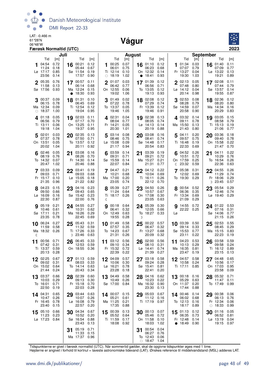

LAT: -0.466 m 61°28'N

#### 06°48'W **Vágur**



| Færøsk Normaltid (UTC)<br>Juli |                                               |                              |    |                                                       |                                     |             |                                                      |                              |                 |                                                    |                                     |         |                                                                 |                              |                                                                    | 2023                                |
|--------------------------------|-----------------------------------------------|------------------------------|----|-------------------------------------------------------|-------------------------------------|-------------|------------------------------------------------------|------------------------------|-----------------|----------------------------------------------------|-------------------------------------|---------|-----------------------------------------------------------------|------------------------------|--------------------------------------------------------------------|-------------------------------------|
|                                | Tid                                           | [m]                          |    | Tid                                                   |                                     |             | Tid                                                  | [m]                          | August          | Tid                                                |                                     |         | Tid                                                             | [m]                          | <b>September</b><br>Tid                                            |                                     |
|                                | 04:54<br>11:24<br>Lø 17:17<br>23:56           | 0.72<br>0.18<br>0.85<br>0.14 | 16 | 00:21<br>05:44<br>Sø 11:54<br>17:57                   | [m]<br>0.12<br>0.67<br>0.19<br>0.90 | 1           | 00:25<br>06:01<br>Ti 12:14<br>$\circ$ 18:19          | 0.07<br>0.75<br>0.10<br>1.02 | 16<br>$\bullet$ | 01:10<br>06:23<br>On 12:32<br>18:41                | [m]<br>0.12<br>0.68<br>0.14<br>0.93 |         | 01:34<br>07:07<br>Fr 13:27<br>19:30                             | 0.03<br>0.79<br>0.04<br>1.03 | 01:40<br>16<br>07:09<br>Lø 13:22<br>19:21                          | [m]<br>0.11<br>0.77<br>0.13<br>0.89 |
| $\mathbf{2}$                   | 05:35<br>11:58<br>Sø 17:56                    | 0.76<br>0.13<br>0.93         |    | 17 00:57<br>06:14<br>Ma 12:24<br>• 18:30              | 0.11<br>0.68<br>0.15<br>0.93        | $\mathbf 2$ | 01:07<br>06:42<br>On 12:55<br>19:02                  | 0.03<br>0.77<br>0.06<br>1.06 |                 | 17 01:39<br>06:56<br>To 13:05<br>19:13             | 0.12<br>0.71<br>0.12<br>0.93        |         | $2^{02:13}$<br>07:48<br>Lø 14:12<br>20:14                       | 0.05<br>0.80<br>0.04<br>0.98 | 17 02:08<br>07:44<br>Sø 13:57<br>19:55                             | 0.11<br>0.79<br>0.14<br>0.87        |
|                                | 00:37<br>06:15<br>Ma 12:34<br>$\circ$ 18:37   | 0.09<br>0.78<br>0.09<br>1.00 | 18 | 01:31<br>06:45<br>Ti 12:54<br>19:04                   | 0.10<br>0.69<br>0.12<br>0.95        |             | 01:49<br>07:22<br>To 13:37<br>19:46                  | 0.02<br>0.78<br>0.05<br>1.05 | 18              | 02:08<br>07:29<br>Fr 13:39<br>19:46                | 0.12<br>0.74<br>0.12<br>0.91        |         | 02:53<br>08:28<br>Sø 14:59<br>20:58                             | 0.08<br>0.79<br>0.07<br>0.90 | 18 02:36<br>08:20<br>Ma 14:34<br>20:29                             | 0.12<br>0.80<br>0.16<br>0.83        |
|                                | 4 01:18<br>06:56<br>Ti 13:11<br>19:18         | 0.05<br>0.79<br>0.06<br>1.04 |    | 19 02:03<br>07:17<br>On 13:25<br>19:37                | 0.11<br>0.70<br>0.11<br>0.95        |             | 4 02:31<br>08:04<br>Fr 14:21<br>20:30                | 0.04<br>0.77<br>0.05<br>1.01 |                 | 19 02:38<br>08:05<br>$L\varnothing$ 14:13<br>20:19 | 0.13<br>0.74<br>0.14<br>0.88        |         | 4 03:32<br>09:11<br>Ma 15:50<br>21:43                           | 0.14<br>0.78<br>0.13<br>0.80 | 03:05<br>19<br>08:58<br>Ti 15:13<br>21:06                          | 0.15<br>0.79<br>0.19<br>0.77        |
|                                | 5 02:01<br>07:37<br>On 13:51<br>20:02         | 0.03<br>0.78<br>0.05<br>1.04 | 20 | 02:35<br>07:50<br>To 13:57<br>20:11                   | 0.13<br>0.71<br>0.12<br>0.92        | 5           | 03:14 0.08<br>08:46<br>$L\varnothing$ 15:08<br>21:17 | 0.75<br>0.09<br>0.94         | 20              | 03:08<br>08:41<br>Sø 14:48<br>20:54                | 0.16<br>0.74<br>0.17<br>0.83        |         | 5 04:11<br>09:57<br>Ti 16:48<br>22:33                           | 0.20<br>0.75<br>0.19<br>0.69 | 03:36<br>20<br>09:40<br>On 15:58<br>21:47                          | 0.18<br>0.78<br>0.22<br>0.70        |
| 6                              | 02:46<br>08:19<br>To 14:32<br>20:47           | 0.05<br>0.76<br>0.07<br>1.02 | 21 | 03:08<br>08:26<br>Fr 14:30<br>20:46                   | 0.16<br>0.70<br>0.14<br>0.88        |             | 03:59<br>09:31<br>Sø 15:59<br>22:07                  | 0.14<br>0.71<br>0.14<br>0.84 | 21              | 03:39<br>09:21<br>Ma 15:27<br>21:31                | 0.19<br>0.72<br>0.21<br>0.77        |         | 04:52<br>10:51<br>On 17:59<br>(23:32)                           | 0.26<br>0.72<br>0.25<br>0.59 | 04:11<br>21<br>10:29<br>To 16:54<br>22:36                          | 0.22<br>0.76<br>0.26<br>0.63        |
|                                | 7 03:33<br>09:03<br>Fr 15:17<br>21:35         | 0.09<br>0.71<br>0.10<br>0.96 |    | 22 03:41<br>09:03<br>$L\varnothing$ 15:05<br>21:22    | 0.19<br>0.68<br>0.18<br>0.82        |             | $7^{04:47}$<br>10:21<br>Ma 17:00<br>23:05            | 0.21<br>0.68<br>0.20<br>0.74 | 22              | 04:12<br>10:04<br>Ti 16:11<br>22:12                | 0.22<br>0.69<br>0.26<br>0.70        |         | 7 05:38<br>12:02<br>To 19:30 0.29                               | 0.31<br>0.69                 | 22 04:55<br>11:29<br>Fr 18:06<br>D 23:45                           | 0.26<br>0.74<br>0.29<br>0.57        |
|                                | 04:23<br>09:50<br>Lø 16:09<br>22:30           | 0.15<br>0.66<br>0.16<br>0.87 | 23 | 04:16<br>09:43<br>Sø 15:42<br>22:00                   | 0.23<br>0.65<br>0.23<br>0.76        | ℭ           | 05:39<br>11:24<br>Ti 18:17 0.26                      | 0.27<br>0.64                 | 23              | 04:50<br>10:57<br>On 17:08<br>23:05                | 0.26<br>0.67<br>0.30<br>0.63        |         | 8 00:54<br>06:36<br>Fr 13:34<br>21:09                           | 0.52<br>0.35<br>0.69<br>0.29 | 05:54<br>23<br>12:46<br>Lø 19:40                                   | 0.29<br>0.74<br>0.29                |
|                                | <b>9</b> 05:19<br>10:46<br>Sø 17:11<br>23:35  | 0.21<br>0.61<br>0.21<br>0.78 |    | 24 04:55<br>10:31<br>Ma 16:26<br>22:45                | 0.27<br>0.62<br>0.29<br>0.69        | 9           | 00:18 0.64<br>06:41<br>On 12:49<br>19:55             | 0.32<br>0.63<br>0.28         | D               | 24 05:39<br>12:05<br>To 18:27                      | 0.30<br>0.66<br>0.33                | 9<br>Lø | 14:55 0.72<br>22:22 0.25                                        |                              | 24 01:22<br>07:16<br>Sø 14:06<br>21:15                             | 0.53<br>0.31<br>0.77<br>0.26        |
| 10<br>ℭ                        | 06:24<br>11:59<br>Ma 18:32 0.26               | 0.27<br>0.58                 | 25 | 05:43<br>11:32<br>Ti 17:26<br>D 23:46                 | 0.31<br>0.59<br>0.33<br>0.63        | 10          | 01:49<br>07:57<br>To 14:23<br>21:31                  | 0.58<br>0.35<br>0.67<br>0.26 | 25              | 00:22<br>06:47<br>Fr 13:27<br>20:09                | 0.57<br>0.32<br>0.68<br>0.32        | 10      | 03:39<br>09:14<br>Sø 15:53<br>23:11                             | 0.50<br>0.33<br>0.77<br>0.22 | 02:53<br>25<br>08:45<br>Ma 15:15<br>22:23                          | 0.55<br>0.29<br>0.83<br>0.19        |
| 11                             | 00:56<br>07:42<br>Ti 13:37 0.59<br>20:13 0.28 | 0.71<br>0.31                 | 26 | 06:45<br>12:53<br>On 18:55 0.36                       | 0.33<br>0.59                        |             | 11 $03:12$<br>09:10<br>Fr 15:32 0.72<br>22:39 0.22   | 0.56<br>0.34                 | 26              | 02:00<br>08:10<br>Lø 14:41 0.74<br>21:39 0.27      | 0.56<br>0.31                        | 11      | 04:23<br>10:13 0.29<br>Ma 16:35 0.81<br>23:47 0.19              | 0.53                         | $26\;\;{}^{03:58}_{03:58}$<br>09:58<br>Ti 16:12 0.89<br>23:15 0.13 | 0.59<br>0.24                        |
|                                | 02:25<br>09:02<br>On 15:02 0.64<br>21:44      | 0.67<br>0.31<br>0.24         |    | 27 01:13 0.59<br>08:03 0.33<br>To 14:14 0.63<br>20:43 | 0.34                                |             | 12 04:09<br>10:06 0.30<br>Lø 16:21<br>23:28          | 0.57<br>0.78<br>0.18         |                 | 27 03:18<br>09:24<br>Sø 15:41<br>22:41             | 0.58<br>0.28<br>0.81<br>0.20        |         | 12 04:57<br>10:58<br>Ti 17:11                                   | 0.58<br>0.24<br>0.85         | 27 04:48<br>10:56<br>On 17:03<br>23:58                             | 0.65<br>0.17<br>0.95<br>0.09        |
|                                | 13 03:37<br>10:03<br>To 16:01<br>22:50        | 0.66<br>0.29<br>0.71<br>0.19 |    | 28 02:39<br>09:13<br>Fr 15:18<br>22:03                | 0.60<br>0.30<br>0.70<br>0.28        |             | 13 04:49<br>10:49<br>Sø 17:00                        | 0.58<br>0.26<br>0.84         |                 | 28 04:16<br>10:23<br>Ma 16:32<br>23:30             | 0.62<br>0.22<br>0.90<br>0.13        |         | 13 00:18 0.16<br>05:29<br>On 11:37 0.20<br>17:44                | 0.63<br>0.88                 | 28 05:32<br>11:47<br>To 17:49                                      | 0.71<br>0.11<br>0.99                |
|                                | 14 04:31<br>10:47<br>Fr 16:45<br>23:40        | 0.65<br>0.26<br>0.78<br>0.15 |    | 29 03:44<br>10:07<br>$L\varnothing$ 16:08<br>22:57    | 0.63<br>0.26<br>0.79<br>0.20        |             | 14 00:07 0.15<br>05:21<br>Ma 11:25<br>17:35          | 0.61<br>0.21<br>0.88         |                 | 29 05:03<br>11:12<br>Ti 17:19 0.97                 | 0.67<br>0.16                        |         | 14 00:46 0.14<br>06:02 0.68<br>To 12:13 0.16<br>18:17 0.89      |                              | 29 00:38<br>06:13<br>Fr 12:34<br>$\circ$ 18:33                     | 0.06<br>0.76<br>0.06<br>0.99        |
|                                | $15^{05:10}$<br>11:23<br>Lø 17:23 0.84        | 0.66<br>0.23                 |    | 30 04:34<br>10:52<br>Sø 16:54<br>23:43                | 0.67<br>0.20<br>0.88<br>0.13        |             | 15 00:39 0.13<br>05:52<br>Ti 11:59<br>18:08 0.92     | 0.64<br>0.17                 |                 | $30^{00:13}$<br>05:46<br>On 11:58<br>18:03         | 0.07<br>0.72<br>0.10<br>1.02        |         | 15 01:13 0.12<br>06:35<br>Fr 12:48 0.14<br>$\bullet$ 18:49 0.90 | 0.73                         | 30 01:16 0.05<br>06:52<br>$L\varnothing$ 13:19<br>19:15            | 0.81<br>0.04<br>0.97                |
|                                |                                               |                              | 31 | 05:19<br>11:33<br>Ma 17:37 0.96                       | 0.71<br>0.15                        |             |                                                      |                              | 31              | 00:54<br>06:27<br>To 12:43<br>$\circ$ 18:47 1.04   | 0.04<br>0.76<br>0.06                |         |                                                                 |                              |                                                                    |                                     |